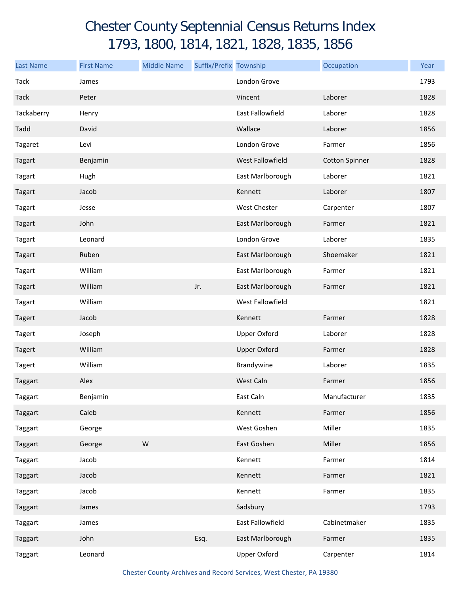## Chester County Septennial Census Returns Index 1793, 1800, 1814, 1821, 1828, 1835, 1856

| <b>Last Name</b> | <b>First Name</b> | <b>Middle Name</b> | Suffix/Prefix Township |                     | Occupation            | Year |
|------------------|-------------------|--------------------|------------------------|---------------------|-----------------------|------|
| Tack             | James             |                    |                        | London Grove        |                       | 1793 |
| <b>Tack</b>      | Peter             |                    |                        | Vincent             | Laborer               | 1828 |
| Tackaberry       | Henry             |                    |                        | East Fallowfield    | Laborer               | 1828 |
| Tadd             | David             |                    |                        | Wallace             | Laborer               | 1856 |
| Tagaret          | Levi              |                    |                        | London Grove        | Farmer                | 1856 |
| Tagart           | Benjamin          |                    |                        | West Fallowfield    | <b>Cotton Spinner</b> | 1828 |
| Tagart           | Hugh              |                    |                        | East Marlborough    | Laborer               | 1821 |
| Tagart           | Jacob             |                    |                        | Kennett             | Laborer               | 1807 |
| Tagart           | Jesse             |                    |                        | <b>West Chester</b> | Carpenter             | 1807 |
| Tagart           | John              |                    |                        | East Marlborough    | Farmer                | 1821 |
| Tagart           | Leonard           |                    |                        | London Grove        | Laborer               | 1835 |
| Tagart           | Ruben             |                    |                        | East Marlborough    | Shoemaker             | 1821 |
| Tagart           | William           |                    |                        | East Marlborough    | Farmer                | 1821 |
| Tagart           | William           |                    | Jr.                    | East Marlborough    | Farmer                | 1821 |
| Tagart           | William           |                    |                        | West Fallowfield    |                       | 1821 |
| <b>Tagert</b>    | Jacob             |                    |                        | Kennett             | Farmer                | 1828 |
| Tagert           | Joseph            |                    |                        | <b>Upper Oxford</b> | Laborer               | 1828 |
| Tagert           | William           |                    |                        | <b>Upper Oxford</b> | Farmer                | 1828 |
| Tagert           | William           |                    |                        | Brandywine          | Laborer               | 1835 |
| Taggart          | Alex              |                    |                        | West Caln           | Farmer                | 1856 |
| Taggart          | Benjamin          |                    |                        | East Caln           | Manufacturer          | 1835 |
| Taggart          | Caleb             |                    |                        | Kennett             | Farmer                | 1856 |
| Taggart          | George            |                    |                        | West Goshen         | Miller                | 1835 |
| Taggart          | George            | ${\sf W}$          |                        | East Goshen         | Miller                | 1856 |
| Taggart          | Jacob             |                    |                        | Kennett             | Farmer                | 1814 |
| Taggart          | Jacob             |                    |                        | Kennett             | Farmer                | 1821 |
| Taggart          | Jacob             |                    |                        | Kennett             | Farmer                | 1835 |
| Taggart          | James             |                    |                        | Sadsbury            |                       | 1793 |
| Taggart          | James             |                    |                        | East Fallowfield    | Cabinetmaker          | 1835 |
| Taggart          | John              |                    | Esq.                   | East Marlborough    | Farmer                | 1835 |
| Taggart          | Leonard           |                    |                        | <b>Upper Oxford</b> | Carpenter             | 1814 |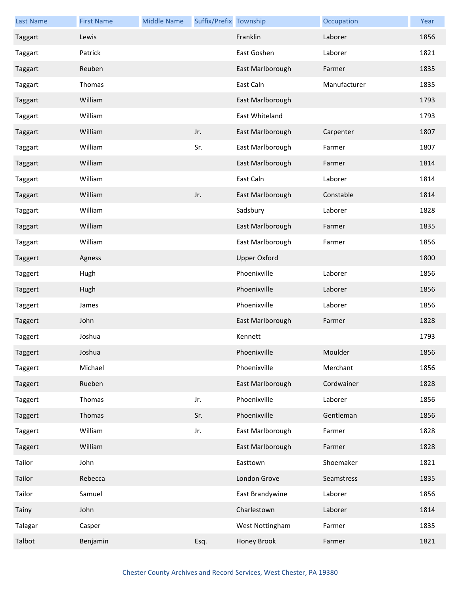| <b>Last Name</b> | <b>First Name</b> | <b>Middle Name</b> | Suffix/Prefix Township |                     | Occupation   | Year |
|------------------|-------------------|--------------------|------------------------|---------------------|--------------|------|
| Taggart          | Lewis             |                    |                        | Franklin            | Laborer      | 1856 |
| Taggart          | Patrick           |                    |                        | East Goshen         | Laborer      | 1821 |
| Taggart          | Reuben            |                    |                        | East Marlborough    | Farmer       | 1835 |
| Taggart          | Thomas            |                    |                        | East Caln           | Manufacturer | 1835 |
| Taggart          | William           |                    |                        | East Marlborough    |              | 1793 |
| Taggart          | William           |                    |                        | East Whiteland      |              | 1793 |
| Taggart          | William           |                    | Jr.                    | East Marlborough    | Carpenter    | 1807 |
| Taggart          | William           |                    | Sr.                    | East Marlborough    | Farmer       | 1807 |
| Taggart          | William           |                    |                        | East Marlborough    | Farmer       | 1814 |
| Taggart          | William           |                    |                        | East Caln           | Laborer      | 1814 |
| Taggart          | William           |                    | Jr.                    | East Marlborough    | Constable    | 1814 |
| Taggart          | William           |                    |                        | Sadsbury            | Laborer      | 1828 |
| Taggart          | William           |                    |                        | East Marlborough    | Farmer       | 1835 |
| Taggart          | William           |                    |                        | East Marlborough    | Farmer       | 1856 |
| Taggert          | Agness            |                    |                        | <b>Upper Oxford</b> |              | 1800 |
| Taggert          | Hugh              |                    |                        | Phoenixville        | Laborer      | 1856 |
| Taggert          | Hugh              |                    |                        | Phoenixville        | Laborer      | 1856 |
| Taggert          | James             |                    |                        | Phoenixville        | Laborer      | 1856 |
| Taggert          | John              |                    |                        | East Marlborough    | Farmer       | 1828 |
| Taggert          | Joshua            |                    |                        | Kennett             |              | 1793 |
| Taggert          | Joshua            |                    |                        | Phoenixville        | Moulder      | 1856 |
| Taggert          | Michael           |                    |                        | Phoenixville        | Merchant     | 1856 |
| Taggert          | Rueben            |                    |                        | East Marlborough    | Cordwainer   | 1828 |
| Taggert          | Thomas            |                    | Jr.                    | Phoenixville        | Laborer      | 1856 |
| Taggert          | Thomas            |                    | Sr.                    | Phoenixville        | Gentleman    | 1856 |
| Taggert          | William           |                    | Jr.                    | East Marlborough    | Farmer       | 1828 |
| Taggert          | William           |                    |                        | East Marlborough    | Farmer       | 1828 |
| Tailor           | John              |                    |                        | Easttown            | Shoemaker    | 1821 |
| Tailor           | Rebecca           |                    |                        | London Grove        | Seamstress   | 1835 |
| Tailor           | Samuel            |                    |                        | East Brandywine     | Laborer      | 1856 |
| Tainy            | John              |                    |                        | Charlestown         | Laborer      | 1814 |
| Talagar          | Casper            |                    |                        | West Nottingham     | Farmer       | 1835 |
| Talbot           | Benjamin          |                    | Esq.                   | Honey Brook         | Farmer       | 1821 |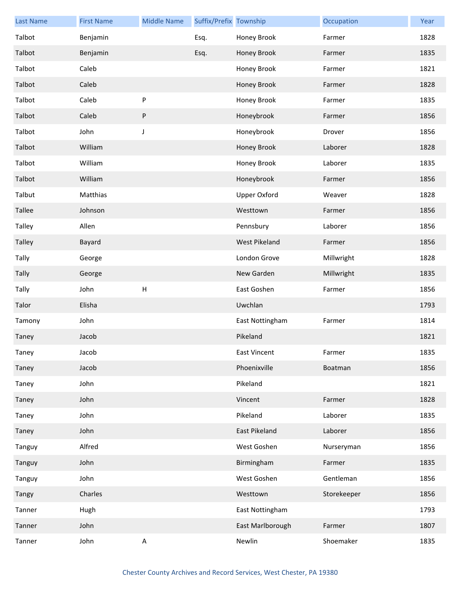| <b>Last Name</b> | <b>First Name</b> | <b>Middle Name</b> | Suffix/Prefix Township |                     | Occupation  | Year |
|------------------|-------------------|--------------------|------------------------|---------------------|-------------|------|
| Talbot           | Benjamin          |                    | Esq.                   | Honey Brook         | Farmer      | 1828 |
| Talbot           | Benjamin          |                    | Esq.                   | Honey Brook         | Farmer      | 1835 |
| Talbot           | Caleb             |                    |                        | Honey Brook         | Farmer      | 1821 |
| Talbot           | Caleb             |                    |                        | Honey Brook         | Farmer      | 1828 |
| Talbot           | Caleb             | ${\sf P}$          |                        | Honey Brook         | Farmer      | 1835 |
| Talbot           | Caleb             | $\sf P$            |                        | Honeybrook          | Farmer      | 1856 |
| Talbot           | John              | $\mathsf J$        |                        | Honeybrook          | Drover      | 1856 |
| Talbot           | William           |                    |                        | Honey Brook         | Laborer     | 1828 |
| Talbot           | William           |                    |                        | Honey Brook         | Laborer     | 1835 |
| Talbot           | William           |                    |                        | Honeybrook          | Farmer      | 1856 |
| Talbut           | Matthias          |                    |                        | <b>Upper Oxford</b> | Weaver      | 1828 |
| <b>Tallee</b>    | Johnson           |                    |                        | Westtown            | Farmer      | 1856 |
| <b>Talley</b>    | Allen             |                    |                        | Pennsbury           | Laborer     | 1856 |
| Talley           | Bayard            |                    |                        | West Pikeland       | Farmer      | 1856 |
| Tally            | George            |                    |                        | London Grove        | Millwright  | 1828 |
| Tally            | George            |                    |                        | New Garden          | Millwright  | 1835 |
| Tally            | John              | H                  |                        | East Goshen         | Farmer      | 1856 |
| Talor            | Elisha            |                    |                        | Uwchlan             |             | 1793 |
| Tamony           | John              |                    |                        | East Nottingham     | Farmer      | 1814 |
| Taney            | Jacob             |                    |                        | Pikeland            |             | 1821 |
| Taney            | Jacob             |                    |                        | East Vincent        | Farmer      | 1835 |
| Taney            | Jacob             |                    |                        | Phoenixville        | Boatman     | 1856 |
| Taney            | John              |                    |                        | Pikeland            |             | 1821 |
| Taney            | John              |                    |                        | Vincent             | Farmer      | 1828 |
| Taney            | John              |                    |                        | Pikeland            | Laborer     | 1835 |
| Taney            | John              |                    |                        | East Pikeland       | Laborer     | 1856 |
| Tanguy           | Alfred            |                    |                        | West Goshen         | Nurseryman  | 1856 |
| Tanguy           | John              |                    |                        | Birmingham          | Farmer      | 1835 |
| Tanguy           | John              |                    |                        | West Goshen         | Gentleman   | 1856 |
| Tangy            | Charles           |                    |                        | Westtown            | Storekeeper | 1856 |
| Tanner           | Hugh              |                    |                        | East Nottingham     |             | 1793 |
| Tanner           | John              |                    |                        | East Marlborough    | Farmer      | 1807 |
| Tanner           | John              | $\sf A$            |                        | Newlin              | Shoemaker   | 1835 |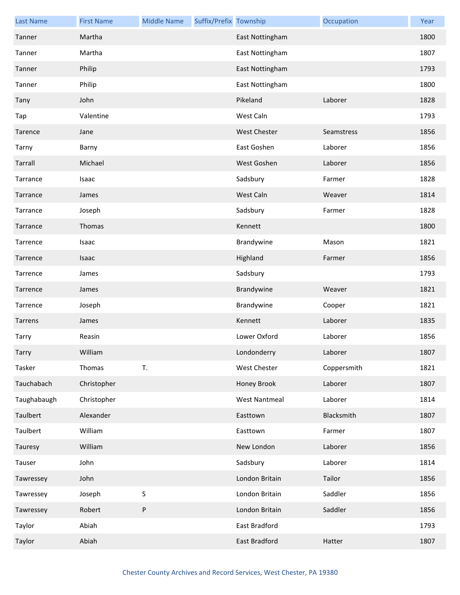| <b>Last Name</b> | <b>First Name</b> | <b>Middle Name</b> | Suffix/Prefix Township |                      | Occupation  | Year |
|------------------|-------------------|--------------------|------------------------|----------------------|-------------|------|
| Tanner           | Martha            |                    |                        | East Nottingham      |             | 1800 |
| Tanner           | Martha            |                    |                        | East Nottingham      |             | 1807 |
| Tanner           | Philip            |                    |                        | East Nottingham      |             | 1793 |
| Tanner           | Philip            |                    |                        | East Nottingham      |             | 1800 |
| Tany             | John              |                    |                        | Pikeland             | Laborer     | 1828 |
| Tap              | Valentine         |                    |                        | West Caln            |             | 1793 |
| Tarence          | Jane              |                    |                        | <b>West Chester</b>  | Seamstress  | 1856 |
| Tarny            | Barny             |                    |                        | East Goshen          | Laborer     | 1856 |
| Tarrall          | Michael           |                    |                        | West Goshen          | Laborer     | 1856 |
| Tarrance         | Isaac             |                    |                        | Sadsbury             | Farmer      | 1828 |
| Tarrance         | James             |                    |                        | West Caln            | Weaver      | 1814 |
| Tarrance         | Joseph            |                    |                        | Sadsbury             | Farmer      | 1828 |
| Tarrance         | Thomas            |                    |                        | Kennett              |             | 1800 |
| Tarrence         | Isaac             |                    |                        | Brandywine           | Mason       | 1821 |
| Tarrence         | Isaac             |                    |                        | Highland             | Farmer      | 1856 |
| Tarrence         | James             |                    |                        | Sadsbury             |             | 1793 |
| Tarrence         | James             |                    |                        | Brandywine           | Weaver      | 1821 |
| Tarrence         | Joseph            |                    |                        | Brandywine           | Cooper      | 1821 |
| Tarrens          | James             |                    |                        | Kennett              | Laborer     | 1835 |
| Tarry            | Reasin            |                    |                        | Lower Oxford         | Laborer     | 1856 |
| Tarry            | William           |                    |                        | Londonderry          | Laborer     | 1807 |
| Tasker           | Thomas            | T.                 |                        | <b>West Chester</b>  | Coppersmith | 1821 |
| Tauchabach       | Christopher       |                    |                        | Honey Brook          | Laborer     | 1807 |
| Taughabaugh      | Christopher       |                    |                        | <b>West Nantmeal</b> | Laborer     | 1814 |
| Taulbert         | Alexander         |                    |                        | Easttown             | Blacksmith  | 1807 |
| Taulbert         | William           |                    |                        | Easttown             | Farmer      | 1807 |
| Tauresy          | William           |                    |                        | New London           | Laborer     | 1856 |
| Tauser           | John              |                    |                        | Sadsbury             | Laborer     | 1814 |
| Tawressey        | John              |                    |                        | London Britain       | Tailor      | 1856 |
| Tawressey        | Joseph            | $\mathsf S$        |                        | London Britain       | Saddler     | 1856 |
| Tawressey        | Robert            | P                  |                        | London Britain       | Saddler     | 1856 |
| Taylor           | Abiah             |                    |                        | East Bradford        |             | 1793 |
| Taylor           | Abiah             |                    |                        | East Bradford        | Hatter      | 1807 |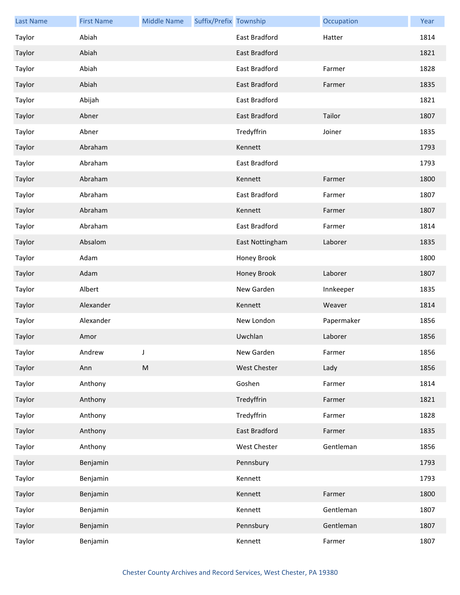| <b>Last Name</b> | <b>First Name</b> | <b>Middle Name</b> | Suffix/Prefix Township |                 | Occupation | Year |
|------------------|-------------------|--------------------|------------------------|-----------------|------------|------|
| Taylor           | Abiah             |                    |                        | East Bradford   | Hatter     | 1814 |
| Taylor           | Abiah             |                    |                        | East Bradford   |            | 1821 |
| Taylor           | Abiah             |                    |                        | East Bradford   | Farmer     | 1828 |
| Taylor           | Abiah             |                    |                        | East Bradford   | Farmer     | 1835 |
| Taylor           | Abijah            |                    |                        | East Bradford   |            | 1821 |
| Taylor           | Abner             |                    |                        | East Bradford   | Tailor     | 1807 |
| Taylor           | Abner             |                    |                        | Tredyffrin      | Joiner     | 1835 |
| Taylor           | Abraham           |                    |                        | Kennett         |            | 1793 |
| Taylor           | Abraham           |                    |                        | East Bradford   |            | 1793 |
| Taylor           | Abraham           |                    |                        | Kennett         | Farmer     | 1800 |
| Taylor           | Abraham           |                    |                        | East Bradford   | Farmer     | 1807 |
| Taylor           | Abraham           |                    |                        | Kennett         | Farmer     | 1807 |
| Taylor           | Abraham           |                    |                        | East Bradford   | Farmer     | 1814 |
| Taylor           | Absalom           |                    |                        | East Nottingham | Laborer    | 1835 |
| Taylor           | Adam              |                    |                        | Honey Brook     |            | 1800 |
| Taylor           | Adam              |                    |                        | Honey Brook     | Laborer    | 1807 |
| Taylor           | Albert            |                    |                        | New Garden      | Innkeeper  | 1835 |
| Taylor           | Alexander         |                    |                        | Kennett         | Weaver     | 1814 |
| Taylor           | Alexander         |                    |                        | New London      | Papermaker | 1856 |
| Taylor           | Amor              |                    |                        | Uwchlan         | Laborer    | 1856 |
| Taylor           | Andrew            |                    |                        | New Garden      | Farmer     | 1856 |
| Taylor           | Ann               | ${\sf M}$          |                        | West Chester    | Lady       | 1856 |
| Taylor           | Anthony           |                    |                        | Goshen          | Farmer     | 1814 |
| Taylor           | Anthony           |                    |                        | Tredyffrin      | Farmer     | 1821 |
| Taylor           | Anthony           |                    |                        | Tredyffrin      | Farmer     | 1828 |
| Taylor           | Anthony           |                    |                        | East Bradford   | Farmer     | 1835 |
| Taylor           | Anthony           |                    |                        | West Chester    | Gentleman  | 1856 |
| Taylor           | Benjamin          |                    |                        | Pennsbury       |            | 1793 |
| Taylor           | Benjamin          |                    |                        | Kennett         |            | 1793 |
| Taylor           | Benjamin          |                    |                        | Kennett         | Farmer     | 1800 |
| Taylor           | Benjamin          |                    |                        | Kennett         | Gentleman  | 1807 |
| Taylor           | Benjamin          |                    |                        | Pennsbury       | Gentleman  | 1807 |
| Taylor           | Benjamin          |                    |                        | Kennett         | Farmer     | 1807 |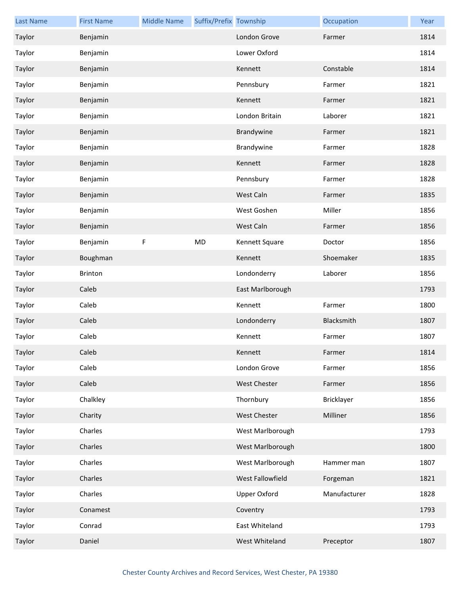| <b>Last Name</b> | <b>First Name</b> | <b>Middle Name</b> | Suffix/Prefix Township |                     | Occupation   | Year |
|------------------|-------------------|--------------------|------------------------|---------------------|--------------|------|
| Taylor           | Benjamin          |                    |                        | London Grove        | Farmer       | 1814 |
| Taylor           | Benjamin          |                    |                        | Lower Oxford        |              | 1814 |
| Taylor           | Benjamin          |                    |                        | Kennett             | Constable    | 1814 |
| Taylor           | Benjamin          |                    |                        | Pennsbury           | Farmer       | 1821 |
| Taylor           | Benjamin          |                    |                        | Kennett             | Farmer       | 1821 |
| Taylor           | Benjamin          |                    |                        | London Britain      | Laborer      | 1821 |
| Taylor           | Benjamin          |                    |                        | Brandywine          | Farmer       | 1821 |
| Taylor           | Benjamin          |                    |                        | Brandywine          | Farmer       | 1828 |
| Taylor           | Benjamin          |                    |                        | Kennett             | Farmer       | 1828 |
| Taylor           | Benjamin          |                    |                        | Pennsbury           | Farmer       | 1828 |
| Taylor           | Benjamin          |                    |                        | West Caln           | Farmer       | 1835 |
| Taylor           | Benjamin          |                    |                        | West Goshen         | Miller       | 1856 |
| Taylor           | Benjamin          |                    |                        | West Caln           | Farmer       | 1856 |
| Taylor           | Benjamin          | F                  | <b>MD</b>              | Kennett Square      | Doctor       | 1856 |
| Taylor           | Boughman          |                    |                        | Kennett             | Shoemaker    | 1835 |
| Taylor           | <b>Brinton</b>    |                    |                        | Londonderry         | Laborer      | 1856 |
| Taylor           | Caleb             |                    |                        | East Marlborough    |              | 1793 |
| Taylor           | Caleb             |                    |                        | Kennett             | Farmer       | 1800 |
| Taylor           | Caleb             |                    |                        | Londonderry         | Blacksmith   | 1807 |
| Taylor           | Caleb             |                    |                        | Kennett             | Farmer       | 1807 |
| Taylor           | Caleb             |                    |                        | Kennett             | Farmer       | 1814 |
| Taylor           | Caleb             |                    |                        | London Grove        | Farmer       | 1856 |
| Taylor           | Caleb             |                    |                        | West Chester        | Farmer       | 1856 |
| Taylor           | Chalkley          |                    |                        | Thornbury           | Bricklayer   | 1856 |
| Taylor           | Charity           |                    |                        | <b>West Chester</b> | Milliner     | 1856 |
| Taylor           | Charles           |                    |                        | West Marlborough    |              | 1793 |
| Taylor           | Charles           |                    |                        | West Marlborough    |              | 1800 |
| Taylor           | Charles           |                    |                        | West Marlborough    | Hammer man   | 1807 |
| Taylor           | Charles           |                    |                        | West Fallowfield    | Forgeman     | 1821 |
| Taylor           | Charles           |                    |                        | <b>Upper Oxford</b> | Manufacturer | 1828 |
| Taylor           | Conamest          |                    |                        | Coventry            |              | 1793 |
| Taylor           | Conrad            |                    |                        | East Whiteland      |              | 1793 |
| Taylor           | Daniel            |                    |                        | West Whiteland      | Preceptor    | 1807 |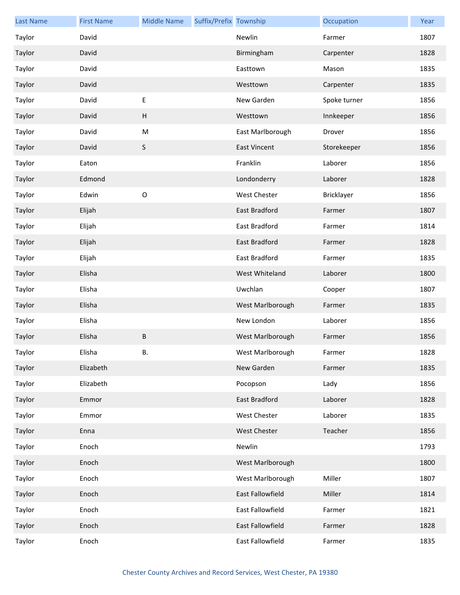| <b>Last Name</b> | <b>First Name</b> | <b>Middle Name</b> | Suffix/Prefix Township |                      | Occupation   | Year |
|------------------|-------------------|--------------------|------------------------|----------------------|--------------|------|
| Taylor           | David             |                    |                        | Newlin               | Farmer       | 1807 |
| Taylor           | David             |                    |                        | Birmingham           | Carpenter    | 1828 |
| Taylor           | David             |                    |                        | Easttown             | Mason        | 1835 |
| Taylor           | David             |                    |                        | Westtown             | Carpenter    | 1835 |
| Taylor           | David             | $\sf E$            |                        | New Garden           | Spoke turner | 1856 |
| Taylor           | David             | H                  |                        | Westtown             | Innkeeper    | 1856 |
| Taylor           | David             | M                  |                        | East Marlborough     | Drover       | 1856 |
| Taylor           | David             | $\sf S$            |                        | <b>East Vincent</b>  | Storekeeper  | 1856 |
| Taylor           | Eaton             |                    |                        | Franklin             | Laborer      | 1856 |
| Taylor           | Edmond            |                    |                        | Londonderry          | Laborer      | 1828 |
| Taylor           | Edwin             | $\mathsf O$        |                        | <b>West Chester</b>  | Bricklayer   | 1856 |
| Taylor           | Elijah            |                    |                        | <b>East Bradford</b> | Farmer       | 1807 |
| Taylor           | Elijah            |                    |                        | East Bradford        | Farmer       | 1814 |
| Taylor           | Elijah            |                    |                        | East Bradford        | Farmer       | 1828 |
| Taylor           | Elijah            |                    |                        | East Bradford        | Farmer       | 1835 |
| Taylor           | Elisha            |                    |                        | West Whiteland       | Laborer      | 1800 |
| Taylor           | Elisha            |                    |                        | Uwchlan              | Cooper       | 1807 |
| Taylor           | Elisha            |                    |                        | West Marlborough     | Farmer       | 1835 |
| Taylor           | Elisha            |                    |                        | New London           | Laborer      | 1856 |
| Taylor           | Elisha            | $\sf B$            |                        | West Marlborough     | Farmer       | 1856 |
| Taylor           | Elisha            | В.                 |                        | West Marlborough     | Farmer       | 1828 |
| Taylor           | Elizabeth         |                    |                        | New Garden           | Farmer       | 1835 |
| Taylor           | Elizabeth         |                    |                        | Pocopson             | Lady         | 1856 |
| Taylor           | Emmor             |                    |                        | <b>East Bradford</b> | Laborer      | 1828 |
| Taylor           | Emmor             |                    |                        | West Chester         | Laborer      | 1835 |
| Taylor           | Enna              |                    |                        | West Chester         | Teacher      | 1856 |
| Taylor           | Enoch             |                    |                        | Newlin               |              | 1793 |
| Taylor           | Enoch             |                    |                        | West Marlborough     |              | 1800 |
| Taylor           | Enoch             |                    |                        | West Marlborough     | Miller       | 1807 |
| Taylor           | Enoch             |                    |                        | East Fallowfield     | Miller       | 1814 |
| Taylor           | Enoch             |                    |                        | East Fallowfield     | Farmer       | 1821 |
| Taylor           | Enoch             |                    |                        | East Fallowfield     | Farmer       | 1828 |
| Taylor           | Enoch             |                    |                        | East Fallowfield     | Farmer       | 1835 |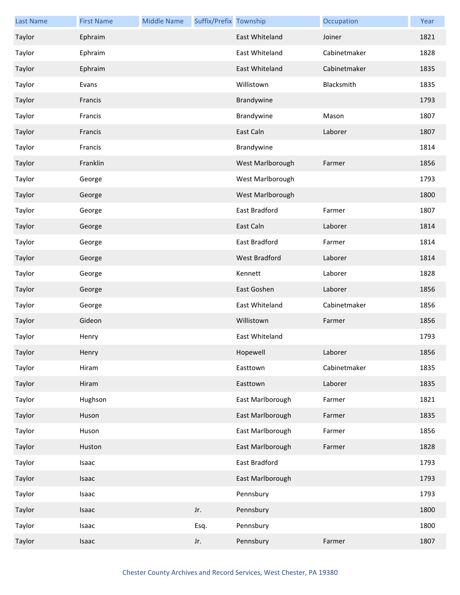| <b>Last Name</b> | <b>First Name</b> | <b>Middle Name</b> | Suffix/Prefix Township |                  | Occupation   | Year |
|------------------|-------------------|--------------------|------------------------|------------------|--------------|------|
| Taylor           | Ephraim           |                    |                        | East Whiteland   | Joiner       | 1821 |
| Taylor           | Ephraim           |                    |                        | East Whiteland   | Cabinetmaker | 1828 |
| Taylor           | Ephraim           |                    |                        | East Whiteland   | Cabinetmaker | 1835 |
| Taylor           | Evans             |                    |                        | Willistown       | Blacksmith   | 1835 |
| Taylor           | Francis           |                    |                        | Brandywine       |              | 1793 |
| Taylor           | Francis           |                    |                        | Brandywine       | Mason        | 1807 |
| Taylor           | Francis           |                    |                        | East Caln        | Laborer      | 1807 |
| Taylor           | Francis           |                    |                        | Brandywine       |              | 1814 |
| Taylor           | Franklin          |                    |                        | West Marlborough | Farmer       | 1856 |
| Taylor           | George            |                    |                        | West Marlborough |              | 1793 |
| Taylor           | George            |                    |                        | West Marlborough |              | 1800 |
| Taylor           | George            |                    |                        | East Bradford    | Farmer       | 1807 |
| Taylor           | George            |                    |                        | East Caln        | Laborer      | 1814 |
| Taylor           | George            |                    |                        | East Bradford    | Farmer       | 1814 |
| Taylor           | George            |                    |                        | West Bradford    | Laborer      | 1814 |
| Taylor           | George            |                    |                        | Kennett          | Laborer      | 1828 |
| Taylor           | George            |                    |                        | East Goshen      | Laborer      | 1856 |
| Taylor           | George            |                    |                        | East Whiteland   | Cabinetmaker | 1856 |
| Taylor           | Gideon            |                    |                        | Willistown       | Farmer       | 1856 |
| Taylor           | Henry             |                    |                        | East Whiteland   |              | 1793 |
| Taylor           | Henry             |                    |                        | Hopewell         | Laborer      | 1856 |
| Taylor           | Hiram             |                    |                        | Easttown         | Cabinetmaker | 1835 |
| Taylor           | Hiram             |                    |                        | Easttown         | Laborer      | 1835 |
| Taylor           | Hughson           |                    |                        | East Marlborough | Farmer       | 1821 |
| Taylor           | Huson             |                    |                        | East Marlborough | Farmer       | 1835 |
| Taylor           | Huson             |                    |                        | East Marlborough | Farmer       | 1856 |
| Taylor           | Huston            |                    |                        | East Marlborough | Farmer       | 1828 |
| Taylor           | Isaac             |                    |                        | East Bradford    |              | 1793 |
| Taylor           | Isaac             |                    |                        | East Marlborough |              | 1793 |
| Taylor           | Isaac             |                    |                        | Pennsbury        |              | 1793 |
| Taylor           | Isaac             |                    | Jr.                    | Pennsbury        |              | 1800 |
| Taylor           | Isaac             |                    | Esq.                   | Pennsbury        |              | 1800 |
| Taylor           | Isaac             |                    | Jr.                    | Pennsbury        | Farmer       | 1807 |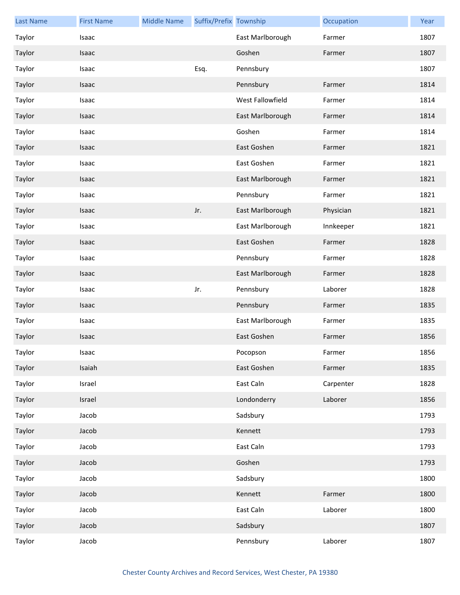| <b>Last Name</b> | <b>First Name</b> | <b>Middle Name</b> | Suffix/Prefix Township |                  | Occupation | Year |
|------------------|-------------------|--------------------|------------------------|------------------|------------|------|
| Taylor           | Isaac             |                    |                        | East Marlborough | Farmer     | 1807 |
| Taylor           | Isaac             |                    |                        | Goshen           | Farmer     | 1807 |
| Taylor           | Isaac             |                    | Esq.                   | Pennsbury        |            | 1807 |
| Taylor           | Isaac             |                    |                        | Pennsbury        | Farmer     | 1814 |
| Taylor           | Isaac             |                    |                        | West Fallowfield | Farmer     | 1814 |
| Taylor           | Isaac             |                    |                        | East Marlborough | Farmer     | 1814 |
| Taylor           | Isaac             |                    |                        | Goshen           | Farmer     | 1814 |
| Taylor           | Isaac             |                    |                        | East Goshen      | Farmer     | 1821 |
| Taylor           | Isaac             |                    |                        | East Goshen      | Farmer     | 1821 |
| Taylor           | Isaac             |                    |                        | East Marlborough | Farmer     | 1821 |
| Taylor           | Isaac             |                    |                        | Pennsbury        | Farmer     | 1821 |
| Taylor           | Isaac             |                    | Jr.                    | East Marlborough | Physician  | 1821 |
| Taylor           | Isaac             |                    |                        | East Marlborough | Innkeeper  | 1821 |
| Taylor           | Isaac             |                    |                        | East Goshen      | Farmer     | 1828 |
| Taylor           | Isaac             |                    |                        | Pennsbury        | Farmer     | 1828 |
| Taylor           | Isaac             |                    |                        | East Marlborough | Farmer     | 1828 |
| Taylor           | Isaac             |                    | Jr.                    | Pennsbury        | Laborer    | 1828 |
| Taylor           | Isaac             |                    |                        | Pennsbury        | Farmer     | 1835 |
| Taylor           | Isaac             |                    |                        | East Marlborough | Farmer     | 1835 |
| Taylor           | Isaac             |                    |                        | East Goshen      | Farmer     | 1856 |
| Taylor           | Isaac             |                    |                        | Pocopson         | Farmer     | 1856 |
| Taylor           | Isaiah            |                    |                        | East Goshen      | Farmer     | 1835 |
| Taylor           | Israel            |                    |                        | East Caln        | Carpenter  | 1828 |
| Taylor           | Israel            |                    |                        | Londonderry      | Laborer    | 1856 |
| Taylor           | Jacob             |                    |                        | Sadsbury         |            | 1793 |
| Taylor           | Jacob             |                    |                        | Kennett          |            | 1793 |
| Taylor           | Jacob             |                    |                        | East Caln        |            | 1793 |
| Taylor           | Jacob             |                    |                        | Goshen           |            | 1793 |
| Taylor           | Jacob             |                    |                        | Sadsbury         |            | 1800 |
| Taylor           | Jacob             |                    |                        | Kennett          | Farmer     | 1800 |
| Taylor           | Jacob             |                    |                        | East Caln        | Laborer    | 1800 |
| Taylor           | Jacob             |                    |                        | Sadsbury         |            | 1807 |
| Taylor           | Jacob             |                    |                        | Pennsbury        | Laborer    | 1807 |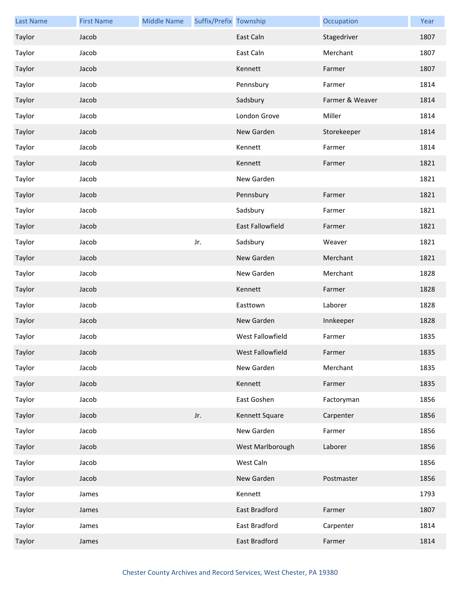| <b>Last Name</b> | <b>First Name</b> | <b>Middle Name</b> | Suffix/Prefix Township |                         | Occupation      | Year |
|------------------|-------------------|--------------------|------------------------|-------------------------|-----------------|------|
| Taylor           | Jacob             |                    |                        | East Caln               | Stagedriver     | 1807 |
| Taylor           | Jacob             |                    |                        | East Caln               | Merchant        | 1807 |
| Taylor           | Jacob             |                    |                        | Kennett                 | Farmer          | 1807 |
| Taylor           | Jacob             |                    |                        | Pennsbury               | Farmer          | 1814 |
| Taylor           | Jacob             |                    |                        | Sadsbury                | Farmer & Weaver | 1814 |
| Taylor           | Jacob             |                    |                        | London Grove            | Miller          | 1814 |
| Taylor           | Jacob             |                    |                        | New Garden              | Storekeeper     | 1814 |
| Taylor           | Jacob             |                    |                        | Kennett                 | Farmer          | 1814 |
| Taylor           | Jacob             |                    |                        | Kennett                 | Farmer          | 1821 |
| Taylor           | Jacob             |                    |                        | New Garden              |                 | 1821 |
| Taylor           | Jacob             |                    |                        | Pennsbury               | Farmer          | 1821 |
| Taylor           | Jacob             |                    |                        | Sadsbury                | Farmer          | 1821 |
| Taylor           | Jacob             |                    |                        | East Fallowfield        | Farmer          | 1821 |
| Taylor           | Jacob             |                    | Jr.                    | Sadsbury                | Weaver          | 1821 |
| Taylor           | Jacob             |                    |                        | New Garden              | Merchant        | 1821 |
| Taylor           | Jacob             |                    |                        | New Garden              | Merchant        | 1828 |
| Taylor           | Jacob             |                    |                        | Kennett                 | Farmer          | 1828 |
| Taylor           | Jacob             |                    |                        | Easttown                | Laborer         | 1828 |
| Taylor           | Jacob             |                    |                        | New Garden              | Innkeeper       | 1828 |
| Taylor           | Jacob             |                    |                        | <b>West Fallowfield</b> | Farmer          | 1835 |
| Taylor           | Jacob             |                    |                        | West Fallowfield        | Farmer          | 1835 |
| Taylor           | Jacob             |                    |                        | New Garden              | Merchant        | 1835 |
| Taylor           | Jacob             |                    |                        | Kennett                 | Farmer          | 1835 |
| Taylor           | Jacob             |                    |                        | East Goshen             | Factoryman      | 1856 |
| Taylor           | Jacob             |                    | Jr.                    | Kennett Square          | Carpenter       | 1856 |
| Taylor           | Jacob             |                    |                        | New Garden              | Farmer          | 1856 |
| Taylor           | Jacob             |                    |                        | West Marlborough        | Laborer         | 1856 |
| Taylor           | Jacob             |                    |                        | West Caln               |                 | 1856 |
| Taylor           | Jacob             |                    |                        | New Garden              | Postmaster      | 1856 |
| Taylor           | James             |                    |                        | Kennett                 |                 | 1793 |
| Taylor           | James             |                    |                        | East Bradford           | Farmer          | 1807 |
| Taylor           | James             |                    |                        | East Bradford           | Carpenter       | 1814 |
| Taylor           | James             |                    |                        | East Bradford           | Farmer          | 1814 |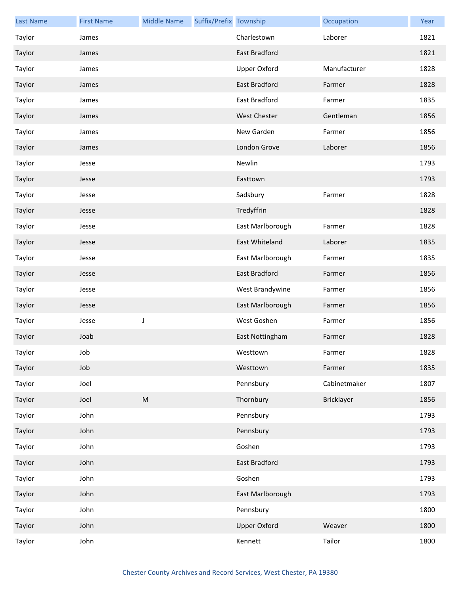| <b>Last Name</b> | <b>First Name</b> | <b>Middle Name</b>                                                                                         | Suffix/Prefix Township |                     | Occupation   | Year |
|------------------|-------------------|------------------------------------------------------------------------------------------------------------|------------------------|---------------------|--------------|------|
| Taylor           | James             |                                                                                                            |                        | Charlestown         | Laborer      | 1821 |
| Taylor           | James             |                                                                                                            |                        | East Bradford       |              | 1821 |
| Taylor           | James             |                                                                                                            |                        | <b>Upper Oxford</b> | Manufacturer | 1828 |
| Taylor           | James             |                                                                                                            |                        | East Bradford       | Farmer       | 1828 |
| Taylor           | James             |                                                                                                            |                        | East Bradford       | Farmer       | 1835 |
| Taylor           | James             |                                                                                                            |                        | <b>West Chester</b> | Gentleman    | 1856 |
| Taylor           | James             |                                                                                                            |                        | New Garden          | Farmer       | 1856 |
| Taylor           | James             |                                                                                                            |                        | London Grove        | Laborer      | 1856 |
| Taylor           | Jesse             |                                                                                                            |                        | Newlin              |              | 1793 |
| Taylor           | Jesse             |                                                                                                            |                        | Easttown            |              | 1793 |
| Taylor           | Jesse             |                                                                                                            |                        | Sadsbury            | Farmer       | 1828 |
| Taylor           | Jesse             |                                                                                                            |                        | Tredyffrin          |              | 1828 |
| Taylor           | Jesse             |                                                                                                            |                        | East Marlborough    | Farmer       | 1828 |
| Taylor           | Jesse             |                                                                                                            |                        | East Whiteland      | Laborer      | 1835 |
| Taylor           | Jesse             |                                                                                                            |                        | East Marlborough    | Farmer       | 1835 |
| Taylor           | Jesse             |                                                                                                            |                        | East Bradford       | Farmer       | 1856 |
| Taylor           | Jesse             |                                                                                                            |                        | West Brandywine     | Farmer       | 1856 |
| Taylor           | Jesse             |                                                                                                            |                        | East Marlborough    | Farmer       | 1856 |
| Taylor           | Jesse             | J                                                                                                          |                        | West Goshen         | Farmer       | 1856 |
| Taylor           | Joab              |                                                                                                            |                        | East Nottingham     | Farmer       | 1828 |
| Taylor           | Job               |                                                                                                            |                        | Westtown            | Farmer       | 1828 |
| Taylor           | Job               |                                                                                                            |                        | Westtown            | Farmer       | 1835 |
| Taylor           | Joel              |                                                                                                            |                        | Pennsbury           | Cabinetmaker | 1807 |
| Taylor           | Joel              | $\mathsf{M}% _{T}=\mathsf{M}_{T}\!\left( a,b\right) ,\ \mathsf{M}_{T}=\mathsf{M}_{T}\!\left( a,b\right) ,$ |                        | Thornbury           | Bricklayer   | 1856 |
| Taylor           | John              |                                                                                                            |                        | Pennsbury           |              | 1793 |
| Taylor           | John              |                                                                                                            |                        | Pennsbury           |              | 1793 |
| Taylor           | John              |                                                                                                            |                        | Goshen              |              | 1793 |
| Taylor           | John              |                                                                                                            |                        | East Bradford       |              | 1793 |
| Taylor           | John              |                                                                                                            |                        | Goshen              |              | 1793 |
| Taylor           | John              |                                                                                                            |                        | East Marlborough    |              | 1793 |
| Taylor           | John              |                                                                                                            |                        | Pennsbury           |              | 1800 |
| Taylor           | John              |                                                                                                            |                        | <b>Upper Oxford</b> | Weaver       | 1800 |
| Taylor           | John              |                                                                                                            |                        | Kennett             | Tailor       | 1800 |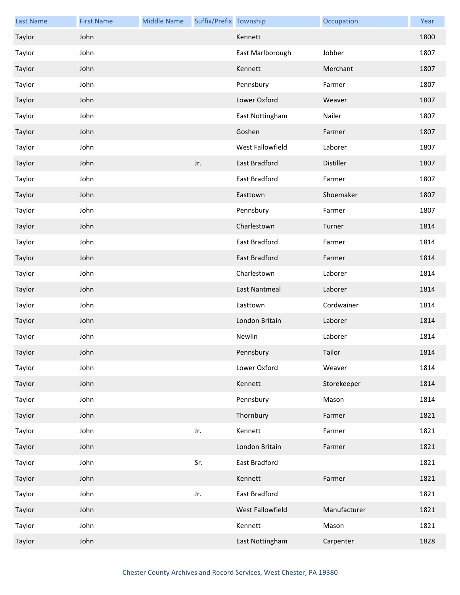| <b>Last Name</b> | <b>First Name</b> | <b>Middle Name</b> | Suffix/Prefix Township |                  | Occupation   | Year |
|------------------|-------------------|--------------------|------------------------|------------------|--------------|------|
| Taylor           | John              |                    |                        | Kennett          |              | 1800 |
| Taylor           | John              |                    |                        | East Marlborough | Jobber       | 1807 |
| Taylor           | John              |                    |                        | Kennett          | Merchant     | 1807 |
| Taylor           | John              |                    |                        | Pennsbury        | Farmer       | 1807 |
| Taylor           | John              |                    |                        | Lower Oxford     | Weaver       | 1807 |
| Taylor           | John              |                    |                        | East Nottingham  | Nailer       | 1807 |
| Taylor           | John              |                    |                        | Goshen           | Farmer       | 1807 |
| Taylor           | John              |                    |                        | West Fallowfield | Laborer      | 1807 |
| Taylor           | John              |                    | Jr.                    | East Bradford    | Distiller    | 1807 |
| Taylor           | John              |                    |                        | East Bradford    | Farmer       | 1807 |
| Taylor           | John              |                    |                        | Easttown         | Shoemaker    | 1807 |
| Taylor           | John              |                    |                        | Pennsbury        | Farmer       | 1807 |
| Taylor           | John              |                    |                        | Charlestown      | Turner       | 1814 |
| Taylor           | John              |                    |                        | East Bradford    | Farmer       | 1814 |
| Taylor           | John              |                    |                        | East Bradford    | Farmer       | 1814 |
| Taylor           | John              |                    |                        | Charlestown      | Laborer      | 1814 |
| Taylor           | John              |                    |                        | East Nantmeal    | Laborer      | 1814 |
| Taylor           | John              |                    |                        | Easttown         | Cordwainer   | 1814 |
| Taylor           | John              |                    |                        | London Britain   | Laborer      | 1814 |
| Taylor           | John              |                    |                        | Newlin           | Laborer      | 1814 |
| Taylor           | John              |                    |                        | Pennsbury        | Tailor       | 1814 |
| Taylor           | John              |                    |                        | Lower Oxford     | Weaver       | 1814 |
| Taylor           | John              |                    |                        | Kennett          | Storekeeper  | 1814 |
| Taylor           | John              |                    |                        | Pennsbury        | Mason        | 1814 |
| Taylor           | John              |                    |                        | Thornbury        | Farmer       | 1821 |
| Taylor           | John              |                    | Jr.                    | Kennett          | Farmer       | 1821 |
| Taylor           | John              |                    |                        | London Britain   | Farmer       | 1821 |
| Taylor           | John              |                    | Sr.                    | East Bradford    |              | 1821 |
| Taylor           | John              |                    |                        | Kennett          | Farmer       | 1821 |
| Taylor           | John              |                    | Jr.                    | East Bradford    |              | 1821 |
| Taylor           | John              |                    |                        | West Fallowfield | Manufacturer | 1821 |
| Taylor           | John              |                    |                        | Kennett          | Mason        | 1821 |
| Taylor           | John              |                    |                        | East Nottingham  | Carpenter    | 1828 |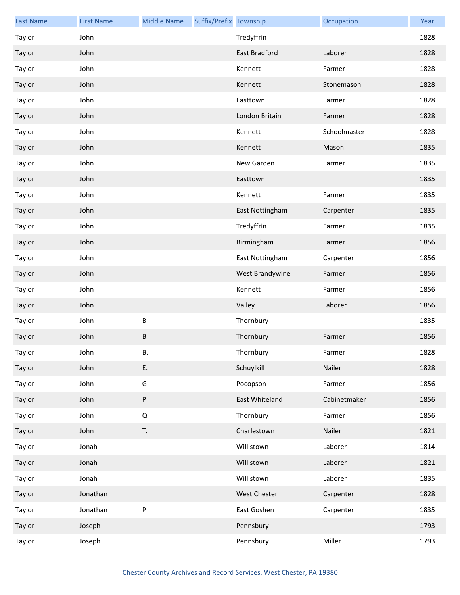| <b>Last Name</b> | <b>First Name</b> | <b>Middle Name</b> | Suffix/Prefix Township |                     | Occupation   | Year |
|------------------|-------------------|--------------------|------------------------|---------------------|--------------|------|
| Taylor           | John              |                    |                        | Tredyffrin          |              | 1828 |
| Taylor           | John              |                    |                        | East Bradford       | Laborer      | 1828 |
| Taylor           | John              |                    |                        | Kennett             | Farmer       | 1828 |
| Taylor           | John              |                    |                        | Kennett             | Stonemason   | 1828 |
| Taylor           | John              |                    |                        | Easttown            | Farmer       | 1828 |
| Taylor           | John              |                    |                        | London Britain      | Farmer       | 1828 |
| Taylor           | John              |                    |                        | Kennett             | Schoolmaster | 1828 |
| Taylor           | John              |                    |                        | Kennett             | Mason        | 1835 |
| Taylor           | John              |                    |                        | New Garden          | Farmer       | 1835 |
| Taylor           | John              |                    |                        | Easttown            |              | 1835 |
| Taylor           | John              |                    |                        | Kennett             | Farmer       | 1835 |
| Taylor           | John              |                    |                        | East Nottingham     | Carpenter    | 1835 |
| Taylor           | John              |                    |                        | Tredyffrin          | Farmer       | 1835 |
| Taylor           | John              |                    |                        | Birmingham          | Farmer       | 1856 |
| Taylor           | John              |                    |                        | East Nottingham     | Carpenter    | 1856 |
| Taylor           | John              |                    |                        | West Brandywine     | Farmer       | 1856 |
| Taylor           | John              |                    |                        | Kennett             | Farmer       | 1856 |
| Taylor           | John              |                    |                        | Valley              | Laborer      | 1856 |
| Taylor           | John              | В                  |                        | Thornbury           |              | 1835 |
| Taylor           | John              | B                  |                        | Thornbury           | Farmer       | 1856 |
| Taylor           | John              | В.                 |                        | Thornbury           | Farmer       | 1828 |
| Taylor           | John              | Ε.                 |                        | Schuylkill          | Nailer       | 1828 |
| Taylor           | John              | G                  |                        | Pocopson            | Farmer       | 1856 |
| Taylor           | John              | P                  |                        | East Whiteland      | Cabinetmaker | 1856 |
| Taylor           | John              | Q                  |                        | Thornbury           | Farmer       | 1856 |
| Taylor           | John              | T.                 |                        | Charlestown         | Nailer       | 1821 |
| Taylor           | Jonah             |                    |                        | Willistown          | Laborer      | 1814 |
| Taylor           | Jonah             |                    |                        | Willistown          | Laborer      | 1821 |
| Taylor           | Jonah             |                    |                        | Willistown          | Laborer      | 1835 |
| Taylor           | Jonathan          |                    |                        | <b>West Chester</b> | Carpenter    | 1828 |
| Taylor           | Jonathan          | P                  |                        | East Goshen         | Carpenter    | 1835 |
| Taylor           | Joseph            |                    |                        | Pennsbury           |              | 1793 |
| Taylor           | Joseph            |                    |                        | Pennsbury           | Miller       | 1793 |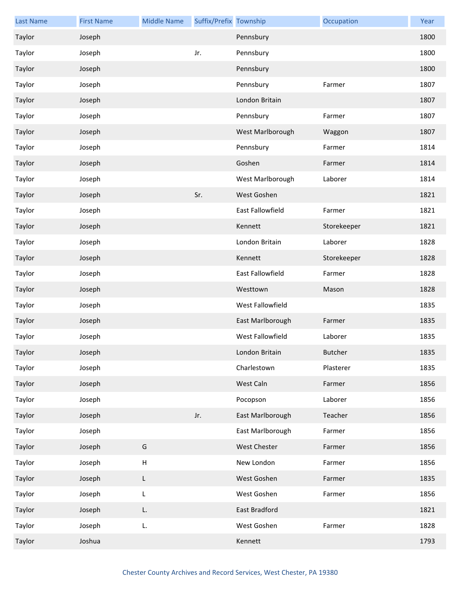| <b>Last Name</b> | <b>First Name</b> | <b>Middle Name</b>        | Suffix/Prefix Township |                     | Occupation     | Year |
|------------------|-------------------|---------------------------|------------------------|---------------------|----------------|------|
| Taylor           | Joseph            |                           |                        | Pennsbury           |                | 1800 |
| Taylor           | Joseph            |                           | Jr.                    | Pennsbury           |                | 1800 |
| Taylor           | Joseph            |                           |                        | Pennsbury           |                | 1800 |
| Taylor           | Joseph            |                           |                        | Pennsbury           | Farmer         | 1807 |
| Taylor           | Joseph            |                           |                        | London Britain      |                | 1807 |
| Taylor           | Joseph            |                           |                        | Pennsbury           | Farmer         | 1807 |
| Taylor           | Joseph            |                           |                        | West Marlborough    | Waggon         | 1807 |
| Taylor           | Joseph            |                           |                        | Pennsbury           | Farmer         | 1814 |
| Taylor           | Joseph            |                           |                        | Goshen              | Farmer         | 1814 |
| Taylor           | Joseph            |                           |                        | West Marlborough    | Laborer        | 1814 |
| Taylor           | Joseph            |                           | Sr.                    | West Goshen         |                | 1821 |
| Taylor           | Joseph            |                           |                        | East Fallowfield    | Farmer         | 1821 |
| Taylor           | Joseph            |                           |                        | Kennett             | Storekeeper    | 1821 |
| Taylor           | Joseph            |                           |                        | London Britain      | Laborer        | 1828 |
| Taylor           | Joseph            |                           |                        | Kennett             | Storekeeper    | 1828 |
| Taylor           | Joseph            |                           |                        | East Fallowfield    | Farmer         | 1828 |
| Taylor           | Joseph            |                           |                        | Westtown            | Mason          | 1828 |
| Taylor           | Joseph            |                           |                        | West Fallowfield    |                | 1835 |
| Taylor           | Joseph            |                           |                        | East Marlborough    | Farmer         | 1835 |
| Taylor           | Joseph            |                           |                        | West Fallowfield    | Laborer        | 1835 |
| Taylor           | Joseph            |                           |                        | London Britain      | <b>Butcher</b> | 1835 |
| Taylor           | Joseph            |                           |                        | Charlestown         | Plasterer      | 1835 |
| Taylor           | Joseph            |                           |                        | West Caln           | Farmer         | 1856 |
| Taylor           | Joseph            |                           |                        | Pocopson            | Laborer        | 1856 |
| Taylor           | Joseph            |                           | Jr.                    | East Marlborough    | Teacher        | 1856 |
| Taylor           | Joseph            |                           |                        | East Marlborough    | Farmer         | 1856 |
| Taylor           | Joseph            | G                         |                        | <b>West Chester</b> | Farmer         | 1856 |
| Taylor           | Joseph            | $\boldsymbol{\mathsf{H}}$ |                        | New London          | Farmer         | 1856 |
| Taylor           | Joseph            | L                         |                        | West Goshen         | Farmer         | 1835 |
| Taylor           | Joseph            | L                         |                        | West Goshen         | Farmer         | 1856 |
| Taylor           | Joseph            | L.                        |                        | East Bradford       |                | 1821 |
| Taylor           | Joseph            | L.                        |                        | West Goshen         | Farmer         | 1828 |
| Taylor           | Joshua            |                           |                        | Kennett             |                | 1793 |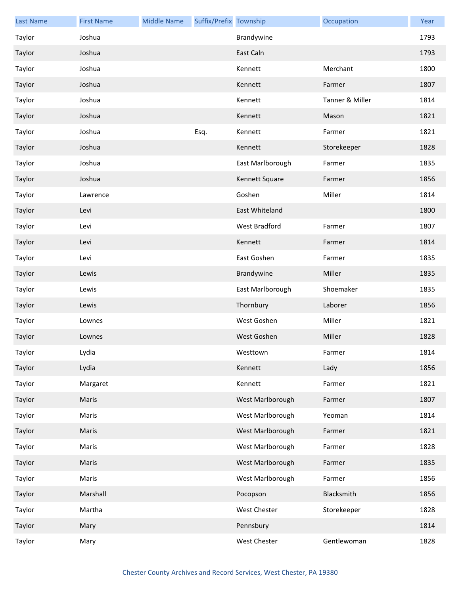| <b>Last Name</b> | <b>First Name</b> | <b>Middle Name</b> | Suffix/Prefix Township |                  | Occupation      | Year |
|------------------|-------------------|--------------------|------------------------|------------------|-----------------|------|
| Taylor           | Joshua            |                    |                        | Brandywine       |                 | 1793 |
| Taylor           | Joshua            |                    |                        | East Caln        |                 | 1793 |
| Taylor           | Joshua            |                    |                        | Kennett          | Merchant        | 1800 |
| Taylor           | Joshua            |                    |                        | Kennett          | Farmer          | 1807 |
| Taylor           | Joshua            |                    |                        | Kennett          | Tanner & Miller | 1814 |
| Taylor           | Joshua            |                    |                        | Kennett          | Mason           | 1821 |
| Taylor           | Joshua            |                    | Esq.                   | Kennett          | Farmer          | 1821 |
| Taylor           | Joshua            |                    |                        | Kennett          | Storekeeper     | 1828 |
| Taylor           | Joshua            |                    |                        | East Marlborough | Farmer          | 1835 |
| Taylor           | Joshua            |                    |                        | Kennett Square   | Farmer          | 1856 |
| Taylor           | Lawrence          |                    |                        | Goshen           | Miller          | 1814 |
| Taylor           | Levi              |                    |                        | East Whiteland   |                 | 1800 |
| Taylor           | Levi              |                    |                        | West Bradford    | Farmer          | 1807 |
| Taylor           | Levi              |                    |                        | Kennett          | Farmer          | 1814 |
| Taylor           | Levi              |                    |                        | East Goshen      | Farmer          | 1835 |
| Taylor           | Lewis             |                    |                        | Brandywine       | Miller          | 1835 |
| Taylor           | Lewis             |                    |                        | East Marlborough | Shoemaker       | 1835 |
| Taylor           | Lewis             |                    |                        | Thornbury        | Laborer         | 1856 |
| Taylor           | Lownes            |                    |                        | West Goshen      | Miller          | 1821 |
| Taylor           | Lownes            |                    |                        | West Goshen      | Miller          | 1828 |
| Taylor           | Lydia             |                    |                        | Westtown         | Farmer          | 1814 |
| Taylor           | Lydia             |                    |                        | Kennett          | Lady            | 1856 |
| Taylor           | Margaret          |                    |                        | Kennett          | Farmer          | 1821 |
| Taylor           | Maris             |                    |                        | West Marlborough | Farmer          | 1807 |
| Taylor           | Maris             |                    |                        | West Marlborough | Yeoman          | 1814 |
| Taylor           | Maris             |                    |                        | West Marlborough | Farmer          | 1821 |
| Taylor           | Maris             |                    |                        | West Marlborough | Farmer          | 1828 |
| Taylor           | Maris             |                    |                        | West Marlborough | Farmer          | 1835 |
| Taylor           | Maris             |                    |                        | West Marlborough | Farmer          | 1856 |
| Taylor           | Marshall          |                    |                        | Pocopson         | Blacksmith      | 1856 |
| Taylor           | Martha            |                    |                        | West Chester     | Storekeeper     | 1828 |
| Taylor           | Mary              |                    |                        | Pennsbury        |                 | 1814 |
| Taylor           | Mary              |                    |                        | West Chester     | Gentlewoman     | 1828 |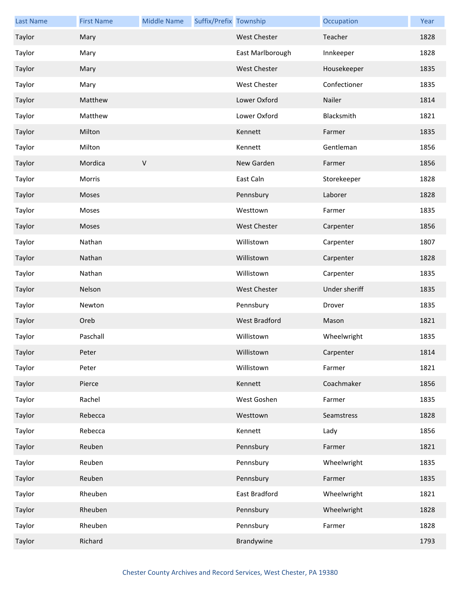| <b>Last Name</b> | <b>First Name</b> | <b>Middle Name</b> | Suffix/Prefix Township |                     | Occupation    | Year |
|------------------|-------------------|--------------------|------------------------|---------------------|---------------|------|
| Taylor           | Mary              |                    |                        | <b>West Chester</b> | Teacher       | 1828 |
| Taylor           | Mary              |                    |                        | East Marlborough    | Innkeeper     | 1828 |
| Taylor           | Mary              |                    |                        | West Chester        | Housekeeper   | 1835 |
| Taylor           | Mary              |                    |                        | <b>West Chester</b> | Confectioner  | 1835 |
| Taylor           | Matthew           |                    |                        | Lower Oxford        | Nailer        | 1814 |
| Taylor           | Matthew           |                    |                        | Lower Oxford        | Blacksmith    | 1821 |
| Taylor           | Milton            |                    |                        | Kennett             | Farmer        | 1835 |
| Taylor           | Milton            |                    |                        | Kennett             | Gentleman     | 1856 |
| Taylor           | Mordica           | $\sf V$            |                        | New Garden          | Farmer        | 1856 |
| Taylor           | Morris            |                    |                        | East Caln           | Storekeeper   | 1828 |
| Taylor           | Moses             |                    |                        | Pennsbury           | Laborer       | 1828 |
| Taylor           | Moses             |                    |                        | Westtown            | Farmer        | 1835 |
| Taylor           | Moses             |                    |                        | <b>West Chester</b> | Carpenter     | 1856 |
| Taylor           | Nathan            |                    |                        | Willistown          | Carpenter     | 1807 |
| Taylor           | Nathan            |                    |                        | Willistown          | Carpenter     | 1828 |
| Taylor           | Nathan            |                    |                        | Willistown          | Carpenter     | 1835 |
| Taylor           | Nelson            |                    |                        | <b>West Chester</b> | Under sheriff | 1835 |
| Taylor           | Newton            |                    |                        | Pennsbury           | Drover        | 1835 |
| Taylor           | Oreb              |                    |                        | West Bradford       | Mason         | 1821 |
| Taylor           | Paschall          |                    |                        | Willistown          | Wheelwright   | 1835 |
| Taylor           | Peter             |                    |                        | Willistown          | Carpenter     | 1814 |
| Taylor           | Peter             |                    |                        | Willistown          | Farmer        | 1821 |
| Taylor           | Pierce            |                    |                        | Kennett             | Coachmaker    | 1856 |
| Taylor           | Rachel            |                    |                        | West Goshen         | Farmer        | 1835 |
| Taylor           | Rebecca           |                    |                        | Westtown            | Seamstress    | 1828 |
| Taylor           | Rebecca           |                    |                        | Kennett             | Lady          | 1856 |
| Taylor           | Reuben            |                    |                        | Pennsbury           | Farmer        | 1821 |
| Taylor           | Reuben            |                    |                        | Pennsbury           | Wheelwright   | 1835 |
| Taylor           | Reuben            |                    |                        | Pennsbury           | Farmer        | 1835 |
| Taylor           | Rheuben           |                    |                        | East Bradford       | Wheelwright   | 1821 |
| Taylor           | Rheuben           |                    |                        | Pennsbury           | Wheelwright   | 1828 |
| Taylor           | Rheuben           |                    |                        | Pennsbury           | Farmer        | 1828 |
| Taylor           | Richard           |                    |                        | Brandywine          |               | 1793 |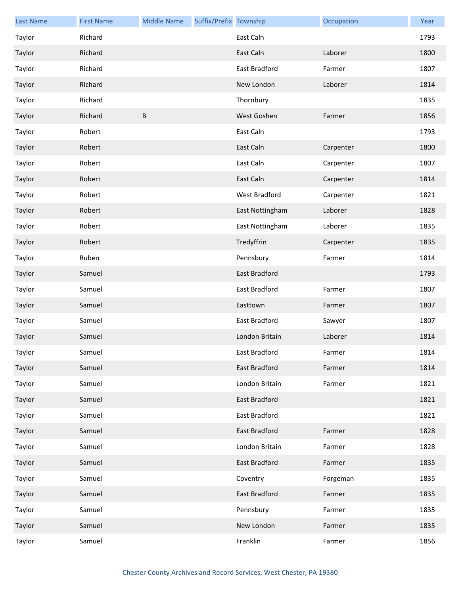| <b>Last Name</b> | <b>First Name</b> | <b>Middle Name</b> | Suffix/Prefix Township |                 | Occupation | Year |
|------------------|-------------------|--------------------|------------------------|-----------------|------------|------|
| Taylor           | Richard           |                    |                        | East Caln       |            | 1793 |
| Taylor           | Richard           |                    |                        | East Caln       | Laborer    | 1800 |
| Taylor           | Richard           |                    |                        | East Bradford   | Farmer     | 1807 |
| Taylor           | Richard           |                    |                        | New London      | Laborer    | 1814 |
| Taylor           | Richard           |                    |                        | Thornbury       |            | 1835 |
| Taylor           | Richard           | B                  |                        | West Goshen     | Farmer     | 1856 |
| Taylor           | Robert            |                    |                        | East Caln       |            | 1793 |
| Taylor           | Robert            |                    |                        | East Caln       | Carpenter  | 1800 |
| Taylor           | Robert            |                    |                        | East Caln       | Carpenter  | 1807 |
| Taylor           | Robert            |                    |                        | East Caln       | Carpenter  | 1814 |
| Taylor           | Robert            |                    |                        | West Bradford   | Carpenter  | 1821 |
| Taylor           | Robert            |                    |                        | East Nottingham | Laborer    | 1828 |
| Taylor           | Robert            |                    |                        | East Nottingham | Laborer    | 1835 |
| Taylor           | Robert            |                    |                        | Tredyffrin      | Carpenter  | 1835 |
| Taylor           | Ruben             |                    |                        | Pennsbury       | Farmer     | 1814 |
| Taylor           | Samuel            |                    |                        | East Bradford   |            | 1793 |
| Taylor           | Samuel            |                    |                        | East Bradford   | Farmer     | 1807 |
| Taylor           | Samuel            |                    |                        | Easttown        | Farmer     | 1807 |
| Taylor           | Samuel            |                    |                        | East Bradford   | Sawyer     | 1807 |
| Taylor           | Samuel            |                    |                        | London Britain  | Laborer    | 1814 |
| Taylor           | Samuel            |                    |                        | East Bradford   | Farmer     | 1814 |
| Taylor           | Samuel            |                    |                        | East Bradford   | Farmer     | 1814 |
| Taylor           | Samuel            |                    |                        | London Britain  | Farmer     | 1821 |
| Taylor           | Samuel            |                    |                        | East Bradford   |            | 1821 |
| Taylor           | Samuel            |                    |                        | East Bradford   |            | 1821 |
| Taylor           | Samuel            |                    |                        | East Bradford   | Farmer     | 1828 |
| Taylor           | Samuel            |                    |                        | London Britain  | Farmer     | 1828 |
| Taylor           | Samuel            |                    |                        | East Bradford   | Farmer     | 1835 |
| Taylor           | Samuel            |                    |                        | Coventry        | Forgeman   | 1835 |
| Taylor           | Samuel            |                    |                        | East Bradford   | Farmer     | 1835 |
| Taylor           | Samuel            |                    |                        | Pennsbury       | Farmer     | 1835 |
| Taylor           | Samuel            |                    |                        | New London      | Farmer     | 1835 |
| Taylor           | Samuel            |                    |                        | Franklin        | Farmer     | 1856 |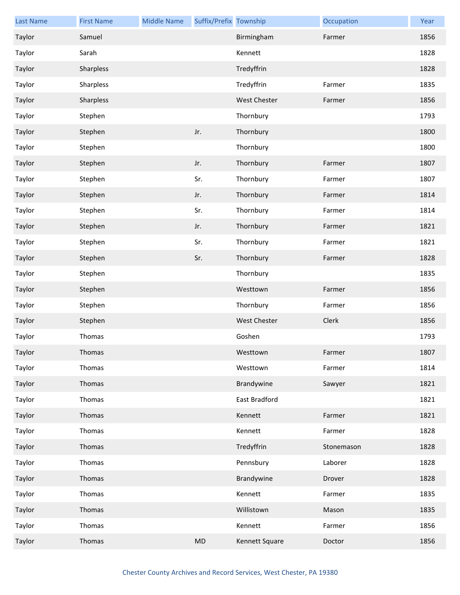| <b>Last Name</b> | <b>First Name</b> | <b>Middle Name</b> | Suffix/Prefix Township |                      | Occupation | Year |
|------------------|-------------------|--------------------|------------------------|----------------------|------------|------|
| Taylor           | Samuel            |                    |                        | Birmingham           | Farmer     | 1856 |
| Taylor           | Sarah             |                    |                        | Kennett              |            | 1828 |
| Taylor           | Sharpless         |                    |                        | Tredyffrin           |            | 1828 |
| Taylor           | Sharpless         |                    |                        | Tredyffrin           | Farmer     | 1835 |
| Taylor           | Sharpless         |                    |                        | <b>West Chester</b>  | Farmer     | 1856 |
| Taylor           | Stephen           |                    |                        | Thornbury            |            | 1793 |
| Taylor           | Stephen           |                    | Jr.                    | Thornbury            |            | 1800 |
| Taylor           | Stephen           |                    |                        | Thornbury            |            | 1800 |
| Taylor           | Stephen           |                    | Jr.                    | Thornbury            | Farmer     | 1807 |
| Taylor           | Stephen           |                    | Sr.                    | Thornbury            | Farmer     | 1807 |
| Taylor           | Stephen           |                    | Jr.                    | Thornbury            | Farmer     | 1814 |
| Taylor           | Stephen           |                    | Sr.                    | Thornbury            | Farmer     | 1814 |
| Taylor           | Stephen           |                    | Jr.                    | Thornbury            | Farmer     | 1821 |
| Taylor           | Stephen           |                    | Sr.                    | Thornbury            | Farmer     | 1821 |
| Taylor           | Stephen           |                    | Sr.                    | Thornbury            | Farmer     | 1828 |
| Taylor           | Stephen           |                    |                        | Thornbury            |            | 1835 |
| Taylor           | Stephen           |                    |                        | Westtown             | Farmer     | 1856 |
| Taylor           | Stephen           |                    |                        | Thornbury            | Farmer     | 1856 |
| Taylor           | Stephen           |                    |                        | West Chester         | Clerk      | 1856 |
| Taylor           | Thomas            |                    |                        | Goshen               |            | 1793 |
| Taylor           | Thomas            |                    |                        | Westtown             | Farmer     | 1807 |
| Taylor           | Thomas            |                    |                        | Westtown             | Farmer     | 1814 |
| Taylor           | Thomas            |                    |                        | Brandywine           | Sawyer     | 1821 |
| Taylor           | Thomas            |                    |                        | <b>East Bradford</b> |            | 1821 |
| Taylor           | Thomas            |                    |                        | Kennett              | Farmer     | 1821 |
| Taylor           | Thomas            |                    |                        | Kennett              | Farmer     | 1828 |
| Taylor           | Thomas            |                    |                        | Tredyffrin           | Stonemason | 1828 |
| Taylor           | Thomas            |                    |                        | Pennsbury            | Laborer    | 1828 |
| Taylor           | Thomas            |                    |                        | Brandywine           | Drover     | 1828 |
| Taylor           | Thomas            |                    |                        | Kennett              | Farmer     | 1835 |
| Taylor           | Thomas            |                    |                        | Willistown           | Mason      | 1835 |
| Taylor           | Thomas            |                    |                        | Kennett              | Farmer     | 1856 |
| Taylor           | Thomas            |                    | MD                     | Kennett Square       | Doctor     | 1856 |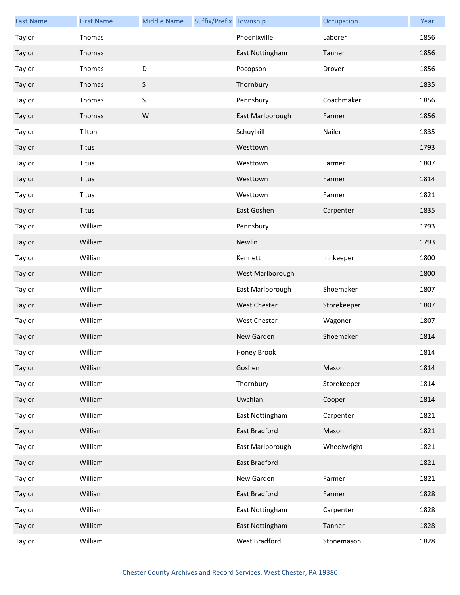| <b>Last Name</b> | <b>First Name</b> | <b>Middle Name</b> | Suffix/Prefix Township |                      | Occupation  | Year |
|------------------|-------------------|--------------------|------------------------|----------------------|-------------|------|
| Taylor           | Thomas            |                    |                        | Phoenixville         | Laborer     | 1856 |
| Taylor           | Thomas            |                    |                        | East Nottingham      | Tanner      | 1856 |
| Taylor           | Thomas            | D                  |                        | Pocopson             | Drover      | 1856 |
| Taylor           | Thomas            | $\mathsf S$        |                        | Thornbury            |             | 1835 |
| Taylor           | Thomas            | $\sf S$            |                        | Pennsbury            | Coachmaker  | 1856 |
| Taylor           | Thomas            | W                  |                        | East Marlborough     | Farmer      | 1856 |
| Taylor           | Tilton            |                    |                        | Schuylkill           | Nailer      | 1835 |
| Taylor           | <b>Titus</b>      |                    |                        | Westtown             |             | 1793 |
| Taylor           | <b>Titus</b>      |                    |                        | Westtown             | Farmer      | 1807 |
| Taylor           | <b>Titus</b>      |                    |                        | Westtown             | Farmer      | 1814 |
| Taylor           | <b>Titus</b>      |                    |                        | Westtown             | Farmer      | 1821 |
| Taylor           | <b>Titus</b>      |                    |                        | East Goshen          | Carpenter   | 1835 |
| Taylor           | William           |                    |                        | Pennsbury            |             | 1793 |
| Taylor           | William           |                    |                        | Newlin               |             | 1793 |
| Taylor           | William           |                    |                        | Kennett              | Innkeeper   | 1800 |
| Taylor           | William           |                    |                        | West Marlborough     |             | 1800 |
| Taylor           | William           |                    |                        | East Marlborough     | Shoemaker   | 1807 |
| Taylor           | William           |                    |                        | <b>West Chester</b>  | Storekeeper | 1807 |
| Taylor           | William           |                    |                        | West Chester         | Wagoner     | 1807 |
| Taylor           | William           |                    |                        | New Garden           | Shoemaker   | 1814 |
| Taylor           | William           |                    |                        | Honey Brook          |             | 1814 |
| Taylor           | William           |                    |                        | Goshen               | Mason       | 1814 |
| Taylor           | William           |                    |                        | Thornbury            | Storekeeper | 1814 |
| Taylor           | William           |                    |                        | Uwchlan              | Cooper      | 1814 |
| Taylor           | William           |                    |                        | East Nottingham      | Carpenter   | 1821 |
| Taylor           | William           |                    |                        | East Bradford        | Mason       | 1821 |
| Taylor           | William           |                    |                        | East Marlborough     | Wheelwright | 1821 |
| Taylor           | William           |                    |                        | East Bradford        |             | 1821 |
| Taylor           | William           |                    |                        | New Garden           | Farmer      | 1821 |
| Taylor           | William           |                    |                        | <b>East Bradford</b> | Farmer      | 1828 |
| Taylor           | William           |                    |                        | East Nottingham      | Carpenter   | 1828 |
| Taylor           | William           |                    |                        | East Nottingham      | Tanner      | 1828 |
| Taylor           | William           |                    |                        | West Bradford        | Stonemason  | 1828 |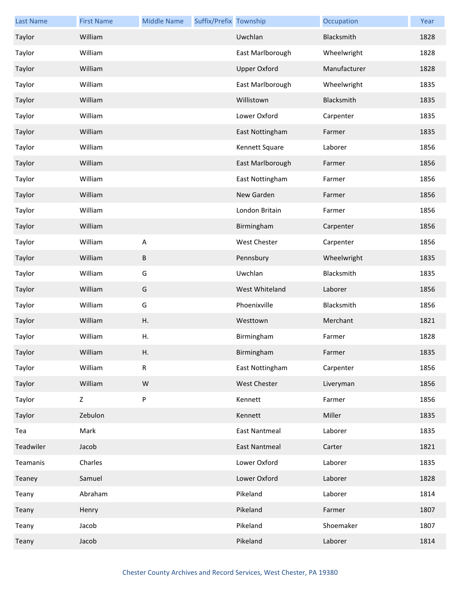| <b>Last Name</b> | <b>First Name</b> | <b>Middle Name</b> | Suffix/Prefix Township |                      | Occupation   | Year |
|------------------|-------------------|--------------------|------------------------|----------------------|--------------|------|
| Taylor           | William           |                    |                        | Uwchlan              | Blacksmith   | 1828 |
| Taylor           | William           |                    |                        | East Marlborough     | Wheelwright  | 1828 |
| Taylor           | William           |                    |                        | <b>Upper Oxford</b>  | Manufacturer | 1828 |
| Taylor           | William           |                    |                        | East Marlborough     | Wheelwright  | 1835 |
| Taylor           | William           |                    |                        | Willistown           | Blacksmith   | 1835 |
| Taylor           | William           |                    |                        | Lower Oxford         | Carpenter    | 1835 |
| Taylor           | William           |                    |                        | East Nottingham      | Farmer       | 1835 |
| Taylor           | William           |                    |                        | Kennett Square       | Laborer      | 1856 |
| Taylor           | William           |                    |                        | East Marlborough     | Farmer       | 1856 |
| Taylor           | William           |                    |                        | East Nottingham      | Farmer       | 1856 |
| Taylor           | William           |                    |                        | New Garden           | Farmer       | 1856 |
| Taylor           | William           |                    |                        | London Britain       | Farmer       | 1856 |
| Taylor           | William           |                    |                        | Birmingham           | Carpenter    | 1856 |
| Taylor           | William           | ${\sf A}$          |                        | <b>West Chester</b>  | Carpenter    | 1856 |
| Taylor           | William           | B                  |                        | Pennsbury            | Wheelwright  | 1835 |
| Taylor           | William           | G                  |                        | Uwchlan              | Blacksmith   | 1835 |
| Taylor           | William           | G                  |                        | West Whiteland       | Laborer      | 1856 |
| Taylor           | William           | G                  |                        | Phoenixville         | Blacksmith   | 1856 |
| Taylor           | William           | Η.                 |                        | Westtown             | Merchant     | 1821 |
| Taylor           | William           | Η.                 |                        | Birmingham           | Farmer       | 1828 |
| Taylor           | William           | Η.                 |                        | Birmingham           | Farmer       | 1835 |
| Taylor           | William           | ${\sf R}$          |                        | East Nottingham      | Carpenter    | 1856 |
| Taylor           | William           | W                  |                        | West Chester         | Liveryman    | 1856 |
| Taylor           | Z                 | ${\sf P}$          |                        | Kennett              | Farmer       | 1856 |
| Taylor           | Zebulon           |                    |                        | Kennett              | Miller       | 1835 |
| Tea              | Mark              |                    |                        | <b>East Nantmeal</b> | Laborer      | 1835 |
| Teadwiler        | Jacob             |                    |                        | East Nantmeal        | Carter       | 1821 |
| Teamanis         | Charles           |                    |                        | Lower Oxford         | Laborer      | 1835 |
| Teaney           | Samuel            |                    |                        | Lower Oxford         | Laborer      | 1828 |
| Teany            | Abraham           |                    |                        | Pikeland             | Laborer      | 1814 |
| Teany            | Henry             |                    |                        | Pikeland             | Farmer       | 1807 |
| Teany            | Jacob             |                    |                        | Pikeland             | Shoemaker    | 1807 |
| Teany            | Jacob             |                    |                        | Pikeland             | Laborer      | 1814 |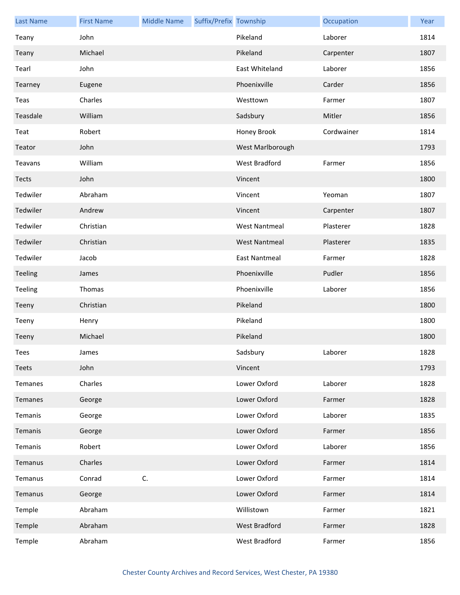| <b>Last Name</b> | <b>First Name</b> | <b>Middle Name</b> | Suffix/Prefix Township |                      | Occupation | Year |
|------------------|-------------------|--------------------|------------------------|----------------------|------------|------|
| Teany            | John              |                    |                        | Pikeland             | Laborer    | 1814 |
| Teany            | Michael           |                    |                        | Pikeland             | Carpenter  | 1807 |
| Tearl            | John              |                    |                        | East Whiteland       | Laborer    | 1856 |
| Tearney          | Eugene            |                    |                        | Phoenixville         | Carder     | 1856 |
| Teas             | Charles           |                    |                        | Westtown             | Farmer     | 1807 |
| Teasdale         | William           |                    |                        | Sadsbury             | Mitler     | 1856 |
| Teat             | Robert            |                    |                        | Honey Brook          | Cordwainer | 1814 |
| Teator           | John              |                    |                        | West Marlborough     |            | 1793 |
| Teavans          | William           |                    |                        | West Bradford        | Farmer     | 1856 |
| Tects            | John              |                    |                        | Vincent              |            | 1800 |
| Tedwiler         | Abraham           |                    |                        | Vincent              | Yeoman     | 1807 |
| Tedwiler         | Andrew            |                    |                        | Vincent              | Carpenter  | 1807 |
| Tedwiler         | Christian         |                    |                        | <b>West Nantmeal</b> | Plasterer  | 1828 |
| Tedwiler         | Christian         |                    |                        | <b>West Nantmeal</b> | Plasterer  | 1835 |
| Tedwiler         | Jacob             |                    |                        | <b>East Nantmeal</b> | Farmer     | 1828 |
| Teeling          | James             |                    |                        | Phoenixville         | Pudler     | 1856 |
| Teeling          | Thomas            |                    |                        | Phoenixville         | Laborer    | 1856 |
| Teeny            | Christian         |                    |                        | Pikeland             |            | 1800 |
| Teeny            | Henry             |                    |                        | Pikeland             |            | 1800 |
| Teeny            | Michael           |                    |                        | Pikeland             |            | 1800 |
| Tees             | James             |                    |                        | Sadsbury             | Laborer    | 1828 |
| Teets            | John              |                    |                        | Vincent              |            | 1793 |
| Temanes          | Charles           |                    |                        | Lower Oxford         | Laborer    | 1828 |
| Temanes          | George            |                    |                        | Lower Oxford         | Farmer     | 1828 |
| Temanis          | George            |                    |                        | Lower Oxford         | Laborer    | 1835 |
| Temanis          | George            |                    |                        | Lower Oxford         | Farmer     | 1856 |
| Temanis          | Robert            |                    |                        | Lower Oxford         | Laborer    | 1856 |
| Temanus          | Charles           |                    |                        | Lower Oxford         | Farmer     | 1814 |
| Temanus          | Conrad            | C.                 |                        | Lower Oxford         | Farmer     | 1814 |
| Temanus          | George            |                    |                        | Lower Oxford         | Farmer     | 1814 |
| Temple           | Abraham           |                    |                        | Willistown           | Farmer     | 1821 |
| Temple           | Abraham           |                    |                        | West Bradford        | Farmer     | 1828 |
| Temple           | Abraham           |                    |                        | West Bradford        | Farmer     | 1856 |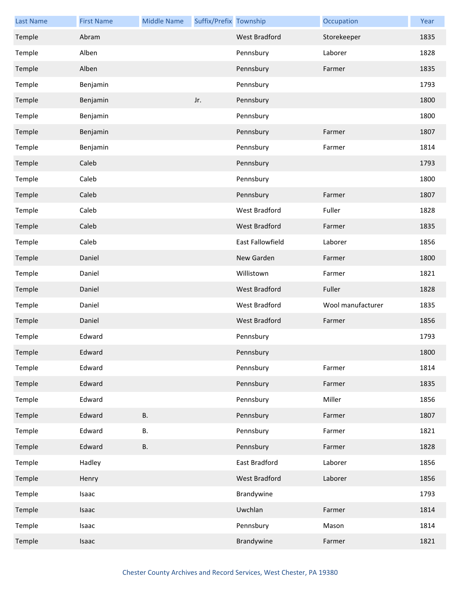| <b>Last Name</b> | <b>First Name</b> | <b>Middle Name</b> | Suffix/Prefix Township |                      | Occupation        | Year |
|------------------|-------------------|--------------------|------------------------|----------------------|-------------------|------|
| Temple           | Abram             |                    |                        | <b>West Bradford</b> | Storekeeper       | 1835 |
| Temple           | Alben             |                    |                        | Pennsbury            | Laborer           | 1828 |
| Temple           | Alben             |                    |                        | Pennsbury            | Farmer            | 1835 |
| Temple           | Benjamin          |                    |                        | Pennsbury            |                   | 1793 |
| Temple           | Benjamin          |                    | Jr.                    | Pennsbury            |                   | 1800 |
| Temple           | Benjamin          |                    |                        | Pennsbury            |                   | 1800 |
| Temple           | Benjamin          |                    |                        | Pennsbury            | Farmer            | 1807 |
| Temple           | Benjamin          |                    |                        | Pennsbury            | Farmer            | 1814 |
| Temple           | Caleb             |                    |                        | Pennsbury            |                   | 1793 |
| Temple           | Caleb             |                    |                        | Pennsbury            |                   | 1800 |
| Temple           | Caleb             |                    |                        | Pennsbury            | Farmer            | 1807 |
| Temple           | Caleb             |                    |                        | West Bradford        | Fuller            | 1828 |
| Temple           | Caleb             |                    |                        | West Bradford        | Farmer            | 1835 |
| Temple           | Caleb             |                    |                        | East Fallowfield     | Laborer           | 1856 |
| Temple           | Daniel            |                    |                        | New Garden           | Farmer            | 1800 |
| Temple           | Daniel            |                    |                        | Willistown           | Farmer            | 1821 |
| Temple           | Daniel            |                    |                        | West Bradford        | Fuller            | 1828 |
| Temple           | Daniel            |                    |                        | West Bradford        | Wool manufacturer | 1835 |
| Temple           | Daniel            |                    |                        | West Bradford        | Farmer            | 1856 |
| Temple           | Edward            |                    |                        | Pennsbury            |                   | 1793 |
| Temple           | Edward            |                    |                        | Pennsbury            |                   | 1800 |
| Temple           | Edward            |                    |                        | Pennsbury            | Farmer            | 1814 |
| Temple           | Edward            |                    |                        | Pennsbury            | Farmer            | 1835 |
| Temple           | Edward            |                    |                        | Pennsbury            | Miller            | 1856 |
| Temple           | Edward            | <b>B.</b>          |                        | Pennsbury            | Farmer            | 1807 |
| Temple           | Edward            | В.                 |                        | Pennsbury            | Farmer            | 1821 |
| Temple           | Edward            | <b>B.</b>          |                        | Pennsbury            | Farmer            | 1828 |
| Temple           | Hadley            |                    |                        | East Bradford        | Laborer           | 1856 |
| Temple           | Henry             |                    |                        | West Bradford        | Laborer           | 1856 |
| Temple           | Isaac             |                    |                        | Brandywine           |                   | 1793 |
| Temple           | Isaac             |                    |                        | Uwchlan              | Farmer            | 1814 |
| Temple           | Isaac             |                    |                        | Pennsbury            | Mason             | 1814 |
| Temple           | Isaac             |                    |                        | Brandywine           | Farmer            | 1821 |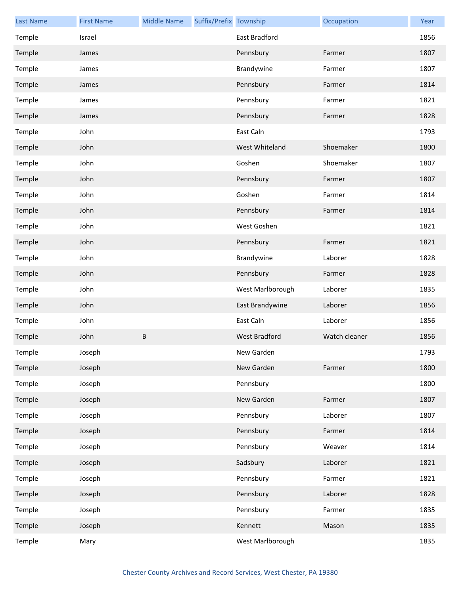| <b>Last Name</b> | <b>First Name</b> | <b>Middle Name</b> | Suffix/Prefix Township |                      | Occupation    | Year |
|------------------|-------------------|--------------------|------------------------|----------------------|---------------|------|
| Temple           | Israel            |                    |                        | East Bradford        |               | 1856 |
| Temple           | James             |                    |                        | Pennsbury            | Farmer        | 1807 |
| Temple           | James             |                    |                        | Brandywine           | Farmer        | 1807 |
| Temple           | James             |                    |                        | Pennsbury            | Farmer        | 1814 |
| Temple           | James             |                    |                        | Pennsbury            | Farmer        | 1821 |
| Temple           | James             |                    |                        | Pennsbury            | Farmer        | 1828 |
| Temple           | John              |                    |                        | East Caln            |               | 1793 |
| Temple           | John              |                    |                        | West Whiteland       | Shoemaker     | 1800 |
| Temple           | John              |                    |                        | Goshen               | Shoemaker     | 1807 |
| Temple           | John              |                    |                        | Pennsbury            | Farmer        | 1807 |
| Temple           | John              |                    |                        | Goshen               | Farmer        | 1814 |
| Temple           | John              |                    |                        | Pennsbury            | Farmer        | 1814 |
| Temple           | John              |                    |                        | West Goshen          |               | 1821 |
| Temple           | John              |                    |                        | Pennsbury            | Farmer        | 1821 |
| Temple           | John              |                    |                        | Brandywine           | Laborer       | 1828 |
| Temple           | John              |                    |                        | Pennsbury            | Farmer        | 1828 |
| Temple           | John              |                    |                        | West Marlborough     | Laborer       | 1835 |
| Temple           | John              |                    |                        | East Brandywine      | Laborer       | 1856 |
| Temple           | John              |                    |                        | East Caln            | Laborer       | 1856 |
| Temple           | John              | B                  |                        | <b>West Bradford</b> | Watch cleaner | 1856 |
| Temple           | Joseph            |                    |                        | New Garden           |               | 1793 |
| Temple           | Joseph            |                    |                        | New Garden           | Farmer        | 1800 |
| Temple           | Joseph            |                    |                        | Pennsbury            |               | 1800 |
| Temple           | Joseph            |                    |                        | New Garden           | Farmer        | 1807 |
| Temple           | Joseph            |                    |                        | Pennsbury            | Laborer       | 1807 |
| Temple           | Joseph            |                    |                        | Pennsbury            | Farmer        | 1814 |
| Temple           | Joseph            |                    |                        | Pennsbury            | Weaver        | 1814 |
| Temple           | Joseph            |                    |                        | Sadsbury             | Laborer       | 1821 |
| Temple           | Joseph            |                    |                        | Pennsbury            | Farmer        | 1821 |
| Temple           | Joseph            |                    |                        | Pennsbury            | Laborer       | 1828 |
| Temple           | Joseph            |                    |                        | Pennsbury            | Farmer        | 1835 |
| Temple           | Joseph            |                    |                        | Kennett              | Mason         | 1835 |
| Temple           | Mary              |                    |                        | West Marlborough     |               | 1835 |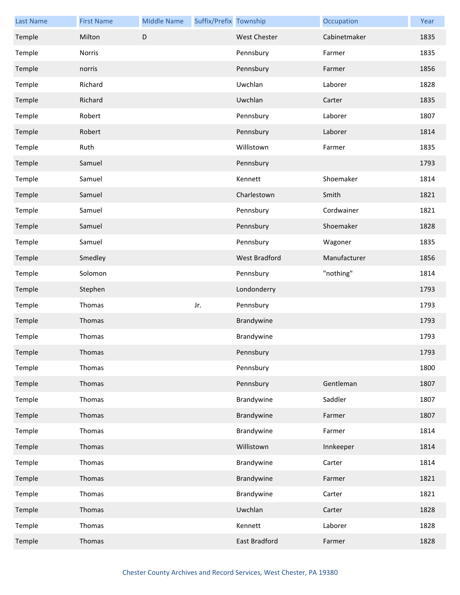| <b>Last Name</b> | <b>First Name</b> | <b>Middle Name</b> | Suffix/Prefix Township |                      | Occupation   | Year |
|------------------|-------------------|--------------------|------------------------|----------------------|--------------|------|
| Temple           | Milton            | $\mathsf D$        |                        | <b>West Chester</b>  | Cabinetmaker | 1835 |
| Temple           | Norris            |                    |                        | Pennsbury            | Farmer       | 1835 |
| Temple           | norris            |                    |                        | Pennsbury            | Farmer       | 1856 |
| Temple           | Richard           |                    |                        | Uwchlan              | Laborer      | 1828 |
| Temple           | Richard           |                    |                        | Uwchlan              | Carter       | 1835 |
| Temple           | Robert            |                    |                        | Pennsbury            | Laborer      | 1807 |
| Temple           | Robert            |                    |                        | Pennsbury            | Laborer      | 1814 |
| Temple           | Ruth              |                    |                        | Willistown           | Farmer       | 1835 |
| Temple           | Samuel            |                    |                        | Pennsbury            |              | 1793 |
| Temple           | Samuel            |                    |                        | Kennett              | Shoemaker    | 1814 |
| Temple           | Samuel            |                    |                        | Charlestown          | Smith        | 1821 |
| Temple           | Samuel            |                    |                        | Pennsbury            | Cordwainer   | 1821 |
| Temple           | Samuel            |                    |                        | Pennsbury            | Shoemaker    | 1828 |
| Temple           | Samuel            |                    |                        | Pennsbury            | Wagoner      | 1835 |
| Temple           | Smedley           |                    |                        | <b>West Bradford</b> | Manufacturer | 1856 |
| Temple           | Solomon           |                    |                        | Pennsbury            | "nothing"    | 1814 |
| Temple           | Stephen           |                    |                        | Londonderry          |              | 1793 |
| Temple           | Thomas            |                    | Jr.                    | Pennsbury            |              | 1793 |
| Temple           | Thomas            |                    |                        | Brandywine           |              | 1793 |
| Temple           | Thomas            |                    |                        | Brandywine           |              | 1793 |
| Temple           | Thomas            |                    |                        | Pennsbury            |              | 1793 |
| Temple           | Thomas            |                    |                        | Pennsbury            |              | 1800 |
| Temple           | Thomas            |                    |                        | Pennsbury            | Gentleman    | 1807 |
| Temple           | Thomas            |                    |                        | Brandywine           | Saddler      | 1807 |
| Temple           | Thomas            |                    |                        | Brandywine           | Farmer       | 1807 |
| Temple           | Thomas            |                    |                        | Brandywine           | Farmer       | 1814 |
| Temple           | Thomas            |                    |                        | Willistown           | Innkeeper    | 1814 |
| Temple           | Thomas            |                    |                        | Brandywine           | Carter       | 1814 |
| Temple           | Thomas            |                    |                        | Brandywine           | Farmer       | 1821 |
| Temple           | Thomas            |                    |                        | Brandywine           | Carter       | 1821 |
| Temple           | Thomas            |                    |                        | Uwchlan              | Carter       | 1828 |
| Temple           | Thomas            |                    |                        | Kennett              | Laborer      | 1828 |
| Temple           | Thomas            |                    |                        | East Bradford        | Farmer       | 1828 |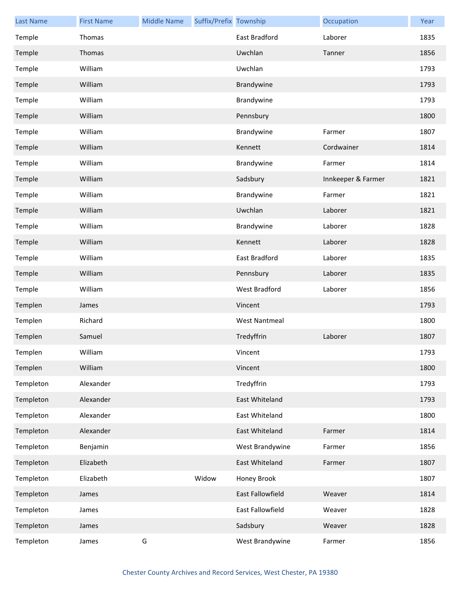| <b>Last Name</b> | <b>First Name</b> | <b>Middle Name</b> | Suffix/Prefix Township |                      | Occupation         | Year |
|------------------|-------------------|--------------------|------------------------|----------------------|--------------------|------|
| Temple           | Thomas            |                    |                        | East Bradford        | Laborer            | 1835 |
| Temple           | Thomas            |                    |                        | Uwchlan              | Tanner             | 1856 |
| Temple           | William           |                    |                        | Uwchlan              |                    | 1793 |
| Temple           | William           |                    |                        | Brandywine           |                    | 1793 |
| Temple           | William           |                    |                        | Brandywine           |                    | 1793 |
| Temple           | William           |                    |                        | Pennsbury            |                    | 1800 |
| Temple           | William           |                    |                        | Brandywine           | Farmer             | 1807 |
| Temple           | William           |                    |                        | Kennett              | Cordwainer         | 1814 |
| Temple           | William           |                    |                        | Brandywine           | Farmer             | 1814 |
| Temple           | William           |                    |                        | Sadsbury             | Innkeeper & Farmer | 1821 |
| Temple           | William           |                    |                        | Brandywine           | Farmer             | 1821 |
| Temple           | William           |                    |                        | Uwchlan              | Laborer            | 1821 |
| Temple           | William           |                    |                        | Brandywine           | Laborer            | 1828 |
| Temple           | William           |                    |                        | Kennett              | Laborer            | 1828 |
| Temple           | William           |                    |                        | East Bradford        | Laborer            | 1835 |
| Temple           | William           |                    |                        | Pennsbury            | Laborer            | 1835 |
| Temple           | William           |                    |                        | West Bradford        | Laborer            | 1856 |
| Templen          | James             |                    |                        | Vincent              |                    | 1793 |
| Templen          | Richard           |                    |                        | <b>West Nantmeal</b> |                    | 1800 |
| Templen          | Samuel            |                    |                        | Tredyffrin           | Laborer            | 1807 |
| Templen          | William           |                    |                        | Vincent              |                    | 1793 |
| Templen          | William           |                    |                        | Vincent              |                    | 1800 |
| Templeton        | Alexander         |                    |                        | Tredyffrin           |                    | 1793 |
| Templeton        | Alexander         |                    |                        | East Whiteland       |                    | 1793 |
| Templeton        | Alexander         |                    |                        | East Whiteland       |                    | 1800 |
| Templeton        | Alexander         |                    |                        | East Whiteland       | Farmer             | 1814 |
| Templeton        | Benjamin          |                    |                        | West Brandywine      | Farmer             | 1856 |
| Templeton        | Elizabeth         |                    |                        | East Whiteland       | Farmer             | 1807 |
| Templeton        | Elizabeth         |                    | Widow                  | Honey Brook          |                    | 1807 |
| Templeton        | James             |                    |                        | East Fallowfield     | Weaver             | 1814 |
| Templeton        | James             |                    |                        | East Fallowfield     | Weaver             | 1828 |
| Templeton        | James             |                    |                        | Sadsbury             | Weaver             | 1828 |
| Templeton        | James             | G                  |                        | West Brandywine      | Farmer             | 1856 |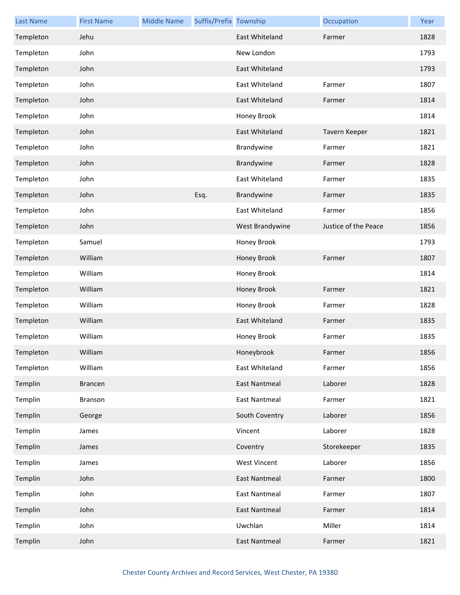| <b>Last Name</b> | <b>First Name</b> | <b>Middle Name</b> | Suffix/Prefix Township |                      | Occupation           | Year |
|------------------|-------------------|--------------------|------------------------|----------------------|----------------------|------|
| Templeton        | Jehu              |                    |                        | East Whiteland       | Farmer               | 1828 |
| Templeton        | John              |                    |                        | New London           |                      | 1793 |
| Templeton        | John              |                    |                        | East Whiteland       |                      | 1793 |
| Templeton        | John              |                    |                        | East Whiteland       | Farmer               | 1807 |
| Templeton        | John              |                    |                        | East Whiteland       | Farmer               | 1814 |
| Templeton        | John              |                    |                        | Honey Brook          |                      | 1814 |
| Templeton        | John              |                    |                        | East Whiteland       | Tavern Keeper        | 1821 |
| Templeton        | John              |                    |                        | Brandywine           | Farmer               | 1821 |
| Templeton        | John              |                    |                        | Brandywine           | Farmer               | 1828 |
| Templeton        | John              |                    |                        | East Whiteland       | Farmer               | 1835 |
| Templeton        | John              |                    | Esq.                   | Brandywine           | Farmer               | 1835 |
| Templeton        | John              |                    |                        | East Whiteland       | Farmer               | 1856 |
| Templeton        | John              |                    |                        | West Brandywine      | Justice of the Peace | 1856 |
| Templeton        | Samuel            |                    |                        | Honey Brook          |                      | 1793 |
| Templeton        | William           |                    |                        | Honey Brook          | Farmer               | 1807 |
| Templeton        | William           |                    |                        | Honey Brook          |                      | 1814 |
| Templeton        | William           |                    |                        | Honey Brook          | Farmer               | 1821 |
| Templeton        | William           |                    |                        | Honey Brook          | Farmer               | 1828 |
| Templeton        | William           |                    |                        | East Whiteland       | Farmer               | 1835 |
| Templeton        | William           |                    |                        | Honey Brook          | Farmer               | 1835 |
| Templeton        | William           |                    |                        | Honeybrook           | Farmer               | 1856 |
| Templeton        | William           |                    |                        | East Whiteland       | Farmer               | 1856 |
| Templin          | <b>Brancen</b>    |                    |                        | <b>East Nantmeal</b> | Laborer              | 1828 |
| Templin          | <b>Branson</b>    |                    |                        | <b>East Nantmeal</b> | Farmer               | 1821 |
| Templin          | George            |                    |                        | South Coventry       | Laborer              | 1856 |
| Templin          | James             |                    |                        | Vincent              | Laborer              | 1828 |
| Templin          | James             |                    |                        | Coventry             | Storekeeper          | 1835 |
| Templin          | James             |                    |                        | <b>West Vincent</b>  | Laborer              | 1856 |
| Templin          | John              |                    |                        | <b>East Nantmeal</b> | Farmer               | 1800 |
| Templin          | John              |                    |                        | <b>East Nantmeal</b> | Farmer               | 1807 |
| Templin          | John              |                    |                        | <b>East Nantmeal</b> | Farmer               | 1814 |
| Templin          | John              |                    |                        | Uwchlan              | Miller               | 1814 |
| Templin          | John              |                    |                        | <b>East Nantmeal</b> | Farmer               | 1821 |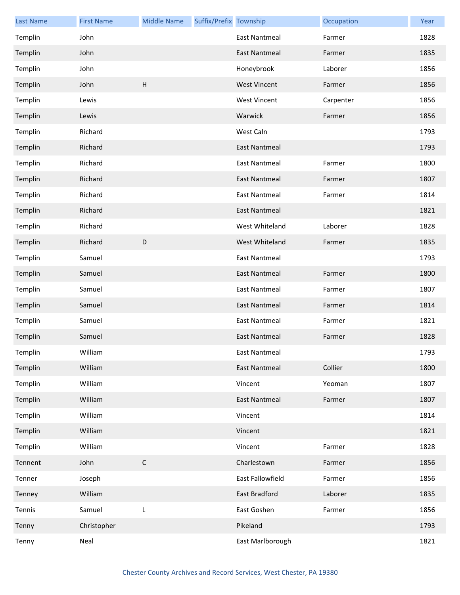| <b>Last Name</b> | <b>First Name</b> | <b>Middle Name</b> | Suffix/Prefix Township |                      | Occupation | Year |
|------------------|-------------------|--------------------|------------------------|----------------------|------------|------|
| Templin          | John              |                    |                        | <b>East Nantmeal</b> | Farmer     | 1828 |
| Templin          | John              |                    |                        | <b>East Nantmeal</b> | Farmer     | 1835 |
| Templin          | John              |                    |                        | Honeybrook           | Laborer    | 1856 |
| Templin          | John              | H                  |                        | <b>West Vincent</b>  | Farmer     | 1856 |
| Templin          | Lewis             |                    |                        | <b>West Vincent</b>  | Carpenter  | 1856 |
| Templin          | Lewis             |                    |                        | Warwick              | Farmer     | 1856 |
| Templin          | Richard           |                    |                        | West Caln            |            | 1793 |
| Templin          | Richard           |                    |                        | East Nantmeal        |            | 1793 |
| Templin          | Richard           |                    |                        | <b>East Nantmeal</b> | Farmer     | 1800 |
| Templin          | Richard           |                    |                        | <b>East Nantmeal</b> | Farmer     | 1807 |
| Templin          | Richard           |                    |                        | <b>East Nantmeal</b> | Farmer     | 1814 |
| Templin          | Richard           |                    |                        | East Nantmeal        |            | 1821 |
| Templin          | Richard           |                    |                        | West Whiteland       | Laborer    | 1828 |
| Templin          | Richard           | $\mathsf D$        |                        | West Whiteland       | Farmer     | 1835 |
| Templin          | Samuel            |                    |                        | <b>East Nantmeal</b> |            | 1793 |
| Templin          | Samuel            |                    |                        | <b>East Nantmeal</b> | Farmer     | 1800 |
| Templin          | Samuel            |                    |                        | <b>East Nantmeal</b> | Farmer     | 1807 |
| Templin          | Samuel            |                    |                        | <b>East Nantmeal</b> | Farmer     | 1814 |
| Templin          | Samuel            |                    |                        | <b>East Nantmeal</b> | Farmer     | 1821 |
| Templin          | Samuel            |                    |                        | East Nantmeal        | Farmer     | 1828 |
| Templin          | William           |                    |                        | East Nantmeal        |            | 1793 |
| Templin          | William           |                    |                        | <b>East Nantmeal</b> | Collier    | 1800 |
| Templin          | William           |                    |                        | Vincent              | Yeoman     | 1807 |
| Templin          | William           |                    |                        | <b>East Nantmeal</b> | Farmer     | 1807 |
| Templin          | William           |                    |                        | Vincent              |            | 1814 |
| Templin          | William           |                    |                        | Vincent              |            | 1821 |
| Templin          | William           |                    |                        | Vincent              | Farmer     | 1828 |
| Tennent          | John              | $\mathsf C$        |                        | Charlestown          | Farmer     | 1856 |
| Tenner           | Joseph            |                    |                        | East Fallowfield     | Farmer     | 1856 |
| Tenney           | William           |                    |                        | East Bradford        | Laborer    | 1835 |
| Tennis           | Samuel            | L                  |                        | East Goshen          | Farmer     | 1856 |
| Tenny            | Christopher       |                    |                        | Pikeland             |            | 1793 |
| Tenny            | Neal              |                    |                        | East Marlborough     |            | 1821 |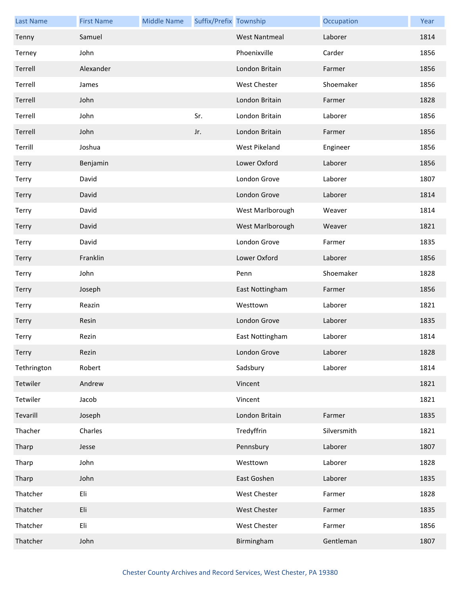| <b>Last Name</b> | <b>First Name</b> | <b>Middle Name</b> | Suffix/Prefix Township |                      | Occupation  | Year |
|------------------|-------------------|--------------------|------------------------|----------------------|-------------|------|
| Tenny            | Samuel            |                    |                        | <b>West Nantmeal</b> | Laborer     | 1814 |
| Terney           | John              |                    |                        | Phoenixville         | Carder      | 1856 |
| Terrell          | Alexander         |                    |                        | London Britain       | Farmer      | 1856 |
| Terrell          | James             |                    |                        | <b>West Chester</b>  | Shoemaker   | 1856 |
| Terrell          | John              |                    |                        | London Britain       | Farmer      | 1828 |
| Terrell          | John              |                    | Sr.                    | London Britain       | Laborer     | 1856 |
| Terrell          | John              |                    | Jr.                    | London Britain       | Farmer      | 1856 |
| Terrill          | Joshua            |                    |                        | West Pikeland        | Engineer    | 1856 |
| <b>Terry</b>     | Benjamin          |                    |                        | Lower Oxford         | Laborer     | 1856 |
| Terry            | David             |                    |                        | London Grove         | Laborer     | 1807 |
| Terry            | David             |                    |                        | London Grove         | Laborer     | 1814 |
| Terry            | David             |                    |                        | West Marlborough     | Weaver      | 1814 |
| <b>Terry</b>     | David             |                    |                        | West Marlborough     | Weaver      | 1821 |
| Terry            | David             |                    |                        | London Grove         | Farmer      | 1835 |
| Terry            | Franklin          |                    |                        | Lower Oxford         | Laborer     | 1856 |
| Terry            | John              |                    |                        | Penn                 | Shoemaker   | 1828 |
| <b>Terry</b>     | Joseph            |                    |                        | East Nottingham      | Farmer      | 1856 |
| Terry            | Reazin            |                    |                        | Westtown             | Laborer     | 1821 |
| Terry            | Resin             |                    |                        | London Grove         | Laborer     | 1835 |
| Terry            | Rezin             |                    |                        | East Nottingham      | Laborer     | 1814 |
| Terry            | Rezin             |                    |                        | London Grove         | Laborer     | 1828 |
| Tethrington      | Robert            |                    |                        | Sadsbury             | Laborer     | 1814 |
| Tetwiler         | Andrew            |                    |                        | Vincent              |             | 1821 |
| Tetwiler         | Jacob             |                    |                        | Vincent              |             | 1821 |
| Tevarill         | Joseph            |                    |                        | London Britain       | Farmer      | 1835 |
| Thacher          | Charles           |                    |                        | Tredyffrin           | Silversmith | 1821 |
| Tharp            | Jesse             |                    |                        | Pennsbury            | Laborer     | 1807 |
| Tharp            | John              |                    |                        | Westtown             | Laborer     | 1828 |
| Tharp            | John              |                    |                        | East Goshen          | Laborer     | 1835 |
| Thatcher         | Eli               |                    |                        | West Chester         | Farmer      | 1828 |
| Thatcher         | Eli               |                    |                        | West Chester         | Farmer      | 1835 |
| Thatcher         | Eli               |                    |                        | West Chester         | Farmer      | 1856 |
| Thatcher         | John              |                    |                        | Birmingham           | Gentleman   | 1807 |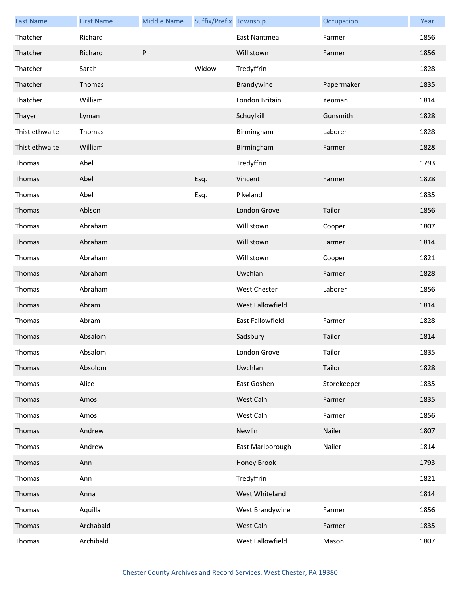| <b>Last Name</b> | <b>First Name</b> | <b>Middle Name</b> | Suffix/Prefix Township |                  | Occupation  | Year |
|------------------|-------------------|--------------------|------------------------|------------------|-------------|------|
| Thatcher         | Richard           |                    |                        | East Nantmeal    | Farmer      | 1856 |
| Thatcher         | Richard           | ${\sf P}$          |                        | Willistown       | Farmer      | 1856 |
| Thatcher         | Sarah             |                    | Widow                  | Tredyffrin       |             | 1828 |
| Thatcher         | Thomas            |                    |                        | Brandywine       | Papermaker  | 1835 |
| Thatcher         | William           |                    |                        | London Britain   | Yeoman      | 1814 |
| Thayer           | Lyman             |                    |                        | Schuylkill       | Gunsmith    | 1828 |
| Thistlethwaite   | Thomas            |                    |                        | Birmingham       | Laborer     | 1828 |
| Thistlethwaite   | William           |                    |                        | Birmingham       | Farmer      | 1828 |
| Thomas           | Abel              |                    |                        | Tredyffrin       |             | 1793 |
| Thomas           | Abel              |                    | Esq.                   | Vincent          | Farmer      | 1828 |
| Thomas           | Abel              |                    | Esq.                   | Pikeland         |             | 1835 |
| Thomas           | Ablson            |                    |                        | London Grove     | Tailor      | 1856 |
| Thomas           | Abraham           |                    |                        | Willistown       | Cooper      | 1807 |
| Thomas           | Abraham           |                    |                        | Willistown       | Farmer      | 1814 |
| Thomas           | Abraham           |                    |                        | Willistown       | Cooper      | 1821 |
| Thomas           | Abraham           |                    |                        | Uwchlan          | Farmer      | 1828 |
| Thomas           | Abraham           |                    |                        | West Chester     | Laborer     | 1856 |
| Thomas           | Abram             |                    |                        | West Fallowfield |             | 1814 |
| Thomas           | Abram             |                    |                        | East Fallowfield | Farmer      | 1828 |
| Thomas           | Absalom           |                    |                        | Sadsbury         | Tailor      | 1814 |
| Thomas           | Absalom           |                    |                        | London Grove     | Tailor      | 1835 |
| Thomas           | Absolom           |                    |                        | Uwchlan          | Tailor      | 1828 |
| Thomas           | Alice             |                    |                        | East Goshen      | Storekeeper | 1835 |
| Thomas           | Amos              |                    |                        | West Caln        | Farmer      | 1835 |
| Thomas           | Amos              |                    |                        | West Caln        | Farmer      | 1856 |
| Thomas           | Andrew            |                    |                        | Newlin           | Nailer      | 1807 |
| Thomas           | Andrew            |                    |                        | East Marlborough | Nailer      | 1814 |
| Thomas           | Ann               |                    |                        | Honey Brook      |             | 1793 |
| Thomas           | Ann               |                    |                        | Tredyffrin       |             | 1821 |
| Thomas           | Anna              |                    |                        | West Whiteland   |             | 1814 |
| Thomas           | Aquilla           |                    |                        | West Brandywine  | Farmer      | 1856 |
| Thomas           | Archabald         |                    |                        | West Caln        | Farmer      | 1835 |
| Thomas           | Archibald         |                    |                        | West Fallowfield | Mason       | 1807 |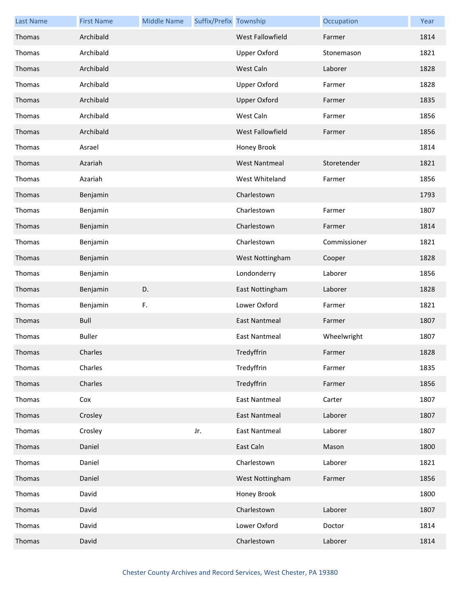| <b>Last Name</b> | <b>First Name</b> | <b>Middle Name</b> | Suffix/Prefix Township |                      | Occupation   | Year |
|------------------|-------------------|--------------------|------------------------|----------------------|--------------|------|
| Thomas           | Archibald         |                    |                        | West Fallowfield     | Farmer       | 1814 |
| Thomas           | Archibald         |                    |                        | <b>Upper Oxford</b>  | Stonemason   | 1821 |
| Thomas           | Archibald         |                    |                        | West Caln            | Laborer      | 1828 |
| Thomas           | Archibald         |                    |                        | <b>Upper Oxford</b>  | Farmer       | 1828 |
| Thomas           | Archibald         |                    |                        | <b>Upper Oxford</b>  | Farmer       | 1835 |
| Thomas           | Archibald         |                    |                        | West Caln            | Farmer       | 1856 |
| Thomas           | Archibald         |                    |                        | West Fallowfield     | Farmer       | 1856 |
| Thomas           | Asrael            |                    |                        | Honey Brook          |              | 1814 |
| Thomas           | Azariah           |                    |                        | <b>West Nantmeal</b> | Storetender  | 1821 |
| Thomas           | Azariah           |                    |                        | West Whiteland       | Farmer       | 1856 |
| Thomas           | Benjamin          |                    |                        | Charlestown          |              | 1793 |
| Thomas           | Benjamin          |                    |                        | Charlestown          | Farmer       | 1807 |
| Thomas           | Benjamin          |                    |                        | Charlestown          | Farmer       | 1814 |
| Thomas           | Benjamin          |                    |                        | Charlestown          | Commissioner | 1821 |
| Thomas           | Benjamin          |                    |                        | West Nottingham      | Cooper       | 1828 |
| Thomas           | Benjamin          |                    |                        | Londonderry          | Laborer      | 1856 |
| Thomas           | Benjamin          | D.                 |                        | East Nottingham      | Laborer      | 1828 |
| Thomas           | Benjamin          | F.                 |                        | Lower Oxford         | Farmer       | 1821 |
| Thomas           | <b>Bull</b>       |                    |                        | <b>East Nantmeal</b> | Farmer       | 1807 |
| Thomas           | <b>Buller</b>     |                    |                        | <b>East Nantmeal</b> | Wheelwright  | 1807 |
| Thomas           | Charles           |                    |                        | Tredyffrin           | Farmer       | 1828 |
| Thomas           | Charles           |                    |                        | Tredyffrin           | Farmer       | 1835 |
| Thomas           | Charles           |                    |                        | Tredyffrin           | Farmer       | 1856 |
| Thomas           | Cox               |                    |                        | <b>East Nantmeal</b> | Carter       | 1807 |
| Thomas           | Crosley           |                    |                        | <b>East Nantmeal</b> | Laborer      | 1807 |
| Thomas           | Crosley           |                    | Jr.                    | <b>East Nantmeal</b> | Laborer      | 1807 |
| Thomas           | Daniel            |                    |                        | East Caln            | Mason        | 1800 |
| Thomas           | Daniel            |                    |                        | Charlestown          | Laborer      | 1821 |
| Thomas           | Daniel            |                    |                        | West Nottingham      | Farmer       | 1856 |
| Thomas           | David             |                    |                        | Honey Brook          |              | 1800 |
| Thomas           | David             |                    |                        | Charlestown          | Laborer      | 1807 |
| Thomas           | David             |                    |                        | Lower Oxford         | Doctor       | 1814 |
| Thomas           | David             |                    |                        | Charlestown          | Laborer      | 1814 |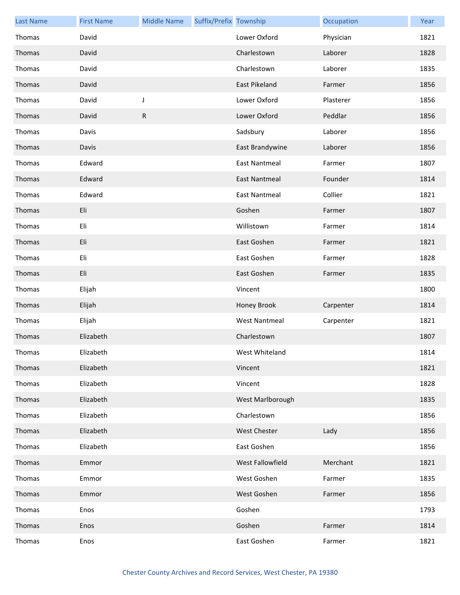| <b>Last Name</b> | <b>First Name</b> | <b>Middle Name</b> | Suffix/Prefix Township |                      | Occupation | Year |
|------------------|-------------------|--------------------|------------------------|----------------------|------------|------|
| Thomas           | David             |                    |                        | Lower Oxford         | Physician  | 1821 |
| Thomas           | David             |                    |                        | Charlestown          | Laborer    | 1828 |
| Thomas           | David             |                    |                        | Charlestown          | Laborer    | 1835 |
| Thomas           | David             |                    |                        | East Pikeland        | Farmer     | 1856 |
| Thomas           | David             | J                  |                        | Lower Oxford         | Plasterer  | 1856 |
| Thomas           | David             | R                  |                        | Lower Oxford         | Peddlar    | 1856 |
| Thomas           | Davis             |                    |                        | Sadsbury             | Laborer    | 1856 |
| Thomas           | Davis             |                    |                        | East Brandywine      | Laborer    | 1856 |
| Thomas           | Edward            |                    |                        | <b>East Nantmeal</b> | Farmer     | 1807 |
| Thomas           | Edward            |                    |                        | <b>East Nantmeal</b> | Founder    | 1814 |
| Thomas           | Edward            |                    |                        | <b>East Nantmeal</b> | Collier    | 1821 |
| Thomas           | Eli               |                    |                        | Goshen               | Farmer     | 1807 |
| Thomas           | Eli               |                    |                        | Willistown           | Farmer     | 1814 |
| Thomas           | Eli               |                    |                        | East Goshen          | Farmer     | 1821 |
| Thomas           | Eli               |                    |                        | East Goshen          | Farmer     | 1828 |
| Thomas           | Eli               |                    |                        | East Goshen          | Farmer     | 1835 |
| Thomas           | Elijah            |                    |                        | Vincent              |            | 1800 |
| Thomas           | Elijah            |                    |                        | Honey Brook          | Carpenter  | 1814 |
| Thomas           | Elijah            |                    |                        | <b>West Nantmeal</b> | Carpenter  | 1821 |
| Thomas           | Elizabeth         |                    |                        | Charlestown          |            | 1807 |
| Thomas           | Elizabeth         |                    |                        | West Whiteland       |            | 1814 |
| Thomas           | Elizabeth         |                    |                        | Vincent              |            | 1821 |
| Thomas           | Elizabeth         |                    |                        | Vincent              |            | 1828 |
| Thomas           | Elizabeth         |                    |                        | West Marlborough     |            | 1835 |
| Thomas           | Elizabeth         |                    |                        | Charlestown          |            | 1856 |
| Thomas           | Elizabeth         |                    |                        | <b>West Chester</b>  | Lady       | 1856 |
| Thomas           | Elizabeth         |                    |                        | East Goshen          |            | 1856 |
| Thomas           | Emmor             |                    |                        | West Fallowfield     | Merchant   | 1821 |
| Thomas           | Emmor             |                    |                        | West Goshen          | Farmer     | 1835 |
| Thomas           | Emmor             |                    |                        | West Goshen          | Farmer     | 1856 |
| Thomas           | Enos              |                    |                        | Goshen               |            | 1793 |
| Thomas           | Enos              |                    |                        | Goshen               | Farmer     | 1814 |
| Thomas           | Enos              |                    |                        | East Goshen          | Farmer     | 1821 |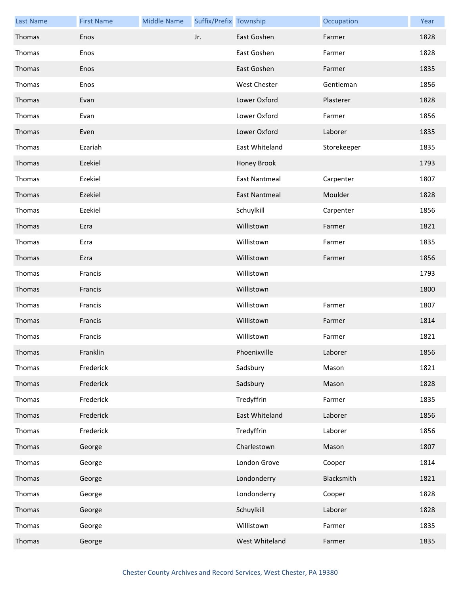| <b>Last Name</b> | <b>First Name</b> | <b>Middle Name</b> | Suffix/Prefix Township |                      | Occupation  | Year |
|------------------|-------------------|--------------------|------------------------|----------------------|-------------|------|
| Thomas           | Enos              |                    | Jr.                    | East Goshen          | Farmer      | 1828 |
| Thomas           | Enos              |                    |                        | East Goshen          | Farmer      | 1828 |
| Thomas           | Enos              |                    |                        | East Goshen          | Farmer      | 1835 |
| Thomas           | Enos              |                    |                        | West Chester         | Gentleman   | 1856 |
| Thomas           | Evan              |                    |                        | Lower Oxford         | Plasterer   | 1828 |
| Thomas           | Evan              |                    |                        | Lower Oxford         | Farmer      | 1856 |
| Thomas           | Even              |                    |                        | Lower Oxford         | Laborer     | 1835 |
| Thomas           | Ezariah           |                    |                        | East Whiteland       | Storekeeper | 1835 |
| Thomas           | Ezekiel           |                    |                        | Honey Brook          |             | 1793 |
| Thomas           | Ezekiel           |                    |                        | East Nantmeal        | Carpenter   | 1807 |
| Thomas           | Ezekiel           |                    |                        | <b>East Nantmeal</b> | Moulder     | 1828 |
| Thomas           | Ezekiel           |                    |                        | Schuylkill           | Carpenter   | 1856 |
| Thomas           | Ezra              |                    |                        | Willistown           | Farmer      | 1821 |
| Thomas           | Ezra              |                    |                        | Willistown           | Farmer      | 1835 |
| Thomas           | Ezra              |                    |                        | Willistown           | Farmer      | 1856 |
| Thomas           | Francis           |                    |                        | Willistown           |             | 1793 |
| Thomas           | Francis           |                    |                        | Willistown           |             | 1800 |
| Thomas           | Francis           |                    |                        | Willistown           | Farmer      | 1807 |
| Thomas           | Francis           |                    |                        | Willistown           | Farmer      | 1814 |
| Thomas           | Francis           |                    |                        | Willistown           | Farmer      | 1821 |
| Thomas           | Franklin          |                    |                        | Phoenixville         | Laborer     | 1856 |
| Thomas           | Frederick         |                    |                        | Sadsbury             | Mason       | 1821 |
| Thomas           | Frederick         |                    |                        | Sadsbury             | Mason       | 1828 |
| Thomas           | Frederick         |                    |                        | Tredyffrin           | Farmer      | 1835 |
| Thomas           | Frederick         |                    |                        | East Whiteland       | Laborer     | 1856 |
| Thomas           | Frederick         |                    |                        | Tredyffrin           | Laborer     | 1856 |
| Thomas           | George            |                    |                        | Charlestown          | Mason       | 1807 |
| Thomas           | George            |                    |                        | London Grove         | Cooper      | 1814 |
| Thomas           | George            |                    |                        | Londonderry          | Blacksmith  | 1821 |
| Thomas           | George            |                    |                        | Londonderry          | Cooper      | 1828 |
| Thomas           | George            |                    |                        | Schuylkill           | Laborer     | 1828 |
| Thomas           | George            |                    |                        | Willistown           | Farmer      | 1835 |
| Thomas           | George            |                    |                        | West Whiteland       | Farmer      | 1835 |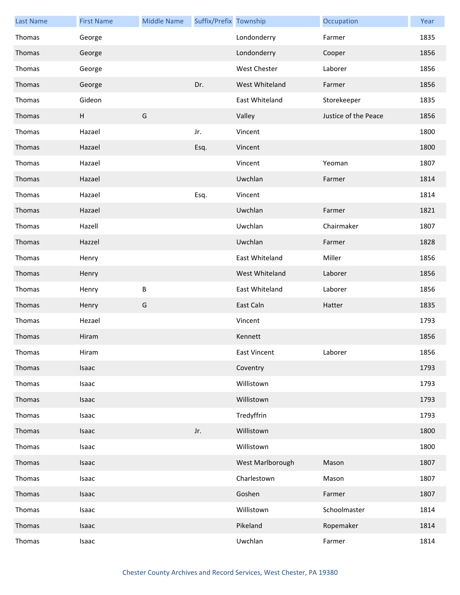| <b>Last Name</b> | <b>First Name</b>         | <b>Middle Name</b> | Suffix/Prefix Township |                  | Occupation           | Year |
|------------------|---------------------------|--------------------|------------------------|------------------|----------------------|------|
| Thomas           | George                    |                    |                        | Londonderry      | Farmer               | 1835 |
| Thomas           | George                    |                    |                        | Londonderry      | Cooper               | 1856 |
| Thomas           | George                    |                    |                        | West Chester     | Laborer              | 1856 |
| Thomas           | George                    |                    | Dr.                    | West Whiteland   | Farmer               | 1856 |
| Thomas           | Gideon                    |                    |                        | East Whiteland   | Storekeeper          | 1835 |
| Thomas           | $\boldsymbol{\mathsf{H}}$ | G                  |                        | Valley           | Justice of the Peace | 1856 |
| Thomas           | Hazael                    |                    | Jr.                    | Vincent          |                      | 1800 |
| Thomas           | Hazael                    |                    | Esq.                   | Vincent          |                      | 1800 |
| Thomas           | Hazael                    |                    |                        | Vincent          | Yeoman               | 1807 |
| Thomas           | Hazael                    |                    |                        | Uwchlan          | Farmer               | 1814 |
| Thomas           | Hazael                    |                    | Esq.                   | Vincent          |                      | 1814 |
| Thomas           | Hazael                    |                    |                        | Uwchlan          | Farmer               | 1821 |
| Thomas           | Hazell                    |                    |                        | Uwchlan          | Chairmaker           | 1807 |
| Thomas           | Hazzel                    |                    |                        | Uwchlan          | Farmer               | 1828 |
| Thomas           | Henry                     |                    |                        | East Whiteland   | Miller               | 1856 |
| Thomas           | Henry                     |                    |                        | West Whiteland   | Laborer              | 1856 |
| Thomas           | Henry                     | B                  |                        | East Whiteland   | Laborer              | 1856 |
| Thomas           | Henry                     | G                  |                        | East Caln        | Hatter               | 1835 |
| Thomas           | Hezael                    |                    |                        | Vincent          |                      | 1793 |
| Thomas           | Hiram                     |                    |                        | Kennett          |                      | 1856 |
| Thomas           | Hiram                     |                    |                        | East Vincent     | Laborer              | 1856 |
| Thomas           | Isaac                     |                    |                        | Coventry         |                      | 1793 |
| Thomas           | Isaac                     |                    |                        | Willistown       |                      | 1793 |
| Thomas           | Isaac                     |                    |                        | Willistown       |                      | 1793 |
| Thomas           | Isaac                     |                    |                        | Tredyffrin       |                      | 1793 |
| Thomas           | Isaac                     |                    | Jr.                    | Willistown       |                      | 1800 |
| Thomas           | Isaac                     |                    |                        | Willistown       |                      | 1800 |
| Thomas           | Isaac                     |                    |                        | West Marlborough | Mason                | 1807 |
| Thomas           | Isaac                     |                    |                        | Charlestown      | Mason                | 1807 |
| Thomas           | Isaac                     |                    |                        | Goshen           | Farmer               | 1807 |
| Thomas           | Isaac                     |                    |                        | Willistown       | Schoolmaster         | 1814 |
| Thomas           | Isaac                     |                    |                        | Pikeland         | Ropemaker            | 1814 |
| Thomas           | Isaac                     |                    |                        | Uwchlan          | Farmer               | 1814 |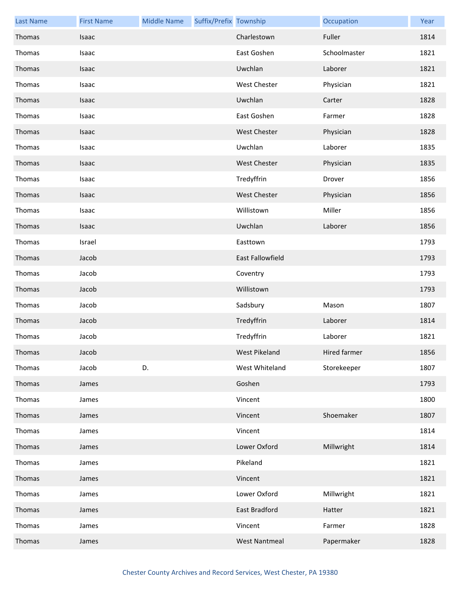| <b>Last Name</b> | <b>First Name</b> | <b>Middle Name</b> | Suffix/Prefix Township |                         | Occupation   | Year |
|------------------|-------------------|--------------------|------------------------|-------------------------|--------------|------|
| Thomas           | Isaac             |                    |                        | Charlestown             | Fuller       | 1814 |
| Thomas           | Isaac             |                    |                        | East Goshen             | Schoolmaster | 1821 |
| Thomas           | Isaac             |                    |                        | Uwchlan                 | Laborer      | 1821 |
| Thomas           | Isaac             |                    |                        | <b>West Chester</b>     | Physician    | 1821 |
| Thomas           | Isaac             |                    |                        | Uwchlan                 | Carter       | 1828 |
| Thomas           | Isaac             |                    |                        | East Goshen             | Farmer       | 1828 |
| Thomas           | Isaac             |                    |                        | <b>West Chester</b>     | Physician    | 1828 |
| Thomas           | Isaac             |                    |                        | Uwchlan                 | Laborer      | 1835 |
| Thomas           | Isaac             |                    |                        | <b>West Chester</b>     | Physician    | 1835 |
| Thomas           | Isaac             |                    |                        | Tredyffrin              | Drover       | 1856 |
| Thomas           | Isaac             |                    |                        | <b>West Chester</b>     | Physician    | 1856 |
| Thomas           | Isaac             |                    |                        | Willistown              | Miller       | 1856 |
| Thomas           | Isaac             |                    |                        | Uwchlan                 | Laborer      | 1856 |
| Thomas           | Israel            |                    |                        | Easttown                |              | 1793 |
| Thomas           | Jacob             |                    |                        | <b>East Fallowfield</b> |              | 1793 |
| Thomas           | Jacob             |                    |                        | Coventry                |              | 1793 |
| Thomas           | Jacob             |                    |                        | Willistown              |              | 1793 |
| Thomas           | Jacob             |                    |                        | Sadsbury                | Mason        | 1807 |
| Thomas           | Jacob             |                    |                        | Tredyffrin              | Laborer      | 1814 |
| Thomas           | Jacob             |                    |                        | Tredyffrin              | Laborer      | 1821 |
| Thomas           | Jacob             |                    |                        | West Pikeland           | Hired farmer | 1856 |
| Thomas           | Jacob             | D.                 |                        | West Whiteland          | Storekeeper  | 1807 |
| Thomas           | James             |                    |                        | Goshen                  |              | 1793 |
| Thomas           | James             |                    |                        | Vincent                 |              | 1800 |
| Thomas           | James             |                    |                        | Vincent                 | Shoemaker    | 1807 |
| Thomas           | James             |                    |                        | Vincent                 |              | 1814 |
| Thomas           | James             |                    |                        | Lower Oxford            | Millwright   | 1814 |
| Thomas           | James             |                    |                        | Pikeland                |              | 1821 |
| Thomas           | James             |                    |                        | Vincent                 |              | 1821 |
| Thomas           | James             |                    |                        | Lower Oxford            | Millwright   | 1821 |
| Thomas           | James             |                    |                        | East Bradford           | Hatter       | 1821 |
| Thomas           | James             |                    |                        | Vincent                 | Farmer       | 1828 |
| Thomas           | James             |                    |                        | <b>West Nantmeal</b>    | Papermaker   | 1828 |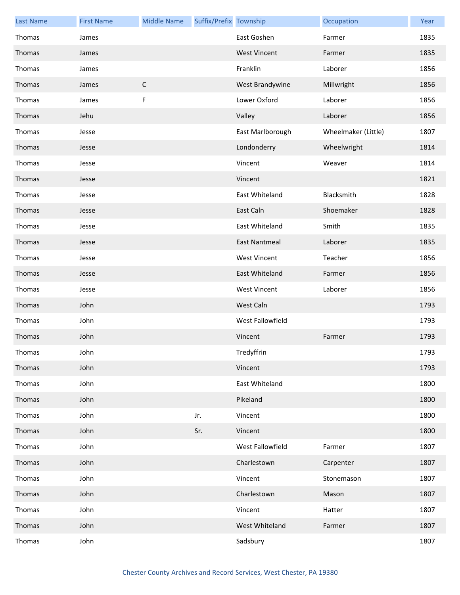| <b>Last Name</b> | <b>First Name</b> | <b>Middle Name</b> | Suffix/Prefix Township |                      | Occupation          | Year |
|------------------|-------------------|--------------------|------------------------|----------------------|---------------------|------|
| Thomas           | James             |                    |                        | East Goshen          | Farmer              | 1835 |
| Thomas           | James             |                    |                        | <b>West Vincent</b>  | Farmer              | 1835 |
| Thomas           | James             |                    |                        | Franklin             | Laborer             | 1856 |
| Thomas           | James             | $\mathsf C$        |                        | West Brandywine      | Millwright          | 1856 |
| Thomas           | James             | F                  |                        | Lower Oxford         | Laborer             | 1856 |
| Thomas           | Jehu              |                    |                        | Valley               | Laborer             | 1856 |
| Thomas           | Jesse             |                    |                        | East Marlborough     | Wheelmaker (Little) | 1807 |
| Thomas           | Jesse             |                    |                        | Londonderry          | Wheelwright         | 1814 |
| Thomas           | Jesse             |                    |                        | Vincent              | Weaver              | 1814 |
| Thomas           | Jesse             |                    |                        | Vincent              |                     | 1821 |
| Thomas           | Jesse             |                    |                        | East Whiteland       | Blacksmith          | 1828 |
| Thomas           | Jesse             |                    |                        | East Caln            | Shoemaker           | 1828 |
| Thomas           | Jesse             |                    |                        | East Whiteland       | Smith               | 1835 |
| Thomas           | Jesse             |                    |                        | <b>East Nantmeal</b> | Laborer             | 1835 |
| Thomas           | Jesse             |                    |                        | <b>West Vincent</b>  | Teacher             | 1856 |
| Thomas           | Jesse             |                    |                        | East Whiteland       | Farmer              | 1856 |
| Thomas           | Jesse             |                    |                        | <b>West Vincent</b>  | Laborer             | 1856 |
| Thomas           | John              |                    |                        | West Caln            |                     | 1793 |
| Thomas           | John              |                    |                        | West Fallowfield     |                     | 1793 |
| Thomas           | John              |                    |                        | Vincent              | Farmer              | 1793 |
| Thomas           | John              |                    |                        | Tredyffrin           |                     | 1793 |
| Thomas           | John              |                    |                        | Vincent              |                     | 1793 |
| Thomas           | John              |                    |                        | East Whiteland       |                     | 1800 |
| Thomas           | John              |                    |                        | Pikeland             |                     | 1800 |
| Thomas           | John              |                    | Jr.                    | Vincent              |                     | 1800 |
| Thomas           | John              |                    | Sr.                    | Vincent              |                     | 1800 |
| Thomas           | John              |                    |                        | West Fallowfield     | Farmer              | 1807 |
| Thomas           | John              |                    |                        | Charlestown          | Carpenter           | 1807 |
| Thomas           | John              |                    |                        | Vincent              | Stonemason          | 1807 |
| Thomas           | John              |                    |                        | Charlestown          | Mason               | 1807 |
| Thomas           | John              |                    |                        | Vincent              | Hatter              | 1807 |
| Thomas           | John              |                    |                        | West Whiteland       | Farmer              | 1807 |
| Thomas           | John              |                    |                        | Sadsbury             |                     | 1807 |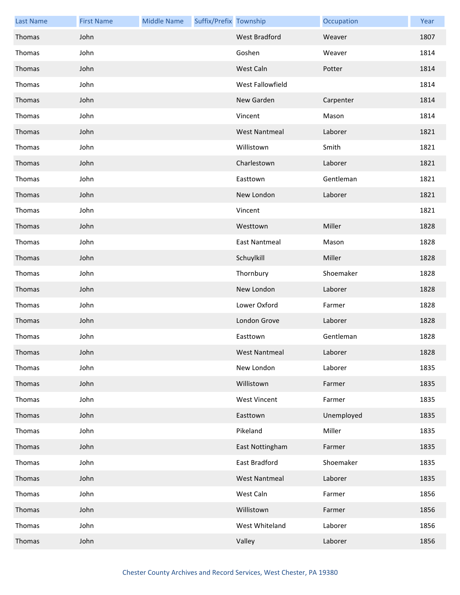| <b>Last Name</b> | <b>First Name</b> | <b>Middle Name</b> | Suffix/Prefix Township |                      | Occupation | Year |
|------------------|-------------------|--------------------|------------------------|----------------------|------------|------|
| Thomas           | John              |                    |                        | West Bradford        | Weaver     | 1807 |
| Thomas           | John              |                    |                        | Goshen               | Weaver     | 1814 |
| Thomas           | John              |                    |                        | West Caln            | Potter     | 1814 |
| Thomas           | John              |                    |                        | West Fallowfield     |            | 1814 |
| Thomas           | John              |                    |                        | New Garden           | Carpenter  | 1814 |
| Thomas           | John              |                    |                        | Vincent              | Mason      | 1814 |
| Thomas           | John              |                    |                        | <b>West Nantmeal</b> | Laborer    | 1821 |
| Thomas           | John              |                    |                        | Willistown           | Smith      | 1821 |
| Thomas           | John              |                    |                        | Charlestown          | Laborer    | 1821 |
| Thomas           | John              |                    |                        | Easttown             | Gentleman  | 1821 |
| Thomas           | John              |                    |                        | New London           | Laborer    | 1821 |
| Thomas           | John              |                    |                        | Vincent              |            | 1821 |
| Thomas           | John              |                    |                        | Westtown             | Miller     | 1828 |
| Thomas           | John              |                    |                        | <b>East Nantmeal</b> | Mason      | 1828 |
| Thomas           | John              |                    |                        | Schuylkill           | Miller     | 1828 |
| Thomas           | John              |                    |                        | Thornbury            | Shoemaker  | 1828 |
| Thomas           | John              |                    |                        | New London           | Laborer    | 1828 |
| Thomas           | John              |                    |                        | Lower Oxford         | Farmer     | 1828 |
| Thomas           | John              |                    |                        | London Grove         | Laborer    | 1828 |
| Thomas           | John              |                    |                        | Easttown             | Gentleman  | 1828 |
| Thomas           | John              |                    |                        | West Nantmeal        | Laborer    | 1828 |
| Thomas           | John              |                    |                        | New London           | Laborer    | 1835 |
| Thomas           | John              |                    |                        | Willistown           | Farmer     | 1835 |
| Thomas           | John              |                    |                        | <b>West Vincent</b>  | Farmer     | 1835 |
| Thomas           | John              |                    |                        | Easttown             | Unemployed | 1835 |
| Thomas           | John              |                    |                        | Pikeland             | Miller     | 1835 |
| Thomas           | John              |                    |                        | East Nottingham      | Farmer     | 1835 |
| Thomas           | John              |                    |                        | East Bradford        | Shoemaker  | 1835 |
| Thomas           | John              |                    |                        | <b>West Nantmeal</b> | Laborer    | 1835 |
| Thomas           | John              |                    |                        | West Caln            | Farmer     | 1856 |
| Thomas           | John              |                    |                        | Willistown           | Farmer     | 1856 |
| Thomas           | John              |                    |                        | West Whiteland       | Laborer    | 1856 |
| Thomas           | John              |                    |                        | Valley               | Laborer    | 1856 |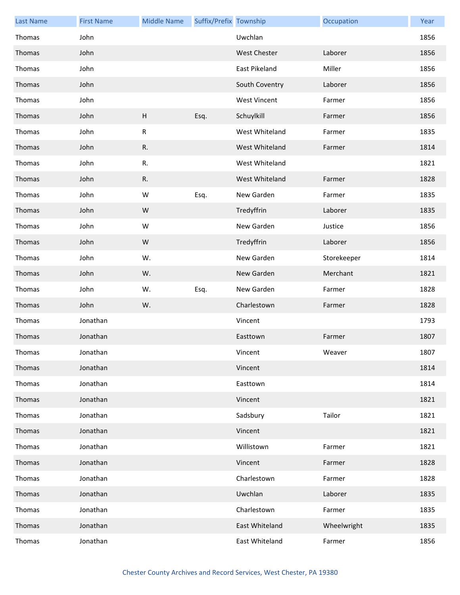| <b>Last Name</b> | <b>First Name</b> | <b>Middle Name</b> | Suffix/Prefix Township |                     | Occupation  | Year |
|------------------|-------------------|--------------------|------------------------|---------------------|-------------|------|
| Thomas           | John              |                    |                        | Uwchlan             |             | 1856 |
| Thomas           | John              |                    |                        | <b>West Chester</b> | Laborer     | 1856 |
| Thomas           | John              |                    |                        | East Pikeland       | Miller      | 1856 |
| Thomas           | John              |                    |                        | South Coventry      | Laborer     | 1856 |
| Thomas           | John              |                    |                        | <b>West Vincent</b> | Farmer      | 1856 |
| Thomas           | John              | H                  | Esq.                   | Schuylkill          | Farmer      | 1856 |
| Thomas           | John              | ${\sf R}$          |                        | West Whiteland      | Farmer      | 1835 |
| Thomas           | John              | R.                 |                        | West Whiteland      | Farmer      | 1814 |
| Thomas           | John              | $\mathsf R.$       |                        | West Whiteland      |             | 1821 |
| Thomas           | John              | R.                 |                        | West Whiteland      | Farmer      | 1828 |
| Thomas           | John              | W                  | Esq.                   | New Garden          | Farmer      | 1835 |
| Thomas           | John              | ${\sf W}$          |                        | Tredyffrin          | Laborer     | 1835 |
| Thomas           | John              | W                  |                        | New Garden          | Justice     | 1856 |
| Thomas           | John              | ${\sf W}$          |                        | Tredyffrin          | Laborer     | 1856 |
| Thomas           | John              | W.                 |                        | New Garden          | Storekeeper | 1814 |
| Thomas           | John              | W.                 |                        | New Garden          | Merchant    | 1821 |
| Thomas           | John              | W.                 | Esq.                   | New Garden          | Farmer      | 1828 |
| Thomas           | John              | W.                 |                        | Charlestown         | Farmer      | 1828 |
| Thomas           | Jonathan          |                    |                        | Vincent             |             | 1793 |
| Thomas           | Jonathan          |                    |                        | Easttown            | Farmer      | 1807 |
| Thomas           | Jonathan          |                    |                        | Vincent             | Weaver      | 1807 |
| Thomas           | Jonathan          |                    |                        | Vincent             |             | 1814 |
| Thomas           | Jonathan          |                    |                        | Easttown            |             | 1814 |
| Thomas           | Jonathan          |                    |                        | Vincent             |             | 1821 |
| Thomas           | Jonathan          |                    |                        | Sadsbury            | Tailor      | 1821 |
| Thomas           | Jonathan          |                    |                        | Vincent             |             | 1821 |
| Thomas           | Jonathan          |                    |                        | Willistown          | Farmer      | 1821 |
| Thomas           | Jonathan          |                    |                        | Vincent             | Farmer      | 1828 |
| Thomas           | Jonathan          |                    |                        | Charlestown         | Farmer      | 1828 |
| Thomas           | Jonathan          |                    |                        | Uwchlan             | Laborer     | 1835 |
| Thomas           | Jonathan          |                    |                        | Charlestown         | Farmer      | 1835 |
| Thomas           | Jonathan          |                    |                        | East Whiteland      | Wheelwright | 1835 |
| Thomas           | Jonathan          |                    |                        | East Whiteland      | Farmer      | 1856 |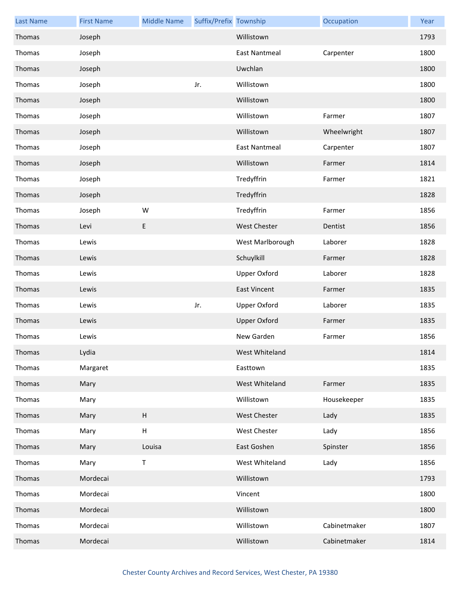| <b>Last Name</b> | <b>First Name</b> | <b>Middle Name</b>                                          | Suffix/Prefix Township |                      | Occupation   | Year |
|------------------|-------------------|-------------------------------------------------------------|------------------------|----------------------|--------------|------|
| Thomas           | Joseph            |                                                             |                        | Willistown           |              | 1793 |
| Thomas           | Joseph            |                                                             |                        | <b>East Nantmeal</b> | Carpenter    | 1800 |
| Thomas           | Joseph            |                                                             |                        | Uwchlan              |              | 1800 |
| Thomas           | Joseph            |                                                             | Jr.                    | Willistown           |              | 1800 |
| Thomas           | Joseph            |                                                             |                        | Willistown           |              | 1800 |
| Thomas           | Joseph            |                                                             |                        | Willistown           | Farmer       | 1807 |
| Thomas           | Joseph            |                                                             |                        | Willistown           | Wheelwright  | 1807 |
| Thomas           | Joseph            |                                                             |                        | <b>East Nantmeal</b> | Carpenter    | 1807 |
| Thomas           | Joseph            |                                                             |                        | Willistown           | Farmer       | 1814 |
| Thomas           | Joseph            |                                                             |                        | Tredyffrin           | Farmer       | 1821 |
| Thomas           | Joseph            |                                                             |                        | Tredyffrin           |              | 1828 |
| Thomas           | Joseph            | W                                                           |                        | Tredyffrin           | Farmer       | 1856 |
| Thomas           | Levi              | E                                                           |                        | West Chester         | Dentist      | 1856 |
| Thomas           | Lewis             |                                                             |                        | West Marlborough     | Laborer      | 1828 |
| Thomas           | Lewis             |                                                             |                        | Schuylkill           | Farmer       | 1828 |
| Thomas           | Lewis             |                                                             |                        | <b>Upper Oxford</b>  | Laborer      | 1828 |
| Thomas           | Lewis             |                                                             |                        | <b>East Vincent</b>  | Farmer       | 1835 |
| Thomas           | Lewis             |                                                             | Jr.                    | <b>Upper Oxford</b>  | Laborer      | 1835 |
| Thomas           | Lewis             |                                                             |                        | <b>Upper Oxford</b>  | Farmer       | 1835 |
| Thomas           | Lewis             |                                                             |                        | New Garden           | Farmer       | 1856 |
| Thomas           | Lydia             |                                                             |                        | West Whiteland       |              | 1814 |
| Thomas           | Margaret          |                                                             |                        | Easttown             |              | 1835 |
| Thomas           | Mary              |                                                             |                        | West Whiteland       | Farmer       | 1835 |
| Thomas           | Mary              |                                                             |                        | Willistown           | Housekeeper  | 1835 |
| Thomas           | Mary              | H                                                           |                        | <b>West Chester</b>  | Lady         | 1835 |
| Thomas           | Mary              | $\mathsf{H}% _{\mathbb{R}}^{1}\left( \mathbb{R}^{2}\right)$ |                        | West Chester         | Lady         | 1856 |
| Thomas           | Mary              | Louisa                                                      |                        | East Goshen          | Spinster     | 1856 |
| Thomas           | Mary              | $\sf T$                                                     |                        | West Whiteland       | Lady         | 1856 |
| Thomas           | Mordecai          |                                                             |                        | Willistown           |              | 1793 |
| Thomas           | Mordecai          |                                                             |                        | Vincent              |              | 1800 |
| Thomas           | Mordecai          |                                                             |                        | Willistown           |              | 1800 |
| Thomas           | Mordecai          |                                                             |                        | Willistown           | Cabinetmaker | 1807 |
| Thomas           | Mordecai          |                                                             |                        | Willistown           | Cabinetmaker | 1814 |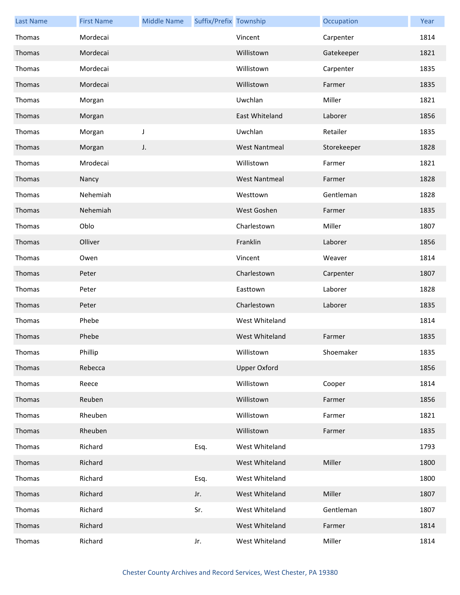| <b>Last Name</b> | <b>First Name</b> | <b>Middle Name</b> | Suffix/Prefix Township |                      | Occupation  | Year |
|------------------|-------------------|--------------------|------------------------|----------------------|-------------|------|
| Thomas           | Mordecai          |                    |                        | Vincent              | Carpenter   | 1814 |
| Thomas           | Mordecai          |                    |                        | Willistown           | Gatekeeper  | 1821 |
| Thomas           | Mordecai          |                    |                        | Willistown           | Carpenter   | 1835 |
| Thomas           | Mordecai          |                    |                        | Willistown           | Farmer      | 1835 |
| Thomas           | Morgan            |                    |                        | Uwchlan              | Miller      | 1821 |
| Thomas           | Morgan            |                    |                        | East Whiteland       | Laborer     | 1856 |
| Thomas           | Morgan            | J                  |                        | Uwchlan              | Retailer    | 1835 |
| Thomas           | Morgan            | J.                 |                        | <b>West Nantmeal</b> | Storekeeper | 1828 |
| Thomas           | Mrodecai          |                    |                        | Willistown           | Farmer      | 1821 |
| Thomas           | Nancy             |                    |                        | <b>West Nantmeal</b> | Farmer      | 1828 |
| Thomas           | Nehemiah          |                    |                        | Westtown             | Gentleman   | 1828 |
| Thomas           | Nehemiah          |                    |                        | West Goshen          | Farmer      | 1835 |
| Thomas           | Oblo              |                    |                        | Charlestown          | Miller      | 1807 |
| Thomas           | Olliver           |                    |                        | Franklin             | Laborer     | 1856 |
| Thomas           | Owen              |                    |                        | Vincent              | Weaver      | 1814 |
| Thomas           | Peter             |                    |                        | Charlestown          | Carpenter   | 1807 |
| Thomas           | Peter             |                    |                        | Easttown             | Laborer     | 1828 |
| Thomas           | Peter             |                    |                        | Charlestown          | Laborer     | 1835 |
| Thomas           | Phebe             |                    |                        | West Whiteland       |             | 1814 |
| Thomas           | Phebe             |                    |                        | West Whiteland       | Farmer      | 1835 |
| Thomas           | Phillip           |                    |                        | Willistown           | Shoemaker   | 1835 |
| Thomas           | Rebecca           |                    |                        | <b>Upper Oxford</b>  |             | 1856 |
| Thomas           | Reece             |                    |                        | Willistown           | Cooper      | 1814 |
| Thomas           | Reuben            |                    |                        | Willistown           | Farmer      | 1856 |
| Thomas           | Rheuben           |                    |                        | Willistown           | Farmer      | 1821 |
| Thomas           | Rheuben           |                    |                        | Willistown           | Farmer      | 1835 |
| Thomas           | Richard           |                    | Esq.                   | West Whiteland       |             | 1793 |
| Thomas           | Richard           |                    |                        | West Whiteland       | Miller      | 1800 |
| Thomas           | Richard           |                    | Esq.                   | West Whiteland       |             | 1800 |
| Thomas           | Richard           |                    | Jr.                    | West Whiteland       | Miller      | 1807 |
| Thomas           | Richard           |                    | Sr.                    | West Whiteland       | Gentleman   | 1807 |
| Thomas           | Richard           |                    |                        | West Whiteland       | Farmer      | 1814 |
| Thomas           | Richard           |                    | Jr.                    | West Whiteland       | Miller      | 1814 |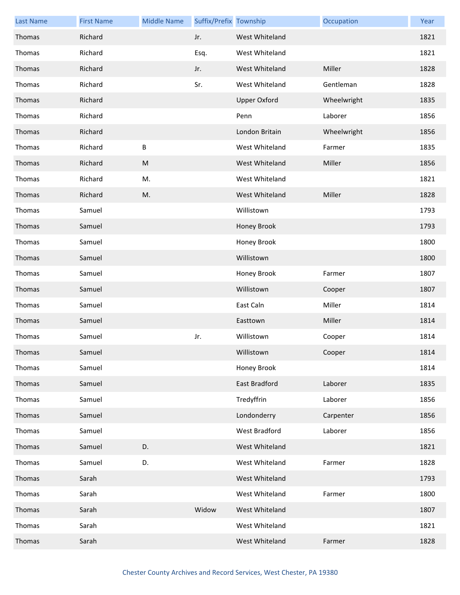| <b>Last Name</b> | <b>First Name</b> | <b>Middle Name</b> | Suffix/Prefix Township |                      | Occupation  | Year |
|------------------|-------------------|--------------------|------------------------|----------------------|-------------|------|
| Thomas           | Richard           |                    | Jr.                    | West Whiteland       |             | 1821 |
| Thomas           | Richard           |                    | Esq.                   | West Whiteland       |             | 1821 |
| Thomas           | Richard           |                    | Jr.                    | West Whiteland       | Miller      | 1828 |
| Thomas           | Richard           |                    | Sr.                    | West Whiteland       | Gentleman   | 1828 |
| Thomas           | Richard           |                    |                        | <b>Upper Oxford</b>  | Wheelwright | 1835 |
| Thomas           | Richard           |                    |                        | Penn                 | Laborer     | 1856 |
| Thomas           | Richard           |                    |                        | London Britain       | Wheelwright | 1856 |
| Thomas           | Richard           | В                  |                        | West Whiteland       | Farmer      | 1835 |
| Thomas           | Richard           | ${\sf M}$          |                        | West Whiteland       | Miller      | 1856 |
| Thomas           | Richard           | M.                 |                        | West Whiteland       |             | 1821 |
| Thomas           | Richard           | M.                 |                        | West Whiteland       | Miller      | 1828 |
| Thomas           | Samuel            |                    |                        | Willistown           |             | 1793 |
| Thomas           | Samuel            |                    |                        | Honey Brook          |             | 1793 |
| Thomas           | Samuel            |                    |                        | Honey Brook          |             | 1800 |
| Thomas           | Samuel            |                    |                        | Willistown           |             | 1800 |
| Thomas           | Samuel            |                    |                        | Honey Brook          | Farmer      | 1807 |
| Thomas           | Samuel            |                    |                        | Willistown           | Cooper      | 1807 |
| Thomas           | Samuel            |                    |                        | East Caln            | Miller      | 1814 |
| Thomas           | Samuel            |                    |                        | Easttown             | Miller      | 1814 |
| Thomas           | Samuel            |                    | Jr.                    | Willistown           | Cooper      | 1814 |
| Thomas           | Samuel            |                    |                        | Willistown           | Cooper      | 1814 |
| Thomas           | Samuel            |                    |                        | Honey Brook          |             | 1814 |
| Thomas           | Samuel            |                    |                        | East Bradford        | Laborer     | 1835 |
| Thomas           | Samuel            |                    |                        | Tredyffrin           | Laborer     | 1856 |
| Thomas           | Samuel            |                    |                        | Londonderry          | Carpenter   | 1856 |
| Thomas           | Samuel            |                    |                        | <b>West Bradford</b> | Laborer     | 1856 |
| Thomas           | Samuel            | D.                 |                        | West Whiteland       |             | 1821 |
| Thomas           | Samuel            | D.                 |                        | West Whiteland       | Farmer      | 1828 |
| Thomas           | Sarah             |                    |                        | West Whiteland       |             | 1793 |
| Thomas           | Sarah             |                    |                        | West Whiteland       | Farmer      | 1800 |
| Thomas           | Sarah             |                    | Widow                  | West Whiteland       |             | 1807 |
| Thomas           | Sarah             |                    |                        | West Whiteland       |             | 1821 |
| Thomas           | Sarah             |                    |                        | West Whiteland       | Farmer      | 1828 |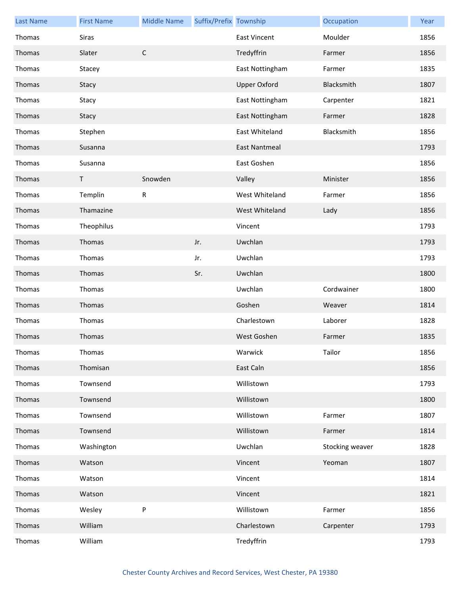| <b>Last Name</b> | <b>First Name</b> | <b>Middle Name</b> | Suffix/Prefix Township |                      | Occupation      | Year |
|------------------|-------------------|--------------------|------------------------|----------------------|-----------------|------|
| Thomas           | Siras             |                    |                        | <b>East Vincent</b>  | Moulder         | 1856 |
| Thomas           | Slater            | $\mathsf C$        |                        | Tredyffrin           | Farmer          | 1856 |
| Thomas           | Stacey            |                    |                        | East Nottingham      | Farmer          | 1835 |
| Thomas           | Stacy             |                    |                        | <b>Upper Oxford</b>  | Blacksmith      | 1807 |
| Thomas           | Stacy             |                    |                        | East Nottingham      | Carpenter       | 1821 |
| Thomas           | Stacy             |                    |                        | East Nottingham      | Farmer          | 1828 |
| Thomas           | Stephen           |                    |                        | East Whiteland       | Blacksmith      | 1856 |
| Thomas           | Susanna           |                    |                        | <b>East Nantmeal</b> |                 | 1793 |
| Thomas           | Susanna           |                    |                        | East Goshen          |                 | 1856 |
| Thomas           | Τ                 | Snowden            |                        | Valley               | Minister        | 1856 |
| Thomas           | Templin           | ${\sf R}$          |                        | West Whiteland       | Farmer          | 1856 |
| Thomas           | Thamazine         |                    |                        | West Whiteland       | Lady            | 1856 |
| Thomas           | Theophilus        |                    |                        | Vincent              |                 | 1793 |
| Thomas           | Thomas            |                    | Jr.                    | Uwchlan              |                 | 1793 |
| Thomas           | Thomas            |                    | Jr.                    | Uwchlan              |                 | 1793 |
| Thomas           | Thomas            |                    | Sr.                    | Uwchlan              |                 | 1800 |
| Thomas           | Thomas            |                    |                        | Uwchlan              | Cordwainer      | 1800 |
| Thomas           | Thomas            |                    |                        | Goshen               | Weaver          | 1814 |
| Thomas           | Thomas            |                    |                        | Charlestown          | Laborer         | 1828 |
| Thomas           | Thomas            |                    |                        | West Goshen          | Farmer          | 1835 |
| Thomas           | Thomas            |                    |                        | Warwick              | Tailor          | 1856 |
| Thomas           | Thomisan          |                    |                        | East Caln            |                 | 1856 |
| Thomas           | Townsend          |                    |                        | Willistown           |                 | 1793 |
| Thomas           | Townsend          |                    |                        | Willistown           |                 | 1800 |
| Thomas           | Townsend          |                    |                        | Willistown           | Farmer          | 1807 |
| Thomas           | Townsend          |                    |                        | Willistown           | Farmer          | 1814 |
| Thomas           | Washington        |                    |                        | Uwchlan              | Stocking weaver | 1828 |
| Thomas           | Watson            |                    |                        | Vincent              | Yeoman          | 1807 |
| Thomas           | Watson            |                    |                        | Vincent              |                 | 1814 |
| Thomas           | Watson            |                    |                        | Vincent              |                 | 1821 |
| Thomas           | Wesley            | P                  |                        | Willistown           | Farmer          | 1856 |
| Thomas           | William           |                    |                        | Charlestown          | Carpenter       | 1793 |
| Thomas           | William           |                    |                        | Tredyffrin           |                 | 1793 |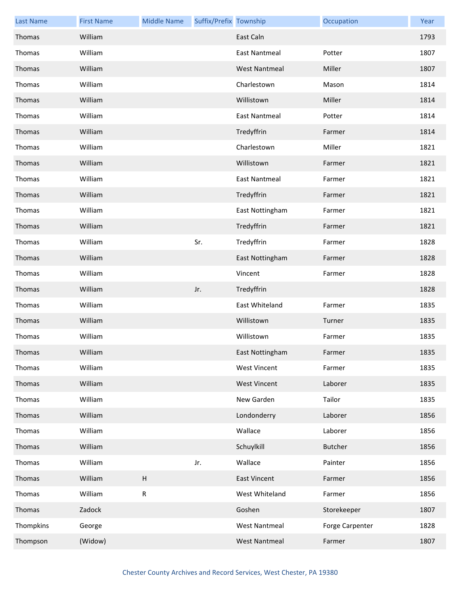| <b>Last Name</b> | <b>First Name</b> | <b>Middle Name</b> | Suffix/Prefix Township |                      | Occupation      | Year |
|------------------|-------------------|--------------------|------------------------|----------------------|-----------------|------|
| Thomas           | William           |                    |                        | East Caln            |                 | 1793 |
| Thomas           | William           |                    |                        | East Nantmeal        | Potter          | 1807 |
| Thomas           | William           |                    |                        | <b>West Nantmeal</b> | Miller          | 1807 |
| Thomas           | William           |                    |                        | Charlestown          | Mason           | 1814 |
| Thomas           | William           |                    |                        | Willistown           | Miller          | 1814 |
| Thomas           | William           |                    |                        | <b>East Nantmeal</b> | Potter          | 1814 |
| Thomas           | William           |                    |                        | Tredyffrin           | Farmer          | 1814 |
| Thomas           | William           |                    |                        | Charlestown          | Miller          | 1821 |
| Thomas           | William           |                    |                        | Willistown           | Farmer          | 1821 |
| Thomas           | William           |                    |                        | <b>East Nantmeal</b> | Farmer          | 1821 |
| Thomas           | William           |                    |                        | Tredyffrin           | Farmer          | 1821 |
| Thomas           | William           |                    |                        | East Nottingham      | Farmer          | 1821 |
| Thomas           | William           |                    |                        | Tredyffrin           | Farmer          | 1821 |
| Thomas           | William           |                    | Sr.                    | Tredyffrin           | Farmer          | 1828 |
| Thomas           | William           |                    |                        | East Nottingham      | Farmer          | 1828 |
| Thomas           | William           |                    |                        | Vincent              | Farmer          | 1828 |
| Thomas           | William           |                    | Jr.                    | Tredyffrin           |                 | 1828 |
| Thomas           | William           |                    |                        | East Whiteland       | Farmer          | 1835 |
| Thomas           | William           |                    |                        | Willistown           | Turner          | 1835 |
| Thomas           | William           |                    |                        | Willistown           | Farmer          | 1835 |
| Thomas           | William           |                    |                        | East Nottingham      | Farmer          | 1835 |
| Thomas           | William           |                    |                        | <b>West Vincent</b>  | Farmer          | 1835 |
| Thomas           | William           |                    |                        | <b>West Vincent</b>  | Laborer         | 1835 |
| Thomas           | William           |                    |                        | New Garden           | Tailor          | 1835 |
| Thomas           | William           |                    |                        | Londonderry          | Laborer         | 1856 |
| Thomas           | William           |                    |                        | Wallace              | Laborer         | 1856 |
| Thomas           | William           |                    |                        | Schuylkill           | <b>Butcher</b>  | 1856 |
| Thomas           | William           |                    | Jr.                    | Wallace              | Painter         | 1856 |
| Thomas           | William           | H                  |                        | <b>East Vincent</b>  | Farmer          | 1856 |
| Thomas           | William           | ${\sf R}$          |                        | West Whiteland       | Farmer          | 1856 |
| Thomas           | Zadock            |                    |                        | Goshen               | Storekeeper     | 1807 |
| Thompkins        | George            |                    |                        | <b>West Nantmeal</b> | Forge Carpenter | 1828 |
| Thompson         | (Widow)           |                    |                        | <b>West Nantmeal</b> | Farmer          | 1807 |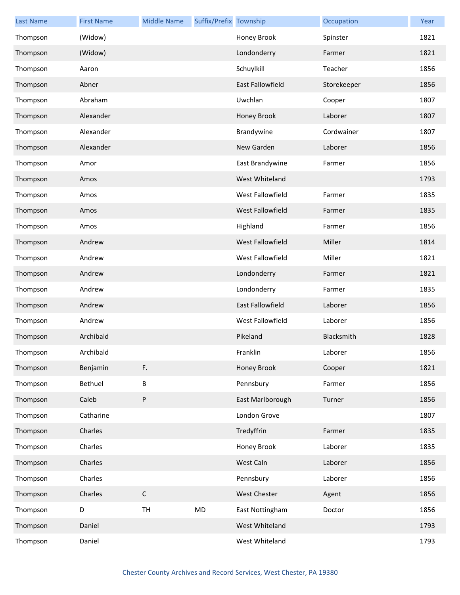| <b>Last Name</b> | <b>First Name</b> | <b>Middle Name</b> | Suffix/Prefix Township |                         | Occupation  | Year |
|------------------|-------------------|--------------------|------------------------|-------------------------|-------------|------|
| Thompson         | (Widow)           |                    |                        | Honey Brook             | Spinster    | 1821 |
| Thompson         | (Widow)           |                    |                        | Londonderry             | Farmer      | 1821 |
| Thompson         | Aaron             |                    |                        | Schuylkill              | Teacher     | 1856 |
| Thompson         | Abner             |                    |                        | <b>East Fallowfield</b> | Storekeeper | 1856 |
| Thompson         | Abraham           |                    |                        | Uwchlan                 | Cooper      | 1807 |
| Thompson         | Alexander         |                    |                        | Honey Brook             | Laborer     | 1807 |
| Thompson         | Alexander         |                    |                        | Brandywine              | Cordwainer  | 1807 |
| Thompson         | Alexander         |                    |                        | New Garden              | Laborer     | 1856 |
| Thompson         | Amor              |                    |                        | East Brandywine         | Farmer      | 1856 |
| Thompson         | Amos              |                    |                        | West Whiteland          |             | 1793 |
| Thompson         | Amos              |                    |                        | West Fallowfield        | Farmer      | 1835 |
| Thompson         | Amos              |                    |                        | West Fallowfield        | Farmer      | 1835 |
| Thompson         | Amos              |                    |                        | Highland                | Farmer      | 1856 |
| Thompson         | Andrew            |                    |                        | West Fallowfield        | Miller      | 1814 |
| Thompson         | Andrew            |                    |                        | West Fallowfield        | Miller      | 1821 |
| Thompson         | Andrew            |                    |                        | Londonderry             | Farmer      | 1821 |
| Thompson         | Andrew            |                    |                        | Londonderry             | Farmer      | 1835 |
| Thompson         | Andrew            |                    |                        | <b>East Fallowfield</b> | Laborer     | 1856 |
| Thompson         | Andrew            |                    |                        | West Fallowfield        | Laborer     | 1856 |
| Thompson         | Archibald         |                    |                        | Pikeland                | Blacksmith  | 1828 |
| Thompson         | Archibald         |                    |                        | Franklin                | Laborer     | 1856 |
| Thompson         | Benjamin          | F.                 |                        | Honey Brook             | Cooper      | 1821 |
| Thompson         | Bethuel           | B                  |                        | Pennsbury               | Farmer      | 1856 |
| Thompson         | Caleb             | P                  |                        | East Marlborough        | Turner      | 1856 |
| Thompson         | Catharine         |                    |                        | London Grove            |             | 1807 |
| Thompson         | Charles           |                    |                        | Tredyffrin              | Farmer      | 1835 |
| Thompson         | Charles           |                    |                        | Honey Brook             | Laborer     | 1835 |
| Thompson         | Charles           |                    |                        | West Caln               | Laborer     | 1856 |
| Thompson         | Charles           |                    |                        | Pennsbury               | Laborer     | 1856 |
| Thompson         | Charles           | $\mathsf C$        |                        | West Chester            | Agent       | 1856 |
| Thompson         | D                 | TH                 | MD                     | East Nottingham         | Doctor      | 1856 |
| Thompson         | Daniel            |                    |                        | West Whiteland          |             | 1793 |
| Thompson         | Daniel            |                    |                        | West Whiteland          |             | 1793 |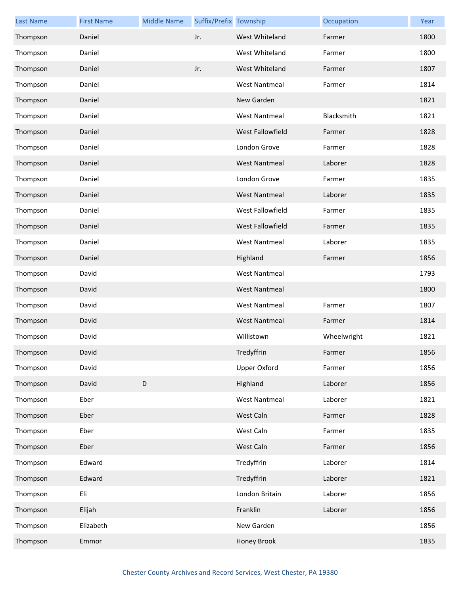| <b>Last Name</b> | <b>First Name</b> | <b>Middle Name</b> | Suffix/Prefix Township |                      | Occupation  | Year |
|------------------|-------------------|--------------------|------------------------|----------------------|-------------|------|
| Thompson         | Daniel            |                    | Jr.                    | West Whiteland       | Farmer      | 1800 |
| Thompson         | Daniel            |                    |                        | West Whiteland       | Farmer      | 1800 |
| Thompson         | Daniel            |                    | Jr.                    | West Whiteland       | Farmer      | 1807 |
| Thompson         | Daniel            |                    |                        | <b>West Nantmeal</b> | Farmer      | 1814 |
| Thompson         | Daniel            |                    |                        | New Garden           |             | 1821 |
| Thompson         | Daniel            |                    |                        | <b>West Nantmeal</b> | Blacksmith  | 1821 |
| Thompson         | Daniel            |                    |                        | West Fallowfield     | Farmer      | 1828 |
| Thompson         | Daniel            |                    |                        | London Grove         | Farmer      | 1828 |
| Thompson         | Daniel            |                    |                        | <b>West Nantmeal</b> | Laborer     | 1828 |
| Thompson         | Daniel            |                    |                        | London Grove         | Farmer      | 1835 |
| Thompson         | Daniel            |                    |                        | <b>West Nantmeal</b> | Laborer     | 1835 |
| Thompson         | Daniel            |                    |                        | West Fallowfield     | Farmer      | 1835 |
| Thompson         | Daniel            |                    |                        | West Fallowfield     | Farmer      | 1835 |
| Thompson         | Daniel            |                    |                        | <b>West Nantmeal</b> | Laborer     | 1835 |
| Thompson         | Daniel            |                    |                        | Highland             | Farmer      | 1856 |
| Thompson         | David             |                    |                        | <b>West Nantmeal</b> |             | 1793 |
| Thompson         | David             |                    |                        | <b>West Nantmeal</b> |             | 1800 |
| Thompson         | David             |                    |                        | <b>West Nantmeal</b> | Farmer      | 1807 |
| Thompson         | David             |                    |                        | <b>West Nantmeal</b> | Farmer      | 1814 |
| Thompson         | David             |                    |                        | Willistown           | Wheelwright | 1821 |
| Thompson         | David             |                    |                        | Tredyffrin           | Farmer      | 1856 |
| Thompson         | David             |                    |                        | Upper Oxford         | Farmer      | 1856 |
| Thompson         | David             | D                  |                        | Highland             | Laborer     | 1856 |
| Thompson         | Eber              |                    |                        | <b>West Nantmeal</b> | Laborer     | 1821 |
| Thompson         | Eber              |                    |                        | West Caln            | Farmer      | 1828 |
| Thompson         | Eber              |                    |                        | West Caln            | Farmer      | 1835 |
| Thompson         | Eber              |                    |                        | West Caln            | Farmer      | 1856 |
| Thompson         | Edward            |                    |                        | Tredyffrin           | Laborer     | 1814 |
| Thompson         | Edward            |                    |                        | Tredyffrin           | Laborer     | 1821 |
| Thompson         | Eli               |                    |                        | London Britain       | Laborer     | 1856 |
| Thompson         | Elijah            |                    |                        | Franklin             | Laborer     | 1856 |
| Thompson         | Elizabeth         |                    |                        | New Garden           |             | 1856 |
| Thompson         | Emmor             |                    |                        | Honey Brook          |             | 1835 |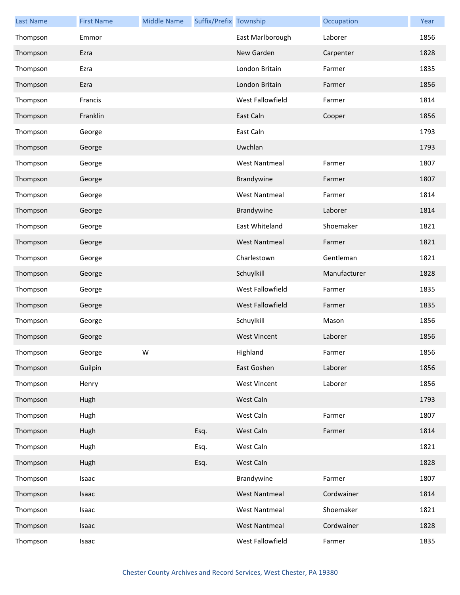| <b>Last Name</b> | <b>First Name</b> | <b>Middle Name</b> | Suffix/Prefix Township |                      | Occupation   | Year |
|------------------|-------------------|--------------------|------------------------|----------------------|--------------|------|
| Thompson         | Emmor             |                    |                        | East Marlborough     | Laborer      | 1856 |
| Thompson         | Ezra              |                    |                        | New Garden           | Carpenter    | 1828 |
| Thompson         | Ezra              |                    |                        | London Britain       | Farmer       | 1835 |
| Thompson         | Ezra              |                    |                        | London Britain       | Farmer       | 1856 |
| Thompson         | Francis           |                    |                        | West Fallowfield     | Farmer       | 1814 |
| Thompson         | Franklin          |                    |                        | East Caln            | Cooper       | 1856 |
| Thompson         | George            |                    |                        | East Caln            |              | 1793 |
| Thompson         | George            |                    |                        | Uwchlan              |              | 1793 |
| Thompson         | George            |                    |                        | <b>West Nantmeal</b> | Farmer       | 1807 |
| Thompson         | George            |                    |                        | Brandywine           | Farmer       | 1807 |
| Thompson         | George            |                    |                        | <b>West Nantmeal</b> | Farmer       | 1814 |
| Thompson         | George            |                    |                        | Brandywine           | Laborer      | 1814 |
| Thompson         | George            |                    |                        | East Whiteland       | Shoemaker    | 1821 |
| Thompson         | George            |                    |                        | <b>West Nantmeal</b> | Farmer       | 1821 |
| Thompson         | George            |                    |                        | Charlestown          | Gentleman    | 1821 |
| Thompson         | George            |                    |                        | Schuylkill           | Manufacturer | 1828 |
| Thompson         | George            |                    |                        | West Fallowfield     | Farmer       | 1835 |
| Thompson         | George            |                    |                        | West Fallowfield     | Farmer       | 1835 |
| Thompson         | George            |                    |                        | Schuylkill           | Mason        | 1856 |
| Thompson         | George            |                    |                        | <b>West Vincent</b>  | Laborer      | 1856 |
| Thompson         | George            | W                  |                        | Highland             | Farmer       | 1856 |
| Thompson         | Guilpin           |                    |                        | East Goshen          | Laborer      | 1856 |
| Thompson         | Henry             |                    |                        | <b>West Vincent</b>  | Laborer      | 1856 |
| Thompson         | Hugh              |                    |                        | West Caln            |              | 1793 |
| Thompson         | Hugh              |                    |                        | West Caln            | Farmer       | 1807 |
| Thompson         | Hugh              |                    | Esq.                   | West Caln            | Farmer       | 1814 |
| Thompson         | Hugh              |                    | Esq.                   | West Caln            |              | 1821 |
| Thompson         | Hugh              |                    | Esq.                   | West Caln            |              | 1828 |
| Thompson         | Isaac             |                    |                        | Brandywine           | Farmer       | 1807 |
| Thompson         | Isaac             |                    |                        | <b>West Nantmeal</b> | Cordwainer   | 1814 |
| Thompson         | Isaac             |                    |                        | <b>West Nantmeal</b> | Shoemaker    | 1821 |
| Thompson         | Isaac             |                    |                        | <b>West Nantmeal</b> | Cordwainer   | 1828 |
| Thompson         | Isaac             |                    |                        | West Fallowfield     | Farmer       | 1835 |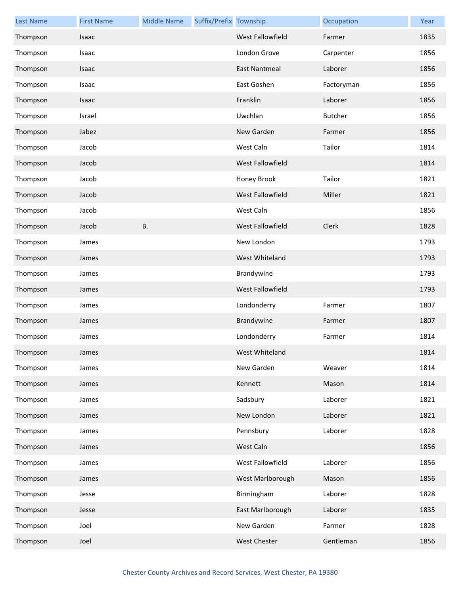| <b>Last Name</b> | <b>First Name</b> | <b>Middle Name</b> | Suffix/Prefix Township |                      | Occupation     | Year |
|------------------|-------------------|--------------------|------------------------|----------------------|----------------|------|
| Thompson         | Isaac             |                    |                        | West Fallowfield     | Farmer         | 1835 |
| Thompson         | Isaac             |                    |                        | London Grove         | Carpenter      | 1856 |
| Thompson         | Isaac             |                    |                        | <b>East Nantmeal</b> | Laborer        | 1856 |
| Thompson         | Isaac             |                    |                        | East Goshen          | Factoryman     | 1856 |
| Thompson         | Isaac             |                    |                        | Franklin             | Laborer        | 1856 |
| Thompson         | Israel            |                    |                        | Uwchlan              | <b>Butcher</b> | 1856 |
| Thompson         | Jabez             |                    |                        | New Garden           | Farmer         | 1856 |
| Thompson         | Jacob             |                    |                        | West Caln            | Tailor         | 1814 |
| Thompson         | Jacob             |                    |                        | West Fallowfield     |                | 1814 |
| Thompson         | Jacob             |                    |                        | Honey Brook          | Tailor         | 1821 |
| Thompson         | Jacob             |                    |                        | West Fallowfield     | Miller         | 1821 |
| Thompson         | Jacob             |                    |                        | West Caln            |                | 1856 |
| Thompson         | Jacob             | <b>B.</b>          |                        | West Fallowfield     | Clerk          | 1828 |
| Thompson         | James             |                    |                        | New London           |                | 1793 |
| Thompson         | James             |                    |                        | West Whiteland       |                | 1793 |
| Thompson         | James             |                    |                        | Brandywine           |                | 1793 |
| Thompson         | James             |                    |                        | West Fallowfield     |                | 1793 |
| Thompson         | James             |                    |                        | Londonderry          | Farmer         | 1807 |
| Thompson         | James             |                    |                        | Brandywine           | Farmer         | 1807 |
| Thompson         | James             |                    |                        | Londonderry          | Farmer         | 1814 |
| Thompson         | James             |                    |                        | West Whiteland       |                | 1814 |
| Thompson         | James             |                    |                        | New Garden           | Weaver         | 1814 |
| Thompson         | James             |                    |                        | Kennett              | Mason          | 1814 |
| Thompson         | James             |                    |                        | Sadsbury             | Laborer        | 1821 |
| Thompson         | James             |                    |                        | New London           | Laborer        | 1821 |
| Thompson         | James             |                    |                        | Pennsbury            | Laborer        | 1828 |
| Thompson         | James             |                    |                        | West Caln            |                | 1856 |
| Thompson         | James             |                    |                        | West Fallowfield     | Laborer        | 1856 |
| Thompson         | James             |                    |                        | West Marlborough     | Mason          | 1856 |
| Thompson         | Jesse             |                    |                        | Birmingham           | Laborer        | 1828 |
| Thompson         | Jesse             |                    |                        | East Marlborough     | Laborer        | 1835 |
| Thompson         | Joel              |                    |                        | New Garden           | Farmer         | 1828 |
| Thompson         | Joel              |                    |                        | West Chester         | Gentleman      | 1856 |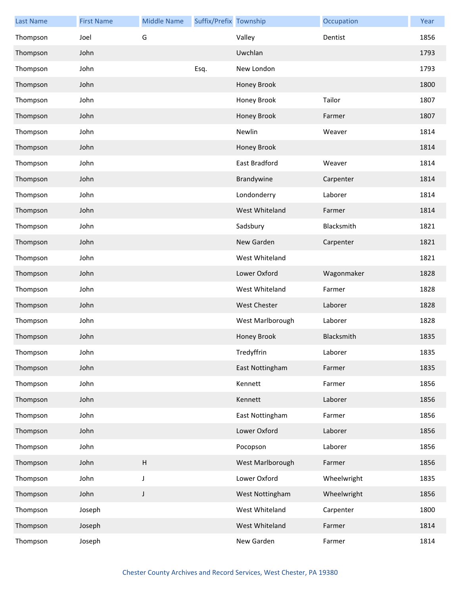| <b>Last Name</b> | <b>First Name</b> | <b>Middle Name</b>        | Suffix/Prefix Township |                     | Occupation  | Year |
|------------------|-------------------|---------------------------|------------------------|---------------------|-------------|------|
| Thompson         | Joel              | G                         |                        | Valley              | Dentist     | 1856 |
| Thompson         | John              |                           |                        | Uwchlan             |             | 1793 |
| Thompson         | John              |                           | Esq.                   | New London          |             | 1793 |
| Thompson         | John              |                           |                        | Honey Brook         |             | 1800 |
| Thompson         | John              |                           |                        | Honey Brook         | Tailor      | 1807 |
| Thompson         | John              |                           |                        | Honey Brook         | Farmer      | 1807 |
| Thompson         | John              |                           |                        | Newlin              | Weaver      | 1814 |
| Thompson         | John              |                           |                        | Honey Brook         |             | 1814 |
| Thompson         | John              |                           |                        | East Bradford       | Weaver      | 1814 |
| Thompson         | John              |                           |                        | Brandywine          | Carpenter   | 1814 |
| Thompson         | John              |                           |                        | Londonderry         | Laborer     | 1814 |
| Thompson         | John              |                           |                        | West Whiteland      | Farmer      | 1814 |
| Thompson         | John              |                           |                        | Sadsbury            | Blacksmith  | 1821 |
| Thompson         | John              |                           |                        | New Garden          | Carpenter   | 1821 |
| Thompson         | John              |                           |                        | West Whiteland      |             | 1821 |
| Thompson         | John              |                           |                        | Lower Oxford        | Wagonmaker  | 1828 |
| Thompson         | John              |                           |                        | West Whiteland      | Farmer      | 1828 |
| Thompson         | John              |                           |                        | <b>West Chester</b> | Laborer     | 1828 |
| Thompson         | John              |                           |                        | West Marlborough    | Laborer     | 1828 |
| Thompson         | John              |                           |                        | Honey Brook         | Blacksmith  | 1835 |
| Thompson         | John              |                           |                        | Tredyffrin          | Laborer     | 1835 |
| Thompson         | John              |                           |                        | East Nottingham     | Farmer      | 1835 |
| Thompson         | John              |                           |                        | Kennett             | Farmer      | 1856 |
| Thompson         | John              |                           |                        | Kennett             | Laborer     | 1856 |
| Thompson         | John              |                           |                        | East Nottingham     | Farmer      | 1856 |
| Thompson         | John              |                           |                        | Lower Oxford        | Laborer     | 1856 |
| Thompson         | John              |                           |                        | Pocopson            | Laborer     | 1856 |
| Thompson         | John              | $\boldsymbol{\mathsf{H}}$ |                        | West Marlborough    | Farmer      | 1856 |
| Thompson         | John              | J                         |                        | Lower Oxford        | Wheelwright | 1835 |
| Thompson         | John              | $\mathsf J$               |                        | West Nottingham     | Wheelwright | 1856 |
| Thompson         | Joseph            |                           |                        | West Whiteland      | Carpenter   | 1800 |
| Thompson         | Joseph            |                           |                        | West Whiteland      | Farmer      | 1814 |
| Thompson         | Joseph            |                           |                        | New Garden          | Farmer      | 1814 |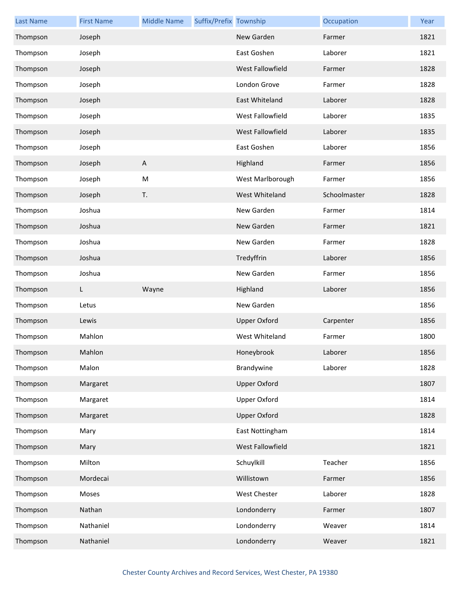| <b>Last Name</b> | <b>First Name</b> | <b>Middle Name</b>        | Suffix/Prefix Township |                     | Occupation   | Year |
|------------------|-------------------|---------------------------|------------------------|---------------------|--------------|------|
| Thompson         | Joseph            |                           |                        | New Garden          | Farmer       | 1821 |
| Thompson         | Joseph            |                           |                        | East Goshen         | Laborer      | 1821 |
| Thompson         | Joseph            |                           |                        | West Fallowfield    | Farmer       | 1828 |
| Thompson         | Joseph            |                           |                        | London Grove        | Farmer       | 1828 |
| Thompson         | Joseph            |                           |                        | East Whiteland      | Laborer      | 1828 |
| Thompson         | Joseph            |                           |                        | West Fallowfield    | Laborer      | 1835 |
| Thompson         | Joseph            |                           |                        | West Fallowfield    | Laborer      | 1835 |
| Thompson         | Joseph            |                           |                        | East Goshen         | Laborer      | 1856 |
| Thompson         | Joseph            | $\boldsymbol{\mathsf{A}}$ |                        | Highland            | Farmer       | 1856 |
| Thompson         | Joseph            | M                         |                        | West Marlborough    | Farmer       | 1856 |
| Thompson         | Joseph            | T.                        |                        | West Whiteland      | Schoolmaster | 1828 |
| Thompson         | Joshua            |                           |                        | New Garden          | Farmer       | 1814 |
| Thompson         | Joshua            |                           |                        | New Garden          | Farmer       | 1821 |
| Thompson         | Joshua            |                           |                        | New Garden          | Farmer       | 1828 |
| Thompson         | Joshua            |                           |                        | Tredyffrin          | Laborer      | 1856 |
| Thompson         | Joshua            |                           |                        | New Garden          | Farmer       | 1856 |
| Thompson         | L.                | Wayne                     |                        | Highland            | Laborer      | 1856 |
| Thompson         | Letus             |                           |                        | New Garden          |              | 1856 |
| Thompson         | Lewis             |                           |                        | <b>Upper Oxford</b> | Carpenter    | 1856 |
| Thompson         | Mahlon            |                           |                        | West Whiteland      | Farmer       | 1800 |
| Thompson         | Mahlon            |                           |                        | Honeybrook          | Laborer      | 1856 |
| Thompson         | Malon             |                           |                        | Brandywine          | Laborer      | 1828 |
| Thompson         | Margaret          |                           |                        | <b>Upper Oxford</b> |              | 1807 |
| Thompson         | Margaret          |                           |                        | <b>Upper Oxford</b> |              | 1814 |
| Thompson         | Margaret          |                           |                        | <b>Upper Oxford</b> |              | 1828 |
| Thompson         | Mary              |                           |                        | East Nottingham     |              | 1814 |
| Thompson         | Mary              |                           |                        | West Fallowfield    |              | 1821 |
| Thompson         | Milton            |                           |                        | Schuylkill          | Teacher      | 1856 |
| Thompson         | Mordecai          |                           |                        | Willistown          | Farmer       | 1856 |
| Thompson         | Moses             |                           |                        | West Chester        | Laborer      | 1828 |
| Thompson         | Nathan            |                           |                        | Londonderry         | Farmer       | 1807 |
| Thompson         |                   |                           |                        |                     |              | 1814 |
|                  | Nathaniel         |                           |                        | Londonderry         | Weaver       |      |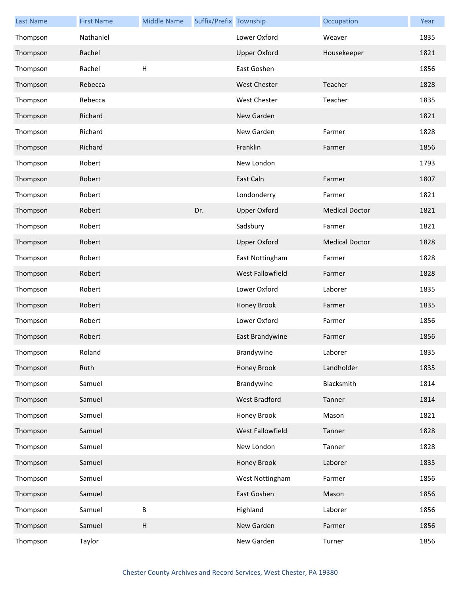| <b>Last Name</b> | <b>First Name</b> | <b>Middle Name</b> | Suffix/Prefix Township |                     | Occupation            | Year |
|------------------|-------------------|--------------------|------------------------|---------------------|-----------------------|------|
| Thompson         | Nathaniel         |                    |                        | Lower Oxford        | Weaver                | 1835 |
| Thompson         | Rachel            |                    |                        | <b>Upper Oxford</b> | Housekeeper           | 1821 |
| Thompson         | Rachel            | Н                  |                        | East Goshen         |                       | 1856 |
| Thompson         | Rebecca           |                    |                        | <b>West Chester</b> | Teacher               | 1828 |
| Thompson         | Rebecca           |                    |                        | <b>West Chester</b> | Teacher               | 1835 |
| Thompson         | Richard           |                    |                        | New Garden          |                       | 1821 |
| Thompson         | Richard           |                    |                        | New Garden          | Farmer                | 1828 |
| Thompson         | Richard           |                    |                        | Franklin            | Farmer                | 1856 |
| Thompson         | Robert            |                    |                        | New London          |                       | 1793 |
| Thompson         | Robert            |                    |                        | East Caln           | Farmer                | 1807 |
| Thompson         | Robert            |                    |                        | Londonderry         | Farmer                | 1821 |
| Thompson         | Robert            |                    | Dr.                    | <b>Upper Oxford</b> | <b>Medical Doctor</b> | 1821 |
| Thompson         | Robert            |                    |                        | Sadsbury            | Farmer                | 1821 |
| Thompson         | Robert            |                    |                        | <b>Upper Oxford</b> | <b>Medical Doctor</b> | 1828 |
| Thompson         | Robert            |                    |                        | East Nottingham     | Farmer                | 1828 |
| Thompson         | Robert            |                    |                        | West Fallowfield    | Farmer                | 1828 |
| Thompson         | Robert            |                    |                        | Lower Oxford        | Laborer               | 1835 |
| Thompson         | Robert            |                    |                        | Honey Brook         | Farmer                | 1835 |
| Thompson         | Robert            |                    |                        | Lower Oxford        | Farmer                | 1856 |
| Thompson         | Robert            |                    |                        | East Brandywine     | Farmer                | 1856 |
| Thompson         | Roland            |                    |                        | Brandywine          | Laborer               | 1835 |
| Thompson         | Ruth              |                    |                        | Honey Brook         | Landholder            | 1835 |
| Thompson         | Samuel            |                    |                        | Brandywine          | Blacksmith            | 1814 |
| Thompson         | Samuel            |                    |                        | West Bradford       | Tanner                | 1814 |
| Thompson         | Samuel            |                    |                        | Honey Brook         | Mason                 | 1821 |
| Thompson         | Samuel            |                    |                        | West Fallowfield    | Tanner                | 1828 |
| Thompson         | Samuel            |                    |                        | New London          | Tanner                | 1828 |
| Thompson         | Samuel            |                    |                        | Honey Brook         | Laborer               | 1835 |
| Thompson         | Samuel            |                    |                        | West Nottingham     | Farmer                | 1856 |
| Thompson         | Samuel            |                    |                        | East Goshen         | Mason                 | 1856 |
| Thompson         | Samuel            | B                  |                        | Highland            | Laborer               | 1856 |
| Thompson         | Samuel            | Н                  |                        | New Garden          | Farmer                | 1856 |
| Thompson         | Taylor            |                    |                        | New Garden          | Turner                | 1856 |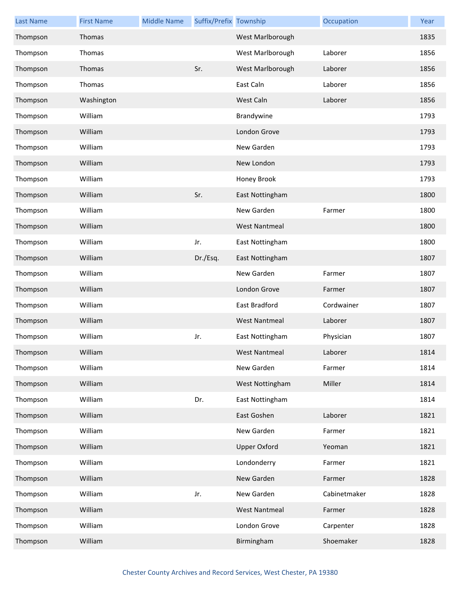| <b>Last Name</b> | <b>First Name</b> | <b>Middle Name</b> | Suffix/Prefix Township |                      | Occupation   | Year |
|------------------|-------------------|--------------------|------------------------|----------------------|--------------|------|
| Thompson         | Thomas            |                    |                        | West Marlborough     |              | 1835 |
| Thompson         | Thomas            |                    |                        | West Marlborough     | Laborer      | 1856 |
| Thompson         | Thomas            |                    | Sr.                    | West Marlborough     | Laborer      | 1856 |
| Thompson         | Thomas            |                    |                        | East Caln            | Laborer      | 1856 |
| Thompson         | Washington        |                    |                        | West Caln            | Laborer      | 1856 |
| Thompson         | William           |                    |                        | Brandywine           |              | 1793 |
| Thompson         | William           |                    |                        | London Grove         |              | 1793 |
| Thompson         | William           |                    |                        | New Garden           |              | 1793 |
| Thompson         | William           |                    |                        | New London           |              | 1793 |
| Thompson         | William           |                    |                        | Honey Brook          |              | 1793 |
| Thompson         | William           |                    | Sr.                    | East Nottingham      |              | 1800 |
| Thompson         | William           |                    |                        | New Garden           | Farmer       | 1800 |
| Thompson         | William           |                    |                        | <b>West Nantmeal</b> |              | 1800 |
| Thompson         | William           |                    | Jr.                    | East Nottingham      |              | 1800 |
| Thompson         | William           |                    | Dr./Esq.               | East Nottingham      |              | 1807 |
| Thompson         | William           |                    |                        | New Garden           | Farmer       | 1807 |
| Thompson         | William           |                    |                        | London Grove         | Farmer       | 1807 |
| Thompson         | William           |                    |                        | East Bradford        | Cordwainer   | 1807 |
| Thompson         | William           |                    |                        | <b>West Nantmeal</b> | Laborer      | 1807 |
| Thompson         | William           |                    | Jr.                    | East Nottingham      | Physician    | 1807 |
| Thompson         | William           |                    |                        | West Nantmeal        | Laborer      | 1814 |
| Thompson         | William           |                    |                        | New Garden           | Farmer       | 1814 |
| Thompson         | William           |                    |                        | West Nottingham      | Miller       | 1814 |
| Thompson         | William           |                    | Dr.                    | East Nottingham      |              | 1814 |
| Thompson         | William           |                    |                        | East Goshen          | Laborer      | 1821 |
| Thompson         | William           |                    |                        | New Garden           | Farmer       | 1821 |
| Thompson         | William           |                    |                        | <b>Upper Oxford</b>  | Yeoman       | 1821 |
| Thompson         | William           |                    |                        | Londonderry          | Farmer       | 1821 |
| Thompson         | William           |                    |                        | New Garden           | Farmer       | 1828 |
| Thompson         | William           |                    | Jr.                    | New Garden           | Cabinetmaker | 1828 |
| Thompson         | William           |                    |                        | <b>West Nantmeal</b> | Farmer       | 1828 |
| Thompson         | William           |                    |                        | London Grove         | Carpenter    | 1828 |
| Thompson         | William           |                    |                        | Birmingham           | Shoemaker    | 1828 |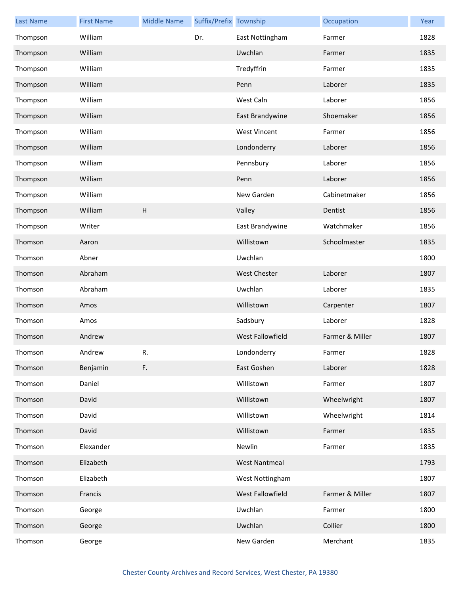| <b>Last Name</b> | <b>First Name</b> | <b>Middle Name</b> | Suffix/Prefix Township |                      | Occupation      | Year |
|------------------|-------------------|--------------------|------------------------|----------------------|-----------------|------|
| Thompson         | William           |                    | Dr.                    | East Nottingham      | Farmer          | 1828 |
| Thompson         | William           |                    |                        | Uwchlan              | Farmer          | 1835 |
| Thompson         | William           |                    |                        | Tredyffrin           | Farmer          | 1835 |
| Thompson         | William           |                    |                        | Penn                 | Laborer         | 1835 |
| Thompson         | William           |                    |                        | West Caln            | Laborer         | 1856 |
| Thompson         | William           |                    |                        | East Brandywine      | Shoemaker       | 1856 |
| Thompson         | William           |                    |                        | <b>West Vincent</b>  | Farmer          | 1856 |
| Thompson         | William           |                    |                        | Londonderry          | Laborer         | 1856 |
| Thompson         | William           |                    |                        | Pennsbury            | Laborer         | 1856 |
| Thompson         | William           |                    |                        | Penn                 | Laborer         | 1856 |
| Thompson         | William           |                    |                        | New Garden           | Cabinetmaker    | 1856 |
| Thompson         | William           | Н                  |                        | Valley               | Dentist         | 1856 |
| Thompson         | Writer            |                    |                        | East Brandywine      | Watchmaker      | 1856 |
| Thomson          | Aaron             |                    |                        | Willistown           | Schoolmaster    | 1835 |
| Thomson          | Abner             |                    |                        | Uwchlan              |                 | 1800 |
| Thomson          | Abraham           |                    |                        | <b>West Chester</b>  | Laborer         | 1807 |
| Thomson          | Abraham           |                    |                        | Uwchlan              | Laborer         | 1835 |
| Thomson          | Amos              |                    |                        | Willistown           | Carpenter       | 1807 |
| Thomson          | Amos              |                    |                        | Sadsbury             | Laborer         | 1828 |
| Thomson          | Andrew            |                    |                        | West Fallowfield     | Farmer & Miller | 1807 |
| Thomson          | Andrew            | R.                 |                        | Londonderry          | Farmer          | 1828 |
| Thomson          | Benjamin          | F.                 |                        | East Goshen          | Laborer         | 1828 |
| Thomson          | Daniel            |                    |                        | Willistown           | Farmer          | 1807 |
| Thomson          | David             |                    |                        | Willistown           | Wheelwright     | 1807 |
| Thomson          | David             |                    |                        | Willistown           | Wheelwright     | 1814 |
| Thomson          | David             |                    |                        | Willistown           | Farmer          | 1835 |
| Thomson          | Elexander         |                    |                        | Newlin               | Farmer          | 1835 |
| Thomson          | Elizabeth         |                    |                        | <b>West Nantmeal</b> |                 | 1793 |
| Thomson          | Elizabeth         |                    |                        | West Nottingham      |                 | 1807 |
| Thomson          | Francis           |                    |                        | West Fallowfield     | Farmer & Miller | 1807 |
| Thomson          | George            |                    |                        | Uwchlan              | Farmer          | 1800 |
| Thomson          | George            |                    |                        | Uwchlan              | Collier         | 1800 |
| Thomson          | George            |                    |                        | New Garden           | Merchant        | 1835 |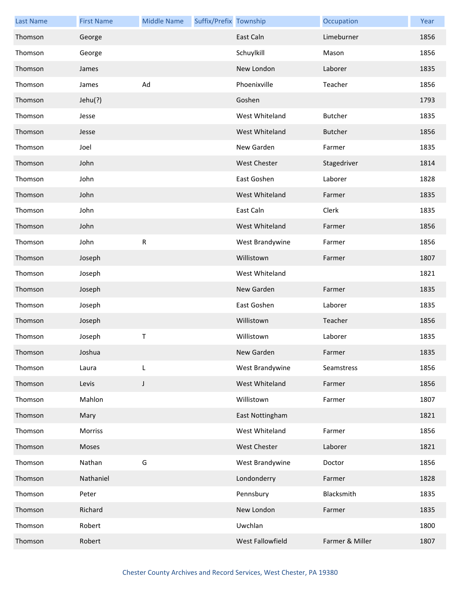| <b>Last Name</b> | <b>First Name</b> | <b>Middle Name</b> | Suffix/Prefix Township |                     | Occupation      | Year |
|------------------|-------------------|--------------------|------------------------|---------------------|-----------------|------|
| Thomson          | George            |                    |                        | East Caln           | Limeburner      | 1856 |
| Thomson          | George            |                    |                        | Schuylkill          | Mason           | 1856 |
| Thomson          | James             |                    |                        | New London          | Laborer         | 1835 |
| Thomson          | James             | Ad                 |                        | Phoenixville        | Teacher         | 1856 |
| Thomson          | Jehu(?)           |                    |                        | Goshen              |                 | 1793 |
| Thomson          | Jesse             |                    |                        | West Whiteland      | <b>Butcher</b>  | 1835 |
| Thomson          | Jesse             |                    |                        | West Whiteland      | <b>Butcher</b>  | 1856 |
| Thomson          | Joel              |                    |                        | New Garden          | Farmer          | 1835 |
| Thomson          | John              |                    |                        | <b>West Chester</b> | Stagedriver     | 1814 |
| Thomson          | John              |                    |                        | East Goshen         | Laborer         | 1828 |
| Thomson          | John              |                    |                        | West Whiteland      | Farmer          | 1835 |
| Thomson          | John              |                    |                        | East Caln           | Clerk           | 1835 |
| Thomson          | John              |                    |                        | West Whiteland      | Farmer          | 1856 |
| Thomson          | John              | ${\sf R}$          |                        | West Brandywine     | Farmer          | 1856 |
| Thomson          | Joseph            |                    |                        | Willistown          | Farmer          | 1807 |
| Thomson          | Joseph            |                    |                        | West Whiteland      |                 | 1821 |
| Thomson          | Joseph            |                    |                        | New Garden          | Farmer          | 1835 |
| Thomson          | Joseph            |                    |                        | East Goshen         | Laborer         | 1835 |
| Thomson          | Joseph            |                    |                        | Willistown          | Teacher         | 1856 |
| Thomson          | Joseph            | $\sf T$            |                        | Willistown          | Laborer         | 1835 |
| Thomson          | Joshua            |                    |                        | New Garden          | Farmer          | 1835 |
| Thomson          | Laura             | L                  |                        | West Brandywine     | Seamstress      | 1856 |
| Thomson          | Levis             | J                  |                        | West Whiteland      | Farmer          | 1856 |
| Thomson          | Mahlon            |                    |                        | Willistown          | Farmer          | 1807 |
| Thomson          | Mary              |                    |                        | East Nottingham     |                 | 1821 |
| Thomson          | Morriss           |                    |                        | West Whiteland      | Farmer          | 1856 |
| Thomson          | Moses             |                    |                        | West Chester        | Laborer         | 1821 |
| Thomson          | Nathan            | G                  |                        | West Brandywine     | Doctor          | 1856 |
| Thomson          | Nathaniel         |                    |                        | Londonderry         | Farmer          | 1828 |
| Thomson          | Peter             |                    |                        | Pennsbury           | Blacksmith      | 1835 |
| Thomson          | Richard           |                    |                        | New London          | Farmer          | 1835 |
| Thomson          | Robert            |                    |                        | Uwchlan             |                 | 1800 |
| Thomson          | Robert            |                    |                        | West Fallowfield    | Farmer & Miller | 1807 |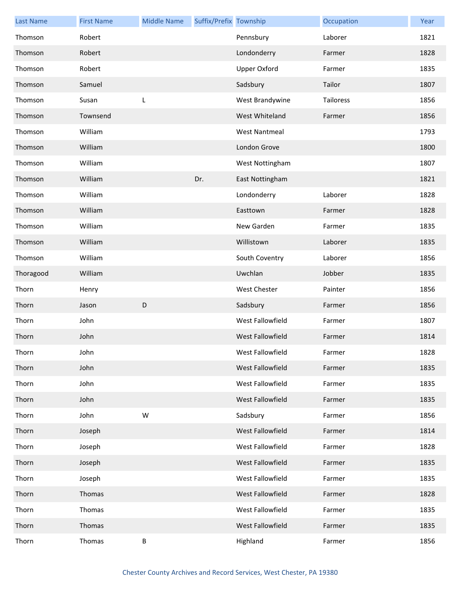| <b>Last Name</b> | <b>First Name</b> | <b>Middle Name</b> | Suffix/Prefix Township |                      | Occupation | Year |
|------------------|-------------------|--------------------|------------------------|----------------------|------------|------|
| Thomson          | Robert            |                    |                        | Pennsbury            | Laborer    | 1821 |
| Thomson          | Robert            |                    |                        | Londonderry          | Farmer     | 1828 |
| Thomson          | Robert            |                    |                        | <b>Upper Oxford</b>  | Farmer     | 1835 |
| Thomson          | Samuel            |                    |                        | Sadsbury             | Tailor     | 1807 |
| Thomson          | Susan             | L                  |                        | West Brandywine      | Tailoress  | 1856 |
| Thomson          | Townsend          |                    |                        | West Whiteland       | Farmer     | 1856 |
| Thomson          | William           |                    |                        | <b>West Nantmeal</b> |            | 1793 |
| Thomson          | William           |                    |                        | London Grove         |            | 1800 |
| Thomson          | William           |                    |                        | West Nottingham      |            | 1807 |
| Thomson          | William           |                    | Dr.                    | East Nottingham      |            | 1821 |
| Thomson          | William           |                    |                        | Londonderry          | Laborer    | 1828 |
| Thomson          | William           |                    |                        | Easttown             | Farmer     | 1828 |
| Thomson          | William           |                    |                        | New Garden           | Farmer     | 1835 |
| Thomson          | William           |                    |                        | Willistown           | Laborer    | 1835 |
| Thomson          | William           |                    |                        | South Coventry       | Laborer    | 1856 |
| Thoragood        | William           |                    |                        | Uwchlan              | Jobber     | 1835 |
| Thorn            | Henry             |                    |                        | <b>West Chester</b>  | Painter    | 1856 |
| Thorn            | Jason             | D                  |                        | Sadsbury             | Farmer     | 1856 |
| Thorn            | John              |                    |                        | West Fallowfield     | Farmer     | 1807 |
| Thorn            | John              |                    |                        | West Fallowfield     | Farmer     | 1814 |
| Thorn            | John              |                    |                        | West Fallowfield     | Farmer     | 1828 |
| Thorn            | John              |                    |                        | West Fallowfield     | Farmer     | 1835 |
| Thorn            | John              |                    |                        | West Fallowfield     | Farmer     | 1835 |
| Thorn            | John              |                    |                        | West Fallowfield     | Farmer     | 1835 |
| Thorn            | John              | W                  |                        | Sadsbury             | Farmer     | 1856 |
| Thorn            | Joseph            |                    |                        | West Fallowfield     | Farmer     | 1814 |
| Thorn            | Joseph            |                    |                        | West Fallowfield     | Farmer     | 1828 |
| Thorn            | Joseph            |                    |                        | West Fallowfield     | Farmer     | 1835 |
| Thorn            | Joseph            |                    |                        | West Fallowfield     | Farmer     | 1835 |
| Thorn            | Thomas            |                    |                        | West Fallowfield     | Farmer     | 1828 |
| Thorn            | Thomas            |                    |                        | West Fallowfield     | Farmer     | 1835 |
| Thorn            | Thomas            |                    |                        | West Fallowfield     | Farmer     | 1835 |
| Thorn            | Thomas            | B                  |                        | Highland             | Farmer     | 1856 |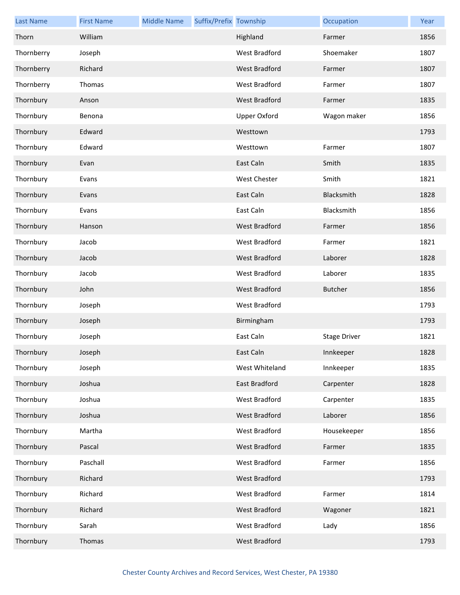| <b>Last Name</b> | <b>First Name</b> | <b>Middle Name</b> | Suffix/Prefix Township |                      | Occupation          | Year |
|------------------|-------------------|--------------------|------------------------|----------------------|---------------------|------|
| Thorn            | William           |                    |                        | Highland             | Farmer              | 1856 |
| Thornberry       | Joseph            |                    |                        | <b>West Bradford</b> | Shoemaker           | 1807 |
| Thornberry       | Richard           |                    |                        | <b>West Bradford</b> | Farmer              | 1807 |
| Thornberry       | Thomas            |                    |                        | West Bradford        | Farmer              | 1807 |
| Thornbury        | Anson             |                    |                        | <b>West Bradford</b> | Farmer              | 1835 |
| Thornbury        | Benona            |                    |                        | <b>Upper Oxford</b>  | Wagon maker         | 1856 |
| Thornbury        | Edward            |                    |                        | Westtown             |                     | 1793 |
| Thornbury        | Edward            |                    |                        | Westtown             | Farmer              | 1807 |
| Thornbury        | Evan              |                    |                        | East Caln            | Smith               | 1835 |
| Thornbury        | Evans             |                    |                        | <b>West Chester</b>  | Smith               | 1821 |
| Thornbury        | Evans             |                    |                        | East Caln            | Blacksmith          | 1828 |
| Thornbury        | Evans             |                    |                        | East Caln            | Blacksmith          | 1856 |
| Thornbury        | Hanson            |                    |                        | <b>West Bradford</b> | Farmer              | 1856 |
| Thornbury        | Jacob             |                    |                        | West Bradford        | Farmer              | 1821 |
| Thornbury        | Jacob             |                    |                        | <b>West Bradford</b> | Laborer             | 1828 |
| Thornbury        | Jacob             |                    |                        | West Bradford        | Laborer             | 1835 |
| Thornbury        | John              |                    |                        | <b>West Bradford</b> | <b>Butcher</b>      | 1856 |
| Thornbury        | Joseph            |                    |                        | West Bradford        |                     | 1793 |
| Thornbury        | Joseph            |                    |                        | Birmingham           |                     | 1793 |
| Thornbury        | Joseph            |                    |                        | East Caln            | <b>Stage Driver</b> | 1821 |
| Thornbury        | Joseph            |                    |                        | East Caln            | Innkeeper           | 1828 |
| Thornbury        | Joseph            |                    |                        | West Whiteland       | Innkeeper           | 1835 |
| Thornbury        | Joshua            |                    |                        | East Bradford        | Carpenter           | 1828 |
| Thornbury        | Joshua            |                    |                        | West Bradford        | Carpenter           | 1835 |
| Thornbury        | Joshua            |                    |                        | West Bradford        | Laborer             | 1856 |
| Thornbury        | Martha            |                    |                        | West Bradford        | Housekeeper         | 1856 |
| Thornbury        | Pascal            |                    |                        | West Bradford        | Farmer              | 1835 |
| Thornbury        | Paschall          |                    |                        | West Bradford        | Farmer              | 1856 |
| Thornbury        | Richard           |                    |                        | West Bradford        |                     | 1793 |
| Thornbury        | Richard           |                    |                        | West Bradford        | Farmer              | 1814 |
| Thornbury        | Richard           |                    |                        | West Bradford        | Wagoner             | 1821 |
| Thornbury        | Sarah             |                    |                        | West Bradford        | Lady                | 1856 |
| Thornbury        | Thomas            |                    |                        | West Bradford        |                     | 1793 |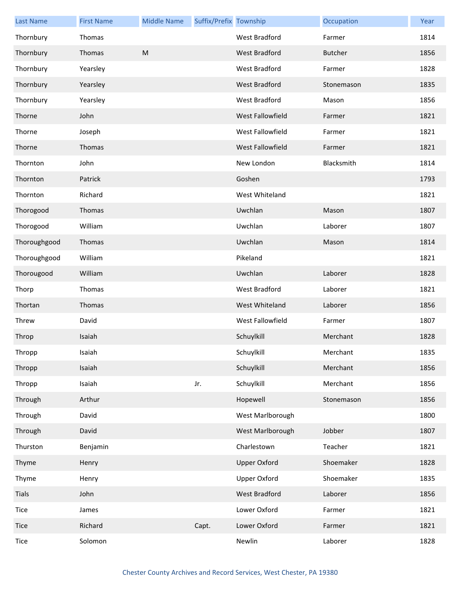| <b>Last Name</b> | <b>First Name</b> | <b>Middle Name</b> | Suffix/Prefix Township |                      | Occupation     | Year |
|------------------|-------------------|--------------------|------------------------|----------------------|----------------|------|
| Thornbury        | Thomas            |                    |                        | <b>West Bradford</b> | Farmer         | 1814 |
| Thornbury        | Thomas            | M                  |                        | West Bradford        | <b>Butcher</b> | 1856 |
| Thornbury        | Yearsley          |                    |                        | <b>West Bradford</b> | Farmer         | 1828 |
| Thornbury        | Yearsley          |                    |                        | <b>West Bradford</b> | Stonemason     | 1835 |
| Thornbury        | Yearsley          |                    |                        | <b>West Bradford</b> | Mason          | 1856 |
| Thorne           | John              |                    |                        | West Fallowfield     | Farmer         | 1821 |
| Thorne           | Joseph            |                    |                        | West Fallowfield     | Farmer         | 1821 |
| Thorne           | Thomas            |                    |                        | West Fallowfield     | Farmer         | 1821 |
| Thornton         | John              |                    |                        | New London           | Blacksmith     | 1814 |
| Thornton         | Patrick           |                    |                        | Goshen               |                | 1793 |
| Thornton         | Richard           |                    |                        | West Whiteland       |                | 1821 |
| Thorogood        | Thomas            |                    |                        | Uwchlan              | Mason          | 1807 |
| Thorogood        | William           |                    |                        | Uwchlan              | Laborer        | 1807 |
| Thoroughgood     | Thomas            |                    |                        | Uwchlan              | Mason          | 1814 |
| Thoroughgood     | William           |                    |                        | Pikeland             |                | 1821 |
| Thorougood       | William           |                    |                        | Uwchlan              | Laborer        | 1828 |
| Thorp            | Thomas            |                    |                        | West Bradford        | Laborer        | 1821 |
| Thortan          | Thomas            |                    |                        | West Whiteland       | Laborer        | 1856 |
| Threw            | David             |                    |                        | West Fallowfield     | Farmer         | 1807 |
| Throp            | Isaiah            |                    |                        | Schuylkill           | Merchant       | 1828 |
| Thropp           | Isaiah            |                    |                        | Schuylkill           | Merchant       | 1835 |
| Thropp           | Isaiah            |                    |                        | Schuylkill           | Merchant       | 1856 |
| Thropp           | Isaiah            |                    | Jr.                    | Schuylkill           | Merchant       | 1856 |
| Through          | Arthur            |                    |                        | Hopewell             | Stonemason     | 1856 |
| Through          | David             |                    |                        | West Marlborough     |                | 1800 |
| Through          | David             |                    |                        | West Marlborough     | Jobber         | 1807 |
| Thurston         | Benjamin          |                    |                        | Charlestown          | Teacher        | 1821 |
| Thyme            | Henry             |                    |                        | <b>Upper Oxford</b>  | Shoemaker      | 1828 |
| Thyme            | Henry             |                    |                        | Upper Oxford         | Shoemaker      | 1835 |
| Tials            | John              |                    |                        | West Bradford        | Laborer        | 1856 |
| Tice             | James             |                    |                        | Lower Oxford         | Farmer         | 1821 |
| Tice             | Richard           |                    | Capt.                  | Lower Oxford         | Farmer         | 1821 |
| Tice             | Solomon           |                    |                        | Newlin               | Laborer        | 1828 |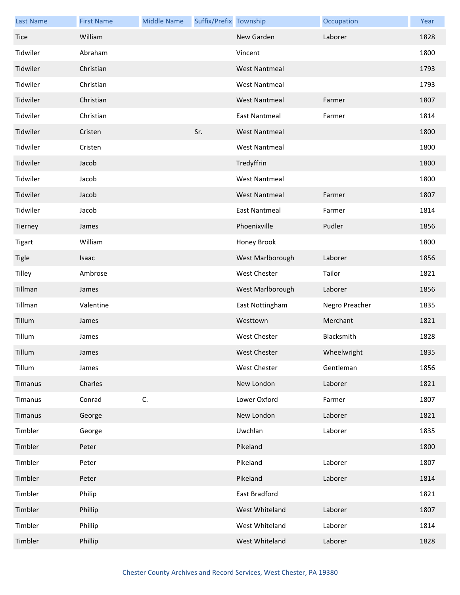| <b>Last Name</b> | <b>First Name</b> | <b>Middle Name</b> | Suffix/Prefix Township |                      | Occupation     | Year |
|------------------|-------------------|--------------------|------------------------|----------------------|----------------|------|
| <b>Tice</b>      | William           |                    |                        | New Garden           | Laborer        | 1828 |
| Tidwiler         | Abraham           |                    |                        | Vincent              |                | 1800 |
| Tidwiler         | Christian         |                    |                        | <b>West Nantmeal</b> |                | 1793 |
| Tidwiler         | Christian         |                    |                        | <b>West Nantmeal</b> |                | 1793 |
| Tidwiler         | Christian         |                    |                        | <b>West Nantmeal</b> | Farmer         | 1807 |
| Tidwiler         | Christian         |                    |                        | <b>East Nantmeal</b> | Farmer         | 1814 |
| Tidwiler         | Cristen           |                    | Sr.                    | <b>West Nantmeal</b> |                | 1800 |
| Tidwiler         | Cristen           |                    |                        | <b>West Nantmeal</b> |                | 1800 |
| Tidwiler         | Jacob             |                    |                        | Tredyffrin           |                | 1800 |
| Tidwiler         | Jacob             |                    |                        | <b>West Nantmeal</b> |                | 1800 |
| Tidwiler         | Jacob             |                    |                        | <b>West Nantmeal</b> | Farmer         | 1807 |
| Tidwiler         | Jacob             |                    |                        | <b>East Nantmeal</b> | Farmer         | 1814 |
| Tierney          | James             |                    |                        | Phoenixville         | Pudler         | 1856 |
| <b>Tigart</b>    | William           |                    |                        | Honey Brook          |                | 1800 |
| <b>Tigle</b>     | Isaac             |                    |                        | West Marlborough     | Laborer        | 1856 |
| Tilley           | Ambrose           |                    |                        | <b>West Chester</b>  | Tailor         | 1821 |
| Tillman          | James             |                    |                        | West Marlborough     | Laborer        | 1856 |
| Tillman          | Valentine         |                    |                        | East Nottingham      | Negro Preacher | 1835 |
| Tillum           | James             |                    |                        | Westtown             | Merchant       | 1821 |
| Tillum           | James             |                    |                        | <b>West Chester</b>  | Blacksmith     | 1828 |
| Tillum           | James             |                    |                        | <b>West Chester</b>  | Wheelwright    | 1835 |
| Tillum           | James             |                    |                        | <b>West Chester</b>  | Gentleman      | 1856 |
| Timanus          | Charles           |                    |                        | New London           | Laborer        | 1821 |
| Timanus          | Conrad            | C.                 |                        | Lower Oxford         | Farmer         | 1807 |
| Timanus          | George            |                    |                        | New London           | Laborer        | 1821 |
| Timbler          | George            |                    |                        | Uwchlan              | Laborer        | 1835 |
| Timbler          | Peter             |                    |                        | Pikeland             |                | 1800 |
| Timbler          | Peter             |                    |                        | Pikeland             | Laborer        | 1807 |
| Timbler          | Peter             |                    |                        | Pikeland             | Laborer        | 1814 |
| Timbler          | Philip            |                    |                        | East Bradford        |                | 1821 |
| Timbler          | Phillip           |                    |                        | West Whiteland       | Laborer        | 1807 |
| Timbler          | Phillip           |                    |                        | West Whiteland       | Laborer        | 1814 |
| Timbler          | Phillip           |                    |                        | West Whiteland       | Laborer        | 1828 |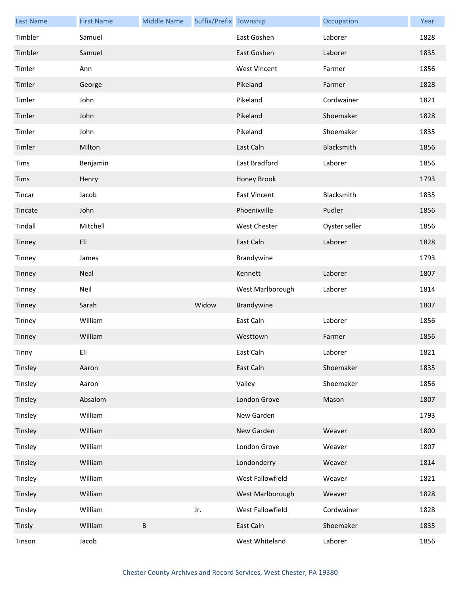| <b>Last Name</b> | <b>First Name</b> | <b>Middle Name</b> | Suffix/Prefix Township |                     | Occupation    | Year |
|------------------|-------------------|--------------------|------------------------|---------------------|---------------|------|
| Timbler          | Samuel            |                    |                        | East Goshen         | Laborer       | 1828 |
| Timbler          | Samuel            |                    |                        | East Goshen         | Laborer       | 1835 |
| Timler           | Ann               |                    |                        | <b>West Vincent</b> | Farmer        | 1856 |
| Timler           | George            |                    |                        | Pikeland            | Farmer        | 1828 |
| Timler           | John              |                    |                        | Pikeland            | Cordwainer    | 1821 |
| Timler           | John              |                    |                        | Pikeland            | Shoemaker     | 1828 |
| Timler           | John              |                    |                        | Pikeland            | Shoemaker     | 1835 |
| Timler           | Milton            |                    |                        | East Caln           | Blacksmith    | 1856 |
| Tims             | Benjamin          |                    |                        | East Bradford       | Laborer       | 1856 |
| Tims             | Henry             |                    |                        | Honey Brook         |               | 1793 |
| Tincar           | Jacob             |                    |                        | <b>East Vincent</b> | Blacksmith    | 1835 |
| Tincate          | John              |                    |                        | Phoenixville        | Pudler        | 1856 |
| Tindall          | Mitchell          |                    |                        | West Chester        | Oyster seller | 1856 |
| Tinney           | Eli               |                    |                        | East Caln           | Laborer       | 1828 |
| Tinney           | James             |                    |                        | Brandywine          |               | 1793 |
| Tinney           | Neal              |                    |                        | Kennett             | Laborer       | 1807 |
| Tinney           | Neil              |                    |                        | West Marlborough    | Laborer       | 1814 |
| Tinney           | Sarah             |                    | Widow                  | Brandywine          |               | 1807 |
| Tinney           | William           |                    |                        | East Caln           | Laborer       | 1856 |
| Tinney           | William           |                    |                        | Westtown            | Farmer        | 1856 |
| Tinny            | Eli               |                    |                        | East Caln           | Laborer       | 1821 |
| Tinsley          | Aaron             |                    |                        | East Caln           | Shoemaker     | 1835 |
| Tinsley          | Aaron             |                    |                        | Valley              | Shoemaker     | 1856 |
| Tinsley          | Absalom           |                    |                        | London Grove        | Mason         | 1807 |
| Tinsley          | William           |                    |                        | New Garden          |               | 1793 |
| Tinsley          | William           |                    |                        | New Garden          | Weaver        | 1800 |
| Tinsley          | William           |                    |                        | London Grove        | Weaver        | 1807 |
| Tinsley          | William           |                    |                        | Londonderry         | Weaver        | 1814 |
| Tinsley          | William           |                    |                        | West Fallowfield    | Weaver        | 1821 |
| Tinsley          | William           |                    |                        | West Marlborough    | Weaver        | 1828 |
| Tinsley          | William           |                    | Jr.                    | West Fallowfield    | Cordwainer    | 1828 |
| Tinsly           | William           | $\sf B$            |                        | East Caln           | Shoemaker     | 1835 |
| Tinson           | Jacob             |                    |                        | West Whiteland      | Laborer       | 1856 |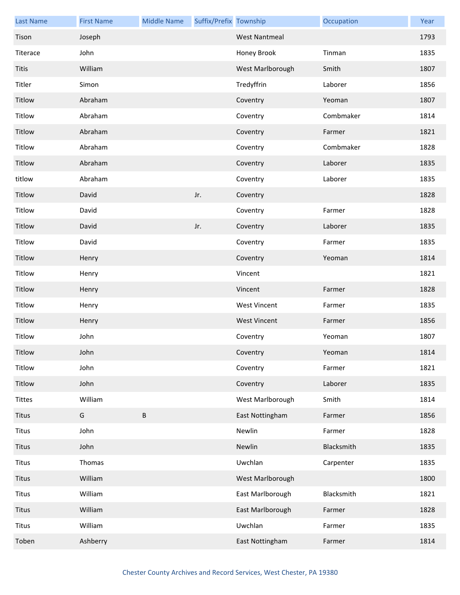| <b>Last Name</b> | <b>First Name</b> | <b>Middle Name</b> | Suffix/Prefix Township |                      | Occupation | Year |
|------------------|-------------------|--------------------|------------------------|----------------------|------------|------|
| Tison            | Joseph            |                    |                        | <b>West Nantmeal</b> |            | 1793 |
| Titerace         | John              |                    |                        | Honey Brook          | Tinman     | 1835 |
| <b>Titis</b>     | William           |                    |                        | West Marlborough     | Smith      | 1807 |
| Titler           | Simon             |                    |                        | Tredyffrin           | Laborer    | 1856 |
| Titlow           | Abraham           |                    |                        | Coventry             | Yeoman     | 1807 |
| Titlow           | Abraham           |                    |                        | Coventry             | Combmaker  | 1814 |
| Titlow           | Abraham           |                    |                        | Coventry             | Farmer     | 1821 |
| Titlow           | Abraham           |                    |                        | Coventry             | Combmaker  | 1828 |
| Titlow           | Abraham           |                    |                        | Coventry             | Laborer    | 1835 |
| titlow           | Abraham           |                    |                        | Coventry             | Laborer    | 1835 |
| Titlow           | David             |                    | Jr.                    | Coventry             |            | 1828 |
| Titlow           | David             |                    |                        | Coventry             | Farmer     | 1828 |
| Titlow           | David             |                    | Jr.                    | Coventry             | Laborer    | 1835 |
| Titlow           | David             |                    |                        | Coventry             | Farmer     | 1835 |
| Titlow           | Henry             |                    |                        | Coventry             | Yeoman     | 1814 |
| Titlow           | Henry             |                    |                        | Vincent              |            | 1821 |
| Titlow           | Henry             |                    |                        | Vincent              | Farmer     | 1828 |
| Titlow           | Henry             |                    |                        | <b>West Vincent</b>  | Farmer     | 1835 |
| Titlow           | Henry             |                    |                        | <b>West Vincent</b>  | Farmer     | 1856 |
| Titlow           | John              |                    |                        | Coventry             | Yeoman     | 1807 |
| Titlow           | John              |                    |                        | Coventry             | Yeoman     | 1814 |
| Titlow           | John              |                    |                        | Coventry             | Farmer     | 1821 |
| Titlow           | John              |                    |                        | Coventry             | Laborer    | 1835 |
| <b>Tittes</b>    | William           |                    |                        | West Marlborough     | Smith      | 1814 |
| Titus            | G                 | $\sf B$            |                        | East Nottingham      | Farmer     | 1856 |
| Titus            | John              |                    |                        | Newlin               | Farmer     | 1828 |
| Titus            | John              |                    |                        | Newlin               | Blacksmith | 1835 |
| Titus            | Thomas            |                    |                        | Uwchlan              | Carpenter  | 1835 |
| Titus            | William           |                    |                        | West Marlborough     |            | 1800 |
| Titus            | William           |                    |                        | East Marlborough     | Blacksmith | 1821 |
| Titus            | William           |                    |                        | East Marlborough     | Farmer     | 1828 |
| Titus            | William           |                    |                        | Uwchlan              | Farmer     | 1835 |
| Toben            | Ashberry          |                    |                        | East Nottingham      | Farmer     | 1814 |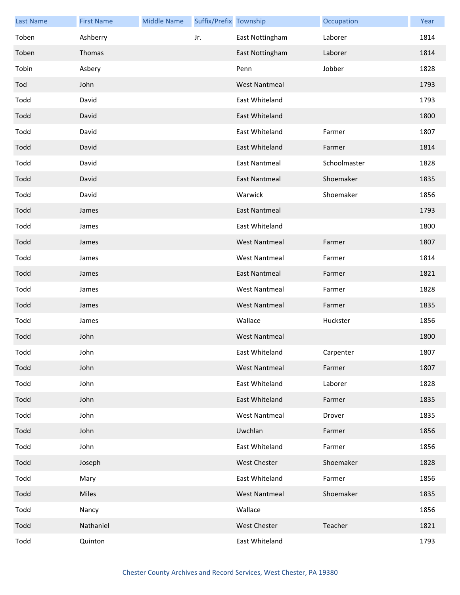| <b>Last Name</b> | <b>First Name</b> | <b>Middle Name</b> | Suffix/Prefix Township |                      | Occupation   | Year |
|------------------|-------------------|--------------------|------------------------|----------------------|--------------|------|
| Toben            | Ashberry          |                    | Jr.                    | East Nottingham      | Laborer      | 1814 |
| Toben            | Thomas            |                    |                        | East Nottingham      | Laborer      | 1814 |
| Tobin            | Asbery            |                    |                        | Penn                 | Jobber       | 1828 |
| Tod              | John              |                    |                        | <b>West Nantmeal</b> |              | 1793 |
| Todd             | David             |                    |                        | East Whiteland       |              | 1793 |
| Todd             | David             |                    |                        | East Whiteland       |              | 1800 |
| Todd             | David             |                    |                        | East Whiteland       | Farmer       | 1807 |
| Todd             | David             |                    |                        | East Whiteland       | Farmer       | 1814 |
| Todd             | David             |                    |                        | <b>East Nantmeal</b> | Schoolmaster | 1828 |
| Todd             | David             |                    |                        | <b>East Nantmeal</b> | Shoemaker    | 1835 |
| Todd             | David             |                    |                        | Warwick              | Shoemaker    | 1856 |
| Todd             | James             |                    |                        | <b>East Nantmeal</b> |              | 1793 |
| Todd             | James             |                    |                        | East Whiteland       |              | 1800 |
| Todd             | James             |                    |                        | <b>West Nantmeal</b> | Farmer       | 1807 |
| Todd             | James             |                    |                        | <b>West Nantmeal</b> | Farmer       | 1814 |
| Todd             | James             |                    |                        | <b>East Nantmeal</b> | Farmer       | 1821 |
| Todd             | James             |                    |                        | <b>West Nantmeal</b> | Farmer       | 1828 |
| Todd             | James             |                    |                        | <b>West Nantmeal</b> | Farmer       | 1835 |
| Todd             | James             |                    |                        | Wallace              | Huckster     | 1856 |
| Todd             | John              |                    |                        | <b>West Nantmeal</b> |              | 1800 |
| Todd             | John              |                    |                        | East Whiteland       | Carpenter    | 1807 |
| Todd             | John              |                    |                        | <b>West Nantmeal</b> | Farmer       | 1807 |
| Todd             | John              |                    |                        | East Whiteland       | Laborer      | 1828 |
| Todd             | John              |                    |                        | East Whiteland       | Farmer       | 1835 |
| Todd             | John              |                    |                        | <b>West Nantmeal</b> | Drover       | 1835 |
| Todd             | John              |                    |                        | Uwchlan              | Farmer       | 1856 |
| Todd             | John              |                    |                        | East Whiteland       | Farmer       | 1856 |
| Todd             | Joseph            |                    |                        | West Chester         | Shoemaker    | 1828 |
| Todd             | Mary              |                    |                        | East Whiteland       | Farmer       | 1856 |
| Todd             | Miles             |                    |                        | <b>West Nantmeal</b> | Shoemaker    | 1835 |
| Todd             | Nancy             |                    |                        | Wallace              |              | 1856 |
| Todd             | Nathaniel         |                    |                        | <b>West Chester</b>  | Teacher      | 1821 |
| Todd             | Quinton           |                    |                        | East Whiteland       |              | 1793 |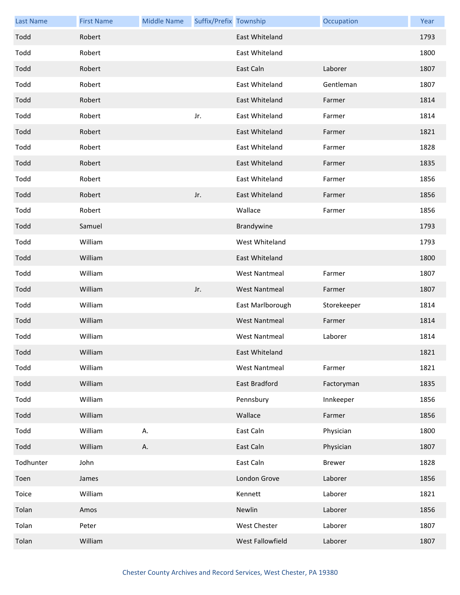| <b>Last Name</b> | <b>First Name</b> | <b>Middle Name</b> | Suffix/Prefix Township |                      | Occupation    | Year |
|------------------|-------------------|--------------------|------------------------|----------------------|---------------|------|
| Todd             | Robert            |                    |                        | East Whiteland       |               | 1793 |
| Todd             | Robert            |                    |                        | East Whiteland       |               | 1800 |
| Todd             | Robert            |                    |                        | East Caln            | Laborer       | 1807 |
| Todd             | Robert            |                    |                        | East Whiteland       | Gentleman     | 1807 |
| Todd             | Robert            |                    |                        | East Whiteland       | Farmer        | 1814 |
| Todd             | Robert            |                    | Jr.                    | East Whiteland       | Farmer        | 1814 |
| Todd             | Robert            |                    |                        | East Whiteland       | Farmer        | 1821 |
| Todd             | Robert            |                    |                        | East Whiteland       | Farmer        | 1828 |
| Todd             | Robert            |                    |                        | East Whiteland       | Farmer        | 1835 |
| Todd             | Robert            |                    |                        | East Whiteland       | Farmer        | 1856 |
| Todd             | Robert            |                    | Jr.                    | East Whiteland       | Farmer        | 1856 |
| Todd             | Robert            |                    |                        | Wallace              | Farmer        | 1856 |
| Todd             | Samuel            |                    |                        | Brandywine           |               | 1793 |
| Todd             | William           |                    |                        | West Whiteland       |               | 1793 |
| Todd             | William           |                    |                        | East Whiteland       |               | 1800 |
| Todd             | William           |                    |                        | <b>West Nantmeal</b> | Farmer        | 1807 |
| Todd             | William           |                    | Jr.                    | <b>West Nantmeal</b> | Farmer        | 1807 |
| Todd             | William           |                    |                        | East Marlborough     | Storekeeper   | 1814 |
| Todd             | William           |                    |                        | <b>West Nantmeal</b> | Farmer        | 1814 |
| Todd             | William           |                    |                        | <b>West Nantmeal</b> | Laborer       | 1814 |
| Todd             | William           |                    |                        | East Whiteland       |               | 1821 |
| Todd             | William           |                    |                        | West Nantmeal        | Farmer        | 1821 |
| Todd             | William           |                    |                        | East Bradford        | Factoryman    | 1835 |
| Todd             | William           |                    |                        | Pennsbury            | Innkeeper     | 1856 |
| Todd             | William           |                    |                        | Wallace              | Farmer        | 1856 |
| Todd             | William           | А.                 |                        | East Caln            | Physician     | 1800 |
| Todd             | William           | А.                 |                        | East Caln            | Physician     | 1807 |
| Todhunter        | John              |                    |                        | East Caln            | <b>Brewer</b> | 1828 |
| Toen             | James             |                    |                        | London Grove         | Laborer       | 1856 |
| Toice            | William           |                    |                        | Kennett              | Laborer       | 1821 |
| Tolan            | Amos              |                    |                        | Newlin               | Laborer       | 1856 |
| Tolan            | Peter             |                    |                        | West Chester         | Laborer       | 1807 |
| Tolan            | William           |                    |                        | West Fallowfield     | Laborer       | 1807 |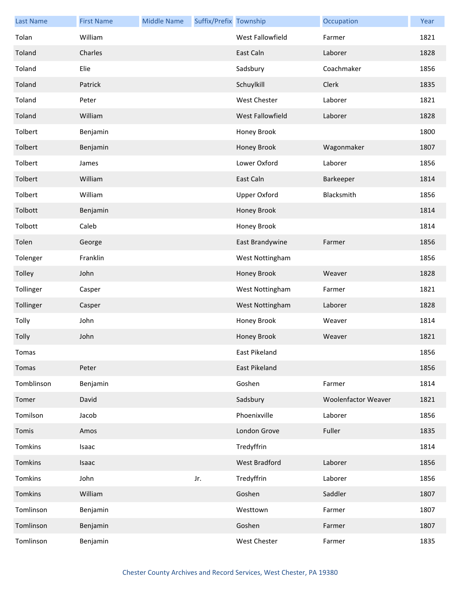| <b>Last Name</b> | <b>First Name</b> | <b>Middle Name</b> | Suffix/Prefix Township |                     | Occupation                 | Year |
|------------------|-------------------|--------------------|------------------------|---------------------|----------------------------|------|
| Tolan            | William           |                    |                        | West Fallowfield    | Farmer                     | 1821 |
| Toland           | Charles           |                    |                        | East Caln           | Laborer                    | 1828 |
| Toland           | Elie              |                    |                        | Sadsbury            | Coachmaker                 | 1856 |
| Toland           | Patrick           |                    |                        | Schuylkill          | Clerk                      | 1835 |
| Toland           | Peter             |                    |                        | West Chester        | Laborer                    | 1821 |
| Toland           | William           |                    |                        | West Fallowfield    | Laborer                    | 1828 |
| Tolbert          | Benjamin          |                    |                        | Honey Brook         |                            | 1800 |
| Tolbert          | Benjamin          |                    |                        | Honey Brook         | Wagonmaker                 | 1807 |
| Tolbert          | James             |                    |                        | Lower Oxford        | Laborer                    | 1856 |
| Tolbert          | William           |                    |                        | East Caln           | Barkeeper                  | 1814 |
| Tolbert          | William           |                    |                        | <b>Upper Oxford</b> | Blacksmith                 | 1856 |
| Tolbott          | Benjamin          |                    |                        | Honey Brook         |                            | 1814 |
| Tolbott          | Caleb             |                    |                        | Honey Brook         |                            | 1814 |
| Tolen            | George            |                    |                        | East Brandywine     | Farmer                     | 1856 |
| Tolenger         | Franklin          |                    |                        | West Nottingham     |                            | 1856 |
| Tolley           | John              |                    |                        | Honey Brook         | Weaver                     | 1828 |
| Tollinger        | Casper            |                    |                        | West Nottingham     | Farmer                     | 1821 |
| Tollinger        | Casper            |                    |                        | West Nottingham     | Laborer                    | 1828 |
| Tolly            | John              |                    |                        | Honey Brook         | Weaver                     | 1814 |
| Tolly            | John              |                    |                        | Honey Brook         | Weaver                     | 1821 |
| Tomas            |                   |                    |                        | East Pikeland       |                            | 1856 |
| Tomas            | Peter             |                    |                        | East Pikeland       |                            | 1856 |
| Tomblinson       | Benjamin          |                    |                        | Goshen              | Farmer                     | 1814 |
| Tomer            | David             |                    |                        | Sadsbury            | <b>Woolenfactor Weaver</b> | 1821 |
| Tomilson         | Jacob             |                    |                        | Phoenixville        | Laborer                    | 1856 |
| Tomis            | Amos              |                    |                        | London Grove        | Fuller                     | 1835 |
| Tomkins          | Isaac             |                    |                        | Tredyffrin          |                            | 1814 |
| Tomkins          | Isaac             |                    |                        | West Bradford       | Laborer                    | 1856 |
| Tomkins          | John              |                    | Jr.                    | Tredyffrin          | Laborer                    | 1856 |
| Tomkins          | William           |                    |                        | Goshen              | Saddler                    | 1807 |
| Tomlinson        | Benjamin          |                    |                        | Westtown            | Farmer                     | 1807 |
| Tomlinson        | Benjamin          |                    |                        | Goshen              | Farmer                     | 1807 |
| Tomlinson        | Benjamin          |                    |                        | West Chester        | Farmer                     | 1835 |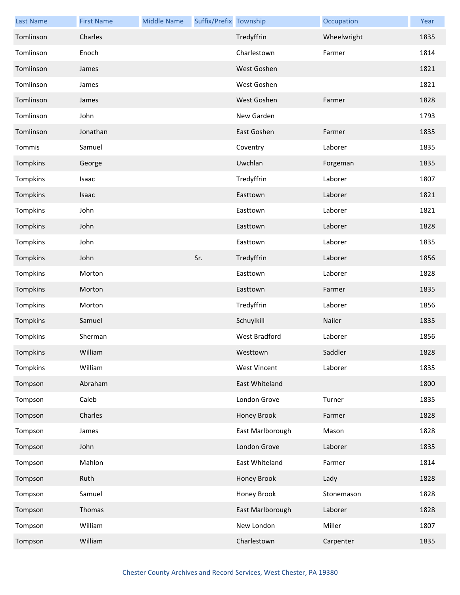| <b>Last Name</b> | <b>First Name</b> | <b>Middle Name</b> | Suffix/Prefix Township |                     | Occupation  | Year |
|------------------|-------------------|--------------------|------------------------|---------------------|-------------|------|
| Tomlinson        | Charles           |                    |                        | Tredyffrin          | Wheelwright | 1835 |
| Tomlinson        | Enoch             |                    |                        | Charlestown         | Farmer      | 1814 |
| Tomlinson        | James             |                    |                        | West Goshen         |             | 1821 |
| Tomlinson        | James             |                    |                        | West Goshen         |             | 1821 |
| Tomlinson        | James             |                    |                        | West Goshen         | Farmer      | 1828 |
| Tomlinson        | John              |                    |                        | New Garden          |             | 1793 |
| Tomlinson        | Jonathan          |                    |                        | East Goshen         | Farmer      | 1835 |
| Tommis           | Samuel            |                    |                        | Coventry            | Laborer     | 1835 |
| Tompkins         | George            |                    |                        | Uwchlan             | Forgeman    | 1835 |
| Tompkins         | Isaac             |                    |                        | Tredyffrin          | Laborer     | 1807 |
| Tompkins         | Isaac             |                    |                        | Easttown            | Laborer     | 1821 |
| Tompkins         | John              |                    |                        | Easttown            | Laborer     | 1821 |
| Tompkins         | John              |                    |                        | Easttown            | Laborer     | 1828 |
| Tompkins         | John              |                    |                        | Easttown            | Laborer     | 1835 |
| Tompkins         | John              |                    | Sr.                    | Tredyffrin          | Laborer     | 1856 |
| Tompkins         | Morton            |                    |                        | Easttown            | Laborer     | 1828 |
| Tompkins         | Morton            |                    |                        | Easttown            | Farmer      | 1835 |
| Tompkins         | Morton            |                    |                        | Tredyffrin          | Laborer     | 1856 |
| Tompkins         | Samuel            |                    |                        | Schuylkill          | Nailer      | 1835 |
| Tompkins         | Sherman           |                    |                        | West Bradford       | Laborer     | 1856 |
| Tompkins         | William           |                    |                        | Westtown            | Saddler     | 1828 |
| Tompkins         | William           |                    |                        | <b>West Vincent</b> | Laborer     | 1835 |
| Tompson          | Abraham           |                    |                        | East Whiteland      |             | 1800 |
| Tompson          | Caleb             |                    |                        | London Grove        | Turner      | 1835 |
| Tompson          | Charles           |                    |                        | Honey Brook         | Farmer      | 1828 |
| Tompson          | James             |                    |                        | East Marlborough    | Mason       | 1828 |
| Tompson          | John              |                    |                        | London Grove        | Laborer     | 1835 |
| Tompson          | Mahlon            |                    |                        | East Whiteland      | Farmer      | 1814 |
| Tompson          | Ruth              |                    |                        | Honey Brook         | Lady        | 1828 |
| Tompson          | Samuel            |                    |                        | Honey Brook         | Stonemason  | 1828 |
| Tompson          | Thomas            |                    |                        | East Marlborough    | Laborer     | 1828 |
| Tompson          | William           |                    |                        | New London          | Miller      | 1807 |
| Tompson          | William           |                    |                        | Charlestown         | Carpenter   | 1835 |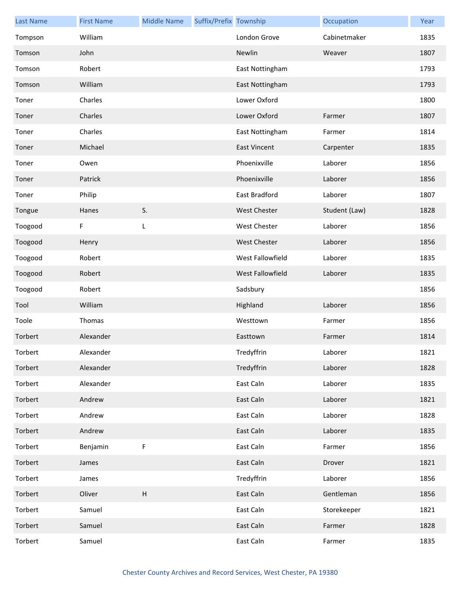| <b>Last Name</b> | <b>First Name</b> | <b>Middle Name</b>        | Suffix/Prefix Township |                     | Occupation    | Year |
|------------------|-------------------|---------------------------|------------------------|---------------------|---------------|------|
| Tompson          | William           |                           |                        | London Grove        | Cabinetmaker  | 1835 |
| Tomson           | John              |                           |                        | Newlin              | Weaver        | 1807 |
| Tomson           | Robert            |                           |                        | East Nottingham     |               | 1793 |
| Tomson           | William           |                           |                        | East Nottingham     |               | 1793 |
| Toner            | Charles           |                           |                        | Lower Oxford        |               | 1800 |
| Toner            | Charles           |                           |                        | Lower Oxford        | Farmer        | 1807 |
| Toner            | Charles           |                           |                        | East Nottingham     | Farmer        | 1814 |
| Toner            | Michael           |                           |                        | <b>East Vincent</b> | Carpenter     | 1835 |
| Toner            | Owen              |                           |                        | Phoenixville        | Laborer       | 1856 |
| Toner            | Patrick           |                           |                        | Phoenixville        | Laborer       | 1856 |
| Toner            | Philip            |                           |                        | East Bradford       | Laborer       | 1807 |
| Tongue           | Hanes             | S.                        |                        | <b>West Chester</b> | Student (Law) | 1828 |
| Toogood          | F                 | L                         |                        | <b>West Chester</b> | Laborer       | 1856 |
| Toogood          | Henry             |                           |                        | <b>West Chester</b> | Laborer       | 1856 |
| Toogood          | Robert            |                           |                        | West Fallowfield    | Laborer       | 1835 |
| Toogood          | Robert            |                           |                        | West Fallowfield    | Laborer       | 1835 |
| Toogood          | Robert            |                           |                        | Sadsbury            |               | 1856 |
| Tool             | William           |                           |                        | Highland            | Laborer       | 1856 |
| Toole            | Thomas            |                           |                        | Westtown            | Farmer        | 1856 |
| Torbert          | Alexander         |                           |                        | Easttown            | Farmer        | 1814 |
| Torbert          | Alexander         |                           |                        | Tredyffrin          | Laborer       | 1821 |
| Torbert          | Alexander         |                           |                        | Tredyffrin          | Laborer       | 1828 |
| Torbert          | Alexander         |                           |                        | East Caln           | Laborer       | 1835 |
| Torbert          | Andrew            |                           |                        | East Caln           | Laborer       | 1821 |
| Torbert          | Andrew            |                           |                        | East Caln           | Laborer       | 1828 |
| Torbert          | Andrew            |                           |                        | East Caln           | Laborer       | 1835 |
| Torbert          | Benjamin          | F                         |                        | East Caln           | Farmer        | 1856 |
| Torbert          | James             |                           |                        | East Caln           | Drover        | 1821 |
| Torbert          | James             |                           |                        | Tredyffrin          | Laborer       | 1856 |
| Torbert          | Oliver            | $\boldsymbol{\mathsf{H}}$ |                        | East Caln           | Gentleman     | 1856 |
| Torbert          | Samuel            |                           |                        | East Caln           | Storekeeper   | 1821 |
| Torbert          | Samuel            |                           |                        | East Caln           | Farmer        | 1828 |
| Torbert          | Samuel            |                           |                        | East Caln           | Farmer        | 1835 |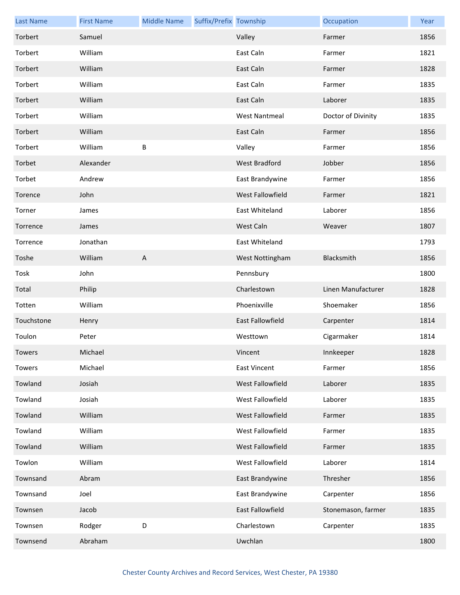| <b>Last Name</b> | <b>First Name</b> | <b>Middle Name</b> | Suffix/Prefix Township |                         | Occupation         | Year |
|------------------|-------------------|--------------------|------------------------|-------------------------|--------------------|------|
| Torbert          | Samuel            |                    |                        | Valley                  | Farmer             | 1856 |
| Torbert          | William           |                    |                        | East Caln               | Farmer             | 1821 |
| Torbert          | William           |                    |                        | East Caln               | Farmer             | 1828 |
| Torbert          | William           |                    |                        | East Caln               | Farmer             | 1835 |
| Torbert          | William           |                    |                        | East Caln               | Laborer            | 1835 |
| Torbert          | William           |                    |                        | <b>West Nantmeal</b>    | Doctor of Divinity | 1835 |
| Torbert          | William           |                    |                        | East Caln               | Farmer             | 1856 |
| Torbert          | William           | B                  |                        | Valley                  | Farmer             | 1856 |
| Torbet           | Alexander         |                    |                        | West Bradford           | Jobber             | 1856 |
| Torbet           | Andrew            |                    |                        | East Brandywine         | Farmer             | 1856 |
| Torence          | John              |                    |                        | West Fallowfield        | Farmer             | 1821 |
| Torner           | James             |                    |                        | East Whiteland          | Laborer            | 1856 |
| Torrence         | James             |                    |                        | West Caln               | Weaver             | 1807 |
| Torrence         | Jonathan          |                    |                        | East Whiteland          |                    | 1793 |
| Toshe            | William           | A                  |                        | West Nottingham         | Blacksmith         | 1856 |
| Tosk             | John              |                    |                        | Pennsbury               |                    | 1800 |
| Total            | Philip            |                    |                        | Charlestown             | Linen Manufacturer | 1828 |
| Totten           | William           |                    |                        | Phoenixville            | Shoemaker          | 1856 |
| Touchstone       | Henry             |                    |                        | <b>East Fallowfield</b> | Carpenter          | 1814 |
| Toulon           | Peter             |                    |                        | Westtown                | Cigarmaker         | 1814 |
| Towers           | Michael           |                    |                        | Vincent                 | Innkeeper          | 1828 |
| Towers           | Michael           |                    |                        | <b>East Vincent</b>     | Farmer             | 1856 |
| Towland          | Josiah            |                    |                        | West Fallowfield        | Laborer            | 1835 |
| Towland          | Josiah            |                    |                        | West Fallowfield        | Laborer            | 1835 |
| Towland          | William           |                    |                        | West Fallowfield        | Farmer             | 1835 |
| Towland          | William           |                    |                        | West Fallowfield        | Farmer             | 1835 |
| Towland          | William           |                    |                        | West Fallowfield        | Farmer             | 1835 |
| Towlon           | William           |                    |                        | West Fallowfield        | Laborer            | 1814 |
| Townsand         | Abram             |                    |                        | East Brandywine         | Thresher           | 1856 |
| Townsand         | Joel              |                    |                        | East Brandywine         | Carpenter          | 1856 |
| Townsen          | Jacob             |                    |                        | East Fallowfield        | Stonemason, farmer | 1835 |
| Townsen          | Rodger            | $\mathsf D$        |                        | Charlestown             | Carpenter          | 1835 |
| Townsend         | Abraham           |                    |                        | Uwchlan                 |                    | 1800 |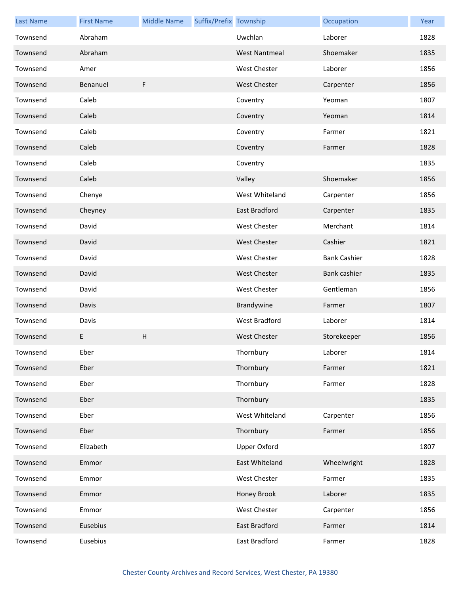| <b>Last Name</b> | <b>First Name</b> | <b>Middle Name</b> | Suffix/Prefix Township |                      | Occupation          | Year |
|------------------|-------------------|--------------------|------------------------|----------------------|---------------------|------|
| Townsend         | Abraham           |                    |                        | Uwchlan              | Laborer             | 1828 |
| Townsend         | Abraham           |                    |                        | <b>West Nantmeal</b> | Shoemaker           | 1835 |
| Townsend         | Amer              |                    |                        | <b>West Chester</b>  | Laborer             | 1856 |
| Townsend         | Benanuel          | F                  |                        | <b>West Chester</b>  | Carpenter           | 1856 |
| Townsend         | Caleb             |                    |                        | Coventry             | Yeoman              | 1807 |
| Townsend         | Caleb             |                    |                        | Coventry             | Yeoman              | 1814 |
| Townsend         | Caleb             |                    |                        | Coventry             | Farmer              | 1821 |
| Townsend         | Caleb             |                    |                        | Coventry             | Farmer              | 1828 |
| Townsend         | Caleb             |                    |                        | Coventry             |                     | 1835 |
| Townsend         | Caleb             |                    |                        | Valley               | Shoemaker           | 1856 |
| Townsend         | Chenye            |                    |                        | West Whiteland       | Carpenter           | 1856 |
| Townsend         | Cheyney           |                    |                        | East Bradford        | Carpenter           | 1835 |
| Townsend         | David             |                    |                        | West Chester         | Merchant            | 1814 |
| Townsend         | David             |                    |                        | <b>West Chester</b>  | Cashier             | 1821 |
| Townsend         | David             |                    |                        | West Chester         | <b>Bank Cashier</b> | 1828 |
| Townsend         | David             |                    |                        | <b>West Chester</b>  | Bank cashier        | 1835 |
| Townsend         | David             |                    |                        | <b>West Chester</b>  | Gentleman           | 1856 |
| Townsend         | Davis             |                    |                        | Brandywine           | Farmer              | 1807 |
| Townsend         | Davis             |                    |                        | <b>West Bradford</b> | Laborer             | 1814 |
| Townsend         | E                 | $\mathsf H$        |                        | <b>West Chester</b>  | Storekeeper         | 1856 |
| Townsend         | Eber              |                    |                        | Thornbury            | Laborer             | 1814 |
| Townsend         | Eber              |                    |                        | Thornbury            | Farmer              | 1821 |
| Townsend         | Eber              |                    |                        | Thornbury            | Farmer              | 1828 |
| Townsend         | Eber              |                    |                        | Thornbury            |                     | 1835 |
| Townsend         | Eber              |                    |                        | West Whiteland       | Carpenter           | 1856 |
| Townsend         | Eber              |                    |                        | Thornbury            | Farmer              | 1856 |
| Townsend         | Elizabeth         |                    |                        | Upper Oxford         |                     | 1807 |
| Townsend         | Emmor             |                    |                        | East Whiteland       | Wheelwright         | 1828 |
| Townsend         | Emmor             |                    |                        | West Chester         | Farmer              | 1835 |
| Townsend         | Emmor             |                    |                        | Honey Brook          | Laborer             | 1835 |
| Townsend         | Emmor             |                    |                        | West Chester         | Carpenter           | 1856 |
| Townsend         | Eusebius          |                    |                        | East Bradford        | Farmer              | 1814 |
| Townsend         | Eusebius          |                    |                        | East Bradford        | Farmer              | 1828 |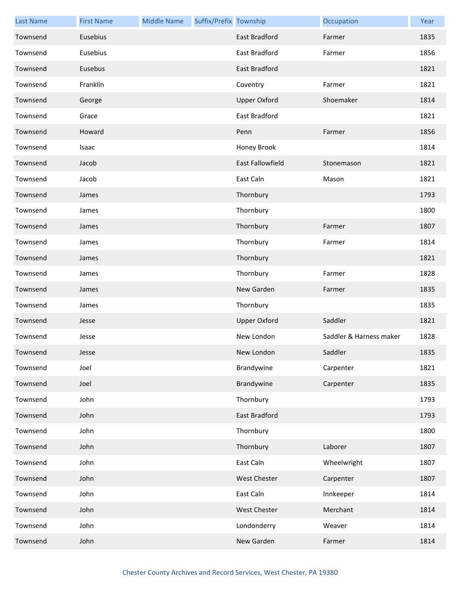| <b>Last Name</b> | <b>First Name</b> | <b>Middle Name</b> | Suffix/Prefix Township |                         | Occupation              | Year |
|------------------|-------------------|--------------------|------------------------|-------------------------|-------------------------|------|
| Townsend         | Eusebius          |                    |                        | <b>East Bradford</b>    | Farmer                  | 1835 |
| Townsend         | Eusebius          |                    |                        | East Bradford           | Farmer                  | 1856 |
| Townsend         | Eusebus           |                    |                        | <b>East Bradford</b>    |                         | 1821 |
| Townsend         | Franklin          |                    |                        | Coventry                | Farmer                  | 1821 |
| Townsend         | George            |                    |                        | <b>Upper Oxford</b>     | Shoemaker               | 1814 |
| Townsend         | Grace             |                    |                        | <b>East Bradford</b>    |                         | 1821 |
| Townsend         | Howard            |                    |                        | Penn                    | Farmer                  | 1856 |
| Townsend         | Isaac             |                    |                        | Honey Brook             |                         | 1814 |
| Townsend         | Jacob             |                    |                        | <b>East Fallowfield</b> | Stonemason              | 1821 |
| Townsend         | Jacob             |                    |                        | East Caln               | Mason                   | 1821 |
| Townsend         | James             |                    |                        | Thornbury               |                         | 1793 |
| Townsend         | James             |                    |                        | Thornbury               |                         | 1800 |
| Townsend         | James             |                    |                        | Thornbury               | Farmer                  | 1807 |
| Townsend         | James             |                    |                        | Thornbury               | Farmer                  | 1814 |
| Townsend         | James             |                    |                        | Thornbury               |                         | 1821 |
| Townsend         | James             |                    |                        | Thornbury               | Farmer                  | 1828 |
| Townsend         | James             |                    |                        | New Garden              | Farmer                  | 1835 |
| Townsend         | James             |                    |                        | Thornbury               |                         | 1835 |
| Townsend         | Jesse             |                    |                        | <b>Upper Oxford</b>     | Saddler                 | 1821 |
| Townsend         | Jesse             |                    |                        | New London              | Saddler & Harness maker | 1828 |
| Townsend         | Jesse             |                    |                        | New London              | Saddler                 | 1835 |
| Townsend         | Joel              |                    |                        | Brandywine              | Carpenter               | 1821 |
| Townsend         | Joel              |                    |                        | Brandywine              | Carpenter               | 1835 |
| Townsend         | John              |                    |                        | Thornbury               |                         | 1793 |
| Townsend         | John              |                    |                        | East Bradford           |                         | 1793 |
| Townsend         | John              |                    |                        | Thornbury               |                         | 1800 |
| Townsend         | John              |                    |                        | Thornbury               | Laborer                 | 1807 |
| Townsend         | John              |                    |                        | East Caln               | Wheelwright             | 1807 |
| Townsend         | John              |                    |                        | West Chester            | Carpenter               | 1807 |
| Townsend         | John              |                    |                        | East Caln               | Innkeeper               | 1814 |
| Townsend         | John              |                    |                        | West Chester            | Merchant                | 1814 |
| Townsend         | John              |                    |                        | Londonderry             | Weaver                  | 1814 |
| Townsend         | John              |                    |                        | New Garden              | Farmer                  | 1814 |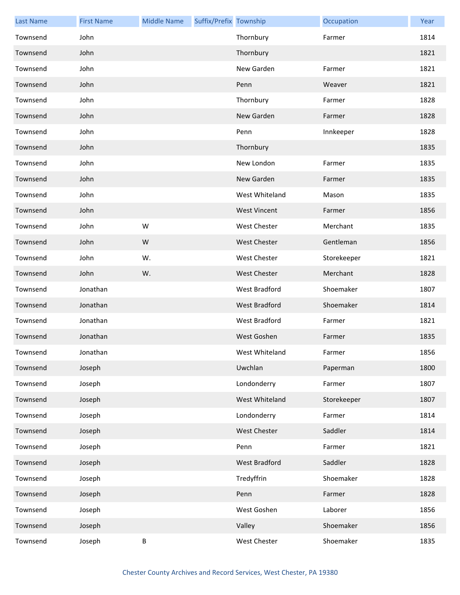| <b>Last Name</b> | <b>First Name</b> | <b>Middle Name</b> | Suffix/Prefix Township |                      | Occupation  | Year |
|------------------|-------------------|--------------------|------------------------|----------------------|-------------|------|
| Townsend         | John              |                    |                        | Thornbury            | Farmer      | 1814 |
| Townsend         | John              |                    |                        | Thornbury            |             | 1821 |
| Townsend         | John              |                    |                        | New Garden           | Farmer      | 1821 |
| Townsend         | John              |                    |                        | Penn                 | Weaver      | 1821 |
| Townsend         | John              |                    |                        | Thornbury            | Farmer      | 1828 |
| Townsend         | John              |                    |                        | New Garden           | Farmer      | 1828 |
| Townsend         | John              |                    |                        | Penn                 | Innkeeper   | 1828 |
| Townsend         | John              |                    |                        | Thornbury            |             | 1835 |
| Townsend         | John              |                    |                        | New London           | Farmer      | 1835 |
| Townsend         | John              |                    |                        | New Garden           | Farmer      | 1835 |
| Townsend         | John              |                    |                        | West Whiteland       | Mason       | 1835 |
| Townsend         | John              |                    |                        | <b>West Vincent</b>  | Farmer      | 1856 |
| Townsend         | John              | W                  |                        | <b>West Chester</b>  | Merchant    | 1835 |
| Townsend         | John              | W                  |                        | <b>West Chester</b>  | Gentleman   | 1856 |
| Townsend         | John              | W.                 |                        | <b>West Chester</b>  | Storekeeper | 1821 |
| Townsend         | John              | W.                 |                        | <b>West Chester</b>  | Merchant    | 1828 |
| Townsend         | Jonathan          |                    |                        | West Bradford        | Shoemaker   | 1807 |
| Townsend         | Jonathan          |                    |                        | <b>West Bradford</b> | Shoemaker   | 1814 |
| Townsend         | Jonathan          |                    |                        | <b>West Bradford</b> | Farmer      | 1821 |
| Townsend         | Jonathan          |                    |                        | West Goshen          | Farmer      | 1835 |
| Townsend         | Jonathan          |                    |                        | West Whiteland       | Farmer      | 1856 |
| Townsend         | Joseph            |                    |                        | Uwchlan              | Paperman    | 1800 |
| Townsend         | Joseph            |                    |                        | Londonderry          | Farmer      | 1807 |
| Townsend         | Joseph            |                    |                        | West Whiteland       | Storekeeper | 1807 |
| Townsend         | Joseph            |                    |                        | Londonderry          | Farmer      | 1814 |
| Townsend         | Joseph            |                    |                        | <b>West Chester</b>  | Saddler     | 1814 |
| Townsend         | Joseph            |                    |                        | Penn                 | Farmer      | 1821 |
| Townsend         | Joseph            |                    |                        | West Bradford        | Saddler     | 1828 |
| Townsend         | Joseph            |                    |                        | Tredyffrin           | Shoemaker   | 1828 |
| Townsend         | Joseph            |                    |                        | Penn                 | Farmer      | 1828 |
| Townsend         | Joseph            |                    |                        | West Goshen          | Laborer     | 1856 |
| Townsend         | Joseph            |                    |                        | Valley               | Shoemaker   | 1856 |
| Townsend         | Joseph            | Β                  |                        | West Chester         | Shoemaker   | 1835 |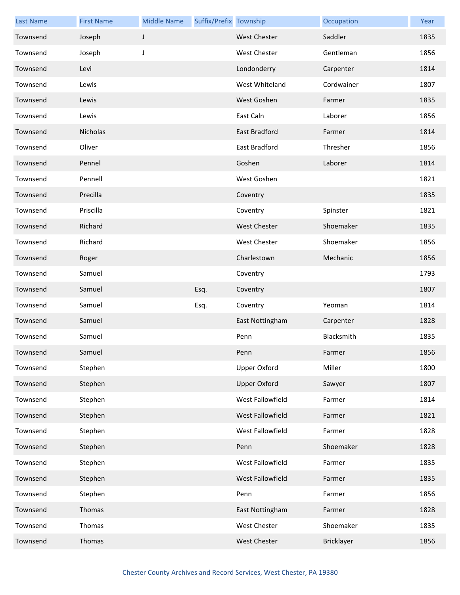| <b>Last Name</b> | <b>First Name</b> | <b>Middle Name</b> | Suffix/Prefix Township |                      | Occupation | Year |
|------------------|-------------------|--------------------|------------------------|----------------------|------------|------|
| Townsend         | Joseph            | J                  |                        | <b>West Chester</b>  | Saddler    | 1835 |
| Townsend         | Joseph            | J                  |                        | <b>West Chester</b>  | Gentleman  | 1856 |
| Townsend         | Levi              |                    |                        | Londonderry          | Carpenter  | 1814 |
| Townsend         | Lewis             |                    |                        | West Whiteland       | Cordwainer | 1807 |
| Townsend         | Lewis             |                    |                        | West Goshen          | Farmer     | 1835 |
| Townsend         | Lewis             |                    |                        | East Caln            | Laborer    | 1856 |
| Townsend         | Nicholas          |                    |                        | <b>East Bradford</b> | Farmer     | 1814 |
| Townsend         | Oliver            |                    |                        | East Bradford        | Thresher   | 1856 |
| Townsend         | Pennel            |                    |                        | Goshen               | Laborer    | 1814 |
| Townsend         | Pennell           |                    |                        | West Goshen          |            | 1821 |
| Townsend         | Precilla          |                    |                        | Coventry             |            | 1835 |
| Townsend         | Priscilla         |                    |                        | Coventry             | Spinster   | 1821 |
| Townsend         | Richard           |                    |                        | <b>West Chester</b>  | Shoemaker  | 1835 |
| Townsend         | Richard           |                    |                        | <b>West Chester</b>  | Shoemaker  | 1856 |
| Townsend         | Roger             |                    |                        | Charlestown          | Mechanic   | 1856 |
| Townsend         | Samuel            |                    |                        | Coventry             |            | 1793 |
| Townsend         | Samuel            |                    | Esq.                   | Coventry             |            | 1807 |
| Townsend         | Samuel            |                    | Esq.                   | Coventry             | Yeoman     | 1814 |
| Townsend         | Samuel            |                    |                        | East Nottingham      | Carpenter  | 1828 |
| Townsend         | Samuel            |                    |                        | Penn                 | Blacksmith | 1835 |
| Townsend         | Samuel            |                    |                        | Penn                 | Farmer     | 1856 |
| Townsend         | Stephen           |                    |                        | <b>Upper Oxford</b>  | Miller     | 1800 |
| Townsend         | Stephen           |                    |                        | <b>Upper Oxford</b>  | Sawyer     | 1807 |
| Townsend         | Stephen           |                    |                        | West Fallowfield     | Farmer     | 1814 |
| Townsend         | Stephen           |                    |                        | West Fallowfield     | Farmer     | 1821 |
| Townsend         | Stephen           |                    |                        | West Fallowfield     | Farmer     | 1828 |
| Townsend         | Stephen           |                    |                        | Penn                 | Shoemaker  | 1828 |
| Townsend         | Stephen           |                    |                        | West Fallowfield     | Farmer     | 1835 |
| Townsend         | Stephen           |                    |                        | West Fallowfield     | Farmer     | 1835 |
| Townsend         | Stephen           |                    |                        | Penn                 | Farmer     | 1856 |
| Townsend         | Thomas            |                    |                        | East Nottingham      | Farmer     | 1828 |
| Townsend         | Thomas            |                    |                        | West Chester         | Shoemaker  | 1835 |
| Townsend         | Thomas            |                    |                        | West Chester         | Bricklayer | 1856 |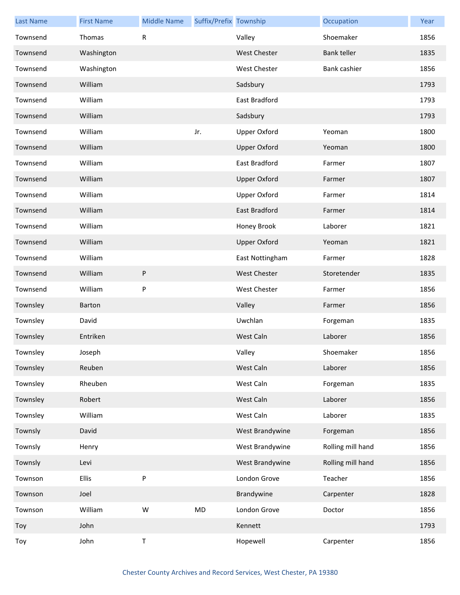| <b>Last Name</b> | <b>First Name</b> | <b>Middle Name</b> | Suffix/Prefix Township |                     | Occupation         | Year |
|------------------|-------------------|--------------------|------------------------|---------------------|--------------------|------|
| Townsend         | Thomas            | R                  |                        | Valley              | Shoemaker          | 1856 |
| Townsend         | Washington        |                    |                        | <b>West Chester</b> | <b>Bank teller</b> | 1835 |
| Townsend         | Washington        |                    |                        | <b>West Chester</b> | Bank cashier       | 1856 |
| Townsend         | William           |                    |                        | Sadsbury            |                    | 1793 |
| Townsend         | William           |                    |                        | East Bradford       |                    | 1793 |
| Townsend         | William           |                    |                        | Sadsbury            |                    | 1793 |
| Townsend         | William           |                    | Jr.                    | <b>Upper Oxford</b> | Yeoman             | 1800 |
| Townsend         | William           |                    |                        | <b>Upper Oxford</b> | Yeoman             | 1800 |
| Townsend         | William           |                    |                        | East Bradford       | Farmer             | 1807 |
| Townsend         | William           |                    |                        | <b>Upper Oxford</b> | Farmer             | 1807 |
| Townsend         | William           |                    |                        | <b>Upper Oxford</b> | Farmer             | 1814 |
| Townsend         | William           |                    |                        | East Bradford       | Farmer             | 1814 |
| Townsend         | William           |                    |                        | Honey Brook         | Laborer            | 1821 |
| Townsend         | William           |                    |                        | <b>Upper Oxford</b> | Yeoman             | 1821 |
| Townsend         | William           |                    |                        | East Nottingham     | Farmer             | 1828 |
| Townsend         | William           | ${\sf P}$          |                        | <b>West Chester</b> | Storetender        | 1835 |
| Townsend         | William           | P                  |                        | West Chester        | Farmer             | 1856 |
| Townsley         | Barton            |                    |                        | Valley              | Farmer             | 1856 |
| Townsley         | David             |                    |                        | Uwchlan             | Forgeman           | 1835 |
| Townsley         | Entriken          |                    |                        | West Caln           | Laborer            | 1856 |
| Townsley         | Joseph            |                    |                        | Valley              | Shoemaker          | 1856 |
| Townsley         | Reuben            |                    |                        | West Caln           | Laborer            | 1856 |
| Townsley         | Rheuben           |                    |                        | West Caln           | Forgeman           | 1835 |
| Townsley         | Robert            |                    |                        | West Caln           | Laborer            | 1856 |
| Townsley         | William           |                    |                        | West Caln           | Laborer            | 1835 |
| Townsly          | David             |                    |                        | West Brandywine     | Forgeman           | 1856 |
| Townsly          | Henry             |                    |                        | West Brandywine     | Rolling mill hand  | 1856 |
| Townsly          | Levi              |                    |                        | West Brandywine     | Rolling mill hand  | 1856 |
| Townson          | <b>Ellis</b>      | P                  |                        | London Grove        | Teacher            | 1856 |
| Townson          | Joel              |                    |                        | Brandywine          | Carpenter          | 1828 |
| Townson          | William           | W                  | MD                     | London Grove        | Doctor             | 1856 |
| Toy              | John              |                    |                        | Kennett             |                    | 1793 |
| Toy              | John              | $\mathsf T$        |                        | Hopewell            | Carpenter          | 1856 |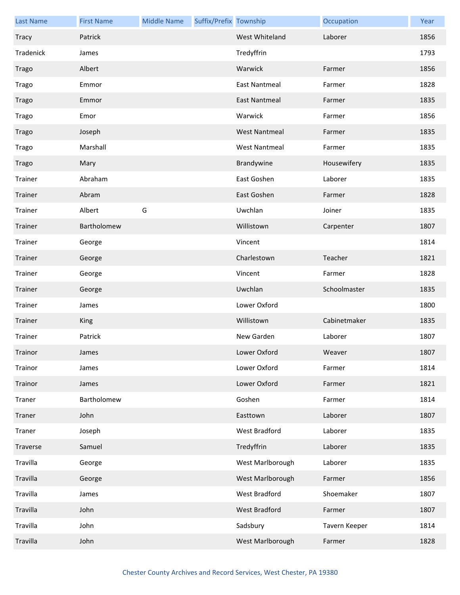| <b>Last Name</b> | <b>First Name</b> | <b>Middle Name</b> | Suffix/Prefix Township |                      | Occupation    | Year |
|------------------|-------------------|--------------------|------------------------|----------------------|---------------|------|
| <b>Tracy</b>     | Patrick           |                    |                        | West Whiteland       | Laborer       | 1856 |
| Tradenick        | James             |                    |                        | Tredyffrin           |               | 1793 |
| Trago            | Albert            |                    |                        | Warwick              | Farmer        | 1856 |
| Trago            | Emmor             |                    |                        | <b>East Nantmeal</b> | Farmer        | 1828 |
| Trago            | Emmor             |                    |                        | <b>East Nantmeal</b> | Farmer        | 1835 |
| Trago            | Emor              |                    |                        | Warwick              | Farmer        | 1856 |
| Trago            | Joseph            |                    |                        | <b>West Nantmeal</b> | Farmer        | 1835 |
| Trago            | Marshall          |                    |                        | <b>West Nantmeal</b> | Farmer        | 1835 |
| Trago            | Mary              |                    |                        | Brandywine           | Housewifery   | 1835 |
| Trainer          | Abraham           |                    |                        | East Goshen          | Laborer       | 1835 |
| Trainer          | Abram             |                    |                        | East Goshen          | Farmer        | 1828 |
| Trainer          | Albert            | G                  |                        | Uwchlan              | Joiner        | 1835 |
| Trainer          | Bartholomew       |                    |                        | Willistown           | Carpenter     | 1807 |
| Trainer          | George            |                    |                        | Vincent              |               | 1814 |
| Trainer          | George            |                    |                        | Charlestown          | Teacher       | 1821 |
| Trainer          | George            |                    |                        | Vincent              | Farmer        | 1828 |
| Trainer          | George            |                    |                        | Uwchlan              | Schoolmaster  | 1835 |
| Trainer          | James             |                    |                        | Lower Oxford         |               | 1800 |
| Trainer          | <b>King</b>       |                    |                        | Willistown           | Cabinetmaker  | 1835 |
| Trainer          | Patrick           |                    |                        | New Garden           | Laborer       | 1807 |
| Trainor          | James             |                    |                        | Lower Oxford         | Weaver        | 1807 |
| Trainor          | James             |                    |                        | Lower Oxford         | Farmer        | 1814 |
| Trainor          | James             |                    |                        | Lower Oxford         | Farmer        | 1821 |
| Traner           | Bartholomew       |                    |                        | Goshen               | Farmer        | 1814 |
| Traner           | John              |                    |                        | Easttown             | Laborer       | 1807 |
| Traner           | Joseph            |                    |                        | West Bradford        | Laborer       | 1835 |
| Traverse         | Samuel            |                    |                        | Tredyffrin           | Laborer       | 1835 |
| Travilla         | George            |                    |                        | West Marlborough     | Laborer       | 1835 |
| Travilla         | George            |                    |                        | West Marlborough     | Farmer        | 1856 |
| Travilla         | James             |                    |                        | West Bradford        | Shoemaker     | 1807 |
| Travilla         | John              |                    |                        | West Bradford        | Farmer        | 1807 |
| Travilla         | John              |                    |                        | Sadsbury             | Tavern Keeper | 1814 |
| Travilla         | John              |                    |                        | West Marlborough     | Farmer        | 1828 |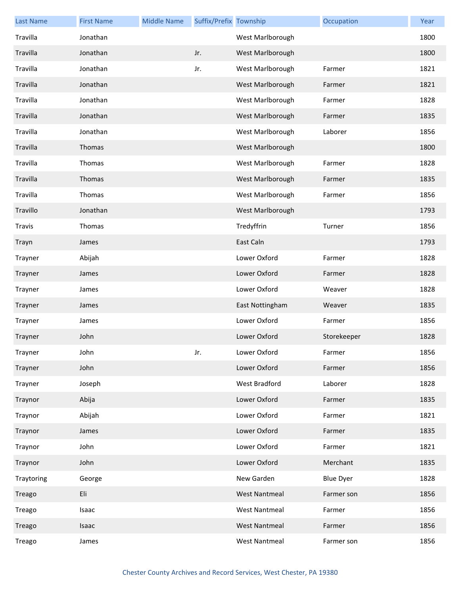| <b>Last Name</b> | <b>First Name</b> | <b>Middle Name</b> | Suffix/Prefix Township |                      | Occupation       | Year |
|------------------|-------------------|--------------------|------------------------|----------------------|------------------|------|
| Travilla         | Jonathan          |                    |                        | West Marlborough     |                  | 1800 |
| Travilla         | Jonathan          |                    | Jr.                    | West Marlborough     |                  | 1800 |
| Travilla         | Jonathan          |                    | Jr.                    | West Marlborough     | Farmer           | 1821 |
| Travilla         | Jonathan          |                    |                        | West Marlborough     | Farmer           | 1821 |
| Travilla         | Jonathan          |                    |                        | West Marlborough     | Farmer           | 1828 |
| Travilla         | Jonathan          |                    |                        | West Marlborough     | Farmer           | 1835 |
| Travilla         | Jonathan          |                    |                        | West Marlborough     | Laborer          | 1856 |
| Travilla         | Thomas            |                    |                        | West Marlborough     |                  | 1800 |
| Travilla         | Thomas            |                    |                        | West Marlborough     | Farmer           | 1828 |
| Travilla         | Thomas            |                    |                        | West Marlborough     | Farmer           | 1835 |
| Travilla         | Thomas            |                    |                        | West Marlborough     | Farmer           | 1856 |
| Travillo         | Jonathan          |                    |                        | West Marlborough     |                  | 1793 |
| <b>Travis</b>    | Thomas            |                    |                        | Tredyffrin           | Turner           | 1856 |
| Trayn            | James             |                    |                        | East Caln            |                  | 1793 |
| Trayner          | Abijah            |                    |                        | Lower Oxford         | Farmer           | 1828 |
| Trayner          | James             |                    |                        | Lower Oxford         | Farmer           | 1828 |
| Trayner          | James             |                    |                        | Lower Oxford         | Weaver           | 1828 |
| Trayner          | James             |                    |                        | East Nottingham      | Weaver           | 1835 |
| Trayner          | James             |                    |                        | Lower Oxford         | Farmer           | 1856 |
| Trayner          | John              |                    |                        | Lower Oxford         | Storekeeper      | 1828 |
| Trayner          | John              |                    | Jr.                    | Lower Oxford         | Farmer           | 1856 |
| Trayner          | John              |                    |                        | Lower Oxford         | Farmer           | 1856 |
| Trayner          | Joseph            |                    |                        | West Bradford        | Laborer          | 1828 |
| Traynor          | Abija             |                    |                        | Lower Oxford         | Farmer           | 1835 |
| Traynor          | Abijah            |                    |                        | Lower Oxford         | Farmer           | 1821 |
| Traynor          | James             |                    |                        | Lower Oxford         | Farmer           | 1835 |
| Traynor          | John              |                    |                        | Lower Oxford         | Farmer           | 1821 |
| Traynor          | John              |                    |                        | Lower Oxford         | Merchant         | 1835 |
| Traytoring       | George            |                    |                        | New Garden           | <b>Blue Dyer</b> | 1828 |
| Treago           | Eli               |                    |                        | <b>West Nantmeal</b> | Farmer son       | 1856 |
| Treago           | Isaac             |                    |                        | <b>West Nantmeal</b> | Farmer           | 1856 |
| Treago           | Isaac             |                    |                        | <b>West Nantmeal</b> | Farmer           | 1856 |
| Treago           | James             |                    |                        | <b>West Nantmeal</b> | Farmer son       | 1856 |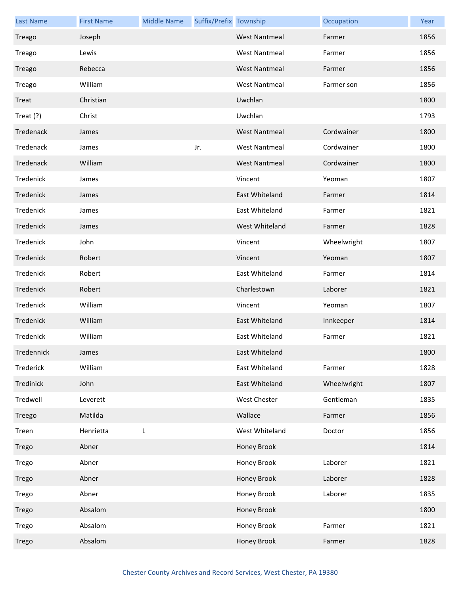| <b>Last Name</b> | <b>First Name</b> | <b>Middle Name</b> | Suffix/Prefix Township |                      | Occupation  | Year |
|------------------|-------------------|--------------------|------------------------|----------------------|-------------|------|
| Treago           | Joseph            |                    |                        | <b>West Nantmeal</b> | Farmer      | 1856 |
| Treago           | Lewis             |                    |                        | <b>West Nantmeal</b> | Farmer      | 1856 |
| Treago           | Rebecca           |                    |                        | <b>West Nantmeal</b> | Farmer      | 1856 |
| Treago           | William           |                    |                        | <b>West Nantmeal</b> | Farmer son  | 1856 |
| Treat            | Christian         |                    |                        | Uwchlan              |             | 1800 |
| Treat (?)        | Christ            |                    |                        | Uwchlan              |             | 1793 |
| Tredenack        | James             |                    |                        | <b>West Nantmeal</b> | Cordwainer  | 1800 |
| Tredenack        | James             |                    | Jr.                    | <b>West Nantmeal</b> | Cordwainer  | 1800 |
| Tredenack        | William           |                    |                        | <b>West Nantmeal</b> | Cordwainer  | 1800 |
| Tredenick        | James             |                    |                        | Vincent              | Yeoman      | 1807 |
| Tredenick        | James             |                    |                        | East Whiteland       | Farmer      | 1814 |
| Tredenick        | James             |                    |                        | East Whiteland       | Farmer      | 1821 |
| Tredenick        | James             |                    |                        | West Whiteland       | Farmer      | 1828 |
| Tredenick        | John              |                    |                        | Vincent              | Wheelwright | 1807 |
| Tredenick        | Robert            |                    |                        | Vincent              | Yeoman      | 1807 |
| Tredenick        | Robert            |                    |                        | East Whiteland       | Farmer      | 1814 |
| Tredenick        | Robert            |                    |                        | Charlestown          | Laborer     | 1821 |
| Tredenick        | William           |                    |                        | Vincent              | Yeoman      | 1807 |
| Tredenick        | William           |                    |                        | East Whiteland       | Innkeeper   | 1814 |
| Tredenick        | William           |                    |                        | East Whiteland       | Farmer      | 1821 |
| Tredennick       | James             |                    |                        | East Whiteland       |             | 1800 |
| Trederick        | William           |                    |                        | East Whiteland       | Farmer      | 1828 |
| Tredinick        | John              |                    |                        | East Whiteland       | Wheelwright | 1807 |
| Tredwell         | Leverett          |                    |                        | West Chester         | Gentleman   | 1835 |
| Treego           | Matilda           |                    |                        | Wallace              | Farmer      | 1856 |
| Treen            | Henrietta         | L                  |                        | West Whiteland       | Doctor      | 1856 |
| Trego            | Abner             |                    |                        | Honey Brook          |             | 1814 |
| Trego            | Abner             |                    |                        | Honey Brook          | Laborer     | 1821 |
| Trego            | Abner             |                    |                        | Honey Brook          | Laborer     | 1828 |
| Trego            | Abner             |                    |                        | Honey Brook          | Laborer     | 1835 |
| Trego            | Absalom           |                    |                        | Honey Brook          |             | 1800 |
| Trego            | Absalom           |                    |                        | Honey Brook          | Farmer      | 1821 |
| Trego            | Absalom           |                    |                        | Honey Brook          | Farmer      | 1828 |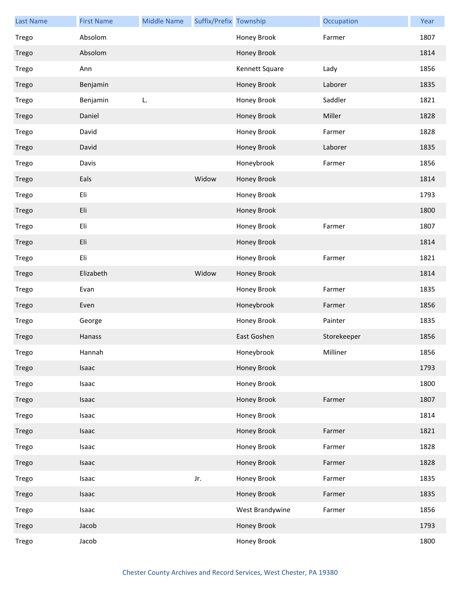| <b>Last Name</b> | <b>First Name</b> | <b>Middle Name</b> | Suffix/Prefix Township |                 | Occupation  | Year |
|------------------|-------------------|--------------------|------------------------|-----------------|-------------|------|
| Trego            | Absolom           |                    |                        | Honey Brook     | Farmer      | 1807 |
| Trego            | Absolom           |                    |                        | Honey Brook     |             | 1814 |
| Trego            | Ann               |                    |                        | Kennett Square  | Lady        | 1856 |
| Trego            | Benjamin          |                    |                        | Honey Brook     | Laborer     | 1835 |
| Trego            | Benjamin          | L.                 |                        | Honey Brook     | Saddler     | 1821 |
| Trego            | Daniel            |                    |                        | Honey Brook     | Miller      | 1828 |
| Trego            | David             |                    |                        | Honey Brook     | Farmer      | 1828 |
| Trego            | David             |                    |                        | Honey Brook     | Laborer     | 1835 |
| Trego            | Davis             |                    |                        | Honeybrook      | Farmer      | 1856 |
| Trego            | Eals              |                    | Widow                  | Honey Brook     |             | 1814 |
| Trego            | Eli               |                    |                        | Honey Brook     |             | 1793 |
| Trego            | Eli               |                    |                        | Honey Brook     |             | 1800 |
| Trego            | Eli               |                    |                        | Honey Brook     | Farmer      | 1807 |
| Trego            | Eli               |                    |                        | Honey Brook     |             | 1814 |
| Trego            | Eli               |                    |                        | Honey Brook     | Farmer      | 1821 |
| Trego            | Elizabeth         |                    | Widow                  | Honey Brook     |             | 1814 |
| Trego            | Evan              |                    |                        | Honey Brook     | Farmer      | 1835 |
| Trego            | Even              |                    |                        | Honeybrook      | Farmer      | 1856 |
| Trego            | George            |                    |                        | Honey Brook     | Painter     | 1835 |
| Trego            | Hanass            |                    |                        | East Goshen     | Storekeeper | 1856 |
| Trego            | Hannah            |                    |                        | Honeybrook      | Milliner    | 1856 |
| Trego            | Isaac             |                    |                        | Honey Brook     |             | 1793 |
| Trego            | Isaac             |                    |                        | Honey Brook     |             | 1800 |
| Trego            | Isaac             |                    |                        | Honey Brook     | Farmer      | 1807 |
| Trego            | Isaac             |                    |                        | Honey Brook     |             | 1814 |
| Trego            | Isaac             |                    |                        | Honey Brook     | Farmer      | 1821 |
| Trego            | Isaac             |                    |                        | Honey Brook     | Farmer      | 1828 |
| Trego            | Isaac             |                    |                        | Honey Brook     | Farmer      | 1828 |
| Trego            | Isaac             |                    | Jr.                    | Honey Brook     | Farmer      | 1835 |
| Trego            | Isaac             |                    |                        | Honey Brook     | Farmer      | 1835 |
| Trego            | Isaac             |                    |                        | West Brandywine | Farmer      | 1856 |
| Trego            | Jacob             |                    |                        | Honey Brook     |             | 1793 |
| Trego            | Jacob             |                    |                        | Honey Brook     |             | 1800 |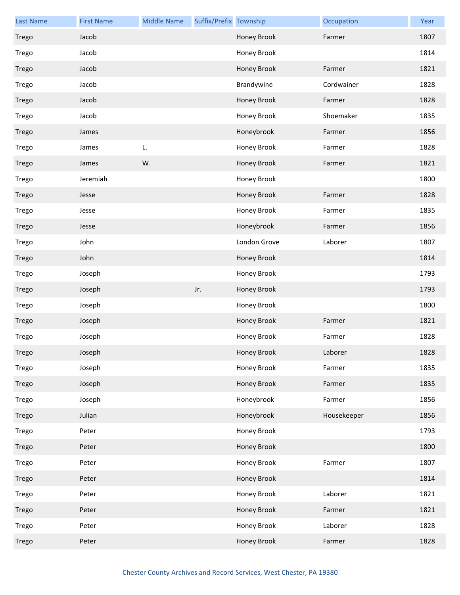| <b>Last Name</b> | <b>First Name</b> | <b>Middle Name</b> | Suffix/Prefix Township |              | Occupation  | Year |
|------------------|-------------------|--------------------|------------------------|--------------|-------------|------|
| Trego            | Jacob             |                    |                        | Honey Brook  | Farmer      | 1807 |
| Trego            | Jacob             |                    |                        | Honey Brook  |             | 1814 |
| Trego            | Jacob             |                    |                        | Honey Brook  | Farmer      | 1821 |
| Trego            | Jacob             |                    |                        | Brandywine   | Cordwainer  | 1828 |
| Trego            | Jacob             |                    |                        | Honey Brook  | Farmer      | 1828 |
| Trego            | Jacob             |                    |                        | Honey Brook  | Shoemaker   | 1835 |
| Trego            | James             |                    |                        | Honeybrook   | Farmer      | 1856 |
| Trego            | James             | L.                 |                        | Honey Brook  | Farmer      | 1828 |
| Trego            | James             | W.                 |                        | Honey Brook  | Farmer      | 1821 |
| Trego            | Jeremiah          |                    |                        | Honey Brook  |             | 1800 |
| Trego            | Jesse             |                    |                        | Honey Brook  | Farmer      | 1828 |
| Trego            | Jesse             |                    |                        | Honey Brook  | Farmer      | 1835 |
| Trego            | Jesse             |                    |                        | Honeybrook   | Farmer      | 1856 |
| Trego            | John              |                    |                        | London Grove | Laborer     | 1807 |
| Trego            | John              |                    |                        | Honey Brook  |             | 1814 |
| Trego            | Joseph            |                    |                        | Honey Brook  |             | 1793 |
| Trego            | Joseph            |                    | Jr.                    | Honey Brook  |             | 1793 |
| Trego            | Joseph            |                    |                        | Honey Brook  |             | 1800 |
| Trego            | Joseph            |                    |                        | Honey Brook  | Farmer      | 1821 |
| Trego            | Joseph            |                    |                        | Honey Brook  | Farmer      | 1828 |
| Trego            | Joseph            |                    |                        | Honey Brook  | Laborer     | 1828 |
| Trego            | Joseph            |                    |                        | Honey Brook  | Farmer      | 1835 |
| Trego            | Joseph            |                    |                        | Honey Brook  | Farmer      | 1835 |
| Trego            | Joseph            |                    |                        | Honeybrook   | Farmer      | 1856 |
| Trego            | Julian            |                    |                        | Honeybrook   | Housekeeper | 1856 |
| Trego            | Peter             |                    |                        | Honey Brook  |             | 1793 |
| Trego            | Peter             |                    |                        | Honey Brook  |             | 1800 |
| Trego            | Peter             |                    |                        | Honey Brook  | Farmer      | 1807 |
| Trego            | Peter             |                    |                        | Honey Brook  |             | 1814 |
| Trego            | Peter             |                    |                        | Honey Brook  | Laborer     | 1821 |
| Trego            | Peter             |                    |                        | Honey Brook  | Farmer      | 1821 |
| Trego            | Peter             |                    |                        | Honey Brook  | Laborer     | 1828 |
| Trego            | Peter             |                    |                        | Honey Brook  | Farmer      | 1828 |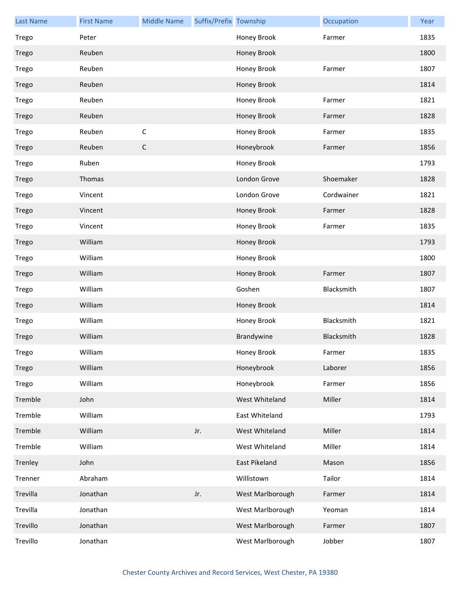| <b>Last Name</b> | <b>First Name</b> | <b>Middle Name</b> | Suffix/Prefix Township |                  | Occupation | Year |
|------------------|-------------------|--------------------|------------------------|------------------|------------|------|
| Trego            | Peter             |                    |                        | Honey Brook      | Farmer     | 1835 |
| Trego            | Reuben            |                    |                        | Honey Brook      |            | 1800 |
| Trego            | Reuben            |                    |                        | Honey Brook      | Farmer     | 1807 |
| Trego            | Reuben            |                    |                        | Honey Brook      |            | 1814 |
| Trego            | Reuben            |                    |                        | Honey Brook      | Farmer     | 1821 |
| Trego            | Reuben            |                    |                        | Honey Brook      | Farmer     | 1828 |
| Trego            | Reuben            | $\mathsf C$        |                        | Honey Brook      | Farmer     | 1835 |
| Trego            | Reuben            | $\mathsf C$        |                        | Honeybrook       | Farmer     | 1856 |
| Trego            | Ruben             |                    |                        | Honey Brook      |            | 1793 |
| Trego            | Thomas            |                    |                        | London Grove     | Shoemaker  | 1828 |
| Trego            | Vincent           |                    |                        | London Grove     | Cordwainer | 1821 |
| Trego            | Vincent           |                    |                        | Honey Brook      | Farmer     | 1828 |
| Trego            | Vincent           |                    |                        | Honey Brook      | Farmer     | 1835 |
| Trego            | William           |                    |                        | Honey Brook      |            | 1793 |
| Trego            | William           |                    |                        | Honey Brook      |            | 1800 |
| Trego            | William           |                    |                        | Honey Brook      | Farmer     | 1807 |
| Trego            | William           |                    |                        | Goshen           | Blacksmith | 1807 |
| Trego            | William           |                    |                        | Honey Brook      |            | 1814 |
| Trego            | William           |                    |                        | Honey Brook      | Blacksmith | 1821 |
| Trego            | William           |                    |                        | Brandywine       | Blacksmith | 1828 |
| Trego            | William           |                    |                        | Honey Brook      | Farmer     | 1835 |
| Trego            | William           |                    |                        | Honeybrook       | Laborer    | 1856 |
| Trego            | William           |                    |                        | Honeybrook       | Farmer     | 1856 |
| Tremble          | John              |                    |                        | West Whiteland   | Miller     | 1814 |
| Tremble          | William           |                    |                        | East Whiteland   |            | 1793 |
| Tremble          | William           |                    | Jr.                    | West Whiteland   | Miller     | 1814 |
| Tremble          | William           |                    |                        | West Whiteland   | Miller     | 1814 |
| Trenley          | John              |                    |                        | East Pikeland    | Mason      | 1856 |
| Trenner          | Abraham           |                    |                        | Willistown       | Tailor     | 1814 |
| Trevilla         | Jonathan          |                    | Jr.                    | West Marlborough | Farmer     | 1814 |
| Trevilla         | Jonathan          |                    |                        | West Marlborough | Yeoman     | 1814 |
| Trevillo         | Jonathan          |                    |                        | West Marlborough | Farmer     | 1807 |
| Trevillo         | Jonathan          |                    |                        | West Marlborough | Jobber     | 1807 |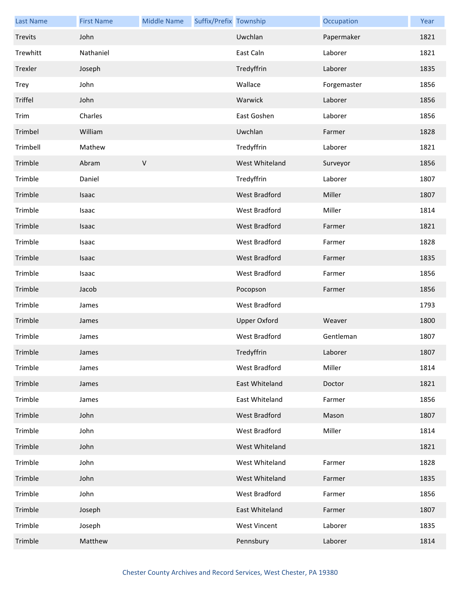| <b>Last Name</b> | <b>First Name</b> | <b>Middle Name</b> | Suffix/Prefix Township |                      | Occupation  | Year |
|------------------|-------------------|--------------------|------------------------|----------------------|-------------|------|
| Trevits          | John              |                    |                        | Uwchlan              | Papermaker  | 1821 |
| Trewhitt         | Nathaniel         |                    |                        | East Caln            | Laborer     | 1821 |
| Trexler          | Joseph            |                    |                        | Tredyffrin           | Laborer     | 1835 |
| <b>Trey</b>      | John              |                    |                        | Wallace              | Forgemaster | 1856 |
| Triffel          | John              |                    |                        | Warwick              | Laborer     | 1856 |
| Trim             | Charles           |                    |                        | East Goshen          | Laborer     | 1856 |
| Trimbel          | William           |                    |                        | Uwchlan              | Farmer      | 1828 |
| Trimbell         | Mathew            |                    |                        | Tredyffrin           | Laborer     | 1821 |
| Trimble          | Abram             | $\sf V$            |                        | West Whiteland       | Surveyor    | 1856 |
| Trimble          | Daniel            |                    |                        | Tredyffrin           | Laborer     | 1807 |
| Trimble          | Isaac             |                    |                        | <b>West Bradford</b> | Miller      | 1807 |
| Trimble          | Isaac             |                    |                        | West Bradford        | Miller      | 1814 |
| Trimble          | Isaac             |                    |                        | West Bradford        | Farmer      | 1821 |
| Trimble          | Isaac             |                    |                        | West Bradford        | Farmer      | 1828 |
| Trimble          | Isaac             |                    |                        | <b>West Bradford</b> | Farmer      | 1835 |
| Trimble          | Isaac             |                    |                        | West Bradford        | Farmer      | 1856 |
| Trimble          | Jacob             |                    |                        | Pocopson             | Farmer      | 1856 |
| Trimble          | James             |                    |                        | West Bradford        |             | 1793 |
| Trimble          | James             |                    |                        | <b>Upper Oxford</b>  | Weaver      | 1800 |
| Trimble          | James             |                    |                        | <b>West Bradford</b> | Gentleman   | 1807 |
| Trimble          | James             |                    |                        | Tredyffrin           | Laborer     | 1807 |
| Trimble          | James             |                    |                        | West Bradford        | Miller      | 1814 |
| Trimble          | James             |                    |                        | East Whiteland       | Doctor      | 1821 |
| Trimble          | James             |                    |                        | East Whiteland       | Farmer      | 1856 |
| Trimble          | John              |                    |                        | West Bradford        | Mason       | 1807 |
| Trimble          | John              |                    |                        | West Bradford        | Miller      | 1814 |
| Trimble          | John              |                    |                        | West Whiteland       |             | 1821 |
| Trimble          | John              |                    |                        | West Whiteland       | Farmer      | 1828 |
| Trimble          | John              |                    |                        | West Whiteland       | Farmer      | 1835 |
| Trimble          | John              |                    |                        | West Bradford        | Farmer      | 1856 |
| Trimble          | Joseph            |                    |                        | East Whiteland       | Farmer      | 1807 |
| Trimble          | Joseph            |                    |                        | <b>West Vincent</b>  | Laborer     | 1835 |
| Trimble          | Matthew           |                    |                        | Pennsbury            | Laborer     | 1814 |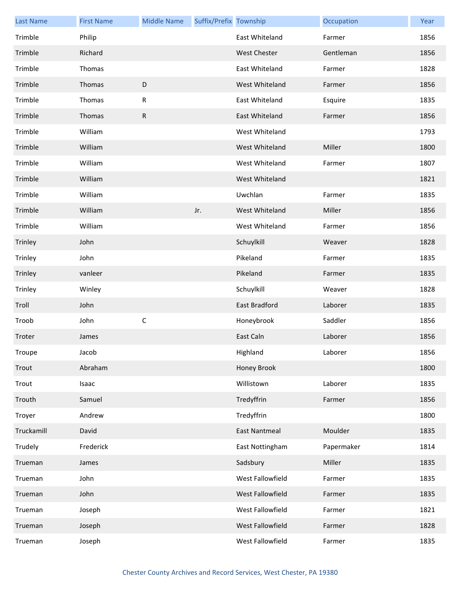| <b>Last Name</b> | <b>First Name</b> | <b>Middle Name</b> | Suffix/Prefix Township |                      | Occupation | Year |
|------------------|-------------------|--------------------|------------------------|----------------------|------------|------|
| Trimble          | Philip            |                    |                        | East Whiteland       | Farmer     | 1856 |
| Trimble          | Richard           |                    |                        | <b>West Chester</b>  | Gentleman  | 1856 |
| Trimble          | Thomas            |                    |                        | East Whiteland       | Farmer     | 1828 |
| Trimble          | Thomas            | $\mathsf D$        |                        | West Whiteland       | Farmer     | 1856 |
| Trimble          | Thomas            | R                  |                        | East Whiteland       | Esquire    | 1835 |
| Trimble          | Thomas            | $\mathsf{R}$       |                        | East Whiteland       | Farmer     | 1856 |
| Trimble          | William           |                    |                        | West Whiteland       |            | 1793 |
| Trimble          | William           |                    |                        | West Whiteland       | Miller     | 1800 |
| Trimble          | William           |                    |                        | West Whiteland       | Farmer     | 1807 |
| Trimble          | William           |                    |                        | West Whiteland       |            | 1821 |
| Trimble          | William           |                    |                        | Uwchlan              | Farmer     | 1835 |
| Trimble          | William           |                    | Jr.                    | West Whiteland       | Miller     | 1856 |
| Trimble          | William           |                    |                        | West Whiteland       | Farmer     | 1856 |
| Trinley          | John              |                    |                        | Schuylkill           | Weaver     | 1828 |
| Trinley          | John              |                    |                        | Pikeland             | Farmer     | 1835 |
| Trinley          | vanleer           |                    |                        | Pikeland             | Farmer     | 1835 |
| Trinley          | Winley            |                    |                        | Schuylkill           | Weaver     | 1828 |
| Troll            | John              |                    |                        | East Bradford        | Laborer    | 1835 |
| Troob            | John              | $\mathsf C$        |                        | Honeybrook           | Saddler    | 1856 |
| Troter           | James             |                    |                        | East Caln            | Laborer    | 1856 |
| Troupe           | Jacob             |                    |                        | Highland             | Laborer    | 1856 |
| Trout            | Abraham           |                    |                        | Honey Brook          |            | 1800 |
| Trout            | Isaac             |                    |                        | Willistown           | Laborer    | 1835 |
| Trouth           | Samuel            |                    |                        | Tredyffrin           | Farmer     | 1856 |
| Troyer           | Andrew            |                    |                        | Tredyffrin           |            | 1800 |
| Truckamill       | David             |                    |                        | <b>East Nantmeal</b> | Moulder    | 1835 |
| Trudely          | Frederick         |                    |                        | East Nottingham      | Papermaker | 1814 |
| Trueman          | James             |                    |                        | Sadsbury             | Miller     | 1835 |
| Trueman          | John              |                    |                        | West Fallowfield     | Farmer     | 1835 |
| Trueman          | John              |                    |                        | West Fallowfield     | Farmer     | 1835 |
| Trueman          | Joseph            |                    |                        | West Fallowfield     | Farmer     | 1821 |
| Trueman          | Joseph            |                    |                        | West Fallowfield     | Farmer     | 1828 |
| Trueman          | Joseph            |                    |                        | West Fallowfield     | Farmer     | 1835 |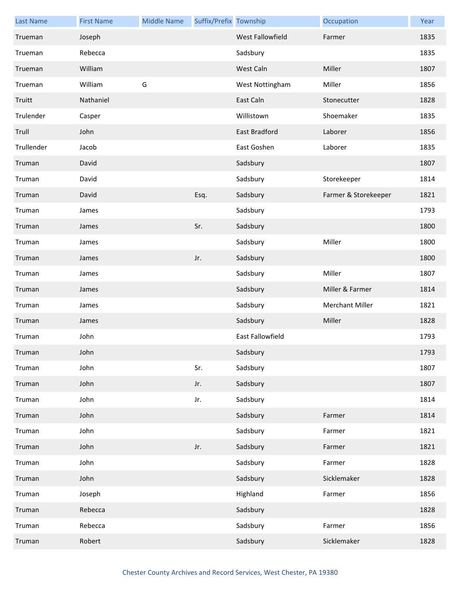| <b>Last Name</b> | <b>First Name</b> | <b>Middle Name</b> | Suffix/Prefix Township |                  | Occupation             | Year |
|------------------|-------------------|--------------------|------------------------|------------------|------------------------|------|
| Trueman          | Joseph            |                    |                        | West Fallowfield | Farmer                 | 1835 |
| Trueman          | Rebecca           |                    |                        | Sadsbury         |                        | 1835 |
| Trueman          | William           |                    |                        | West Caln        | Miller                 | 1807 |
| Trueman          | William           | G                  |                        | West Nottingham  | Miller                 | 1856 |
| Truitt           | Nathaniel         |                    |                        | East Caln        | Stonecutter            | 1828 |
| Trulender        | Casper            |                    |                        | Willistown       | Shoemaker              | 1835 |
| Trull            | John              |                    |                        | East Bradford    | Laborer                | 1856 |
| Trullender       | Jacob             |                    |                        | East Goshen      | Laborer                | 1835 |
| Truman           | David             |                    |                        | Sadsbury         |                        | 1807 |
| Truman           | David             |                    |                        | Sadsbury         | Storekeeper            | 1814 |
| Truman           | David             |                    | Esq.                   | Sadsbury         | Farmer & Storekeeper   | 1821 |
| Truman           | James             |                    |                        | Sadsbury         |                        | 1793 |
| Truman           | James             |                    | Sr.                    | Sadsbury         |                        | 1800 |
| Truman           | James             |                    |                        | Sadsbury         | Miller                 | 1800 |
| Truman           | James             |                    | Jr.                    | Sadsbury         |                        | 1800 |
| Truman           | James             |                    |                        | Sadsbury         | Miller                 | 1807 |
| Truman           | James             |                    |                        | Sadsbury         | Miller & Farmer        | 1814 |
| Truman           | James             |                    |                        | Sadsbury         | <b>Merchant Miller</b> | 1821 |
| Truman           | James             |                    |                        | Sadsbury         | Miller                 | 1828 |
| Truman           | John              |                    |                        | East Fallowfield |                        | 1793 |
| Truman           | John              |                    |                        | Sadsbury         |                        | 1793 |
| Truman           | John              |                    | Sr.                    | Sadsbury         |                        | 1807 |
| Truman           | John              |                    | Jr.                    | Sadsbury         |                        | 1807 |
| Truman           | John              |                    | Jr.                    | Sadsbury         |                        | 1814 |
| Truman           | John              |                    |                        | Sadsbury         | Farmer                 | 1814 |
| Truman           | John              |                    |                        | Sadsbury         | Farmer                 | 1821 |
| Truman           | John              |                    | Jr.                    | Sadsbury         | Farmer                 | 1821 |
| Truman           | John              |                    |                        | Sadsbury         | Farmer                 | 1828 |
| Truman           | John              |                    |                        | Sadsbury         | Sicklemaker            | 1828 |
| Truman           | Joseph            |                    |                        | Highland         | Farmer                 | 1856 |
| Truman           | Rebecca           |                    |                        | Sadsbury         |                        | 1828 |
| Truman           | Rebecca           |                    |                        | Sadsbury         | Farmer                 | 1856 |
| Truman           | Robert            |                    |                        | Sadsbury         | Sicklemaker            | 1828 |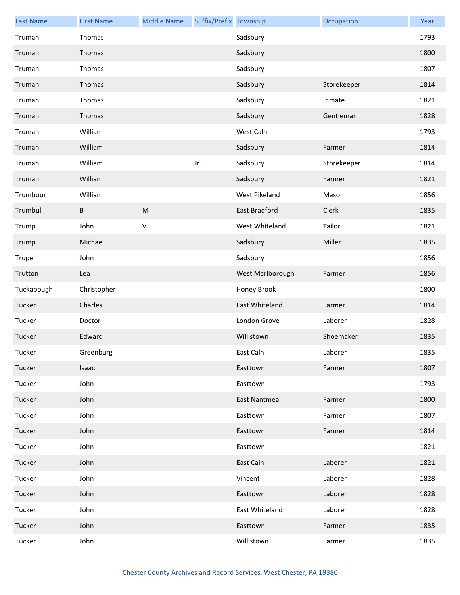| <b>Last Name</b> | <b>First Name</b> | <b>Middle Name</b> | Suffix/Prefix Township |                      | Occupation  | Year |
|------------------|-------------------|--------------------|------------------------|----------------------|-------------|------|
| Truman           | Thomas            |                    |                        | Sadsbury             |             | 1793 |
| Truman           | Thomas            |                    |                        | Sadsbury             |             | 1800 |
| Truman           | Thomas            |                    |                        | Sadsbury             |             | 1807 |
| Truman           | Thomas            |                    |                        | Sadsbury             | Storekeeper | 1814 |
| Truman           | Thomas            |                    |                        | Sadsbury             | Inmate      | 1821 |
| Truman           | Thomas            |                    |                        | Sadsbury             | Gentleman   | 1828 |
| Truman           | William           |                    |                        | West Caln            |             | 1793 |
| Truman           | William           |                    |                        | Sadsbury             | Farmer      | 1814 |
| Truman           | William           |                    | Jr.                    | Sadsbury             | Storekeeper | 1814 |
| Truman           | William           |                    |                        | Sadsbury             | Farmer      | 1821 |
| Trumbour         | William           |                    |                        | West Pikeland        | Mason       | 1856 |
| Trumbull         | В                 | ${\sf M}$          |                        | East Bradford        | Clerk       | 1835 |
| Trump            | John              | V.                 |                        | West Whiteland       | Tailor      | 1821 |
| Trump            | Michael           |                    |                        | Sadsbury             | Miller      | 1835 |
| Trupe            | John              |                    |                        | Sadsbury             |             | 1856 |
| Trutton          | Lea               |                    |                        | West Marlborough     | Farmer      | 1856 |
| Tuckabough       | Christopher       |                    |                        | Honey Brook          |             | 1800 |
| Tucker           | Charles           |                    |                        | East Whiteland       | Farmer      | 1814 |
| Tucker           | Doctor            |                    |                        | London Grove         | Laborer     | 1828 |
| Tucker           | Edward            |                    |                        | Willistown           | Shoemaker   | 1835 |
| Tucker           | Greenburg         |                    |                        | East Caln            | Laborer     | 1835 |
| Tucker           | Isaac             |                    |                        | Easttown             | Farmer      | 1807 |
| Tucker           | John              |                    |                        | Easttown             |             | 1793 |
| Tucker           | John              |                    |                        | <b>East Nantmeal</b> | Farmer      | 1800 |
| Tucker           | John              |                    |                        | Easttown             | Farmer      | 1807 |
| Tucker           | John              |                    |                        | Easttown             | Farmer      | 1814 |
| Tucker           | John              |                    |                        | Easttown             |             | 1821 |
| Tucker           | John              |                    |                        | East Caln            | Laborer     | 1821 |
| Tucker           | John              |                    |                        | Vincent              | Laborer     | 1828 |
| Tucker           | John              |                    |                        | Easttown             | Laborer     | 1828 |
| Tucker           | John              |                    |                        | East Whiteland       | Laborer     | 1828 |
| Tucker           | John              |                    |                        | Easttown             | Farmer      | 1835 |
| Tucker           | John              |                    |                        | Willistown           | Farmer      | 1835 |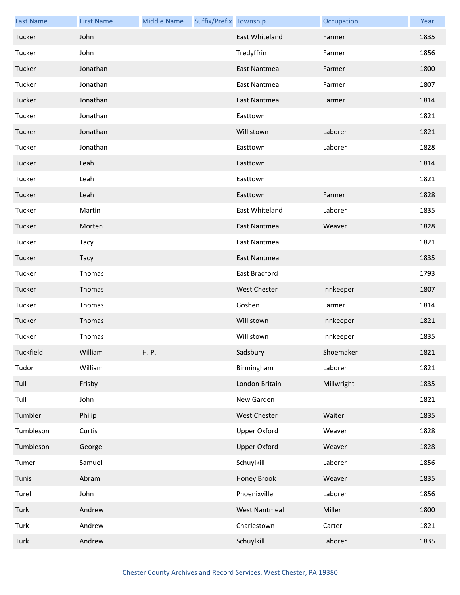| <b>Last Name</b> | <b>First Name</b> | <b>Middle Name</b> | Suffix/Prefix Township |                      | Occupation | Year |
|------------------|-------------------|--------------------|------------------------|----------------------|------------|------|
| Tucker           | John              |                    |                        | East Whiteland       | Farmer     | 1835 |
| Tucker           | John              |                    |                        | Tredyffrin           | Farmer     | 1856 |
| Tucker           | Jonathan          |                    |                        | <b>East Nantmeal</b> | Farmer     | 1800 |
| Tucker           | Jonathan          |                    |                        | <b>East Nantmeal</b> | Farmer     | 1807 |
| Tucker           | Jonathan          |                    |                        | East Nantmeal        | Farmer     | 1814 |
| Tucker           | Jonathan          |                    |                        | Easttown             |            | 1821 |
| Tucker           | Jonathan          |                    |                        | Willistown           | Laborer    | 1821 |
| Tucker           | Jonathan          |                    |                        | Easttown             | Laborer    | 1828 |
| Tucker           | Leah              |                    |                        | Easttown             |            | 1814 |
| Tucker           | Leah              |                    |                        | Easttown             |            | 1821 |
| Tucker           | Leah              |                    |                        | Easttown             | Farmer     | 1828 |
| Tucker           | Martin            |                    |                        | East Whiteland       | Laborer    | 1835 |
| Tucker           | Morten            |                    |                        | East Nantmeal        | Weaver     | 1828 |
| Tucker           | Tacy              |                    |                        | <b>East Nantmeal</b> |            | 1821 |
| Tucker           | Tacy              |                    |                        | <b>East Nantmeal</b> |            | 1835 |
| Tucker           | Thomas            |                    |                        | East Bradford        |            | 1793 |
| Tucker           | Thomas            |                    |                        | <b>West Chester</b>  | Innkeeper  | 1807 |
| Tucker           | Thomas            |                    |                        | Goshen               | Farmer     | 1814 |
| Tucker           | Thomas            |                    |                        | Willistown           | Innkeeper  | 1821 |
| Tucker           | Thomas            |                    |                        | Willistown           | Innkeeper  | 1835 |
| Tuckfield        | William           | H. P.              |                        | Sadsbury             | Shoemaker  | 1821 |
| Tudor            | William           |                    |                        | Birmingham           | Laborer    | 1821 |
| Tull             | Frisby            |                    |                        | London Britain       | Millwright | 1835 |
| Tull             | John              |                    |                        | New Garden           |            | 1821 |
| Tumbler          | Philip            |                    |                        | West Chester         | Waiter     | 1835 |
| Tumbleson        | Curtis            |                    |                        | Upper Oxford         | Weaver     | 1828 |
| Tumbleson        | George            |                    |                        | <b>Upper Oxford</b>  | Weaver     | 1828 |
| Tumer            | Samuel            |                    |                        | Schuylkill           | Laborer    | 1856 |
| Tunis            | Abram             |                    |                        | Honey Brook          | Weaver     | 1835 |
| Turel            | John              |                    |                        | Phoenixville         | Laborer    | 1856 |
| Turk             | Andrew            |                    |                        | <b>West Nantmeal</b> | Miller     | 1800 |
| Turk             | Andrew            |                    |                        | Charlestown          | Carter     | 1821 |
| Turk             | Andrew            |                    |                        | Schuylkill           | Laborer    | 1835 |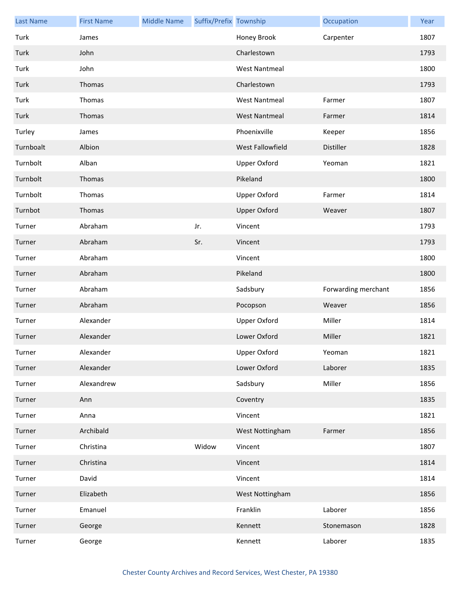| <b>Last Name</b> | <b>First Name</b> | <b>Middle Name</b> | Suffix/Prefix Township |                      | Occupation          | Year |
|------------------|-------------------|--------------------|------------------------|----------------------|---------------------|------|
| Turk             | James             |                    |                        | Honey Brook          | Carpenter           | 1807 |
| Turk             | John              |                    |                        | Charlestown          |                     | 1793 |
| Turk             | John              |                    |                        | <b>West Nantmeal</b> |                     | 1800 |
| Turk             | Thomas            |                    |                        | Charlestown          |                     | 1793 |
| Turk             | Thomas            |                    |                        | <b>West Nantmeal</b> | Farmer              | 1807 |
| Turk             | Thomas            |                    |                        | <b>West Nantmeal</b> | Farmer              | 1814 |
| Turley           | James             |                    |                        | Phoenixville         | Keeper              | 1856 |
| Turnboalt        | Albion            |                    |                        | West Fallowfield     | Distiller           | 1828 |
| Turnbolt         | Alban             |                    |                        | <b>Upper Oxford</b>  | Yeoman              | 1821 |
| Turnbolt         | Thomas            |                    |                        | Pikeland             |                     | 1800 |
| Turnbolt         | Thomas            |                    |                        | Upper Oxford         | Farmer              | 1814 |
| Turnbot          | Thomas            |                    |                        | <b>Upper Oxford</b>  | Weaver              | 1807 |
| Turner           | Abraham           |                    | Jr.                    | Vincent              |                     | 1793 |
| Turner           | Abraham           |                    | Sr.                    | Vincent              |                     | 1793 |
| Turner           | Abraham           |                    |                        | Vincent              |                     | 1800 |
| Turner           | Abraham           |                    |                        | Pikeland             |                     | 1800 |
| Turner           | Abraham           |                    |                        | Sadsbury             | Forwarding merchant | 1856 |
| Turner           | Abraham           |                    |                        | Pocopson             | Weaver              | 1856 |
| Turner           | Alexander         |                    |                        | Upper Oxford         | Miller              | 1814 |
| Turner           | Alexander         |                    |                        | Lower Oxford         | Miller              | 1821 |
| Turner           | Alexander         |                    |                        | Upper Oxford         | Yeoman              | 1821 |
| Turner           | Alexander         |                    |                        | Lower Oxford         | Laborer             | 1835 |
| Turner           | Alexandrew        |                    |                        | Sadsbury             | Miller              | 1856 |
| Turner           | Ann               |                    |                        | Coventry             |                     | 1835 |
| Turner           | Anna              |                    |                        | Vincent              |                     | 1821 |
| Turner           | Archibald         |                    |                        | West Nottingham      | Farmer              | 1856 |
| Turner           | Christina         |                    | Widow                  | Vincent              |                     | 1807 |
| Turner           | Christina         |                    |                        | Vincent              |                     | 1814 |
| Turner           | David             |                    |                        | Vincent              |                     | 1814 |
| Turner           | Elizabeth         |                    |                        | West Nottingham      |                     | 1856 |
| Turner           | Emanuel           |                    |                        | Franklin             | Laborer             | 1856 |
| Turner           | George            |                    |                        | Kennett              | Stonemason          | 1828 |
| Turner           | George            |                    |                        | Kennett              | Laborer             | 1835 |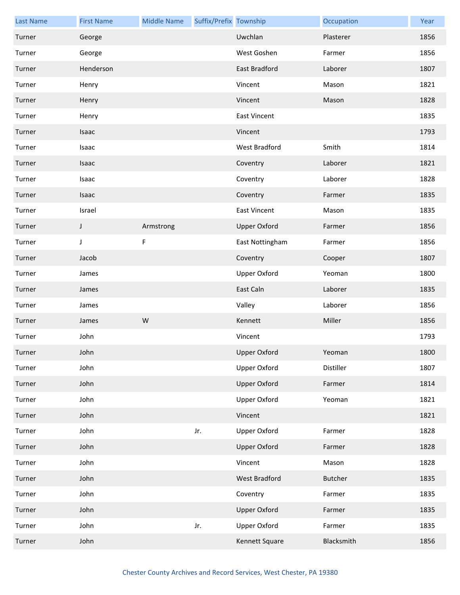| <b>Last Name</b> | <b>First Name</b> | <b>Middle Name</b> | Suffix/Prefix Township |                      | Occupation     | Year |
|------------------|-------------------|--------------------|------------------------|----------------------|----------------|------|
| Turner           | George            |                    |                        | Uwchlan              | Plasterer      | 1856 |
| Turner           | George            |                    |                        | West Goshen          | Farmer         | 1856 |
| Turner           | Henderson         |                    |                        | <b>East Bradford</b> | Laborer        | 1807 |
| Turner           | Henry             |                    |                        | Vincent              | Mason          | 1821 |
| Turner           | Henry             |                    |                        | Vincent              | Mason          | 1828 |
| Turner           | Henry             |                    |                        | <b>East Vincent</b>  |                | 1835 |
| Turner           | Isaac             |                    |                        | Vincent              |                | 1793 |
| Turner           | Isaac             |                    |                        | West Bradford        | Smith          | 1814 |
| Turner           | Isaac             |                    |                        | Coventry             | Laborer        | 1821 |
| Turner           | Isaac             |                    |                        | Coventry             | Laborer        | 1828 |
| Turner           | Isaac             |                    |                        | Coventry             | Farmer         | 1835 |
| Turner           | Israel            |                    |                        | <b>East Vincent</b>  | Mason          | 1835 |
| Turner           | J                 | Armstrong          |                        | <b>Upper Oxford</b>  | Farmer         | 1856 |
| Turner           | J                 | F                  |                        | East Nottingham      | Farmer         | 1856 |
| Turner           | Jacob             |                    |                        | Coventry             | Cooper         | 1807 |
| Turner           | James             |                    |                        | <b>Upper Oxford</b>  | Yeoman         | 1800 |
| Turner           | James             |                    |                        | East Caln            | Laborer        | 1835 |
| Turner           | James             |                    |                        | Valley               | Laborer        | 1856 |
| Turner           | James             | W                  |                        | Kennett              | Miller         | 1856 |
| Turner           | John              |                    |                        | Vincent              |                | 1793 |
| Turner           | John              |                    |                        | Upper Oxford         | Yeoman         | 1800 |
| Turner           | John              |                    |                        | Upper Oxford         | Distiller      | 1807 |
| Turner           | John              |                    |                        | <b>Upper Oxford</b>  | Farmer         | 1814 |
| Turner           | John              |                    |                        | <b>Upper Oxford</b>  | Yeoman         | 1821 |
| Turner           | John              |                    |                        | Vincent              |                | 1821 |
| Turner           | John              |                    | Jr.                    | Upper Oxford         | Farmer         | 1828 |
| Turner           | John              |                    |                        | <b>Upper Oxford</b>  | Farmer         | 1828 |
| Turner           | John              |                    |                        | Vincent              | Mason          | 1828 |
| Turner           | John              |                    |                        | <b>West Bradford</b> | <b>Butcher</b> | 1835 |
| Turner           | John              |                    |                        | Coventry             | Farmer         | 1835 |
| Turner           | John              |                    |                        | <b>Upper Oxford</b>  | Farmer         | 1835 |
| Turner           | John              |                    | Jr.                    | Upper Oxford         | Farmer         | 1835 |
| Turner           | John              |                    |                        | Kennett Square       | Blacksmith     | 1856 |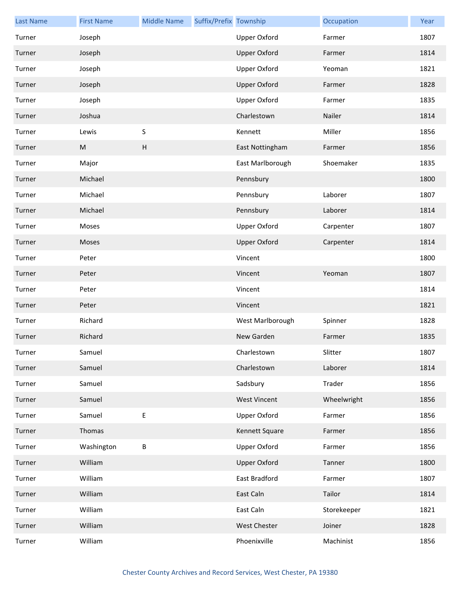| <b>Last Name</b> | <b>First Name</b> | <b>Middle Name</b> | Suffix/Prefix Township |                     | Occupation  | Year |
|------------------|-------------------|--------------------|------------------------|---------------------|-------------|------|
| Turner           | Joseph            |                    |                        | <b>Upper Oxford</b> | Farmer      | 1807 |
| Turner           | Joseph            |                    |                        | <b>Upper Oxford</b> | Farmer      | 1814 |
| Turner           | Joseph            |                    |                        | <b>Upper Oxford</b> | Yeoman      | 1821 |
| Turner           | Joseph            |                    |                        | <b>Upper Oxford</b> | Farmer      | 1828 |
| Turner           | Joseph            |                    |                        | <b>Upper Oxford</b> | Farmer      | 1835 |
| Turner           | Joshua            |                    |                        | Charlestown         | Nailer      | 1814 |
| Turner           | Lewis             | $\sf S$            |                        | Kennett             | Miller      | 1856 |
| Turner           | ${\sf M}$         | $\mathsf{H}$       |                        | East Nottingham     | Farmer      | 1856 |
| Turner           | Major             |                    |                        | East Marlborough    | Shoemaker   | 1835 |
| Turner           | Michael           |                    |                        | Pennsbury           |             | 1800 |
| Turner           | Michael           |                    |                        | Pennsbury           | Laborer     | 1807 |
| Turner           | Michael           |                    |                        | Pennsbury           | Laborer     | 1814 |
| Turner           | Moses             |                    |                        | <b>Upper Oxford</b> | Carpenter   | 1807 |
| Turner           | Moses             |                    |                        | <b>Upper Oxford</b> | Carpenter   | 1814 |
| Turner           | Peter             |                    |                        | Vincent             |             | 1800 |
| Turner           | Peter             |                    |                        | Vincent             | Yeoman      | 1807 |
| Turner           | Peter             |                    |                        | Vincent             |             | 1814 |
| Turner           | Peter             |                    |                        | Vincent             |             | 1821 |
| Turner           | Richard           |                    |                        | West Marlborough    | Spinner     | 1828 |
| Turner           | Richard           |                    |                        | New Garden          | Farmer      | 1835 |
| Turner           | Samuel            |                    |                        | Charlestown         | Slitter     | 1807 |
| Turner           | Samuel            |                    |                        | Charlestown         | Laborer     | 1814 |
| Turner           | Samuel            |                    |                        | Sadsbury            | Trader      | 1856 |
| Turner           | Samuel            |                    |                        | <b>West Vincent</b> | Wheelwright | 1856 |
| Turner           | Samuel            | E                  |                        | Upper Oxford        | Farmer      | 1856 |
| Turner           | Thomas            |                    |                        | Kennett Square      | Farmer      | 1856 |
| Turner           | Washington        | B                  |                        | <b>Upper Oxford</b> | Farmer      | 1856 |
| Turner           | William           |                    |                        | <b>Upper Oxford</b> | Tanner      | 1800 |
| Turner           | William           |                    |                        | East Bradford       | Farmer      | 1807 |
| Turner           | William           |                    |                        | East Caln           | Tailor      | 1814 |
| Turner           | William           |                    |                        | East Caln           | Storekeeper | 1821 |
| Turner           | William           |                    |                        | West Chester        | Joiner      | 1828 |
| Turner           | William           |                    |                        | Phoenixville        | Machinist   | 1856 |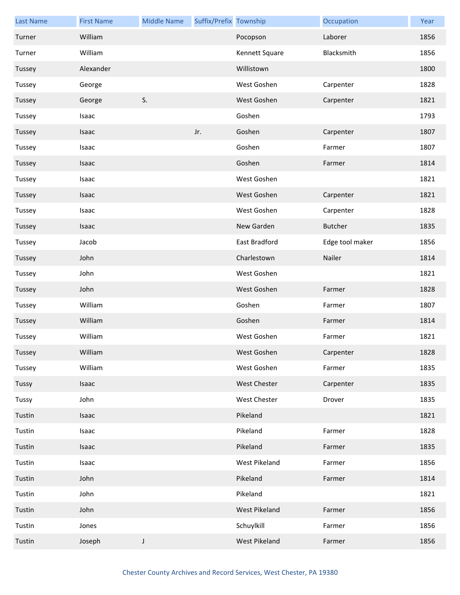| <b>Last Name</b> | <b>First Name</b> | <b>Middle Name</b> | Suffix/Prefix Township |                | Occupation      | Year |
|------------------|-------------------|--------------------|------------------------|----------------|-----------------|------|
| Turner           | William           |                    |                        | Pocopson       | Laborer         | 1856 |
| Turner           | William           |                    |                        | Kennett Square | Blacksmith      | 1856 |
| Tussey           | Alexander         |                    |                        | Willistown     |                 | 1800 |
| Tussey           | George            |                    |                        | West Goshen    | Carpenter       | 1828 |
| Tussey           | George            | S.                 |                        | West Goshen    | Carpenter       | 1821 |
| Tussey           | Isaac             |                    |                        | Goshen         |                 | 1793 |
| Tussey           | Isaac             |                    | Jr.                    | Goshen         | Carpenter       | 1807 |
| Tussey           | Isaac             |                    |                        | Goshen         | Farmer          | 1807 |
| Tussey           | Isaac             |                    |                        | Goshen         | Farmer          | 1814 |
| Tussey           | Isaac             |                    |                        | West Goshen    |                 | 1821 |
| Tussey           | Isaac             |                    |                        | West Goshen    | Carpenter       | 1821 |
| Tussey           | Isaac             |                    |                        | West Goshen    | Carpenter       | 1828 |
| Tussey           | Isaac             |                    |                        | New Garden     | <b>Butcher</b>  | 1835 |
| Tussey           | Jacob             |                    |                        | East Bradford  | Edge tool maker | 1856 |
| Tussey           | John              |                    |                        | Charlestown    | Nailer          | 1814 |
| Tussey           | John              |                    |                        | West Goshen    |                 | 1821 |
| Tussey           | John              |                    |                        | West Goshen    | Farmer          | 1828 |
| Tussey           | William           |                    |                        | Goshen         | Farmer          | 1807 |
| Tussey           | William           |                    |                        | Goshen         | Farmer          | 1814 |
| Tussey           | William           |                    |                        | West Goshen    | Farmer          | 1821 |
| Tussey           | William           |                    |                        | West Goshen    | Carpenter       | 1828 |
| Tussey           | William           |                    |                        | West Goshen    | Farmer          | 1835 |
| Tussy            | Isaac             |                    |                        | West Chester   | Carpenter       | 1835 |
| Tussy            | John              |                    |                        | West Chester   | Drover          | 1835 |
| Tustin           | Isaac             |                    |                        | Pikeland       |                 | 1821 |
| Tustin           | Isaac             |                    |                        | Pikeland       | Farmer          | 1828 |
| Tustin           | Isaac             |                    |                        | Pikeland       | Farmer          | 1835 |
| Tustin           | Isaac             |                    |                        | West Pikeland  | Farmer          | 1856 |
| Tustin           | John              |                    |                        | Pikeland       | Farmer          | 1814 |
| Tustin           | John              |                    |                        | Pikeland       |                 | 1821 |
| Tustin           | John              |                    |                        | West Pikeland  | Farmer          | 1856 |
| Tustin           | Jones             |                    |                        | Schuylkill     | Farmer          | 1856 |
| Tustin           | Joseph            | J                  |                        | West Pikeland  | Farmer          | 1856 |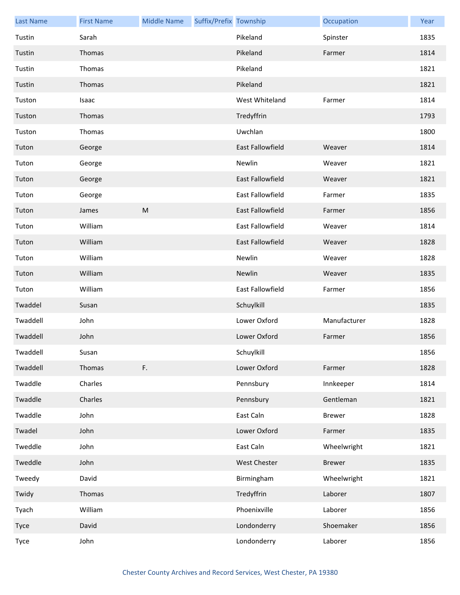| <b>Last Name</b> | <b>First Name</b> | <b>Middle Name</b> | Suffix/Prefix Township |                         | Occupation    | Year |
|------------------|-------------------|--------------------|------------------------|-------------------------|---------------|------|
| Tustin           | Sarah             |                    |                        | Pikeland                | Spinster      | 1835 |
| Tustin           | Thomas            |                    |                        | Pikeland                | Farmer        | 1814 |
| Tustin           | Thomas            |                    |                        | Pikeland                |               | 1821 |
| Tustin           | Thomas            |                    |                        | Pikeland                |               | 1821 |
| Tuston           | Isaac             |                    |                        | West Whiteland          | Farmer        | 1814 |
| Tuston           | Thomas            |                    |                        | Tredyffrin              |               | 1793 |
| Tuston           | Thomas            |                    |                        | Uwchlan                 |               | 1800 |
| Tuton            | George            |                    |                        | East Fallowfield        | Weaver        | 1814 |
| Tuton            | George            |                    |                        | Newlin                  | Weaver        | 1821 |
| Tuton            | George            |                    |                        | <b>East Fallowfield</b> | Weaver        | 1821 |
| Tuton            | George            |                    |                        | East Fallowfield        | Farmer        | 1835 |
| Tuton            | James             | ${\sf M}$          |                        | East Fallowfield        | Farmer        | 1856 |
| Tuton            | William           |                    |                        | East Fallowfield        | Weaver        | 1814 |
| Tuton            | William           |                    |                        | East Fallowfield        | Weaver        | 1828 |
| Tuton            | William           |                    |                        | Newlin                  | Weaver        | 1828 |
| Tuton            | William           |                    |                        | Newlin                  | Weaver        | 1835 |
| Tuton            | William           |                    |                        | East Fallowfield        | Farmer        | 1856 |
| Twaddel          | Susan             |                    |                        | Schuylkill              |               | 1835 |
| Twaddell         | John              |                    |                        | Lower Oxford            | Manufacturer  | 1828 |
| Twaddell         | John              |                    |                        | Lower Oxford            | Farmer        | 1856 |
| Twaddell         | Susan             |                    |                        | Schuylkill              |               | 1856 |
| Twaddell         | Thomas            | F.                 |                        | Lower Oxford            | Farmer        | 1828 |
| Twaddle          | Charles           |                    |                        | Pennsbury               | Innkeeper     | 1814 |
| Twaddle          | Charles           |                    |                        | Pennsbury               | Gentleman     | 1821 |
| Twaddle          | John              |                    |                        | East Caln               | <b>Brewer</b> | 1828 |
| Twadel           | John              |                    |                        | Lower Oxford            | Farmer        | 1835 |
| Tweddle          | John              |                    |                        | East Caln               | Wheelwright   | 1821 |
| Tweddle          | John              |                    |                        | West Chester            | <b>Brewer</b> | 1835 |
| Tweedy           | David             |                    |                        | Birmingham              | Wheelwright   | 1821 |
| Twidy            | Thomas            |                    |                        | Tredyffrin              | Laborer       | 1807 |
| Tyach            | William           |                    |                        | Phoenixville            | Laborer       | 1856 |
| Tyce             | David             |                    |                        | Londonderry             | Shoemaker     | 1856 |
| Tyce             | John              |                    |                        | Londonderry             | Laborer       | 1856 |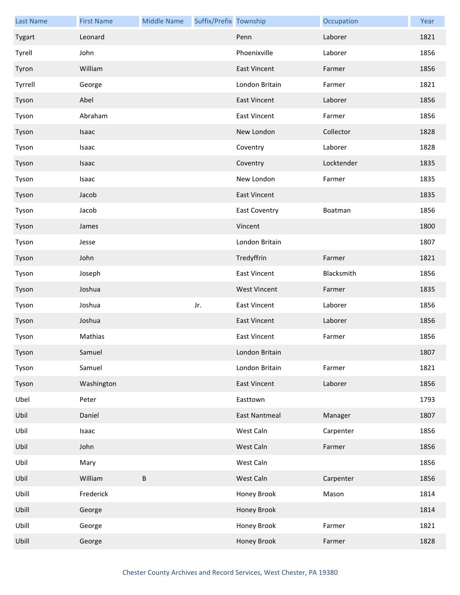| <b>Last Name</b> | <b>First Name</b> | <b>Middle Name</b> | Suffix/Prefix Township |                      | Occupation | Year |
|------------------|-------------------|--------------------|------------------------|----------------------|------------|------|
| Tygart           | Leonard           |                    |                        | Penn                 | Laborer    | 1821 |
| Tyrell           | John              |                    |                        | Phoenixville         | Laborer    | 1856 |
| Tyron            | William           |                    |                        | <b>East Vincent</b>  | Farmer     | 1856 |
| Tyrrell          | George            |                    |                        | London Britain       | Farmer     | 1821 |
| Tyson            | Abel              |                    |                        | East Vincent         | Laborer    | 1856 |
| Tyson            | Abraham           |                    |                        | <b>East Vincent</b>  | Farmer     | 1856 |
| Tyson            | Isaac             |                    |                        | New London           | Collector  | 1828 |
| Tyson            | Isaac             |                    |                        | Coventry             | Laborer    | 1828 |
| Tyson            | <b>Isaac</b>      |                    |                        | Coventry             | Locktender | 1835 |
| Tyson            | Isaac             |                    |                        | New London           | Farmer     | 1835 |
| Tyson            | Jacob             |                    |                        | <b>East Vincent</b>  |            | 1835 |
| Tyson            | Jacob             |                    |                        | <b>East Coventry</b> | Boatman    | 1856 |
| Tyson            | James             |                    |                        | Vincent              |            | 1800 |
| Tyson            | Jesse             |                    |                        | London Britain       |            | 1807 |
| Tyson            | John              |                    |                        | Tredyffrin           | Farmer     | 1821 |
| Tyson            | Joseph            |                    |                        | <b>East Vincent</b>  | Blacksmith | 1856 |
| Tyson            | Joshua            |                    |                        | <b>West Vincent</b>  | Farmer     | 1835 |
| Tyson            | Joshua            |                    | Jr.                    | <b>East Vincent</b>  | Laborer    | 1856 |
| Tyson            | Joshua            |                    |                        | <b>East Vincent</b>  | Laborer    | 1856 |
| Tyson            | Mathias           |                    |                        | <b>East Vincent</b>  | Farmer     | 1856 |
| Tyson            | Samuel            |                    |                        | London Britain       |            | 1807 |
| Tyson            | Samuel            |                    |                        | London Britain       | Farmer     | 1821 |
| Tyson            | Washington        |                    |                        | <b>East Vincent</b>  | Laborer    | 1856 |
| Ubel             | Peter             |                    |                        | Easttown             |            | 1793 |
| Ubil             | Daniel            |                    |                        | <b>East Nantmeal</b> | Manager    | 1807 |
| Ubil             | Isaac             |                    |                        | West Caln            | Carpenter  | 1856 |
| Ubil             | John              |                    |                        | West Caln            | Farmer     | 1856 |
| Ubil             | Mary              |                    |                        | West Caln            |            | 1856 |
| Ubil             | William           | $\sf B$            |                        | West Caln            | Carpenter  | 1856 |
| Ubill            | Frederick         |                    |                        | Honey Brook          | Mason      | 1814 |
| Ubill            | George            |                    |                        | Honey Brook          |            | 1814 |
| Ubill            | George            |                    |                        | Honey Brook          | Farmer     | 1821 |
| Ubill            | George            |                    |                        | <b>Honey Brook</b>   | Farmer     | 1828 |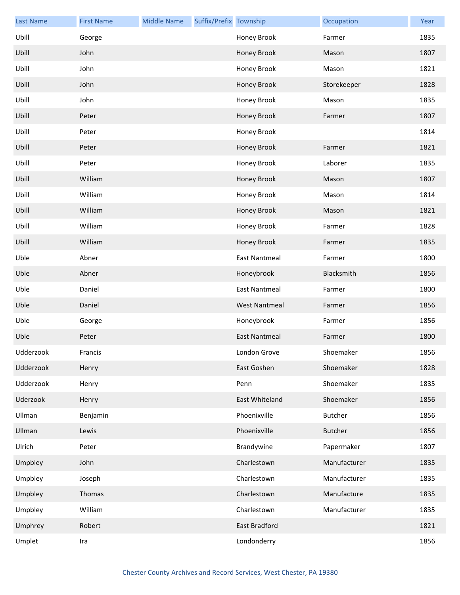| <b>Last Name</b> | <b>First Name</b> | <b>Middle Name</b> | Suffix/Prefix Township |                      | Occupation     | Year |
|------------------|-------------------|--------------------|------------------------|----------------------|----------------|------|
| Ubill            | George            |                    |                        | Honey Brook          | Farmer         | 1835 |
| Ubill            | John              |                    |                        | Honey Brook          | Mason          | 1807 |
| Ubill            | John              |                    |                        | Honey Brook          | Mason          | 1821 |
| Ubill            | John              |                    |                        | Honey Brook          | Storekeeper    | 1828 |
| Ubill            | John              |                    |                        | Honey Brook          | Mason          | 1835 |
| Ubill            | Peter             |                    |                        | Honey Brook          | Farmer         | 1807 |
| Ubill            | Peter             |                    |                        | Honey Brook          |                | 1814 |
| Ubill            | Peter             |                    |                        | Honey Brook          | Farmer         | 1821 |
| Ubill            | Peter             |                    |                        | Honey Brook          | Laborer        | 1835 |
| Ubill            | William           |                    |                        | Honey Brook          | Mason          | 1807 |
| Ubill            | William           |                    |                        | Honey Brook          | Mason          | 1814 |
| Ubill            | William           |                    |                        | Honey Brook          | Mason          | 1821 |
| Ubill            | William           |                    |                        | Honey Brook          | Farmer         | 1828 |
| Ubill            | William           |                    |                        | Honey Brook          | Farmer         | 1835 |
| Uble             | Abner             |                    |                        | <b>East Nantmeal</b> | Farmer         | 1800 |
| Uble             | Abner             |                    |                        | Honeybrook           | Blacksmith     | 1856 |
| Uble             | Daniel            |                    |                        | <b>East Nantmeal</b> | Farmer         | 1800 |
| Uble             | Daniel            |                    |                        | <b>West Nantmeal</b> | Farmer         | 1856 |
| Uble             | George            |                    |                        | Honeybrook           | Farmer         | 1856 |
| Uble             | Peter             |                    |                        | <b>East Nantmeal</b> | Farmer         | 1800 |
| Udderzook        | Francis           |                    |                        | London Grove         | Shoemaker      | 1856 |
| Udderzook        | Henry             |                    |                        | East Goshen          | Shoemaker      | 1828 |
| Udderzook        | Henry             |                    |                        | Penn                 | Shoemaker      | 1835 |
| Uderzook         | Henry             |                    |                        | East Whiteland       | Shoemaker      | 1856 |
| Ullman           | Benjamin          |                    |                        | Phoenixville         | <b>Butcher</b> | 1856 |
| Ullman           | Lewis             |                    |                        | Phoenixville         | <b>Butcher</b> | 1856 |
| Ulrich           | Peter             |                    |                        | Brandywine           | Papermaker     | 1807 |
| Umpbley          | John              |                    |                        | Charlestown          | Manufacturer   | 1835 |
| Umpbley          | Joseph            |                    |                        | Charlestown          | Manufacturer   | 1835 |
| Umpbley          | Thomas            |                    |                        | Charlestown          | Manufacture    | 1835 |
| Umpbley          | William           |                    |                        | Charlestown          | Manufacturer   | 1835 |
| Umphrey          | Robert            |                    |                        | East Bradford        |                | 1821 |
| Umplet           | Ira               |                    |                        | Londonderry          |                | 1856 |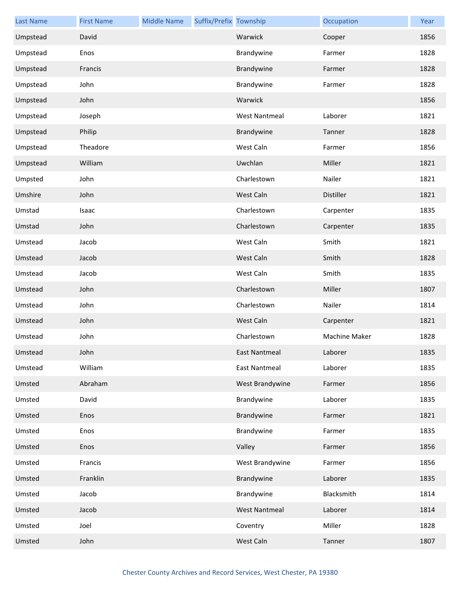| <b>Last Name</b> | <b>First Name</b> | <b>Middle Name</b> | Suffix/Prefix Township |                      | Occupation    | Year |
|------------------|-------------------|--------------------|------------------------|----------------------|---------------|------|
| Umpstead         | David             |                    |                        | Warwick              | Cooper        | 1856 |
| Umpstead         | Enos              |                    |                        | Brandywine           | Farmer        | 1828 |
| Umpstead         | Francis           |                    |                        | Brandywine           | Farmer        | 1828 |
| Umpstead         | John              |                    |                        | Brandywine           | Farmer        | 1828 |
| Umpstead         | John              |                    |                        | Warwick              |               | 1856 |
| Umpstead         | Joseph            |                    |                        | <b>West Nantmeal</b> | Laborer       | 1821 |
| Umpstead         | Philip            |                    |                        | Brandywine           | Tanner        | 1828 |
| Umpstead         | Theadore          |                    |                        | West Caln            | Farmer        | 1856 |
| Umpstead         | William           |                    |                        | Uwchlan              | Miller        | 1821 |
| Umpsted          | John              |                    |                        | Charlestown          | Nailer        | 1821 |
| Umshire          | John              |                    |                        | West Caln            | Distiller     | 1821 |
| Umstad           | Isaac             |                    |                        | Charlestown          | Carpenter     | 1835 |
| Umstad           | John              |                    |                        | Charlestown          | Carpenter     | 1835 |
| Umstead          | Jacob             |                    |                        | West Caln            | Smith         | 1821 |
| Umstead          | Jacob             |                    |                        | West Caln            | Smith         | 1828 |
| Umstead          | Jacob             |                    |                        | West Caln            | Smith         | 1835 |
| Umstead          | John              |                    |                        | Charlestown          | Miller        | 1807 |
| Umstead          | John              |                    |                        | Charlestown          | Nailer        | 1814 |
| Umstead          | John              |                    |                        | West Caln            | Carpenter     | 1821 |
| Umstead          | John              |                    |                        | Charlestown          | Machine Maker | 1828 |
| Umstead          | John              |                    |                        | East Nantmeal        | Laborer       | 1835 |
| Umstead          | William           |                    |                        | <b>East Nantmeal</b> | Laborer       | 1835 |
| Umsted           | Abraham           |                    |                        | West Brandywine      | Farmer        | 1856 |
| Umsted           | David             |                    |                        | Brandywine           | Laborer       | 1835 |
| Umsted           | Enos              |                    |                        | Brandywine           | Farmer        | 1821 |
| Umsted           | Enos              |                    |                        | Brandywine           | Farmer        | 1835 |
| Umsted           | Enos              |                    |                        | Valley               | Farmer        | 1856 |
| Umsted           | Francis           |                    |                        | West Brandywine      | Farmer        | 1856 |
| Umsted           | Franklin          |                    |                        | Brandywine           | Laborer       | 1835 |
| Umsted           | Jacob             |                    |                        | Brandywine           | Blacksmith    | 1814 |
| Umsted           | Jacob             |                    |                        | <b>West Nantmeal</b> | Laborer       | 1814 |
| Umsted           | Joel              |                    |                        | Coventry             | Miller        | 1828 |
| Umsted           | John              |                    |                        | West Caln            | Tanner        | 1807 |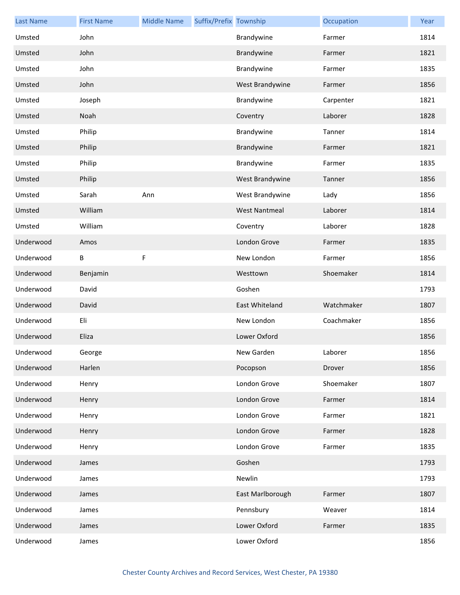| <b>Last Name</b> | <b>First Name</b> | <b>Middle Name</b> | Suffix/Prefix Township |                      | Occupation | Year |
|------------------|-------------------|--------------------|------------------------|----------------------|------------|------|
| Umsted           | John              |                    |                        | Brandywine           | Farmer     | 1814 |
| Umsted           | John              |                    |                        | Brandywine           | Farmer     | 1821 |
| Umsted           | John              |                    |                        | Brandywine           | Farmer     | 1835 |
| Umsted           | John              |                    |                        | West Brandywine      | Farmer     | 1856 |
| Umsted           | Joseph            |                    |                        | Brandywine           | Carpenter  | 1821 |
| Umsted           | Noah              |                    |                        | Coventry             | Laborer    | 1828 |
| Umsted           | Philip            |                    |                        | Brandywine           | Tanner     | 1814 |
| Umsted           | Philip            |                    |                        | Brandywine           | Farmer     | 1821 |
| Umsted           | Philip            |                    |                        | Brandywine           | Farmer     | 1835 |
| Umsted           | Philip            |                    |                        | West Brandywine      | Tanner     | 1856 |
| Umsted           | Sarah             | Ann                |                        | West Brandywine      | Lady       | 1856 |
| Umsted           | William           |                    |                        | <b>West Nantmeal</b> | Laborer    | 1814 |
| Umsted           | William           |                    |                        | Coventry             | Laborer    | 1828 |
| Underwood        | Amos              |                    |                        | London Grove         | Farmer     | 1835 |
| Underwood        | B                 | F                  |                        | New London           | Farmer     | 1856 |
| Underwood        | Benjamin          |                    |                        | Westtown             | Shoemaker  | 1814 |
| Underwood        | David             |                    |                        | Goshen               |            | 1793 |
| Underwood        | David             |                    |                        | East Whiteland       | Watchmaker | 1807 |
| Underwood        | Eli               |                    |                        | New London           | Coachmaker | 1856 |
| Underwood        | Eliza             |                    |                        | Lower Oxford         |            | 1856 |
| Underwood        | George            |                    |                        | New Garden           | Laborer    | 1856 |
| Underwood        | Harlen            |                    |                        | Pocopson             | Drover     | 1856 |
| Underwood        | Henry             |                    |                        | London Grove         | Shoemaker  | 1807 |
| Underwood        | Henry             |                    |                        | London Grove         | Farmer     | 1814 |
| Underwood        | Henry             |                    |                        | London Grove         | Farmer     | 1821 |
| Underwood        | Henry             |                    |                        | London Grove         | Farmer     | 1828 |
| Underwood        | Henry             |                    |                        | London Grove         | Farmer     | 1835 |
| Underwood        | James             |                    |                        | Goshen               |            | 1793 |
| Underwood        | James             |                    |                        | Newlin               |            | 1793 |
| Underwood        | James             |                    |                        | East Marlborough     | Farmer     | 1807 |
| Underwood        | James             |                    |                        | Pennsbury            | Weaver     | 1814 |
| Underwood        | James             |                    |                        | Lower Oxford         | Farmer     | 1835 |
| Underwood        | James             |                    |                        | Lower Oxford         |            | 1856 |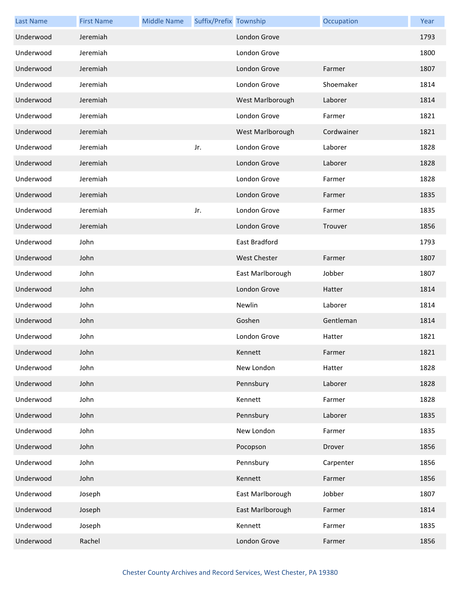| <b>Last Name</b> | <b>First Name</b> | <b>Middle Name</b> | Suffix/Prefix Township |                     | Occupation | Year |
|------------------|-------------------|--------------------|------------------------|---------------------|------------|------|
| Underwood        | Jeremiah          |                    |                        | London Grove        |            | 1793 |
| Underwood        | Jeremiah          |                    |                        | London Grove        |            | 1800 |
| Underwood        | Jeremiah          |                    |                        | London Grove        | Farmer     | 1807 |
| Underwood        | Jeremiah          |                    |                        | London Grove        | Shoemaker  | 1814 |
| Underwood        | Jeremiah          |                    |                        | West Marlborough    | Laborer    | 1814 |
| Underwood        | Jeremiah          |                    |                        | London Grove        | Farmer     | 1821 |
| Underwood        | Jeremiah          |                    |                        | West Marlborough    | Cordwainer | 1821 |
| Underwood        | Jeremiah          |                    | Jr.                    | London Grove        | Laborer    | 1828 |
| Underwood        | Jeremiah          |                    |                        | London Grove        | Laborer    | 1828 |
| Underwood        | Jeremiah          |                    |                        | London Grove        | Farmer     | 1828 |
| Underwood        | Jeremiah          |                    |                        | London Grove        | Farmer     | 1835 |
| Underwood        | Jeremiah          |                    | Jr.                    | London Grove        | Farmer     | 1835 |
| Underwood        | Jeremiah          |                    |                        | London Grove        | Trouver    | 1856 |
| Underwood        | John              |                    |                        | East Bradford       |            | 1793 |
| Underwood        | John              |                    |                        | <b>West Chester</b> | Farmer     | 1807 |
| Underwood        | John              |                    |                        | East Marlborough    | Jobber     | 1807 |
| Underwood        | John              |                    |                        | London Grove        | Hatter     | 1814 |
| Underwood        | John              |                    |                        | Newlin              | Laborer    | 1814 |
| Underwood        | John              |                    |                        | Goshen              | Gentleman  | 1814 |
| Underwood        | John              |                    |                        | London Grove        | Hatter     | 1821 |
| Underwood        | John              |                    |                        | Kennett             | Farmer     | 1821 |
| Underwood        | John              |                    |                        | New London          | Hatter     | 1828 |
| Underwood        | John              |                    |                        | Pennsbury           | Laborer    | 1828 |
| Underwood        | John              |                    |                        | Kennett             | Farmer     | 1828 |
| Underwood        | John              |                    |                        | Pennsbury           | Laborer    | 1835 |
| Underwood        | John              |                    |                        | New London          | Farmer     | 1835 |
| Underwood        | John              |                    |                        | Pocopson            | Drover     | 1856 |
| Underwood        | John              |                    |                        | Pennsbury           | Carpenter  | 1856 |
| Underwood        | John              |                    |                        | Kennett             | Farmer     | 1856 |
| Underwood        | Joseph            |                    |                        | East Marlborough    | Jobber     | 1807 |
| Underwood        | Joseph            |                    |                        | East Marlborough    | Farmer     | 1814 |
| Underwood        | Joseph            |                    |                        | Kennett             | Farmer     | 1835 |
| Underwood        | Rachel            |                    |                        | London Grove        | Farmer     | 1856 |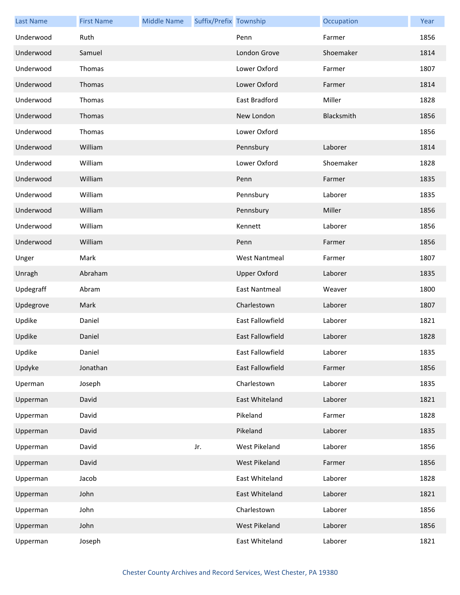| <b>Last Name</b> | <b>First Name</b> | <b>Middle Name</b> | Suffix/Prefix Township |                         | Occupation | Year |
|------------------|-------------------|--------------------|------------------------|-------------------------|------------|------|
| Underwood        | Ruth              |                    |                        | Penn                    | Farmer     | 1856 |
| Underwood        | Samuel            |                    |                        | London Grove            | Shoemaker  | 1814 |
| Underwood        | Thomas            |                    |                        | Lower Oxford            | Farmer     | 1807 |
| Underwood        | Thomas            |                    |                        | Lower Oxford            | Farmer     | 1814 |
| Underwood        | Thomas            |                    |                        | East Bradford           | Miller     | 1828 |
| Underwood        | Thomas            |                    |                        | New London              | Blacksmith | 1856 |
| Underwood        | Thomas            |                    |                        | Lower Oxford            |            | 1856 |
| Underwood        | William           |                    |                        | Pennsbury               | Laborer    | 1814 |
| Underwood        | William           |                    |                        | Lower Oxford            | Shoemaker  | 1828 |
| Underwood        | William           |                    |                        | Penn                    | Farmer     | 1835 |
| Underwood        | William           |                    |                        | Pennsbury               | Laborer    | 1835 |
| Underwood        | William           |                    |                        | Pennsbury               | Miller     | 1856 |
| Underwood        | William           |                    |                        | Kennett                 | Laborer    | 1856 |
| Underwood        | William           |                    |                        | Penn                    | Farmer     | 1856 |
| Unger            | Mark              |                    |                        | <b>West Nantmeal</b>    | Farmer     | 1807 |
| Unragh           | Abraham           |                    |                        | <b>Upper Oxford</b>     | Laborer    | 1835 |
| Updegraff        | Abram             |                    |                        | East Nantmeal           | Weaver     | 1800 |
| Updegrove        | Mark              |                    |                        | Charlestown             | Laborer    | 1807 |
| Updike           | Daniel            |                    |                        | East Fallowfield        | Laborer    | 1821 |
| Updike           | Daniel            |                    |                        | <b>East Fallowfield</b> | Laborer    | 1828 |
| Updike           | Daniel            |                    |                        | East Fallowfield        | Laborer    | 1835 |
| Updyke           | Jonathan          |                    |                        | East Fallowfield        | Farmer     | 1856 |
| Uperman          | Joseph            |                    |                        | Charlestown             | Laborer    | 1835 |
| Upperman         | David             |                    |                        | East Whiteland          | Laborer    | 1821 |
| Upperman         | David             |                    |                        | Pikeland                | Farmer     | 1828 |
| Upperman         | David             |                    |                        | Pikeland                | Laborer    | 1835 |
| Upperman         | David             |                    | Jr.                    | West Pikeland           | Laborer    | 1856 |
| Upperman         | David             |                    |                        | West Pikeland           | Farmer     | 1856 |
| Upperman         | Jacob             |                    |                        | East Whiteland          | Laborer    | 1828 |
| Upperman         | John              |                    |                        | East Whiteland          | Laborer    | 1821 |
| Upperman         | John              |                    |                        | Charlestown             | Laborer    | 1856 |
| Upperman         | John              |                    |                        | West Pikeland           | Laborer    | 1856 |
| Upperman         | Joseph            |                    |                        | East Whiteland          | Laborer    | 1821 |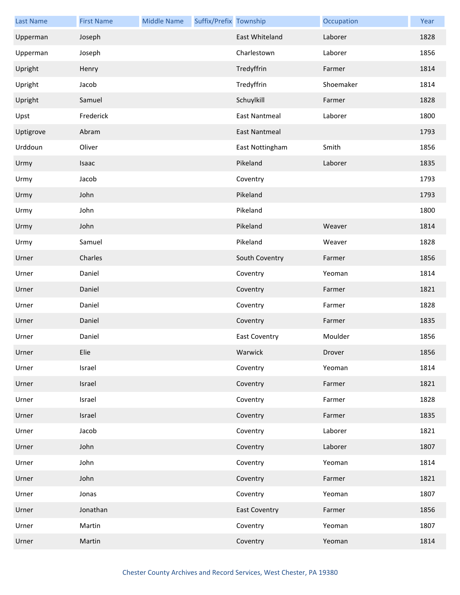| <b>Last Name</b> | <b>First Name</b> | <b>Middle Name</b> | Suffix/Prefix Township |                      | Occupation | Year |
|------------------|-------------------|--------------------|------------------------|----------------------|------------|------|
| Upperman         | Joseph            |                    |                        | East Whiteland       | Laborer    | 1828 |
| Upperman         | Joseph            |                    |                        | Charlestown          | Laborer    | 1856 |
| Upright          | Henry             |                    |                        | Tredyffrin           | Farmer     | 1814 |
| Upright          | Jacob             |                    |                        | Tredyffrin           | Shoemaker  | 1814 |
| Upright          | Samuel            |                    |                        | Schuylkill           | Farmer     | 1828 |
| Upst             | Frederick         |                    |                        | <b>East Nantmeal</b> | Laborer    | 1800 |
| Uptigrove        | Abram             |                    |                        | <b>East Nantmeal</b> |            | 1793 |
| Urddoun          | Oliver            |                    |                        | East Nottingham      | Smith      | 1856 |
| Urmy             | Isaac             |                    |                        | Pikeland             | Laborer    | 1835 |
| Urmy             | Jacob             |                    |                        | Coventry             |            | 1793 |
| Urmy             | John              |                    |                        | Pikeland             |            | 1793 |
| Urmy             | John              |                    |                        | Pikeland             |            | 1800 |
| Urmy             | John              |                    |                        | Pikeland             | Weaver     | 1814 |
| Urmy             | Samuel            |                    |                        | Pikeland             | Weaver     | 1828 |
| Urner            | Charles           |                    |                        | South Coventry       | Farmer     | 1856 |
| Urner            | Daniel            |                    |                        | Coventry             | Yeoman     | 1814 |
| Urner            | Daniel            |                    |                        | Coventry             | Farmer     | 1821 |
| Urner            | Daniel            |                    |                        | Coventry             | Farmer     | 1828 |
| Urner            | Daniel            |                    |                        | Coventry             | Farmer     | 1835 |
| Urner            | Daniel            |                    |                        | <b>East Coventry</b> | Moulder    | 1856 |
| Urner            | Elie              |                    |                        | Warwick              | Drover     | 1856 |
| Urner            | Israel            |                    |                        | Coventry             | Yeoman     | 1814 |
| Urner            | Israel            |                    |                        | Coventry             | Farmer     | 1821 |
| Urner            | Israel            |                    |                        | Coventry             | Farmer     | 1828 |
| Urner            | Israel            |                    |                        | Coventry             | Farmer     | 1835 |
| Urner            | Jacob             |                    |                        | Coventry             | Laborer    | 1821 |
| Urner            | John              |                    |                        | Coventry             | Laborer    | 1807 |
| Urner            | John              |                    |                        | Coventry             | Yeoman     | 1814 |
| Urner            | John              |                    |                        | Coventry             | Farmer     | 1821 |
| Urner            | Jonas             |                    |                        | Coventry             | Yeoman     | 1807 |
| Urner            | Jonathan          |                    |                        | <b>East Coventry</b> | Farmer     | 1856 |
| Urner            | Martin            |                    |                        | Coventry             | Yeoman     | 1807 |
| Urner            | Martin            |                    |                        | Coventry             | Yeoman     | 1814 |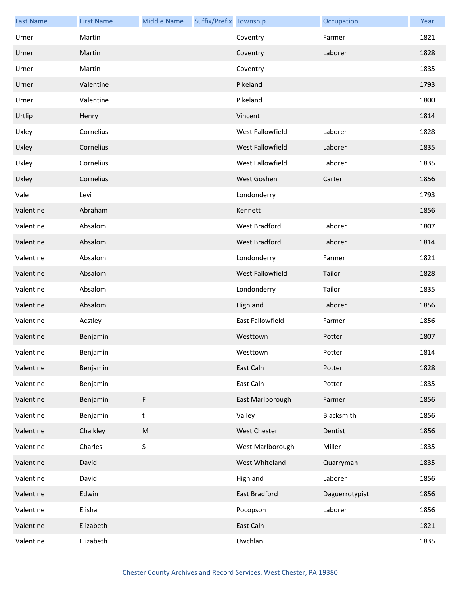| <b>Last Name</b> | <b>First Name</b> | <b>Middle Name</b> | Suffix/Prefix Township |                         | Occupation     | Year |
|------------------|-------------------|--------------------|------------------------|-------------------------|----------------|------|
| Urner            | Martin            |                    |                        | Coventry                | Farmer         | 1821 |
| Urner            | Martin            |                    |                        | Coventry                | Laborer        | 1828 |
| Urner            | Martin            |                    |                        | Coventry                |                | 1835 |
| Urner            | Valentine         |                    |                        | Pikeland                |                | 1793 |
| Urner            | Valentine         |                    |                        | Pikeland                |                | 1800 |
| Urtlip           | Henry             |                    |                        | Vincent                 |                | 1814 |
| Uxley            | Cornelius         |                    |                        | West Fallowfield        | Laborer        | 1828 |
| Uxley            | Cornelius         |                    |                        | <b>West Fallowfield</b> | Laborer        | 1835 |
| Uxley            | Cornelius         |                    |                        | West Fallowfield        | Laborer        | 1835 |
| Uxley            | Cornelius         |                    |                        | West Goshen             | Carter         | 1856 |
| Vale             | Levi              |                    |                        | Londonderry             |                | 1793 |
| Valentine        | Abraham           |                    |                        | Kennett                 |                | 1856 |
| Valentine        | Absalom           |                    |                        | West Bradford           | Laborer        | 1807 |
| Valentine        | Absalom           |                    |                        | <b>West Bradford</b>    | Laborer        | 1814 |
| Valentine        | Absalom           |                    |                        | Londonderry             | Farmer         | 1821 |
| Valentine        | Absalom           |                    |                        | West Fallowfield        | Tailor         | 1828 |
| Valentine        | Absalom           |                    |                        | Londonderry             | Tailor         | 1835 |
| Valentine        | Absalom           |                    |                        | Highland                | Laborer        | 1856 |
| Valentine        | Acstley           |                    |                        | East Fallowfield        | Farmer         | 1856 |
| Valentine        | Benjamin          |                    |                        | Westtown                | Potter         | 1807 |
| Valentine        | Benjamin          |                    |                        | Westtown                | Potter         | 1814 |
| Valentine        | Benjamin          |                    |                        | East Caln               | Potter         | 1828 |
| Valentine        | Benjamin          |                    |                        | East Caln               | Potter         | 1835 |
| Valentine        | Benjamin          | F                  |                        | East Marlborough        | Farmer         | 1856 |
| Valentine        | Benjamin          | $\sf t$            |                        | Valley                  | Blacksmith     | 1856 |
| Valentine        | Chalkley          | ${\sf M}$          |                        | West Chester            | Dentist        | 1856 |
| Valentine        | Charles           | $\sf S$            |                        | West Marlborough        | Miller         | 1835 |
| Valentine        | David             |                    |                        | West Whiteland          | Quarryman      | 1835 |
| Valentine        | David             |                    |                        | Highland                | Laborer        | 1856 |
| Valentine        | Edwin             |                    |                        | East Bradford           | Daguerrotypist | 1856 |
| Valentine        | Elisha            |                    |                        | Pocopson                | Laborer        | 1856 |
| Valentine        | Elizabeth         |                    |                        | East Caln               |                | 1821 |
| Valentine        | Elizabeth         |                    |                        | Uwchlan                 |                | 1835 |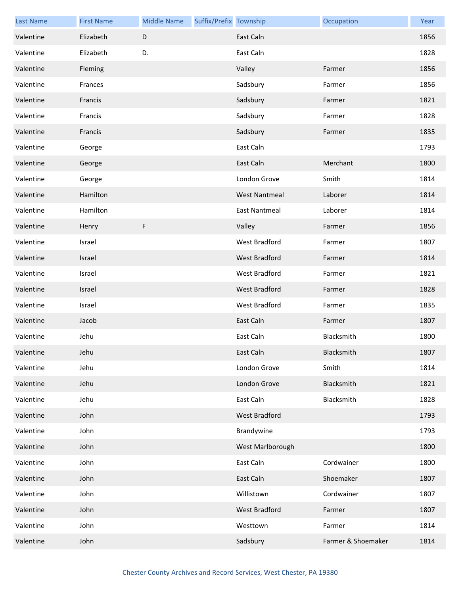| <b>Last Name</b> | <b>First Name</b> | <b>Middle Name</b> | Suffix/Prefix Township |                      | Occupation         | Year |
|------------------|-------------------|--------------------|------------------------|----------------------|--------------------|------|
| Valentine        | Elizabeth         | $\mathsf D$        |                        | East Caln            |                    | 1856 |
| Valentine        | Elizabeth         | D.                 |                        | East Caln            |                    | 1828 |
| Valentine        | Fleming           |                    |                        | Valley               | Farmer             | 1856 |
| Valentine        | Frances           |                    |                        | Sadsbury             | Farmer             | 1856 |
| Valentine        | Francis           |                    |                        | Sadsbury             | Farmer             | 1821 |
| Valentine        | Francis           |                    |                        | Sadsbury             | Farmer             | 1828 |
| Valentine        | Francis           |                    |                        | Sadsbury             | Farmer             | 1835 |
| Valentine        | George            |                    |                        | East Caln            |                    | 1793 |
| Valentine        | George            |                    |                        | East Caln            | Merchant           | 1800 |
| Valentine        | George            |                    |                        | London Grove         | Smith              | 1814 |
| Valentine        | Hamilton          |                    |                        | <b>West Nantmeal</b> | Laborer            | 1814 |
| Valentine        | Hamilton          |                    |                        | <b>East Nantmeal</b> | Laborer            | 1814 |
| Valentine        | Henry             | F                  |                        | Valley               | Farmer             | 1856 |
| Valentine        | Israel            |                    |                        | West Bradford        | Farmer             | 1807 |
| Valentine        | Israel            |                    |                        | <b>West Bradford</b> | Farmer             | 1814 |
| Valentine        | Israel            |                    |                        | West Bradford        | Farmer             | 1821 |
| Valentine        | Israel            |                    |                        | West Bradford        | Farmer             | 1828 |
| Valentine        | Israel            |                    |                        | West Bradford        | Farmer             | 1835 |
| Valentine        | Jacob             |                    |                        | East Caln            | Farmer             | 1807 |
| Valentine        | Jehu              |                    |                        | East Caln            | Blacksmith         | 1800 |
| Valentine        | Jehu              |                    |                        | East Caln            | Blacksmith         | 1807 |
| Valentine        | Jehu              |                    |                        | London Grove         | Smith              | 1814 |
| Valentine        | Jehu              |                    |                        | London Grove         | Blacksmith         | 1821 |
| Valentine        | Jehu              |                    |                        | East Caln            | Blacksmith         | 1828 |
| Valentine        | John              |                    |                        | West Bradford        |                    | 1793 |
| Valentine        | John              |                    |                        | Brandywine           |                    | 1793 |
| Valentine        | John              |                    |                        | West Marlborough     |                    | 1800 |
| Valentine        | John              |                    |                        | East Caln            | Cordwainer         | 1800 |
| Valentine        | John              |                    |                        | East Caln            | Shoemaker          | 1807 |
| Valentine        | John              |                    |                        | Willistown           | Cordwainer         | 1807 |
| Valentine        | John              |                    |                        | <b>West Bradford</b> | Farmer             | 1807 |
| Valentine        | John              |                    |                        | Westtown             | Farmer             | 1814 |
| Valentine        | John              |                    |                        | Sadsbury             | Farmer & Shoemaker | 1814 |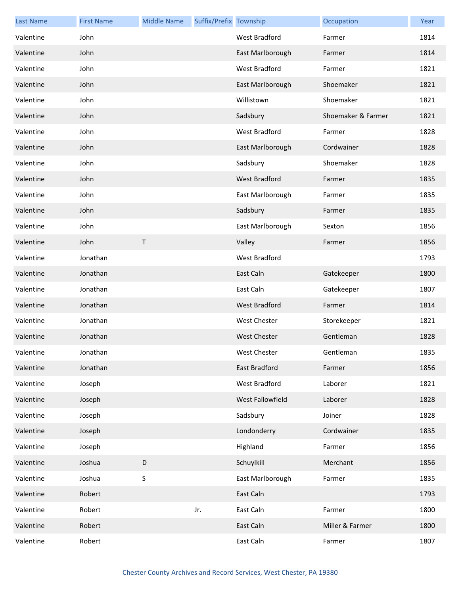| <b>Last Name</b> | <b>First Name</b> | <b>Middle Name</b> | Suffix/Prefix Township |                      | Occupation         | Year |
|------------------|-------------------|--------------------|------------------------|----------------------|--------------------|------|
| Valentine        | John              |                    |                        | West Bradford        | Farmer             | 1814 |
| Valentine        | John              |                    |                        | East Marlborough     | Farmer             | 1814 |
| Valentine        | John              |                    |                        | <b>West Bradford</b> | Farmer             | 1821 |
| Valentine        | John              |                    |                        | East Marlborough     | Shoemaker          | 1821 |
| Valentine        | John              |                    |                        | Willistown           | Shoemaker          | 1821 |
| Valentine        | John              |                    |                        | Sadsbury             | Shoemaker & Farmer | 1821 |
| Valentine        | John              |                    |                        | West Bradford        | Farmer             | 1828 |
| Valentine        | John              |                    |                        | East Marlborough     | Cordwainer         | 1828 |
| Valentine        | John              |                    |                        | Sadsbury             | Shoemaker          | 1828 |
| Valentine        | John              |                    |                        | <b>West Bradford</b> | Farmer             | 1835 |
| Valentine        | John              |                    |                        | East Marlborough     | Farmer             | 1835 |
| Valentine        | John              |                    |                        | Sadsbury             | Farmer             | 1835 |
| Valentine        | John              |                    |                        | East Marlborough     | Sexton             | 1856 |
| Valentine        | John              | $\mathsf T$        |                        | Valley               | Farmer             | 1856 |
| Valentine        | Jonathan          |                    |                        | <b>West Bradford</b> |                    | 1793 |
| Valentine        | Jonathan          |                    |                        | East Caln            | Gatekeeper         | 1800 |
| Valentine        | Jonathan          |                    |                        | East Caln            | Gatekeeper         | 1807 |
| Valentine        | Jonathan          |                    |                        | <b>West Bradford</b> | Farmer             | 1814 |
| Valentine        | Jonathan          |                    |                        | West Chester         | Storekeeper        | 1821 |
| Valentine        | Jonathan          |                    |                        | <b>West Chester</b>  | Gentleman          | 1828 |
| Valentine        | Jonathan          |                    |                        | West Chester         | Gentleman          | 1835 |
| Valentine        | Jonathan          |                    |                        | East Bradford        | Farmer             | 1856 |
| Valentine        | Joseph            |                    |                        | West Bradford        | Laborer            | 1821 |
| Valentine        | Joseph            |                    |                        | West Fallowfield     | Laborer            | 1828 |
| Valentine        | Joseph            |                    |                        | Sadsbury             | Joiner             | 1828 |
| Valentine        | Joseph            |                    |                        | Londonderry          | Cordwainer         | 1835 |
| Valentine        | Joseph            |                    |                        | Highland             | Farmer             | 1856 |
| Valentine        | Joshua            | D                  |                        | Schuylkill           | Merchant           | 1856 |
| Valentine        | Joshua            | S                  |                        | East Marlborough     | Farmer             | 1835 |
| Valentine        | Robert            |                    |                        | East Caln            |                    | 1793 |
| Valentine        | Robert            |                    | Jr.                    | East Caln            | Farmer             | 1800 |
| Valentine        | Robert            |                    |                        | East Caln            | Miller & Farmer    | 1800 |
| Valentine        | Robert            |                    |                        | East Caln            | Farmer             | 1807 |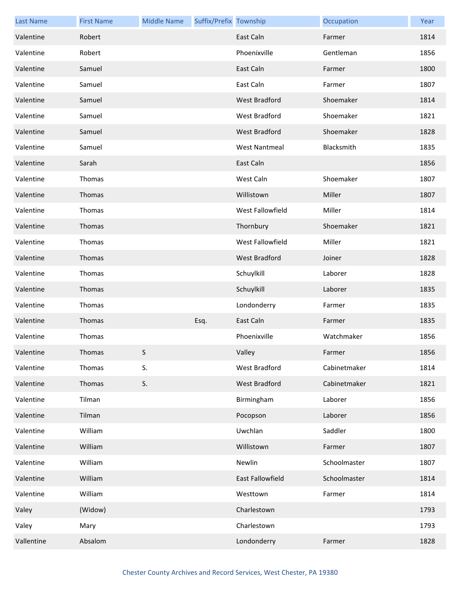| <b>Last Name</b> | <b>First Name</b> | <b>Middle Name</b> | Suffix/Prefix Township |                      | Occupation   | Year |
|------------------|-------------------|--------------------|------------------------|----------------------|--------------|------|
| Valentine        | Robert            |                    |                        | East Caln            | Farmer       | 1814 |
| Valentine        | Robert            |                    |                        | Phoenixville         | Gentleman    | 1856 |
| Valentine        | Samuel            |                    |                        | East Caln            | Farmer       | 1800 |
| Valentine        | Samuel            |                    |                        | East Caln            | Farmer       | 1807 |
| Valentine        | Samuel            |                    |                        | West Bradford        | Shoemaker    | 1814 |
| Valentine        | Samuel            |                    |                        | West Bradford        | Shoemaker    | 1821 |
| Valentine        | Samuel            |                    |                        | West Bradford        | Shoemaker    | 1828 |
| Valentine        | Samuel            |                    |                        | <b>West Nantmeal</b> | Blacksmith   | 1835 |
| Valentine        | Sarah             |                    |                        | East Caln            |              | 1856 |
| Valentine        | Thomas            |                    |                        | West Caln            | Shoemaker    | 1807 |
| Valentine        | Thomas            |                    |                        | Willistown           | Miller       | 1807 |
| Valentine        | Thomas            |                    |                        | West Fallowfield     | Miller       | 1814 |
| Valentine        | Thomas            |                    |                        | Thornbury            | Shoemaker    | 1821 |
| Valentine        | Thomas            |                    |                        | West Fallowfield     | Miller       | 1821 |
| Valentine        | Thomas            |                    |                        | <b>West Bradford</b> | Joiner       | 1828 |
| Valentine        | Thomas            |                    |                        | Schuylkill           | Laborer      | 1828 |
| Valentine        | Thomas            |                    |                        | Schuylkill           | Laborer      | 1835 |
| Valentine        | Thomas            |                    |                        | Londonderry          | Farmer       | 1835 |
| Valentine        | Thomas            |                    | Esq.                   | East Caln            | Farmer       | 1835 |
| Valentine        | Thomas            |                    |                        | Phoenixville         | Watchmaker   | 1856 |
| Valentine        | Thomas            | S.                 |                        | Valley               | Farmer       | 1856 |
| Valentine        | Thomas            | S.                 |                        | West Bradford        | Cabinetmaker | 1814 |
| Valentine        | Thomas            | S.                 |                        | West Bradford        | Cabinetmaker | 1821 |
| Valentine        | Tilman            |                    |                        | Birmingham           | Laborer      | 1856 |
| Valentine        | Tilman            |                    |                        | Pocopson             | Laborer      | 1856 |
| Valentine        | William           |                    |                        | Uwchlan              | Saddler      | 1800 |
| Valentine        | William           |                    |                        | Willistown           | Farmer       | 1807 |
| Valentine        | William           |                    |                        | Newlin               | Schoolmaster | 1807 |
| Valentine        | William           |                    |                        | East Fallowfield     | Schoolmaster | 1814 |
| Valentine        | William           |                    |                        | Westtown             | Farmer       | 1814 |
| Valey            | (Widow)           |                    |                        | Charlestown          |              | 1793 |
| Valey            | Mary              |                    |                        | Charlestown          |              | 1793 |
| Vallentine       | Absalom           |                    |                        | Londonderry          | Farmer       | 1828 |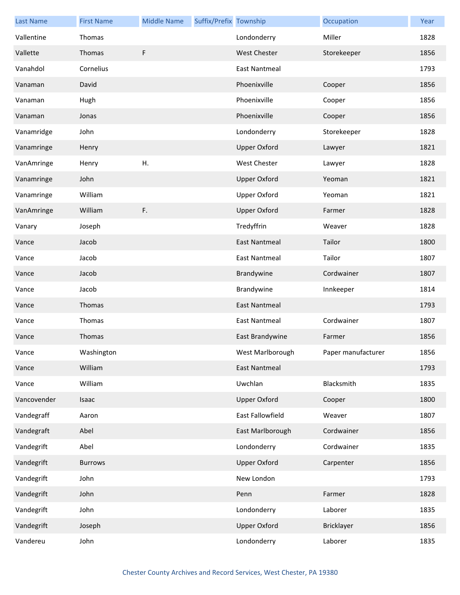| <b>Last Name</b> | <b>First Name</b> | <b>Middle Name</b> | Suffix/Prefix Township |                      | Occupation         | Year |
|------------------|-------------------|--------------------|------------------------|----------------------|--------------------|------|
| Vallentine       | Thomas            |                    |                        | Londonderry          | Miller             | 1828 |
| Vallette         | Thomas            | F                  |                        | <b>West Chester</b>  | Storekeeper        | 1856 |
| Vanahdol         | Cornelius         |                    |                        | <b>East Nantmeal</b> |                    | 1793 |
| Vanaman          | David             |                    |                        | Phoenixville         | Cooper             | 1856 |
| Vanaman          | Hugh              |                    |                        | Phoenixville         | Cooper             | 1856 |
| Vanaman          | Jonas             |                    |                        | Phoenixville         | Cooper             | 1856 |
| Vanamridge       | John              |                    |                        | Londonderry          | Storekeeper        | 1828 |
| Vanamringe       | Henry             |                    |                        | <b>Upper Oxford</b>  | Lawyer             | 1821 |
| VanAmringe       | Henry             | Η.                 |                        | <b>West Chester</b>  | Lawyer             | 1828 |
| Vanamringe       | John              |                    |                        | <b>Upper Oxford</b>  | Yeoman             | 1821 |
| Vanamringe       | William           |                    |                        | <b>Upper Oxford</b>  | Yeoman             | 1821 |
| VanAmringe       | William           | F.                 |                        | <b>Upper Oxford</b>  | Farmer             | 1828 |
| Vanary           | Joseph            |                    |                        | Tredyffrin           | Weaver             | 1828 |
| Vance            | Jacob             |                    |                        | <b>East Nantmeal</b> | Tailor             | 1800 |
| Vance            | Jacob             |                    |                        | <b>East Nantmeal</b> | Tailor             | 1807 |
| Vance            | Jacob             |                    |                        | Brandywine           | Cordwainer         | 1807 |
| Vance            | Jacob             |                    |                        | Brandywine           | Innkeeper          | 1814 |
| Vance            | Thomas            |                    |                        | <b>East Nantmeal</b> |                    | 1793 |
| Vance            | Thomas            |                    |                        | <b>East Nantmeal</b> | Cordwainer         | 1807 |
| Vance            | Thomas            |                    |                        | East Brandywine      | Farmer             | 1856 |
| Vance            | Washington        |                    |                        | West Marlborough     | Paper manufacturer | 1856 |
| Vance            | William           |                    |                        | <b>East Nantmeal</b> |                    | 1793 |
| Vance            | William           |                    |                        | Uwchlan              | Blacksmith         | 1835 |
| Vancovender      | Isaac             |                    |                        | <b>Upper Oxford</b>  | Cooper             | 1800 |
| Vandegraff       | Aaron             |                    |                        | East Fallowfield     | Weaver             | 1807 |
| Vandegraft       | Abel              |                    |                        | East Marlborough     | Cordwainer         | 1856 |
| Vandegrift       | Abel              |                    |                        | Londonderry          | Cordwainer         | 1835 |
| Vandegrift       | <b>Burrows</b>    |                    |                        | <b>Upper Oxford</b>  | Carpenter          | 1856 |
| Vandegrift       | John              |                    |                        | New London           |                    | 1793 |
| Vandegrift       | John              |                    |                        | Penn                 | Farmer             | 1828 |
| Vandegrift       | John              |                    |                        | Londonderry          | Laborer            | 1835 |
| Vandegrift       | Joseph            |                    |                        | <b>Upper Oxford</b>  | Bricklayer         | 1856 |
| Vandereu         | John              |                    |                        | Londonderry          | Laborer            | 1835 |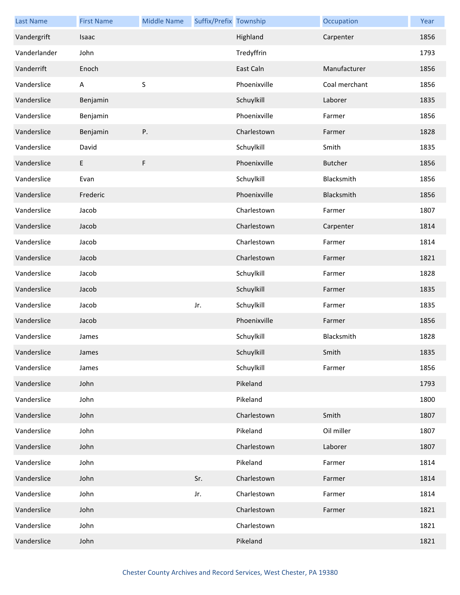| <b>Last Name</b> | <b>First Name</b> | <b>Middle Name</b> | Suffix/Prefix Township |              | Occupation     | Year |
|------------------|-------------------|--------------------|------------------------|--------------|----------------|------|
| Vandergrift      | Isaac             |                    |                        | Highland     | Carpenter      | 1856 |
| Vanderlander     | John              |                    |                        | Tredyffrin   |                | 1793 |
| Vanderrift       | Enoch             |                    |                        | East Caln    | Manufacturer   | 1856 |
| Vanderslice      | Α                 | $\sf S$            |                        | Phoenixville | Coal merchant  | 1856 |
| Vanderslice      | Benjamin          |                    |                        | Schuylkill   | Laborer        | 1835 |
| Vanderslice      | Benjamin          |                    |                        | Phoenixville | Farmer         | 1856 |
| Vanderslice      | Benjamin          | Ρ.                 |                        | Charlestown  | Farmer         | 1828 |
| Vanderslice      | David             |                    |                        | Schuylkill   | Smith          | 1835 |
| Vanderslice      | $\mathsf E$       | $\mathsf F$        |                        | Phoenixville | <b>Butcher</b> | 1856 |
| Vanderslice      | Evan              |                    |                        | Schuylkill   | Blacksmith     | 1856 |
| Vanderslice      | Frederic          |                    |                        | Phoenixville | Blacksmith     | 1856 |
| Vanderslice      | Jacob             |                    |                        | Charlestown  | Farmer         | 1807 |
| Vanderslice      | Jacob             |                    |                        | Charlestown  | Carpenter      | 1814 |
| Vanderslice      | Jacob             |                    |                        | Charlestown  | Farmer         | 1814 |
| Vanderslice      | Jacob             |                    |                        | Charlestown  | Farmer         | 1821 |
| Vanderslice      | Jacob             |                    |                        | Schuylkill   | Farmer         | 1828 |
| Vanderslice      | Jacob             |                    |                        | Schuylkill   | Farmer         | 1835 |
| Vanderslice      | Jacob             |                    | Jr.                    | Schuylkill   | Farmer         | 1835 |
| Vanderslice      | Jacob             |                    |                        | Phoenixville | Farmer         | 1856 |
| Vanderslice      | James             |                    |                        | Schuylkill   | Blacksmith     | 1828 |
| Vanderslice      | James             |                    |                        | Schuylkill   | Smith          | 1835 |
| Vanderslice      | James             |                    |                        | Schuylkill   | Farmer         | 1856 |
| Vanderslice      | John              |                    |                        | Pikeland     |                | 1793 |
| Vanderslice      | John              |                    |                        | Pikeland     |                | 1800 |
| Vanderslice      | John              |                    |                        | Charlestown  | Smith          | 1807 |
| Vanderslice      | John              |                    |                        | Pikeland     | Oil miller     | 1807 |
| Vanderslice      | John              |                    |                        | Charlestown  | Laborer        | 1807 |
| Vanderslice      | John              |                    |                        | Pikeland     | Farmer         | 1814 |
| Vanderslice      | John              |                    | Sr.                    | Charlestown  | Farmer         | 1814 |
| Vanderslice      | John              |                    | Jr.                    | Charlestown  | Farmer         | 1814 |
| Vanderslice      | John              |                    |                        | Charlestown  | Farmer         | 1821 |
| Vanderslice      | John              |                    |                        | Charlestown  |                | 1821 |
| Vanderslice      | John              |                    |                        | Pikeland     |                | 1821 |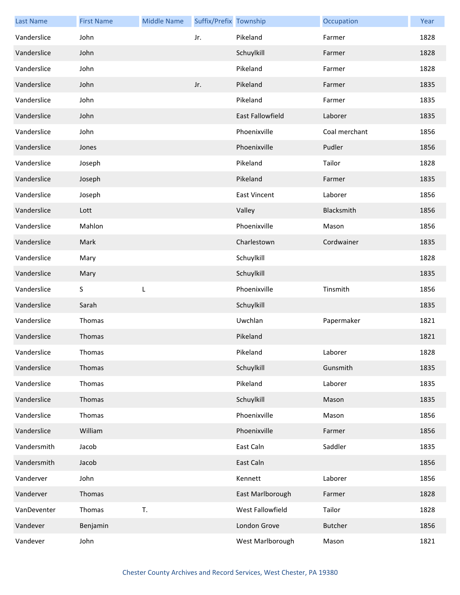| <b>Last Name</b> | <b>First Name</b> | <b>Middle Name</b> | Suffix/Prefix Township |                         | Occupation     | Year |
|------------------|-------------------|--------------------|------------------------|-------------------------|----------------|------|
| Vanderslice      | John              |                    | Jr.                    | Pikeland                | Farmer         | 1828 |
| Vanderslice      | John              |                    |                        | Schuylkill              | Farmer         | 1828 |
| Vanderslice      | John              |                    |                        | Pikeland                | Farmer         | 1828 |
| Vanderslice      | John              |                    | Jr.                    | Pikeland                | Farmer         | 1835 |
| Vanderslice      | John              |                    |                        | Pikeland                | Farmer         | 1835 |
| Vanderslice      | John              |                    |                        | <b>East Fallowfield</b> | Laborer        | 1835 |
| Vanderslice      | John              |                    |                        | Phoenixville            | Coal merchant  | 1856 |
| Vanderslice      | Jones             |                    |                        | Phoenixville            | Pudler         | 1856 |
| Vanderslice      | Joseph            |                    |                        | Pikeland                | Tailor         | 1828 |
| Vanderslice      | Joseph            |                    |                        | Pikeland                | Farmer         | 1835 |
| Vanderslice      | Joseph            |                    |                        | <b>East Vincent</b>     | Laborer        | 1856 |
| Vanderslice      | Lott              |                    |                        | Valley                  | Blacksmith     | 1856 |
| Vanderslice      | Mahlon            |                    |                        | Phoenixville            | Mason          | 1856 |
| Vanderslice      | Mark              |                    |                        | Charlestown             | Cordwainer     | 1835 |
| Vanderslice      | Mary              |                    |                        | Schuylkill              |                | 1828 |
| Vanderslice      | Mary              |                    |                        | Schuylkill              |                | 1835 |
| Vanderslice      | $\sf S$           | L                  |                        | Phoenixville            | Tinsmith       | 1856 |
| Vanderslice      | Sarah             |                    |                        | Schuylkill              |                | 1835 |
| Vanderslice      | Thomas            |                    |                        | Uwchlan                 | Papermaker     | 1821 |
| Vanderslice      | Thomas            |                    |                        | Pikeland                |                | 1821 |
| Vanderslice      | Thomas            |                    |                        | Pikeland                | Laborer        | 1828 |
| Vanderslice      | Thomas            |                    |                        | Schuylkill              | Gunsmith       | 1835 |
| Vanderslice      | Thomas            |                    |                        | Pikeland                | Laborer        | 1835 |
| Vanderslice      | Thomas            |                    |                        | Schuylkill              | Mason          | 1835 |
| Vanderslice      | Thomas            |                    |                        | Phoenixville            | Mason          | 1856 |
| Vanderslice      | William           |                    |                        | Phoenixville            | Farmer         | 1856 |
| Vandersmith      | Jacob             |                    |                        | East Caln               | Saddler        | 1835 |
| Vandersmith      | Jacob             |                    |                        | East Caln               |                | 1856 |
| Vanderver        | John              |                    |                        | Kennett                 | Laborer        | 1856 |
| Vanderver        | Thomas            |                    |                        | East Marlborough        | Farmer         | 1828 |
| VanDeventer      | Thomas            | T.                 |                        | West Fallowfield        | Tailor         | 1828 |
| Vandever         | Benjamin          |                    |                        | London Grove            | <b>Butcher</b> | 1856 |
| Vandever         | John              |                    |                        | West Marlborough        | Mason          | 1821 |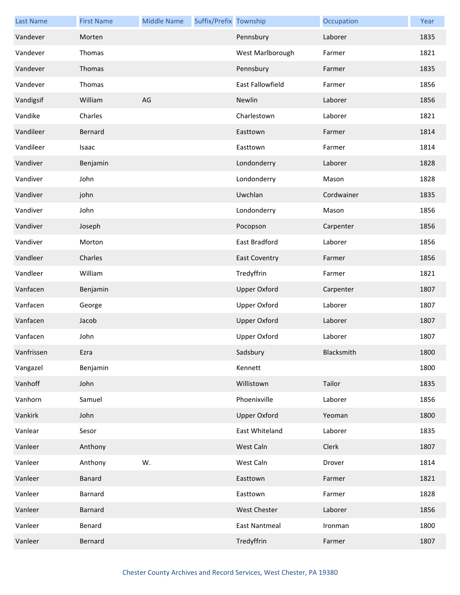| <b>Last Name</b> | <b>First Name</b> | <b>Middle Name</b> | Suffix/Prefix Township |                      | Occupation | Year |
|------------------|-------------------|--------------------|------------------------|----------------------|------------|------|
| Vandever         | Morten            |                    |                        | Pennsbury            | Laborer    | 1835 |
| Vandever         | Thomas            |                    |                        | West Marlborough     | Farmer     | 1821 |
| Vandever         | Thomas            |                    |                        | Pennsbury            | Farmer     | 1835 |
| Vandever         | Thomas            |                    |                        | East Fallowfield     | Farmer     | 1856 |
| Vandigsif        | William           | AG                 |                        | Newlin               | Laborer    | 1856 |
| Vandike          | Charles           |                    |                        | Charlestown          | Laborer    | 1821 |
| Vandileer        | Bernard           |                    |                        | Easttown             | Farmer     | 1814 |
| Vandileer        | Isaac             |                    |                        | Easttown             | Farmer     | 1814 |
| Vandiver         | Benjamin          |                    |                        | Londonderry          | Laborer    | 1828 |
| Vandiver         | John              |                    |                        | Londonderry          | Mason      | 1828 |
| Vandiver         | john              |                    |                        | Uwchlan              | Cordwainer | 1835 |
| Vandiver         | John              |                    |                        | Londonderry          | Mason      | 1856 |
| Vandiver         | Joseph            |                    |                        | Pocopson             | Carpenter  | 1856 |
| Vandiver         | Morton            |                    |                        | East Bradford        | Laborer    | 1856 |
| Vandleer         | Charles           |                    |                        | <b>East Coventry</b> | Farmer     | 1856 |
| Vandleer         | William           |                    |                        | Tredyffrin           | Farmer     | 1821 |
| Vanfacen         | Benjamin          |                    |                        | <b>Upper Oxford</b>  | Carpenter  | 1807 |
| Vanfacen         | George            |                    |                        | Upper Oxford         | Laborer    | 1807 |
| Vanfacen         | Jacob             |                    |                        | <b>Upper Oxford</b>  | Laborer    | 1807 |
| Vanfacen         | John              |                    |                        | <b>Upper Oxford</b>  | Laborer    | 1807 |
| Vanfrissen       | Ezra              |                    |                        | Sadsbury             | Blacksmith | 1800 |
| Vangazel         | Benjamin          |                    |                        | Kennett              |            | 1800 |
| Vanhoff          | John              |                    |                        | Willistown           | Tailor     | 1835 |
| Vanhorn          | Samuel            |                    |                        | Phoenixville         | Laborer    | 1856 |
| Vankirk          | John              |                    |                        | <b>Upper Oxford</b>  | Yeoman     | 1800 |
| Vanlear          | Sesor             |                    |                        | East Whiteland       | Laborer    | 1835 |
| Vanleer          | Anthony           |                    |                        | West Caln            | Clerk      | 1807 |
| Vanleer          | Anthony           | W.                 |                        | West Caln            | Drover     | 1814 |
| Vanleer          | <b>Banard</b>     |                    |                        | Easttown             | Farmer     | 1821 |
| Vanleer          | Barnard           |                    |                        | Easttown             | Farmer     | 1828 |
| Vanleer          | <b>Barnard</b>    |                    |                        | <b>West Chester</b>  | Laborer    | 1856 |
| Vanleer          | Benard            |                    |                        | East Nantmeal        | Ironman    | 1800 |
| Vanleer          | Bernard           |                    |                        | Tredyffrin           | Farmer     | 1807 |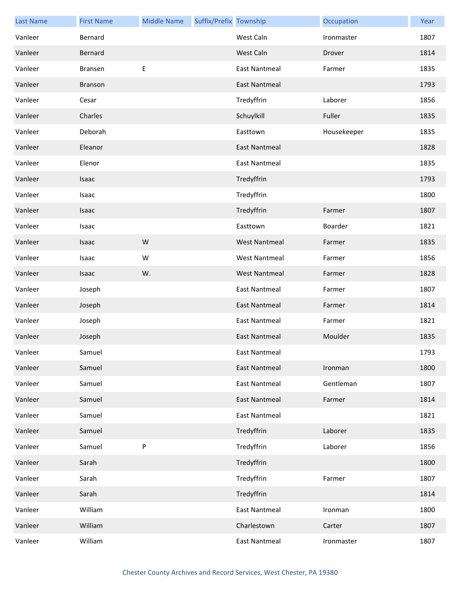| <b>Last Name</b> | <b>First Name</b> | <b>Middle Name</b> | Suffix/Prefix Township |                      | Occupation  | Year |
|------------------|-------------------|--------------------|------------------------|----------------------|-------------|------|
| Vanleer          | Bernard           |                    |                        | West Caln            | Ironmaster  | 1807 |
| Vanleer          | Bernard           |                    |                        | West Caln            | Drover      | 1814 |
| Vanleer          | <b>Bransen</b>    | E                  |                        | <b>East Nantmeal</b> | Farmer      | 1835 |
| Vanleer          | <b>Branson</b>    |                    |                        | <b>East Nantmeal</b> |             | 1793 |
| Vanleer          | Cesar             |                    |                        | Tredyffrin           | Laborer     | 1856 |
| Vanleer          | Charles           |                    |                        | Schuylkill           | Fuller      | 1835 |
| Vanleer          | Deborah           |                    |                        | Easttown             | Housekeeper | 1835 |
| Vanleer          | Eleanor           |                    |                        | <b>East Nantmeal</b> |             | 1828 |
| Vanleer          | Elenor            |                    |                        | <b>East Nantmeal</b> |             | 1835 |
| Vanleer          | Isaac             |                    |                        | Tredyffrin           |             | 1793 |
| Vanleer          | Isaac             |                    |                        | Tredyffrin           |             | 1800 |
| Vanleer          | Isaac             |                    |                        | Tredyffrin           | Farmer      | 1807 |
| Vanleer          | Isaac             |                    |                        | Easttown             | Boarder     | 1821 |
| Vanleer          | Isaac             | W                  |                        | <b>West Nantmeal</b> | Farmer      | 1835 |
| Vanleer          | Isaac             | W                  |                        | <b>West Nantmeal</b> | Farmer      | 1856 |
| Vanleer          | Isaac             | W.                 |                        | <b>West Nantmeal</b> | Farmer      | 1828 |
| Vanleer          | Joseph            |                    |                        | <b>East Nantmeal</b> | Farmer      | 1807 |
| Vanleer          | Joseph            |                    |                        | <b>East Nantmeal</b> | Farmer      | 1814 |
| Vanleer          | Joseph            |                    |                        | <b>East Nantmeal</b> | Farmer      | 1821 |
| Vanleer          | Joseph            |                    |                        | <b>East Nantmeal</b> | Moulder     | 1835 |
| Vanleer          | Samuel            |                    |                        | East Nantmeal        |             | 1793 |
| Vanleer          | Samuel            |                    |                        | <b>East Nantmeal</b> | Ironman     | 1800 |
| Vanleer          | Samuel            |                    |                        | <b>East Nantmeal</b> | Gentleman   | 1807 |
| Vanleer          | Samuel            |                    |                        | <b>East Nantmeal</b> | Farmer      | 1814 |
| Vanleer          | Samuel            |                    |                        | <b>East Nantmeal</b> |             | 1821 |
| Vanleer          | Samuel            |                    |                        | Tredyffrin           | Laborer     | 1835 |
| Vanleer          | Samuel            | P                  |                        | Tredyffrin           | Laborer     | 1856 |
| Vanleer          | Sarah             |                    |                        | Tredyffrin           |             | 1800 |
| Vanleer          | Sarah             |                    |                        | Tredyffrin           | Farmer      | 1807 |
| Vanleer          | Sarah             |                    |                        | Tredyffrin           |             | 1814 |
| Vanleer          | William           |                    |                        | <b>East Nantmeal</b> | Ironman     | 1800 |
| Vanleer          | William           |                    |                        | Charlestown          | Carter      | 1807 |
| Vanleer          | William           |                    |                        | <b>East Nantmeal</b> | Ironmaster  | 1807 |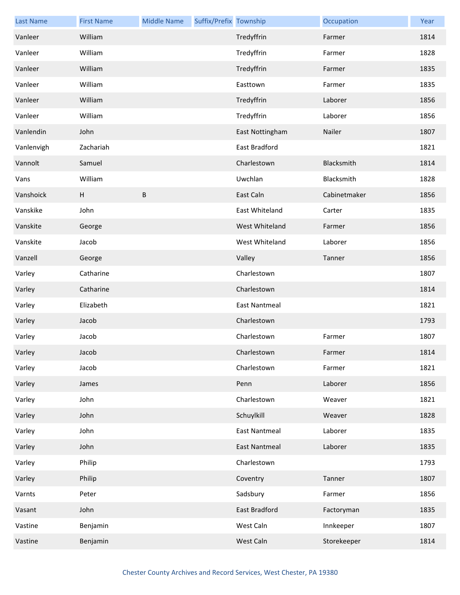| <b>Last Name</b> | <b>First Name</b> | <b>Middle Name</b> | Suffix/Prefix Township |                      | Occupation   | Year |
|------------------|-------------------|--------------------|------------------------|----------------------|--------------|------|
| Vanleer          | William           |                    |                        | Tredyffrin           | Farmer       | 1814 |
| Vanleer          | William           |                    |                        | Tredyffrin           | Farmer       | 1828 |
| Vanleer          | William           |                    |                        | Tredyffrin           | Farmer       | 1835 |
| Vanleer          | William           |                    |                        | Easttown             | Farmer       | 1835 |
| Vanleer          | William           |                    |                        | Tredyffrin           | Laborer      | 1856 |
| Vanleer          | William           |                    |                        | Tredyffrin           | Laborer      | 1856 |
| Vanlendin        | John              |                    |                        | East Nottingham      | Nailer       | 1807 |
| Vanlenvigh       | Zachariah         |                    |                        | East Bradford        |              | 1821 |
| Vannolt          | Samuel            |                    |                        | Charlestown          | Blacksmith   | 1814 |
| Vans             | William           |                    |                        | Uwchlan              | Blacksmith   | 1828 |
| Vanshoick        | H                 | B                  |                        | East Caln            | Cabinetmaker | 1856 |
| Vanskike         | John              |                    |                        | East Whiteland       | Carter       | 1835 |
| Vanskite         | George            |                    |                        | West Whiteland       | Farmer       | 1856 |
| Vanskite         | Jacob             |                    |                        | West Whiteland       | Laborer      | 1856 |
| Vanzell          | George            |                    |                        | Valley               | Tanner       | 1856 |
| Varley           | Catharine         |                    |                        | Charlestown          |              | 1807 |
| Varley           | Catharine         |                    |                        | Charlestown          |              | 1814 |
| Varley           | Elizabeth         |                    |                        | <b>East Nantmeal</b> |              | 1821 |
| Varley           | Jacob             |                    |                        | Charlestown          |              | 1793 |
| Varley           | Jacob             |                    |                        | Charlestown          | Farmer       | 1807 |
| Varley           | Jacob             |                    |                        | Charlestown          | Farmer       | 1814 |
| Varley           | Jacob             |                    |                        | Charlestown          | Farmer       | 1821 |
| Varley           | James             |                    |                        | Penn                 | Laborer      | 1856 |
| Varley           | John              |                    |                        | Charlestown          | Weaver       | 1821 |
| Varley           | John              |                    |                        | Schuylkill           | Weaver       | 1828 |
| Varley           | John              |                    |                        | <b>East Nantmeal</b> | Laborer      | 1835 |
| Varley           | John              |                    |                        | <b>East Nantmeal</b> | Laborer      | 1835 |
| Varley           | Philip            |                    |                        | Charlestown          |              | 1793 |
| Varley           | Philip            |                    |                        | Coventry             | Tanner       | 1807 |
| Varnts           | Peter             |                    |                        | Sadsbury             | Farmer       | 1856 |
| Vasant           | John              |                    |                        | East Bradford        | Factoryman   | 1835 |
| Vastine          | Benjamin          |                    |                        | West Caln            | Innkeeper    | 1807 |
| Vastine          | Benjamin          |                    |                        | West Caln            | Storekeeper  | 1814 |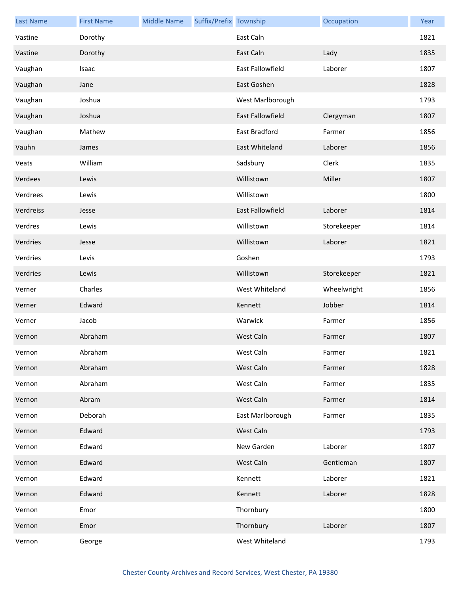| <b>Last Name</b> | <b>First Name</b> | <b>Middle Name</b> | Suffix/Prefix Township |                         | Occupation  | Year |
|------------------|-------------------|--------------------|------------------------|-------------------------|-------------|------|
| Vastine          | Dorothy           |                    |                        | East Caln               |             | 1821 |
| Vastine          | Dorothy           |                    |                        | East Caln               | Lady        | 1835 |
| Vaughan          | Isaac             |                    |                        | East Fallowfield        | Laborer     | 1807 |
| Vaughan          | Jane              |                    |                        | East Goshen             |             | 1828 |
| Vaughan          | Joshua            |                    |                        | West Marlborough        |             | 1793 |
| Vaughan          | Joshua            |                    |                        | <b>East Fallowfield</b> | Clergyman   | 1807 |
| Vaughan          | Mathew            |                    |                        | East Bradford           | Farmer      | 1856 |
| Vauhn            | James             |                    |                        | East Whiteland          | Laborer     | 1856 |
| Veats            | William           |                    |                        | Sadsbury                | Clerk       | 1835 |
| Verdees          | Lewis             |                    |                        | Willistown              | Miller      | 1807 |
| Verdrees         | Lewis             |                    |                        | Willistown              |             | 1800 |
| Verdreiss        | Jesse             |                    |                        | East Fallowfield        | Laborer     | 1814 |
| Verdres          | Lewis             |                    |                        | Willistown              | Storekeeper | 1814 |
| Verdries         | Jesse             |                    |                        | Willistown              | Laborer     | 1821 |
| Verdries         | Levis             |                    |                        | Goshen                  |             | 1793 |
| Verdries         | Lewis             |                    |                        | Willistown              | Storekeeper | 1821 |
| Verner           | Charles           |                    |                        | West Whiteland          | Wheelwright | 1856 |
| Verner           | Edward            |                    |                        | Kennett                 | Jobber      | 1814 |
| Verner           | Jacob             |                    |                        | Warwick                 | Farmer      | 1856 |
| Vernon           | Abraham           |                    |                        | West Caln               | Farmer      | 1807 |
| Vernon           | Abraham           |                    |                        | West Caln               | Farmer      | 1821 |
| Vernon           | Abraham           |                    |                        | West Caln               | Farmer      | 1828 |
| Vernon           | Abraham           |                    |                        | West Caln               | Farmer      | 1835 |
| Vernon           | Abram             |                    |                        | West Caln               | Farmer      | 1814 |
| Vernon           | Deborah           |                    |                        | East Marlborough        | Farmer      | 1835 |
| Vernon           | Edward            |                    |                        | West Caln               |             | 1793 |
| Vernon           | Edward            |                    |                        | New Garden              | Laborer     | 1807 |
| Vernon           | Edward            |                    |                        | West Caln               | Gentleman   | 1807 |
| Vernon           | Edward            |                    |                        | Kennett                 | Laborer     | 1821 |
| Vernon           | Edward            |                    |                        | Kennett                 | Laborer     | 1828 |
| Vernon           | Emor              |                    |                        | Thornbury               |             | 1800 |
| Vernon           | Emor              |                    |                        | Thornbury               | Laborer     | 1807 |
| Vernon           | George            |                    |                        | West Whiteland          |             | 1793 |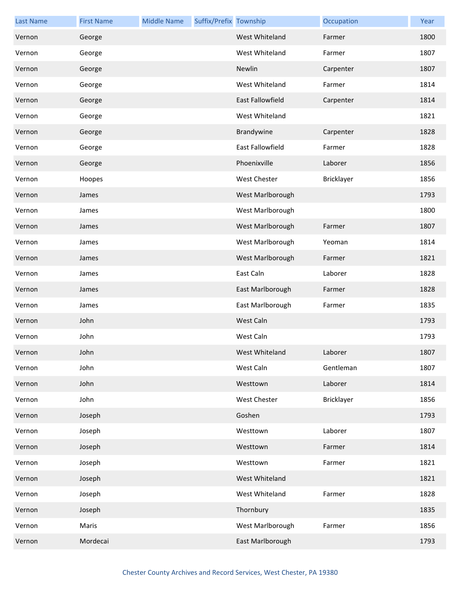| <b>Last Name</b> | <b>First Name</b> | <b>Middle Name</b> | Suffix/Prefix Township |                     | Occupation | Year |
|------------------|-------------------|--------------------|------------------------|---------------------|------------|------|
| Vernon           | George            |                    |                        | West Whiteland      | Farmer     | 1800 |
| Vernon           | George            |                    |                        | West Whiteland      | Farmer     | 1807 |
| Vernon           | George            |                    |                        | Newlin              | Carpenter  | 1807 |
| Vernon           | George            |                    |                        | West Whiteland      | Farmer     | 1814 |
| Vernon           | George            |                    |                        | East Fallowfield    | Carpenter  | 1814 |
| Vernon           | George            |                    |                        | West Whiteland      |            | 1821 |
| Vernon           | George            |                    |                        | Brandywine          | Carpenter  | 1828 |
| Vernon           | George            |                    |                        | East Fallowfield    | Farmer     | 1828 |
| Vernon           | George            |                    |                        | Phoenixville        | Laborer    | 1856 |
| Vernon           | Hoopes            |                    |                        | West Chester        | Bricklayer | 1856 |
| Vernon           | James             |                    |                        | West Marlborough    |            | 1793 |
| Vernon           | James             |                    |                        | West Marlborough    |            | 1800 |
| Vernon           | James             |                    |                        | West Marlborough    | Farmer     | 1807 |
| Vernon           | James             |                    |                        | West Marlborough    | Yeoman     | 1814 |
| Vernon           | James             |                    |                        | West Marlborough    | Farmer     | 1821 |
| Vernon           | James             |                    |                        | East Caln           | Laborer    | 1828 |
| Vernon           | James             |                    |                        | East Marlborough    | Farmer     | 1828 |
| Vernon           | James             |                    |                        | East Marlborough    | Farmer     | 1835 |
| Vernon           | John              |                    |                        | West Caln           |            | 1793 |
| Vernon           | John              |                    |                        | West Caln           |            | 1793 |
| Vernon           | John              |                    |                        | West Whiteland      | Laborer    | 1807 |
| Vernon           | John              |                    |                        | West Caln           | Gentleman  | 1807 |
| Vernon           | John              |                    |                        | Westtown            | Laborer    | 1814 |
| Vernon           | John              |                    |                        | <b>West Chester</b> | Bricklayer | 1856 |
| Vernon           | Joseph            |                    |                        | Goshen              |            | 1793 |
| Vernon           | Joseph            |                    |                        | Westtown            | Laborer    | 1807 |
| Vernon           | Joseph            |                    |                        | Westtown            | Farmer     | 1814 |
| Vernon           | Joseph            |                    |                        | Westtown            | Farmer     | 1821 |
| Vernon           | Joseph            |                    |                        | West Whiteland      |            | 1821 |
| Vernon           | Joseph            |                    |                        | West Whiteland      | Farmer     | 1828 |
| Vernon           | Joseph            |                    |                        | Thornbury           |            | 1835 |
| Vernon           | Maris             |                    |                        | West Marlborough    | Farmer     | 1856 |
| Vernon           | Mordecai          |                    |                        | East Marlborough    |            | 1793 |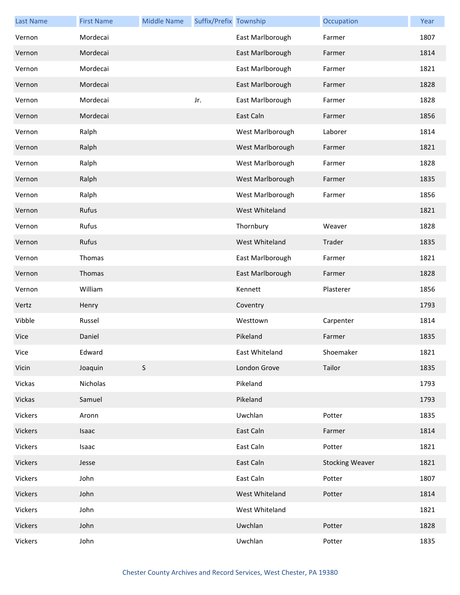| <b>Last Name</b> | <b>First Name</b> | <b>Middle Name</b> | Suffix/Prefix Township |                  | Occupation             | Year |
|------------------|-------------------|--------------------|------------------------|------------------|------------------------|------|
| Vernon           | Mordecai          |                    |                        | East Marlborough | Farmer                 | 1807 |
| Vernon           | Mordecai          |                    |                        | East Marlborough | Farmer                 | 1814 |
| Vernon           | Mordecai          |                    |                        | East Marlborough | Farmer                 | 1821 |
| Vernon           | Mordecai          |                    |                        | East Marlborough | Farmer                 | 1828 |
| Vernon           | Mordecai          |                    | Jr.                    | East Marlborough | Farmer                 | 1828 |
| Vernon           | Mordecai          |                    |                        | East Caln        | Farmer                 | 1856 |
| Vernon           | Ralph             |                    |                        | West Marlborough | Laborer                | 1814 |
| Vernon           | Ralph             |                    |                        | West Marlborough | Farmer                 | 1821 |
| Vernon           | Ralph             |                    |                        | West Marlborough | Farmer                 | 1828 |
| Vernon           | Ralph             |                    |                        | West Marlborough | Farmer                 | 1835 |
| Vernon           | Ralph             |                    |                        | West Marlborough | Farmer                 | 1856 |
| Vernon           | Rufus             |                    |                        | West Whiteland   |                        | 1821 |
| Vernon           | Rufus             |                    |                        | Thornbury        | Weaver                 | 1828 |
| Vernon           | Rufus             |                    |                        | West Whiteland   | Trader                 | 1835 |
| Vernon           | Thomas            |                    |                        | East Marlborough | Farmer                 | 1821 |
| Vernon           | Thomas            |                    |                        | East Marlborough | Farmer                 | 1828 |
| Vernon           | William           |                    |                        | Kennett          | Plasterer              | 1856 |
| Vertz            | Henry             |                    |                        | Coventry         |                        | 1793 |
| Vibble           | Russel            |                    |                        | Westtown         | Carpenter              | 1814 |
| Vice             | Daniel            |                    |                        | Pikeland         | Farmer                 | 1835 |
| Vice             | Edward            |                    |                        | East Whiteland   | Shoemaker              | 1821 |
| Vicin            | Joaquin           | $\mathsf S$        |                        | London Grove     | Tailor                 | 1835 |
| Vickas           | Nicholas          |                    |                        | Pikeland         |                        | 1793 |
| Vickas           | Samuel            |                    |                        | Pikeland         |                        | 1793 |
| Vickers          | Aronn             |                    |                        | Uwchlan          | Potter                 | 1835 |
| Vickers          | Isaac             |                    |                        | East Caln        | Farmer                 | 1814 |
| Vickers          | Isaac             |                    |                        | East Caln        | Potter                 | 1821 |
| Vickers          | Jesse             |                    |                        | East Caln        | <b>Stocking Weaver</b> | 1821 |
| Vickers          | John              |                    |                        | East Caln        | Potter                 | 1807 |
| Vickers          | John              |                    |                        | West Whiteland   | Potter                 | 1814 |
| Vickers          | John              |                    |                        | West Whiteland   |                        | 1821 |
| Vickers          | John              |                    |                        | Uwchlan          | Potter                 | 1828 |
| Vickers          | John              |                    |                        | Uwchlan          | Potter                 | 1835 |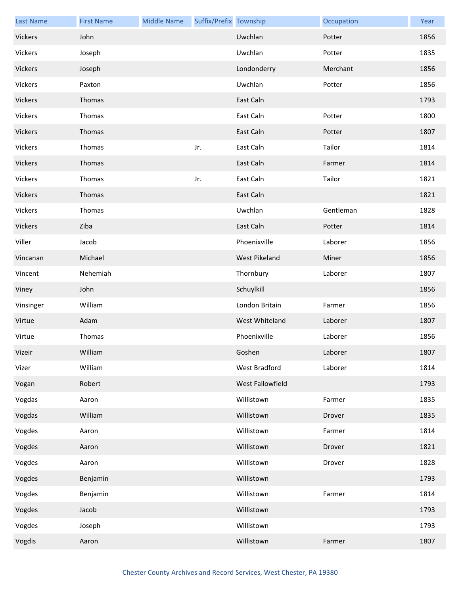| <b>Last Name</b> | <b>First Name</b> | <b>Middle Name</b> | Suffix/Prefix Township |                  | Occupation | Year |
|------------------|-------------------|--------------------|------------------------|------------------|------------|------|
| Vickers          | John              |                    |                        | Uwchlan          | Potter     | 1856 |
| Vickers          | Joseph            |                    |                        | Uwchlan          | Potter     | 1835 |
| Vickers          | Joseph            |                    |                        | Londonderry      | Merchant   | 1856 |
| Vickers          | Paxton            |                    |                        | Uwchlan          | Potter     | 1856 |
| Vickers          | Thomas            |                    |                        | East Caln        |            | 1793 |
| Vickers          | Thomas            |                    |                        | East Caln        | Potter     | 1800 |
| Vickers          | Thomas            |                    |                        | East Caln        | Potter     | 1807 |
| Vickers          | Thomas            |                    | Jr.                    | East Caln        | Tailor     | 1814 |
| Vickers          | Thomas            |                    |                        | East Caln        | Farmer     | 1814 |
| Vickers          | Thomas            |                    | Jr.                    | East Caln        | Tailor     | 1821 |
| Vickers          | Thomas            |                    |                        | East Caln        |            | 1821 |
| Vickers          | Thomas            |                    |                        | Uwchlan          | Gentleman  | 1828 |
| Vickers          | Ziba              |                    |                        | East Caln        | Potter     | 1814 |
| Viller           | Jacob             |                    |                        | Phoenixville     | Laborer    | 1856 |
| Vincanan         | Michael           |                    |                        | West Pikeland    | Miner      | 1856 |
| Vincent          | Nehemiah          |                    |                        | Thornbury        | Laborer    | 1807 |
| Viney            | John              |                    |                        | Schuylkill       |            | 1856 |
| Vinsinger        | William           |                    |                        | London Britain   | Farmer     | 1856 |
| Virtue           | Adam              |                    |                        | West Whiteland   | Laborer    | 1807 |
| Virtue           | Thomas            |                    |                        | Phoenixville     | Laborer    | 1856 |
| Vizeir           | William           |                    |                        | Goshen           | Laborer    | 1807 |
| Vizer            | William           |                    |                        | West Bradford    | Laborer    | 1814 |
| Vogan            | Robert            |                    |                        | West Fallowfield |            | 1793 |
| Vogdas           | Aaron             |                    |                        | Willistown       | Farmer     | 1835 |
| Vogdas           | William           |                    |                        | Willistown       | Drover     | 1835 |
| Vogdes           | Aaron             |                    |                        | Willistown       | Farmer     | 1814 |
| Vogdes           | Aaron             |                    |                        | Willistown       | Drover     | 1821 |
| Vogdes           | Aaron             |                    |                        | Willistown       | Drover     | 1828 |
| Vogdes           | Benjamin          |                    |                        | Willistown       |            | 1793 |
| Vogdes           | Benjamin          |                    |                        | Willistown       | Farmer     | 1814 |
| Vogdes           | Jacob             |                    |                        | Willistown       |            | 1793 |
| Vogdes           | Joseph            |                    |                        | Willistown       |            | 1793 |
| Vogdis           | Aaron             |                    |                        | Willistown       | Farmer     | 1807 |